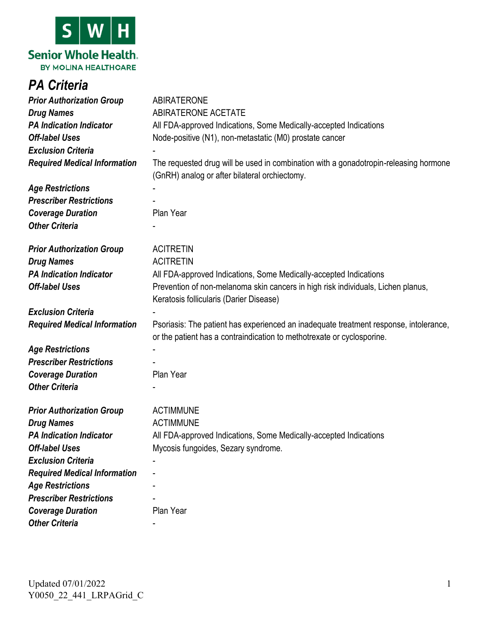

## *PA Criteria*

| <b>Prior Authorization Group</b>    | <b>ABIRATERONE</b>                                                                                                                    |
|-------------------------------------|---------------------------------------------------------------------------------------------------------------------------------------|
| <b>Drug Names</b>                   | <b>ABIRATERONE ACETATE</b>                                                                                                            |
| <b>PA Indication Indicator</b>      | All FDA-approved Indications, Some Medically-accepted Indications                                                                     |
| <b>Off-label Uses</b>               | Node-positive (N1), non-metastatic (M0) prostate cancer                                                                               |
| <b>Exclusion Criteria</b>           |                                                                                                                                       |
| <b>Required Medical Information</b> | The requested drug will be used in combination with a gonadotropin-releasing hormone<br>(GnRH) analog or after bilateral orchiectomy. |
| <b>Age Restrictions</b>             |                                                                                                                                       |
| <b>Prescriber Restrictions</b>      |                                                                                                                                       |
| <b>Coverage Duration</b>            | Plan Year                                                                                                                             |
| <b>Other Criteria</b>               |                                                                                                                                       |
| <b>Prior Authorization Group</b>    | <b>ACITRETIN</b>                                                                                                                      |
| <b>Drug Names</b>                   | <b>ACITRETIN</b>                                                                                                                      |
| <b>PA Indication Indicator</b>      | All FDA-approved Indications, Some Medically-accepted Indications                                                                     |
| <b>Off-label Uses</b>               | Prevention of non-melanoma skin cancers in high risk individuals, Lichen planus,<br>Keratosis follicularis (Darier Disease)           |
| <b>Exclusion Criteria</b>           |                                                                                                                                       |
| <b>Required Medical Information</b> | Psoriasis: The patient has experienced an inadequate treatment response, intolerance,                                                 |
|                                     | or the patient has a contraindication to methotrexate or cyclosporine.                                                                |
| <b>Age Restrictions</b>             |                                                                                                                                       |
| <b>Prescriber Restrictions</b>      |                                                                                                                                       |
| <b>Coverage Duration</b>            | Plan Year                                                                                                                             |
| <b>Other Criteria</b>               |                                                                                                                                       |
| <b>Prior Authorization Group</b>    | <b>ACTIMMUNE</b>                                                                                                                      |
| <b>Drug Names</b>                   | <b>ACTIMMUNE</b>                                                                                                                      |
| <b>PA Indication Indicator</b>      | All FDA-approved Indications, Some Medically-accepted Indications                                                                     |
| <b>Off-label Uses</b>               | Mycosis fungoides, Sezary syndrome.                                                                                                   |
| <b>Exclusion Criteria</b>           |                                                                                                                                       |
| <b>Required Medical Information</b> |                                                                                                                                       |
| <b>Age Restrictions</b>             |                                                                                                                                       |
| <b>Prescriber Restrictions</b>      |                                                                                                                                       |
| <b>Coverage Duration</b>            | Plan Year                                                                                                                             |
| <b>Other Criteria</b>               |                                                                                                                                       |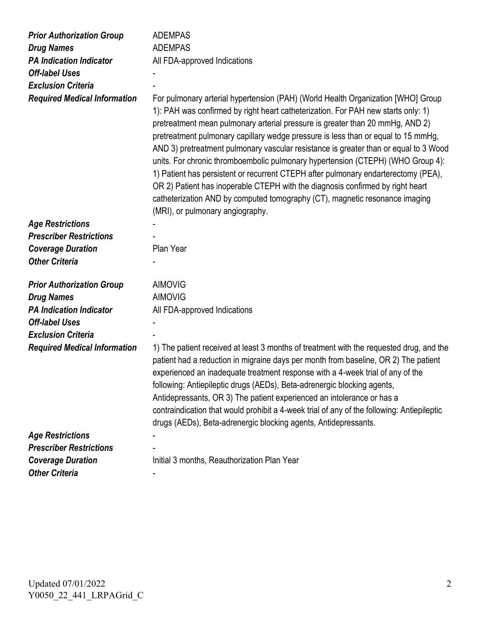| <b>Prior Authorization Group</b>                                                                                 | <b>ADEMPAS</b>                                                                                                                                                                                                                                                                                                                                                                                                                                                                                                                                                                                                                                                                                                                                                                                                    |
|------------------------------------------------------------------------------------------------------------------|-------------------------------------------------------------------------------------------------------------------------------------------------------------------------------------------------------------------------------------------------------------------------------------------------------------------------------------------------------------------------------------------------------------------------------------------------------------------------------------------------------------------------------------------------------------------------------------------------------------------------------------------------------------------------------------------------------------------------------------------------------------------------------------------------------------------|
| <b>Drug Names</b>                                                                                                | <b>ADEMPAS</b>                                                                                                                                                                                                                                                                                                                                                                                                                                                                                                                                                                                                                                                                                                                                                                                                    |
| <b>PA Indication Indicator</b>                                                                                   | All FDA-approved Indications                                                                                                                                                                                                                                                                                                                                                                                                                                                                                                                                                                                                                                                                                                                                                                                      |
| <b>Off-label Uses</b>                                                                                            |                                                                                                                                                                                                                                                                                                                                                                                                                                                                                                                                                                                                                                                                                                                                                                                                                   |
| <b>Exclusion Criteria</b>                                                                                        |                                                                                                                                                                                                                                                                                                                                                                                                                                                                                                                                                                                                                                                                                                                                                                                                                   |
| <b>Required Medical Information</b>                                                                              | For pulmonary arterial hypertension (PAH) (World Health Organization [WHO] Group<br>1): PAH was confirmed by right heart catheterization. For PAH new starts only: 1)<br>pretreatment mean pulmonary arterial pressure is greater than 20 mmHg, AND 2)<br>pretreatment pulmonary capillary wedge pressure is less than or equal to 15 mmHg,<br>AND 3) pretreatment pulmonary vascular resistance is greater than or equal to 3 Wood<br>units. For chronic thromboembolic pulmonary hypertension (CTEPH) (WHO Group 4):<br>1) Patient has persistent or recurrent CTEPH after pulmonary endarterectomy (PEA),<br>OR 2) Patient has inoperable CTEPH with the diagnosis confirmed by right heart<br>catheterization AND by computed tomography (CT), magnetic resonance imaging<br>(MRI), or pulmonary angiography. |
| <b>Age Restrictions</b>                                                                                          |                                                                                                                                                                                                                                                                                                                                                                                                                                                                                                                                                                                                                                                                                                                                                                                                                   |
| <b>Prescriber Restrictions</b>                                                                                   |                                                                                                                                                                                                                                                                                                                                                                                                                                                                                                                                                                                                                                                                                                                                                                                                                   |
| <b>Coverage Duration</b>                                                                                         | Plan Year                                                                                                                                                                                                                                                                                                                                                                                                                                                                                                                                                                                                                                                                                                                                                                                                         |
| <b>Other Criteria</b>                                                                                            |                                                                                                                                                                                                                                                                                                                                                                                                                                                                                                                                                                                                                                                                                                                                                                                                                   |
| <b>Prior Authorization Group</b><br><b>Drug Names</b><br><b>PA Indication Indicator</b><br><b>Off-label Uses</b> | <b>AIMOVIG</b><br><b>AIMOVIG</b><br>All FDA-approved Indications                                                                                                                                                                                                                                                                                                                                                                                                                                                                                                                                                                                                                                                                                                                                                  |
| <b>Exclusion Criteria</b>                                                                                        |                                                                                                                                                                                                                                                                                                                                                                                                                                                                                                                                                                                                                                                                                                                                                                                                                   |
| <b>Required Medical Information</b>                                                                              | 1) The patient received at least 3 months of treatment with the requested drug, and the<br>patient had a reduction in migraine days per month from baseline, OR 2) The patient<br>experienced an inadequate treatment response with a 4-week trial of any of the<br>following: Antiepileptic drugs (AEDs), Beta-adrenergic blocking agents,<br>Antidepressants, OR 3) The patient experienced an intolerance or has a<br>contraindication that would prohibit a 4-week trial of any of the following: Antiepileptic<br>drugs (AEDs), Beta-adrenergic blocking agents, Antidepressants.                                                                                                                                                                                                                            |
| <b>Age Restrictions</b>                                                                                          |                                                                                                                                                                                                                                                                                                                                                                                                                                                                                                                                                                                                                                                                                                                                                                                                                   |
| <b>Prescriber Restrictions</b>                                                                                   |                                                                                                                                                                                                                                                                                                                                                                                                                                                                                                                                                                                                                                                                                                                                                                                                                   |
| <b>Coverage Duration</b>                                                                                         | Initial 3 months, Reauthorization Plan Year                                                                                                                                                                                                                                                                                                                                                                                                                                                                                                                                                                                                                                                                                                                                                                       |
| <b>Other Criteria</b>                                                                                            |                                                                                                                                                                                                                                                                                                                                                                                                                                                                                                                                                                                                                                                                                                                                                                                                                   |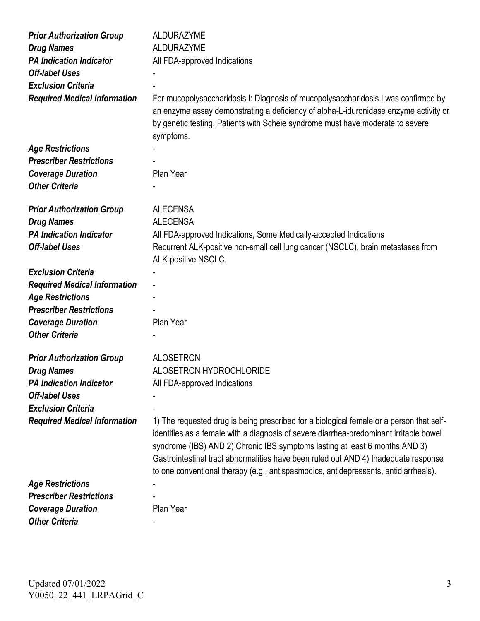| <b>Prior Authorization Group</b>    | <b>ALDURAZYME</b>                                                                                                                                                                                                                                                                                                                                                                                                                                |
|-------------------------------------|--------------------------------------------------------------------------------------------------------------------------------------------------------------------------------------------------------------------------------------------------------------------------------------------------------------------------------------------------------------------------------------------------------------------------------------------------|
| <b>Drug Names</b>                   | <b>ALDURAZYME</b>                                                                                                                                                                                                                                                                                                                                                                                                                                |
| <b>PA Indication Indicator</b>      | All FDA-approved Indications                                                                                                                                                                                                                                                                                                                                                                                                                     |
| <b>Off-label Uses</b>               |                                                                                                                                                                                                                                                                                                                                                                                                                                                  |
| <b>Exclusion Criteria</b>           |                                                                                                                                                                                                                                                                                                                                                                                                                                                  |
| <b>Required Medical Information</b> | For mucopolysaccharidosis I: Diagnosis of mucopolysaccharidosis I was confirmed by<br>an enzyme assay demonstrating a deficiency of alpha-L-iduronidase enzyme activity or<br>by genetic testing. Patients with Scheie syndrome must have moderate to severe<br>symptoms.                                                                                                                                                                        |
| <b>Age Restrictions</b>             |                                                                                                                                                                                                                                                                                                                                                                                                                                                  |
| <b>Prescriber Restrictions</b>      |                                                                                                                                                                                                                                                                                                                                                                                                                                                  |
| <b>Coverage Duration</b>            | Plan Year                                                                                                                                                                                                                                                                                                                                                                                                                                        |
| <b>Other Criteria</b>               |                                                                                                                                                                                                                                                                                                                                                                                                                                                  |
|                                     |                                                                                                                                                                                                                                                                                                                                                                                                                                                  |
| <b>Prior Authorization Group</b>    | <b>ALECENSA</b>                                                                                                                                                                                                                                                                                                                                                                                                                                  |
| <b>Drug Names</b>                   | <b>ALECENSA</b>                                                                                                                                                                                                                                                                                                                                                                                                                                  |
| <b>PA Indication Indicator</b>      | All FDA-approved Indications, Some Medically-accepted Indications                                                                                                                                                                                                                                                                                                                                                                                |
| <b>Off-label Uses</b>               | Recurrent ALK-positive non-small cell lung cancer (NSCLC), brain metastases from<br>ALK-positive NSCLC.                                                                                                                                                                                                                                                                                                                                          |
| <b>Exclusion Criteria</b>           |                                                                                                                                                                                                                                                                                                                                                                                                                                                  |
| <b>Required Medical Information</b> |                                                                                                                                                                                                                                                                                                                                                                                                                                                  |
| <b>Age Restrictions</b>             |                                                                                                                                                                                                                                                                                                                                                                                                                                                  |
| <b>Prescriber Restrictions</b>      |                                                                                                                                                                                                                                                                                                                                                                                                                                                  |
| <b>Coverage Duration</b>            | Plan Year                                                                                                                                                                                                                                                                                                                                                                                                                                        |
| <b>Other Criteria</b>               |                                                                                                                                                                                                                                                                                                                                                                                                                                                  |
| <b>Prior Authorization Group</b>    | <b>ALOSETRON</b>                                                                                                                                                                                                                                                                                                                                                                                                                                 |
| <b>Drug Names</b>                   | <b>ALOSETRON HYDROCHLORIDE</b>                                                                                                                                                                                                                                                                                                                                                                                                                   |
| <b>PA Indication Indicator</b>      | All FDA-approved Indications                                                                                                                                                                                                                                                                                                                                                                                                                     |
| <b>Off-label Uses</b>               |                                                                                                                                                                                                                                                                                                                                                                                                                                                  |
| <b>Exclusion Criteria</b>           |                                                                                                                                                                                                                                                                                                                                                                                                                                                  |
| <b>Required Medical Information</b> | 1) The requested drug is being prescribed for a biological female or a person that self-<br>identifies as a female with a diagnosis of severe diarrhea-predominant irritable bowel<br>syndrome (IBS) AND 2) Chronic IBS symptoms lasting at least 6 months AND 3)<br>Gastrointestinal tract abnormalities have been ruled out AND 4) Inadequate response<br>to one conventional therapy (e.g., antispasmodics, antidepressants, antidiarrheals). |
| <b>Age Restrictions</b>             |                                                                                                                                                                                                                                                                                                                                                                                                                                                  |
| <b>Prescriber Restrictions</b>      |                                                                                                                                                                                                                                                                                                                                                                                                                                                  |
| <b>Coverage Duration</b>            | Plan Year                                                                                                                                                                                                                                                                                                                                                                                                                                        |
| <b>Other Criteria</b>               |                                                                                                                                                                                                                                                                                                                                                                                                                                                  |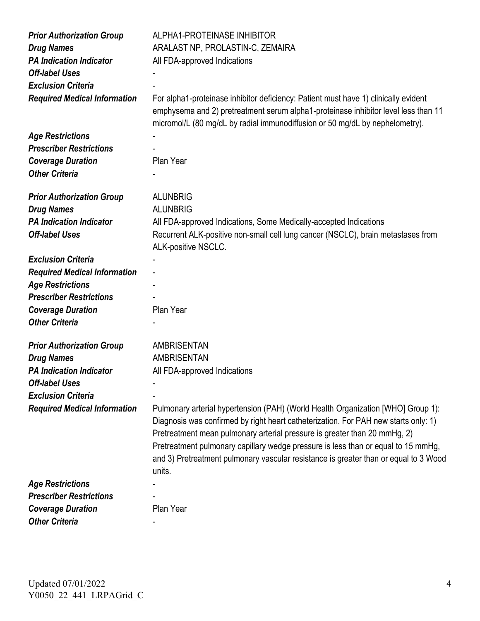| <b>Prior Authorization Group</b><br><b>Drug Names</b> | ALPHA1-PROTEINASE INHIBITOR<br>ARALAST NP, PROLASTIN-C, ZEMAIRA                                                                                                                                                                                                                                                                                                                                                                             |
|-------------------------------------------------------|---------------------------------------------------------------------------------------------------------------------------------------------------------------------------------------------------------------------------------------------------------------------------------------------------------------------------------------------------------------------------------------------------------------------------------------------|
| <b>PA Indication Indicator</b>                        | All FDA-approved Indications                                                                                                                                                                                                                                                                                                                                                                                                                |
| <b>Off-label Uses</b>                                 |                                                                                                                                                                                                                                                                                                                                                                                                                                             |
| <b>Exclusion Criteria</b>                             |                                                                                                                                                                                                                                                                                                                                                                                                                                             |
| <b>Required Medical Information</b>                   | For alpha1-proteinase inhibitor deficiency: Patient must have 1) clinically evident<br>emphysema and 2) pretreatment serum alpha1-proteinase inhibitor level less than 11<br>micromol/L (80 mg/dL by radial immunodiffusion or 50 mg/dL by nephelometry).                                                                                                                                                                                   |
| <b>Age Restrictions</b>                               |                                                                                                                                                                                                                                                                                                                                                                                                                                             |
| <b>Prescriber Restrictions</b>                        |                                                                                                                                                                                                                                                                                                                                                                                                                                             |
| <b>Coverage Duration</b>                              | Plan Year                                                                                                                                                                                                                                                                                                                                                                                                                                   |
| <b>Other Criteria</b>                                 |                                                                                                                                                                                                                                                                                                                                                                                                                                             |
|                                                       |                                                                                                                                                                                                                                                                                                                                                                                                                                             |
| <b>Prior Authorization Group</b>                      | <b>ALUNBRIG</b>                                                                                                                                                                                                                                                                                                                                                                                                                             |
| <b>Drug Names</b>                                     | <b>ALUNBRIG</b>                                                                                                                                                                                                                                                                                                                                                                                                                             |
| <b>PA Indication Indicator</b>                        | All FDA-approved Indications, Some Medically-accepted Indications                                                                                                                                                                                                                                                                                                                                                                           |
| <b>Off-label Uses</b>                                 | Recurrent ALK-positive non-small cell lung cancer (NSCLC), brain metastases from<br>ALK-positive NSCLC.                                                                                                                                                                                                                                                                                                                                     |
| <b>Exclusion Criteria</b>                             |                                                                                                                                                                                                                                                                                                                                                                                                                                             |
| <b>Required Medical Information</b>                   |                                                                                                                                                                                                                                                                                                                                                                                                                                             |
| <b>Age Restrictions</b>                               |                                                                                                                                                                                                                                                                                                                                                                                                                                             |
| <b>Prescriber Restrictions</b>                        |                                                                                                                                                                                                                                                                                                                                                                                                                                             |
| <b>Coverage Duration</b>                              | Plan Year                                                                                                                                                                                                                                                                                                                                                                                                                                   |
| <b>Other Criteria</b>                                 |                                                                                                                                                                                                                                                                                                                                                                                                                                             |
|                                                       |                                                                                                                                                                                                                                                                                                                                                                                                                                             |
| <b>Prior Authorization Group</b>                      | <b>AMBRISENTAN</b>                                                                                                                                                                                                                                                                                                                                                                                                                          |
| <b>Drug Names</b>                                     | <b>AMBRISENTAN</b>                                                                                                                                                                                                                                                                                                                                                                                                                          |
| <b>PA Indication Indicator</b>                        | All FDA-approved Indications                                                                                                                                                                                                                                                                                                                                                                                                                |
| <b>Off-label Uses</b>                                 |                                                                                                                                                                                                                                                                                                                                                                                                                                             |
| <b>Exclusion Criteria</b>                             |                                                                                                                                                                                                                                                                                                                                                                                                                                             |
| <b>Required Medical Information</b>                   | Pulmonary arterial hypertension (PAH) (World Health Organization [WHO] Group 1):<br>Diagnosis was confirmed by right heart catheterization. For PAH new starts only: 1)<br>Pretreatment mean pulmonary arterial pressure is greater than 20 mmHg, 2)<br>Pretreatment pulmonary capillary wedge pressure is less than or equal to 15 mmHg,<br>and 3) Pretreatment pulmonary vascular resistance is greater than or equal to 3 Wood<br>units. |
| <b>Age Restrictions</b>                               |                                                                                                                                                                                                                                                                                                                                                                                                                                             |
| <b>Prescriber Restrictions</b>                        |                                                                                                                                                                                                                                                                                                                                                                                                                                             |
| <b>Coverage Duration</b>                              | Plan Year                                                                                                                                                                                                                                                                                                                                                                                                                                   |
| <b>Other Criteria</b>                                 |                                                                                                                                                                                                                                                                                                                                                                                                                                             |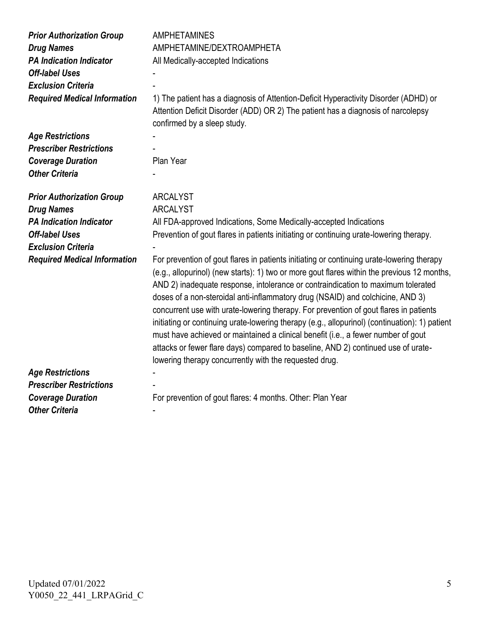| <b>Prior Authorization Group</b><br><b>Drug Names</b><br><b>PA Indication Indicator</b><br><b>Off-label Uses</b><br><b>Exclusion Criteria</b> | <b>AMPHETAMINES</b><br>AMPHETAMINE/DEXTROAMPHETA<br>All Medically-accepted Indications                                                                                                                                                                                                                                                                                                                                                                                                                                                                                                                                                                                                                                                                                                        |
|-----------------------------------------------------------------------------------------------------------------------------------------------|-----------------------------------------------------------------------------------------------------------------------------------------------------------------------------------------------------------------------------------------------------------------------------------------------------------------------------------------------------------------------------------------------------------------------------------------------------------------------------------------------------------------------------------------------------------------------------------------------------------------------------------------------------------------------------------------------------------------------------------------------------------------------------------------------|
| <b>Required Medical Information</b>                                                                                                           | 1) The patient has a diagnosis of Attention-Deficit Hyperactivity Disorder (ADHD) or<br>Attention Deficit Disorder (ADD) OR 2) The patient has a diagnosis of narcolepsy<br>confirmed by a sleep study.                                                                                                                                                                                                                                                                                                                                                                                                                                                                                                                                                                                       |
| <b>Age Restrictions</b>                                                                                                                       |                                                                                                                                                                                                                                                                                                                                                                                                                                                                                                                                                                                                                                                                                                                                                                                               |
| <b>Prescriber Restrictions</b>                                                                                                                |                                                                                                                                                                                                                                                                                                                                                                                                                                                                                                                                                                                                                                                                                                                                                                                               |
| <b>Coverage Duration</b>                                                                                                                      | Plan Year                                                                                                                                                                                                                                                                                                                                                                                                                                                                                                                                                                                                                                                                                                                                                                                     |
| <b>Other Criteria</b>                                                                                                                         |                                                                                                                                                                                                                                                                                                                                                                                                                                                                                                                                                                                                                                                                                                                                                                                               |
| <b>Prior Authorization Group</b>                                                                                                              | <b>ARCALYST</b>                                                                                                                                                                                                                                                                                                                                                                                                                                                                                                                                                                                                                                                                                                                                                                               |
| <b>Drug Names</b>                                                                                                                             | <b>ARCALYST</b>                                                                                                                                                                                                                                                                                                                                                                                                                                                                                                                                                                                                                                                                                                                                                                               |
| <b>PA Indication Indicator</b>                                                                                                                | All FDA-approved Indications, Some Medically-accepted Indications                                                                                                                                                                                                                                                                                                                                                                                                                                                                                                                                                                                                                                                                                                                             |
| <b>Off-label Uses</b>                                                                                                                         | Prevention of gout flares in patients initiating or continuing urate-lowering therapy.                                                                                                                                                                                                                                                                                                                                                                                                                                                                                                                                                                                                                                                                                                        |
| <b>Exclusion Criteria</b>                                                                                                                     |                                                                                                                                                                                                                                                                                                                                                                                                                                                                                                                                                                                                                                                                                                                                                                                               |
| <b>Required Medical Information</b>                                                                                                           | For prevention of gout flares in patients initiating or continuing urate-lowering therapy<br>(e.g., allopurinol) (new starts): 1) two or more gout flares within the previous 12 months,<br>AND 2) inadequate response, intolerance or contraindication to maximum tolerated<br>doses of a non-steroidal anti-inflammatory drug (NSAID) and colchicine, AND 3)<br>concurrent use with urate-lowering therapy. For prevention of gout flares in patients<br>initiating or continuing urate-lowering therapy (e.g., allopurinol) (continuation): 1) patient<br>must have achieved or maintained a clinical benefit (i.e., a fewer number of gout<br>attacks or fewer flare days) compared to baseline, AND 2) continued use of urate-<br>lowering therapy concurrently with the requested drug. |
| <b>Age Restrictions</b>                                                                                                                       |                                                                                                                                                                                                                                                                                                                                                                                                                                                                                                                                                                                                                                                                                                                                                                                               |
| <b>Prescriber Restrictions</b>                                                                                                                |                                                                                                                                                                                                                                                                                                                                                                                                                                                                                                                                                                                                                                                                                                                                                                                               |
| <b>Coverage Duration</b>                                                                                                                      | For prevention of gout flares: 4 months. Other: Plan Year                                                                                                                                                                                                                                                                                                                                                                                                                                                                                                                                                                                                                                                                                                                                     |
| <b>Other Criteria</b>                                                                                                                         |                                                                                                                                                                                                                                                                                                                                                                                                                                                                                                                                                                                                                                                                                                                                                                                               |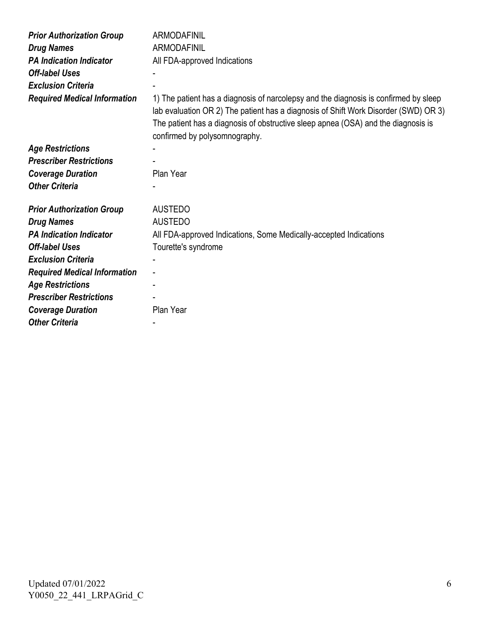| <b>Prior Authorization Group</b>    | <b>ARMODAFINIL</b>                                                                                                                                                                                                                                                                                |
|-------------------------------------|---------------------------------------------------------------------------------------------------------------------------------------------------------------------------------------------------------------------------------------------------------------------------------------------------|
| <b>Drug Names</b>                   | <b>ARMODAFINIL</b>                                                                                                                                                                                                                                                                                |
| <b>PA Indication Indicator</b>      | All FDA-approved Indications                                                                                                                                                                                                                                                                      |
| <b>Off-label Uses</b>               |                                                                                                                                                                                                                                                                                                   |
| <b>Exclusion Criteria</b>           |                                                                                                                                                                                                                                                                                                   |
| <b>Required Medical Information</b> | 1) The patient has a diagnosis of narcolepsy and the diagnosis is confirmed by sleep<br>lab evaluation OR 2) The patient has a diagnosis of Shift Work Disorder (SWD) OR 3)<br>The patient has a diagnosis of obstructive sleep apnea (OSA) and the diagnosis is<br>confirmed by polysomnography. |
| <b>Age Restrictions</b>             |                                                                                                                                                                                                                                                                                                   |
| <b>Prescriber Restrictions</b>      |                                                                                                                                                                                                                                                                                                   |
| <b>Coverage Duration</b>            | Plan Year                                                                                                                                                                                                                                                                                         |
| <b>Other Criteria</b>               |                                                                                                                                                                                                                                                                                                   |
| <b>Prior Authorization Group</b>    | <b>AUSTEDO</b>                                                                                                                                                                                                                                                                                    |
| <b>Drug Names</b>                   | <b>AUSTEDO</b>                                                                                                                                                                                                                                                                                    |
| <b>PA Indication Indicator</b>      | All FDA-approved Indications, Some Medically-accepted Indications                                                                                                                                                                                                                                 |
| <b>Off-label Uses</b>               | Tourette's syndrome                                                                                                                                                                                                                                                                               |
| <b>Exclusion Criteria</b>           |                                                                                                                                                                                                                                                                                                   |
| <b>Required Medical Information</b> |                                                                                                                                                                                                                                                                                                   |
| <b>Age Restrictions</b>             |                                                                                                                                                                                                                                                                                                   |
| <b>Prescriber Restrictions</b>      |                                                                                                                                                                                                                                                                                                   |
| <b>Coverage Duration</b>            | Plan Year                                                                                                                                                                                                                                                                                         |
| <b>Other Criteria</b>               |                                                                                                                                                                                                                                                                                                   |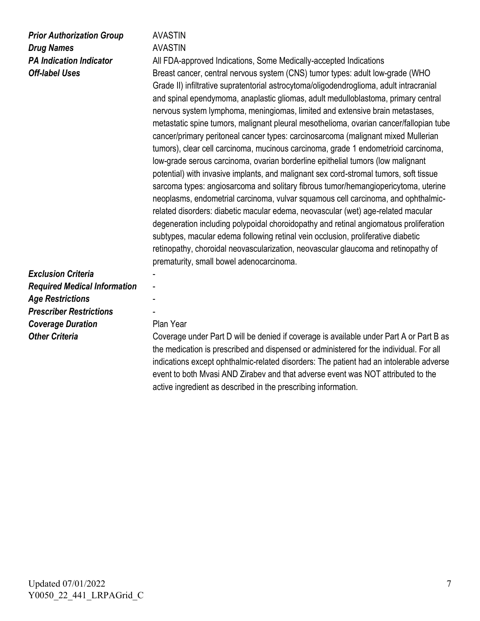## *Prior Authorization Group* **AVASTIN Drug Names** AVASTIN

**PA Indication Indicator All FDA-approved Indications, Some Medically-accepted Indications Off-label Uses Breast cancer, central nervous system (CNS) tumor types: adult low-grade (WHO** Grade II) infiltrative supratentorial astrocytoma/oligodendroglioma, adult intracranial and spinal ependymoma, anaplastic gliomas, adult medulloblastoma, primary central nervous system lymphoma, meningiomas, limited and extensive brain metastases, metastatic spine tumors, malignant pleural mesothelioma, ovarian cancer/fallopian tube cancer/primary peritoneal cancer types: carcinosarcoma (malignant mixed Mullerian tumors), clear cell carcinoma, mucinous carcinoma, grade 1 endometrioid carcinoma, low-grade serous carcinoma, ovarian borderline epithelial tumors (low malignant potential) with invasive implants, and malignant sex cord-stromal tumors, soft tissue sarcoma types: angiosarcoma and solitary fibrous tumor/hemangiopericytoma, uterine neoplasms, endometrial carcinoma, vulvar squamous cell carcinoma, and ophthalmicrelated disorders: diabetic macular edema, neovascular (wet) age-related macular degeneration including polypoidal choroidopathy and retinal angiomatous proliferation subtypes, macular edema following retinal vein occlusion, proliferative diabetic retinopathy, choroidal neovascularization, neovascular glaucoma and retinopathy of prematurity, small bowel adenocarcinoma.

*Exclusion Criteria* - *Required Medical Information* - *Age Restrictions* - *Prescriber Restrictions* - **Coverage Duration Plan Year** 

**Other Criteria Coverage under Part D will be denied if coverage is available under Part A or Part B as** the medication is prescribed and dispensed or administered for the individual. For all indications except ophthalmic-related disorders: The patient had an intolerable adverse event to both Mvasi AND Zirabev and that adverse event was NOT attributed to the active ingredient as described in the prescribing information.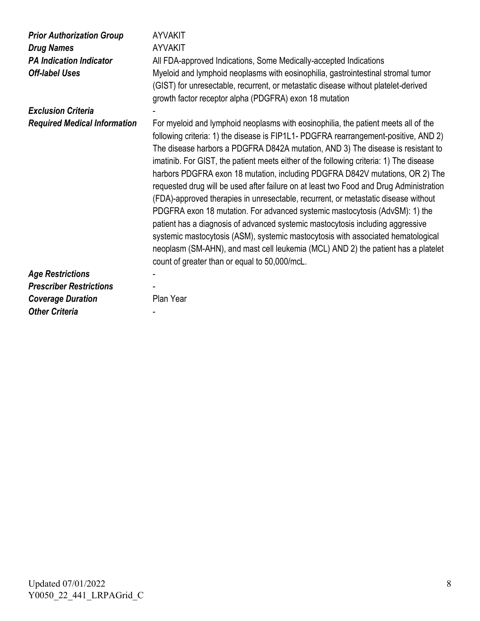| <b>Prior Authorization Group</b><br><b>Drug Names</b><br><b>PA Indication Indicator</b><br><b>Off-label Uses</b> | <b>AYVAKIT</b><br><b>AYVAKIT</b><br>All FDA-approved Indications, Some Medically-accepted Indications<br>Myeloid and lymphoid neoplasms with eosinophilia, gastrointestinal stromal tumor<br>(GIST) for unresectable, recurrent, or metastatic disease without platelet-derived<br>growth factor receptor alpha (PDGFRA) exon 18 mutation                                                                                                                                                                                                                                                                                                                                                                                                                                                                                                                                                                                                                                                                         |
|------------------------------------------------------------------------------------------------------------------|-------------------------------------------------------------------------------------------------------------------------------------------------------------------------------------------------------------------------------------------------------------------------------------------------------------------------------------------------------------------------------------------------------------------------------------------------------------------------------------------------------------------------------------------------------------------------------------------------------------------------------------------------------------------------------------------------------------------------------------------------------------------------------------------------------------------------------------------------------------------------------------------------------------------------------------------------------------------------------------------------------------------|
| <b>Exclusion Criteria</b>                                                                                        |                                                                                                                                                                                                                                                                                                                                                                                                                                                                                                                                                                                                                                                                                                                                                                                                                                                                                                                                                                                                                   |
| <b>Required Medical Information</b>                                                                              | For myeloid and lymphoid neoplasms with eosinophilia, the patient meets all of the<br>following criteria: 1) the disease is FIP1L1- PDGFRA rearrangement-positive, AND 2)<br>The disease harbors a PDGFRA D842A mutation, AND 3) The disease is resistant to<br>imatinib. For GIST, the patient meets either of the following criteria: 1) The disease<br>harbors PDGFRA exon 18 mutation, including PDGFRA D842V mutations, OR 2) The<br>requested drug will be used after failure on at least two Food and Drug Administration<br>(FDA)-approved therapies in unresectable, recurrent, or metastatic disease without<br>PDGFRA exon 18 mutation. For advanced systemic mastocytosis (AdvSM): 1) the<br>patient has a diagnosis of advanced systemic mastocytosis including aggressive<br>systemic mastocytosis (ASM), systemic mastocytosis with associated hematological<br>neoplasm (SM-AHN), and mast cell leukemia (MCL) AND 2) the patient has a platelet<br>count of greater than or equal to 50,000/mcL. |
| <b>Age Restrictions</b>                                                                                          |                                                                                                                                                                                                                                                                                                                                                                                                                                                                                                                                                                                                                                                                                                                                                                                                                                                                                                                                                                                                                   |
| <b>Prescriber Restrictions</b>                                                                                   |                                                                                                                                                                                                                                                                                                                                                                                                                                                                                                                                                                                                                                                                                                                                                                                                                                                                                                                                                                                                                   |
| <b>Coverage Duration</b>                                                                                         | Plan Year                                                                                                                                                                                                                                                                                                                                                                                                                                                                                                                                                                                                                                                                                                                                                                                                                                                                                                                                                                                                         |
| <b>Other Criteria</b>                                                                                            |                                                                                                                                                                                                                                                                                                                                                                                                                                                                                                                                                                                                                                                                                                                                                                                                                                                                                                                                                                                                                   |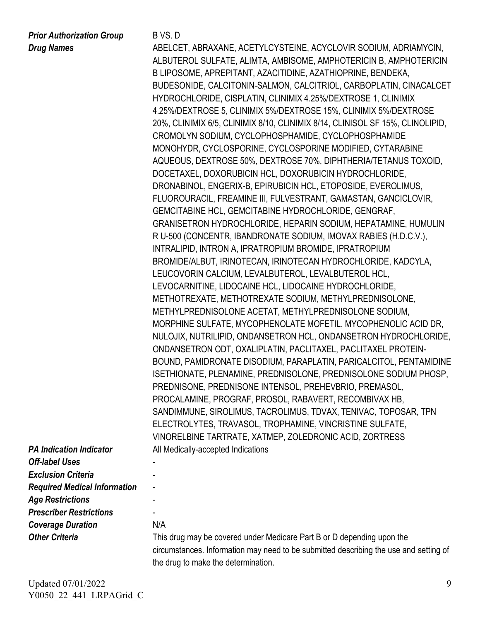*Prior Authorization Group* B VS. D

*Drug Names* ABELCET, ABRAXANE, ACETYLCYSTEINE, ACYCLOVIR SODIUM, ADRIAMYCIN, ALBUTEROL SULFATE, ALIMTA, AMBISOME, AMPHOTERICIN B, AMPHOTERICIN B LIPOSOME, APREPITANT, AZACITIDINE, AZATHIOPRINE, BENDEKA, BUDESONIDE, CALCITONIN-SALMON, CALCITRIOL, CARBOPLATIN, CINACALCET HYDROCHLORIDE, CISPLATIN, CLINIMIX 4.25%/DEXTROSE 1, CLINIMIX 4.25%/DEXTROSE 5, CLINIMIX 5%/DEXTROSE 15%, CLINIMIX 5%/DEXTROSE 20%, CLINIMIX 6/5, CLINIMIX 8/10, CLINIMIX 8/14, CLINISOL SF 15%, CLINOLIPID, CROMOLYN SODIUM, CYCLOPHOSPHAMIDE, CYCLOPHOSPHAMIDE MONOHYDR, CYCLOSPORINE, CYCLOSPORINE MODIFIED, CYTARABINE AQUEOUS, DEXTROSE 50%, DEXTROSE 70%, DIPHTHERIA/TETANUS TOXOID, DOCETAXEL, DOXORUBICIN HCL, DOXORUBICIN HYDROCHLORIDE, DRONABINOL, ENGERIX-B, EPIRUBICIN HCL, ETOPOSIDE, EVEROLIMUS, FLUOROURACIL, FREAMINE III, FULVESTRANT, GAMASTAN, GANCICLOVIR, GEMCITABINE HCL, GEMCITABINE HYDROCHLORIDE, GENGRAF, GRANISETRON HYDROCHLORIDE, HEPARIN SODIUM, HEPATAMINE, HUMULIN R U-500 (CONCENTR, IBANDRONATE SODIUM, IMOVAX RABIES (H.D.C.V.), INTRALIPID, INTRON A, IPRATROPIUM BROMIDE, IPRATROPIUM BROMIDE/ALBUT, IRINOTECAN, IRINOTECAN HYDROCHLORIDE, KADCYLA, LEUCOVORIN CALCIUM, LEVALBUTEROL, LEVALBUTEROL HCL, LEVOCARNITINE, LIDOCAINE HCL, LIDOCAINE HYDROCHLORIDE, METHOTREXATE, METHOTREXATE SODIUM, METHYLPREDNISOLONE, METHYLPREDNISOLONE ACETAT, METHYLPREDNISOLONE SODIUM, MORPHINE SULFATE, MYCOPHENOLATE MOFETIL, MYCOPHENOLIC ACID DR, NULOJIX, NUTRILIPID, ONDANSETRON HCL, ONDANSETRON HYDROCHLORIDE, ONDANSETRON ODT, OXALIPLATIN, PACLITAXEL, PACLITAXEL PROTEIN-BOUND, PAMIDRONATE DISODIUM, PARAPLATIN, PARICALCITOL, PENTAMIDINE ISETHIONATE, PLENAMINE, PREDNISOLONE, PREDNISOLONE SODIUM PHOSP, PREDNISONE, PREDNISONE INTENSOL, PREHEVBRIO, PREMASOL, PROCALAMINE, PROGRAF, PROSOL, RABAVERT, RECOMBIVAX HB, SANDIMMUNE, SIROLIMUS, TACROLIMUS, TDVAX, TENIVAC, TOPOSAR, TPN ELECTROLYTES, TRAVASOL, TROPHAMINE, VINCRISTINE SULFATE, VINORELBINE TARTRATE, XATMEP, ZOLEDRONIC ACID, ZORTRESS All Medically-accepted Indications

| <b>PA Indication Indicator</b>      | AII N  |
|-------------------------------------|--------|
| <b>Off-label Uses</b>               |        |
| <b>Exclusion Criteria</b>           |        |
| <b>Required Medical Information</b> |        |
| <b>Age Restrictions</b>             |        |
| <b>Prescriber Restrictions</b>      |        |
| <b>Coverage Duration</b>            | N/A    |
| <b>Other Criteria</b>               | This   |
|                                     | $\sim$ |

This drug may be covered under Medicare Part B or D depending upon the circumstances. Information may need to be submitted describing the use and setting of the drug to make the determination.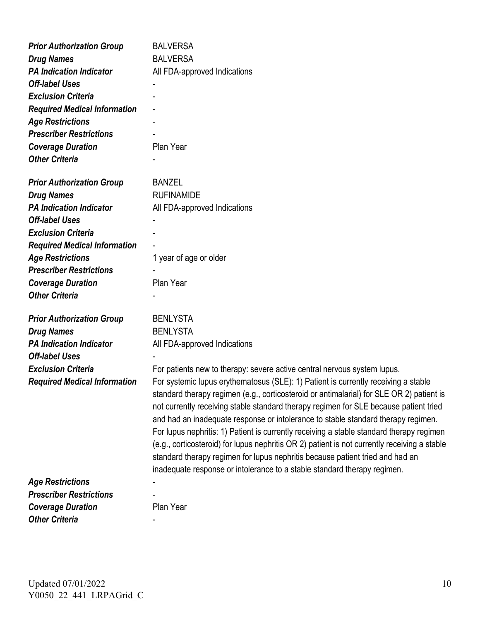| <b>Prior Authorization Group</b>    | <b>BALVERSA</b>                                                                                                                                                                                                                                                                                                                                                                                                                                                                                                                                                                                                                                                                                                       |
|-------------------------------------|-----------------------------------------------------------------------------------------------------------------------------------------------------------------------------------------------------------------------------------------------------------------------------------------------------------------------------------------------------------------------------------------------------------------------------------------------------------------------------------------------------------------------------------------------------------------------------------------------------------------------------------------------------------------------------------------------------------------------|
| <b>Drug Names</b>                   | <b>BALVERSA</b>                                                                                                                                                                                                                                                                                                                                                                                                                                                                                                                                                                                                                                                                                                       |
| <b>PA Indication Indicator</b>      | All FDA-approved Indications                                                                                                                                                                                                                                                                                                                                                                                                                                                                                                                                                                                                                                                                                          |
| <b>Off-label Uses</b>               |                                                                                                                                                                                                                                                                                                                                                                                                                                                                                                                                                                                                                                                                                                                       |
| <b>Exclusion Criteria</b>           |                                                                                                                                                                                                                                                                                                                                                                                                                                                                                                                                                                                                                                                                                                                       |
| <b>Required Medical Information</b> |                                                                                                                                                                                                                                                                                                                                                                                                                                                                                                                                                                                                                                                                                                                       |
| <b>Age Restrictions</b>             |                                                                                                                                                                                                                                                                                                                                                                                                                                                                                                                                                                                                                                                                                                                       |
| <b>Prescriber Restrictions</b>      |                                                                                                                                                                                                                                                                                                                                                                                                                                                                                                                                                                                                                                                                                                                       |
| <b>Coverage Duration</b>            | Plan Year                                                                                                                                                                                                                                                                                                                                                                                                                                                                                                                                                                                                                                                                                                             |
| <b>Other Criteria</b>               |                                                                                                                                                                                                                                                                                                                                                                                                                                                                                                                                                                                                                                                                                                                       |
| <b>Prior Authorization Group</b>    | <b>BANZEL</b>                                                                                                                                                                                                                                                                                                                                                                                                                                                                                                                                                                                                                                                                                                         |
| <b>Drug Names</b>                   | <b>RUFINAMIDE</b>                                                                                                                                                                                                                                                                                                                                                                                                                                                                                                                                                                                                                                                                                                     |
| <b>PA Indication Indicator</b>      | All FDA-approved Indications                                                                                                                                                                                                                                                                                                                                                                                                                                                                                                                                                                                                                                                                                          |
| <b>Off-label Uses</b>               |                                                                                                                                                                                                                                                                                                                                                                                                                                                                                                                                                                                                                                                                                                                       |
| <b>Exclusion Criteria</b>           |                                                                                                                                                                                                                                                                                                                                                                                                                                                                                                                                                                                                                                                                                                                       |
| <b>Required Medical Information</b> |                                                                                                                                                                                                                                                                                                                                                                                                                                                                                                                                                                                                                                                                                                                       |
| <b>Age Restrictions</b>             | 1 year of age or older                                                                                                                                                                                                                                                                                                                                                                                                                                                                                                                                                                                                                                                                                                |
| <b>Prescriber Restrictions</b>      |                                                                                                                                                                                                                                                                                                                                                                                                                                                                                                                                                                                                                                                                                                                       |
| <b>Coverage Duration</b>            | Plan Year                                                                                                                                                                                                                                                                                                                                                                                                                                                                                                                                                                                                                                                                                                             |
| <b>Other Criteria</b>               |                                                                                                                                                                                                                                                                                                                                                                                                                                                                                                                                                                                                                                                                                                                       |
| <b>Prior Authorization Group</b>    | <b>BENLYSTA</b>                                                                                                                                                                                                                                                                                                                                                                                                                                                                                                                                                                                                                                                                                                       |
| <b>Drug Names</b>                   | <b>BENLYSTA</b>                                                                                                                                                                                                                                                                                                                                                                                                                                                                                                                                                                                                                                                                                                       |
| <b>PA Indication Indicator</b>      | All FDA-approved Indications                                                                                                                                                                                                                                                                                                                                                                                                                                                                                                                                                                                                                                                                                          |
| <b>Off-label Uses</b>               |                                                                                                                                                                                                                                                                                                                                                                                                                                                                                                                                                                                                                                                                                                                       |
| <b>Exclusion Criteria</b>           | For patients new to therapy: severe active central nervous system lupus.                                                                                                                                                                                                                                                                                                                                                                                                                                                                                                                                                                                                                                              |
| <b>Required Medical Information</b> | For systemic lupus erythematosus (SLE): 1) Patient is currently receiving a stable<br>standard therapy regimen (e.g., corticosteroid or antimalarial) for SLE OR 2) patient is<br>not currently receiving stable standard therapy regimen for SLE because patient tried<br>and had an inadequate response or intolerance to stable standard therapy regimen.<br>For lupus nephritis: 1) Patient is currently receiving a stable standard therapy regimen<br>(e.g., corticosteroid) for lupus nephritis OR 2) patient is not currently receiving a stable<br>standard therapy regimen for lupus nephritis because patient tried and had an<br>inadequate response or intolerance to a stable standard therapy regimen. |
| <b>Age Restrictions</b>             |                                                                                                                                                                                                                                                                                                                                                                                                                                                                                                                                                                                                                                                                                                                       |
| <b>Prescriber Restrictions</b>      |                                                                                                                                                                                                                                                                                                                                                                                                                                                                                                                                                                                                                                                                                                                       |
| <b>Coverage Duration</b>            | Plan Year                                                                                                                                                                                                                                                                                                                                                                                                                                                                                                                                                                                                                                                                                                             |
| <b>Other Criteria</b>               |                                                                                                                                                                                                                                                                                                                                                                                                                                                                                                                                                                                                                                                                                                                       |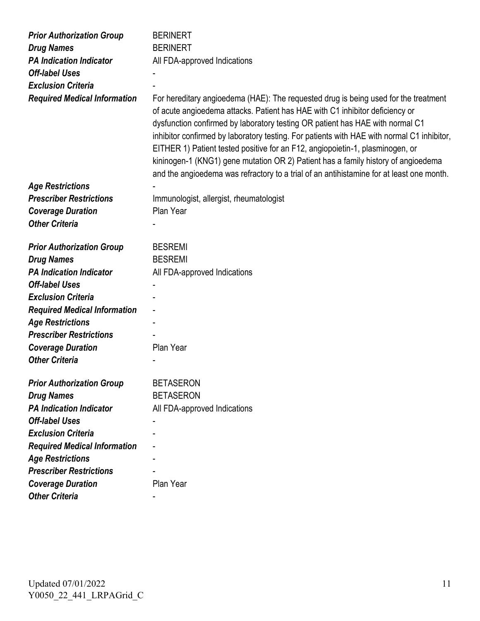| <b>Prior Authorization Group</b>    | <b>BERINERT</b>                                                                                                                                                                                                                                                                                                                                                                                                                                                                                                                                                                                                      |
|-------------------------------------|----------------------------------------------------------------------------------------------------------------------------------------------------------------------------------------------------------------------------------------------------------------------------------------------------------------------------------------------------------------------------------------------------------------------------------------------------------------------------------------------------------------------------------------------------------------------------------------------------------------------|
| <b>Drug Names</b>                   | <b>BERINERT</b>                                                                                                                                                                                                                                                                                                                                                                                                                                                                                                                                                                                                      |
| <b>PA Indication Indicator</b>      | All FDA-approved Indications                                                                                                                                                                                                                                                                                                                                                                                                                                                                                                                                                                                         |
| <b>Off-label Uses</b>               |                                                                                                                                                                                                                                                                                                                                                                                                                                                                                                                                                                                                                      |
| <b>Exclusion Criteria</b>           |                                                                                                                                                                                                                                                                                                                                                                                                                                                                                                                                                                                                                      |
| <b>Required Medical Information</b> | For hereditary angioedema (HAE): The requested drug is being used for the treatment<br>of acute angioedema attacks. Patient has HAE with C1 inhibitor deficiency or<br>dysfunction confirmed by laboratory testing OR patient has HAE with normal C1<br>inhibitor confirmed by laboratory testing. For patients with HAE with normal C1 inhibitor,<br>EITHER 1) Patient tested positive for an F12, angiopoietin-1, plasminogen, or<br>kininogen-1 (KNG1) gene mutation OR 2) Patient has a family history of angioedema<br>and the angioedema was refractory to a trial of an antihistamine for at least one month. |
| <b>Age Restrictions</b>             |                                                                                                                                                                                                                                                                                                                                                                                                                                                                                                                                                                                                                      |
| <b>Prescriber Restrictions</b>      | Immunologist, allergist, rheumatologist                                                                                                                                                                                                                                                                                                                                                                                                                                                                                                                                                                              |
| <b>Coverage Duration</b>            | Plan Year                                                                                                                                                                                                                                                                                                                                                                                                                                                                                                                                                                                                            |
| <b>Other Criteria</b>               |                                                                                                                                                                                                                                                                                                                                                                                                                                                                                                                                                                                                                      |
| <b>Prior Authorization Group</b>    | <b>BESREMI</b>                                                                                                                                                                                                                                                                                                                                                                                                                                                                                                                                                                                                       |
| <b>Drug Names</b>                   | <b>BESREMI</b>                                                                                                                                                                                                                                                                                                                                                                                                                                                                                                                                                                                                       |
| <b>PA Indication Indicator</b>      | All FDA-approved Indications                                                                                                                                                                                                                                                                                                                                                                                                                                                                                                                                                                                         |
| <b>Off-label Uses</b>               |                                                                                                                                                                                                                                                                                                                                                                                                                                                                                                                                                                                                                      |
| <b>Exclusion Criteria</b>           |                                                                                                                                                                                                                                                                                                                                                                                                                                                                                                                                                                                                                      |
| <b>Required Medical Information</b> |                                                                                                                                                                                                                                                                                                                                                                                                                                                                                                                                                                                                                      |
| <b>Age Restrictions</b>             |                                                                                                                                                                                                                                                                                                                                                                                                                                                                                                                                                                                                                      |
| <b>Prescriber Restrictions</b>      |                                                                                                                                                                                                                                                                                                                                                                                                                                                                                                                                                                                                                      |
| <b>Coverage Duration</b>            | Plan Year                                                                                                                                                                                                                                                                                                                                                                                                                                                                                                                                                                                                            |
| <b>Other Criteria</b>               |                                                                                                                                                                                                                                                                                                                                                                                                                                                                                                                                                                                                                      |
| <b>Prior Authorization Group</b>    | <b>BETASERON</b>                                                                                                                                                                                                                                                                                                                                                                                                                                                                                                                                                                                                     |
| <b>Drug Names</b>                   | <b>BETASERON</b>                                                                                                                                                                                                                                                                                                                                                                                                                                                                                                                                                                                                     |
| <b>PA Indication Indicator</b>      | All FDA-approved Indications                                                                                                                                                                                                                                                                                                                                                                                                                                                                                                                                                                                         |
| <b>Off-label Uses</b>               |                                                                                                                                                                                                                                                                                                                                                                                                                                                                                                                                                                                                                      |
| <b>Exclusion Criteria</b>           |                                                                                                                                                                                                                                                                                                                                                                                                                                                                                                                                                                                                                      |
| <b>Required Medical Information</b> |                                                                                                                                                                                                                                                                                                                                                                                                                                                                                                                                                                                                                      |
| <b>Age Restrictions</b>             |                                                                                                                                                                                                                                                                                                                                                                                                                                                                                                                                                                                                                      |
| <b>Prescriber Restrictions</b>      |                                                                                                                                                                                                                                                                                                                                                                                                                                                                                                                                                                                                                      |
| <b>Coverage Duration</b>            | Plan Year                                                                                                                                                                                                                                                                                                                                                                                                                                                                                                                                                                                                            |
| <b>Other Criteria</b>               |                                                                                                                                                                                                                                                                                                                                                                                                                                                                                                                                                                                                                      |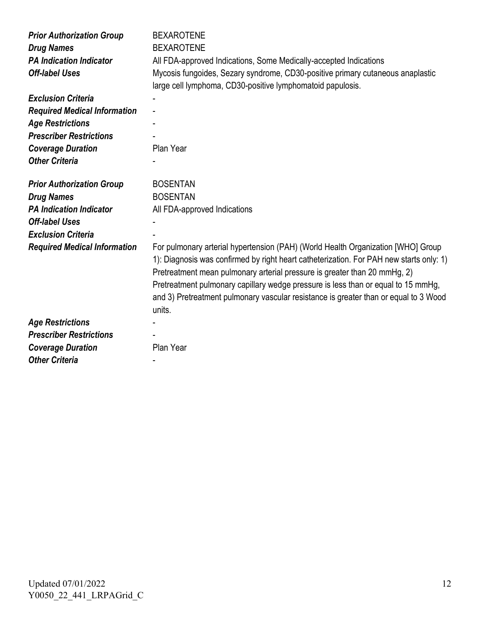| <b>Prior Authorization Group</b><br><b>Drug Names</b><br><b>PA Indication Indicator</b><br><b>Off-label Uses</b> | <b>BEXAROTENE</b><br><b>BEXAROTENE</b><br>All FDA-approved Indications, Some Medically-accepted Indications<br>Mycosis fungoides, Sezary syndrome, CD30-positive primary cutaneous anaplastic                                                                                                                                                                                                                                                   |
|------------------------------------------------------------------------------------------------------------------|-------------------------------------------------------------------------------------------------------------------------------------------------------------------------------------------------------------------------------------------------------------------------------------------------------------------------------------------------------------------------------------------------------------------------------------------------|
|                                                                                                                  | large cell lymphoma, CD30-positive lymphomatoid papulosis.                                                                                                                                                                                                                                                                                                                                                                                      |
| <b>Exclusion Criteria</b>                                                                                        |                                                                                                                                                                                                                                                                                                                                                                                                                                                 |
| <b>Required Medical Information</b>                                                                              |                                                                                                                                                                                                                                                                                                                                                                                                                                                 |
| <b>Age Restrictions</b>                                                                                          |                                                                                                                                                                                                                                                                                                                                                                                                                                                 |
| <b>Prescriber Restrictions</b>                                                                                   |                                                                                                                                                                                                                                                                                                                                                                                                                                                 |
| <b>Coverage Duration</b>                                                                                         | Plan Year                                                                                                                                                                                                                                                                                                                                                                                                                                       |
| <b>Other Criteria</b>                                                                                            |                                                                                                                                                                                                                                                                                                                                                                                                                                                 |
| <b>Prior Authorization Group</b>                                                                                 | <b>BOSENTAN</b>                                                                                                                                                                                                                                                                                                                                                                                                                                 |
| <b>Drug Names</b>                                                                                                | <b>BOSENTAN</b>                                                                                                                                                                                                                                                                                                                                                                                                                                 |
| <b>PA Indication Indicator</b>                                                                                   | All FDA-approved Indications                                                                                                                                                                                                                                                                                                                                                                                                                    |
| <b>Off-label Uses</b>                                                                                            |                                                                                                                                                                                                                                                                                                                                                                                                                                                 |
| <b>Exclusion Criteria</b>                                                                                        |                                                                                                                                                                                                                                                                                                                                                                                                                                                 |
| <b>Required Medical Information</b>                                                                              | For pulmonary arterial hypertension (PAH) (World Health Organization [WHO] Group<br>1): Diagnosis was confirmed by right heart catheterization. For PAH new starts only: 1)<br>Pretreatment mean pulmonary arterial pressure is greater than 20 mmHg, 2)<br>Pretreatment pulmonary capillary wedge pressure is less than or equal to 15 mmHg,<br>and 3) Pretreatment pulmonary vascular resistance is greater than or equal to 3 Wood<br>units. |
| <b>Age Restrictions</b>                                                                                          |                                                                                                                                                                                                                                                                                                                                                                                                                                                 |
| <b>Prescriber Restrictions</b>                                                                                   |                                                                                                                                                                                                                                                                                                                                                                                                                                                 |
| <b>Coverage Duration</b>                                                                                         | Plan Year                                                                                                                                                                                                                                                                                                                                                                                                                                       |
| <b>Other Criteria</b>                                                                                            |                                                                                                                                                                                                                                                                                                                                                                                                                                                 |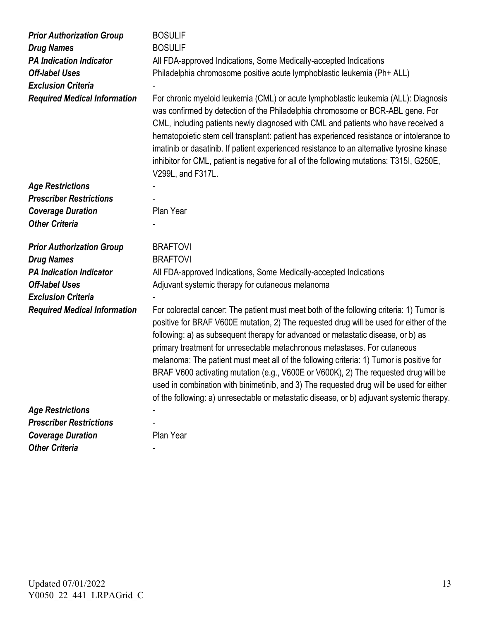| <b>Prior Authorization Group</b>    | <b>BOSULIF</b>                                                                                                                                                                                                                                                                                                                                                                                                                                                                                                                                                                                                                                                                                                                |
|-------------------------------------|-------------------------------------------------------------------------------------------------------------------------------------------------------------------------------------------------------------------------------------------------------------------------------------------------------------------------------------------------------------------------------------------------------------------------------------------------------------------------------------------------------------------------------------------------------------------------------------------------------------------------------------------------------------------------------------------------------------------------------|
| <b>Drug Names</b>                   | <b>BOSULIF</b>                                                                                                                                                                                                                                                                                                                                                                                                                                                                                                                                                                                                                                                                                                                |
| <b>PA Indication Indicator</b>      | All FDA-approved Indications, Some Medically-accepted Indications                                                                                                                                                                                                                                                                                                                                                                                                                                                                                                                                                                                                                                                             |
| <b>Off-label Uses</b>               | Philadelphia chromosome positive acute lymphoblastic leukemia (Ph+ ALL)                                                                                                                                                                                                                                                                                                                                                                                                                                                                                                                                                                                                                                                       |
| <b>Exclusion Criteria</b>           |                                                                                                                                                                                                                                                                                                                                                                                                                                                                                                                                                                                                                                                                                                                               |
| <b>Required Medical Information</b> | For chronic myeloid leukemia (CML) or acute lymphoblastic leukemia (ALL): Diagnosis<br>was confirmed by detection of the Philadelphia chromosome or BCR-ABL gene. For<br>CML, including patients newly diagnosed with CML and patients who have received a<br>hematopoietic stem cell transplant: patient has experienced resistance or intolerance to<br>imatinib or dasatinib. If patient experienced resistance to an alternative tyrosine kinase<br>inhibitor for CML, patient is negative for all of the following mutations: T315I, G250E,<br>V299L, and F317L.                                                                                                                                                         |
| <b>Age Restrictions</b>             |                                                                                                                                                                                                                                                                                                                                                                                                                                                                                                                                                                                                                                                                                                                               |
| <b>Prescriber Restrictions</b>      |                                                                                                                                                                                                                                                                                                                                                                                                                                                                                                                                                                                                                                                                                                                               |
| <b>Coverage Duration</b>            | Plan Year                                                                                                                                                                                                                                                                                                                                                                                                                                                                                                                                                                                                                                                                                                                     |
| <b>Other Criteria</b>               |                                                                                                                                                                                                                                                                                                                                                                                                                                                                                                                                                                                                                                                                                                                               |
| <b>Prior Authorization Group</b>    | <b>BRAFTOVI</b>                                                                                                                                                                                                                                                                                                                                                                                                                                                                                                                                                                                                                                                                                                               |
| <b>Drug Names</b>                   | <b>BRAFTOVI</b>                                                                                                                                                                                                                                                                                                                                                                                                                                                                                                                                                                                                                                                                                                               |
| <b>PA Indication Indicator</b>      | All FDA-approved Indications, Some Medically-accepted Indications                                                                                                                                                                                                                                                                                                                                                                                                                                                                                                                                                                                                                                                             |
| <b>Off-label Uses</b>               | Adjuvant systemic therapy for cutaneous melanoma                                                                                                                                                                                                                                                                                                                                                                                                                                                                                                                                                                                                                                                                              |
| <b>Exclusion Criteria</b>           |                                                                                                                                                                                                                                                                                                                                                                                                                                                                                                                                                                                                                                                                                                                               |
| <b>Required Medical Information</b> | For colorectal cancer: The patient must meet both of the following criteria: 1) Tumor is<br>positive for BRAF V600E mutation, 2) The requested drug will be used for either of the<br>following: a) as subsequent therapy for advanced or metastatic disease, or b) as<br>primary treatment for unresectable metachronous metastases. For cutaneous<br>melanoma: The patient must meet all of the following criteria: 1) Tumor is positive for<br>BRAF V600 activating mutation (e.g., V600E or V600K), 2) The requested drug will be<br>used in combination with binimetinib, and 3) The requested drug will be used for either<br>of the following: a) unresectable or metastatic disease, or b) adjuvant systemic therapy. |
| <b>Age Restrictions</b>             |                                                                                                                                                                                                                                                                                                                                                                                                                                                                                                                                                                                                                                                                                                                               |
| <b>Prescriber Restrictions</b>      |                                                                                                                                                                                                                                                                                                                                                                                                                                                                                                                                                                                                                                                                                                                               |
| <b>Coverage Duration</b>            | Plan Year                                                                                                                                                                                                                                                                                                                                                                                                                                                                                                                                                                                                                                                                                                                     |
| <b>Other Criteria</b>               |                                                                                                                                                                                                                                                                                                                                                                                                                                                                                                                                                                                                                                                                                                                               |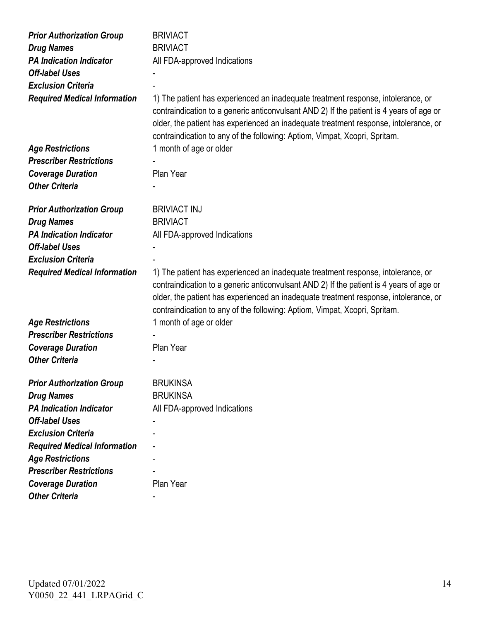| <b>Prior Authorization Group</b><br><b>Drug Names</b><br><b>PA Indication Indicator</b><br><b>Off-label Uses</b><br><b>Exclusion Criteria</b> | <b>BRIVIACT</b><br><b>BRIVIACT</b><br>All FDA-approved Indications                                                                                                                                                                                                                                                                                |
|-----------------------------------------------------------------------------------------------------------------------------------------------|---------------------------------------------------------------------------------------------------------------------------------------------------------------------------------------------------------------------------------------------------------------------------------------------------------------------------------------------------|
| <b>Required Medical Information</b>                                                                                                           | 1) The patient has experienced an inadequate treatment response, intolerance, or<br>contraindication to a generic anticonvulsant AND 2) If the patient is 4 years of age or<br>older, the patient has experienced an inadequate treatment response, intolerance, or<br>contraindication to any of the following: Aptiom, Vimpat, Xcopri, Spritam. |
| <b>Age Restrictions</b>                                                                                                                       | 1 month of age or older                                                                                                                                                                                                                                                                                                                           |
| <b>Prescriber Restrictions</b>                                                                                                                |                                                                                                                                                                                                                                                                                                                                                   |
| <b>Coverage Duration</b>                                                                                                                      | Plan Year                                                                                                                                                                                                                                                                                                                                         |
| <b>Other Criteria</b>                                                                                                                         |                                                                                                                                                                                                                                                                                                                                                   |
|                                                                                                                                               |                                                                                                                                                                                                                                                                                                                                                   |
| <b>Prior Authorization Group</b>                                                                                                              | <b>BRIVIACT INJ</b>                                                                                                                                                                                                                                                                                                                               |
| <b>Drug Names</b>                                                                                                                             | <b>BRIVIACT</b>                                                                                                                                                                                                                                                                                                                                   |
| <b>PA Indication Indicator</b>                                                                                                                | All FDA-approved Indications                                                                                                                                                                                                                                                                                                                      |
| <b>Off-label Uses</b>                                                                                                                         |                                                                                                                                                                                                                                                                                                                                                   |
| <b>Exclusion Criteria</b>                                                                                                                     |                                                                                                                                                                                                                                                                                                                                                   |
| <b>Required Medical Information</b>                                                                                                           | 1) The patient has experienced an inadequate treatment response, intolerance, or<br>contraindication to a generic anticonvulsant AND 2) If the patient is 4 years of age or<br>older, the patient has experienced an inadequate treatment response, intolerance, or<br>contraindication to any of the following: Aptiom, Vimpat, Xcopri, Spritam. |
| <b>Age Restrictions</b>                                                                                                                       | 1 month of age or older                                                                                                                                                                                                                                                                                                                           |
| <b>Prescriber Restrictions</b>                                                                                                                |                                                                                                                                                                                                                                                                                                                                                   |
| <b>Coverage Duration</b>                                                                                                                      | Plan Year                                                                                                                                                                                                                                                                                                                                         |
| <b>Other Criteria</b>                                                                                                                         |                                                                                                                                                                                                                                                                                                                                                   |
| <b>Prior Authorization Group</b>                                                                                                              | <b>BRUKINSA</b>                                                                                                                                                                                                                                                                                                                                   |
| <b>Drug Names</b>                                                                                                                             | <b>BRUKINSA</b>                                                                                                                                                                                                                                                                                                                                   |
| <b>PA Indication Indicator</b>                                                                                                                | All FDA-approved Indications                                                                                                                                                                                                                                                                                                                      |
| <b>Off-label Uses</b>                                                                                                                         |                                                                                                                                                                                                                                                                                                                                                   |
| <b>Exclusion Criteria</b>                                                                                                                     |                                                                                                                                                                                                                                                                                                                                                   |
| <b>Required Medical Information</b>                                                                                                           |                                                                                                                                                                                                                                                                                                                                                   |
| <b>Age Restrictions</b>                                                                                                                       |                                                                                                                                                                                                                                                                                                                                                   |
| <b>Prescriber Restrictions</b>                                                                                                                |                                                                                                                                                                                                                                                                                                                                                   |
| <b>Coverage Duration</b>                                                                                                                      | Plan Year                                                                                                                                                                                                                                                                                                                                         |
| <b>Other Criteria</b>                                                                                                                         |                                                                                                                                                                                                                                                                                                                                                   |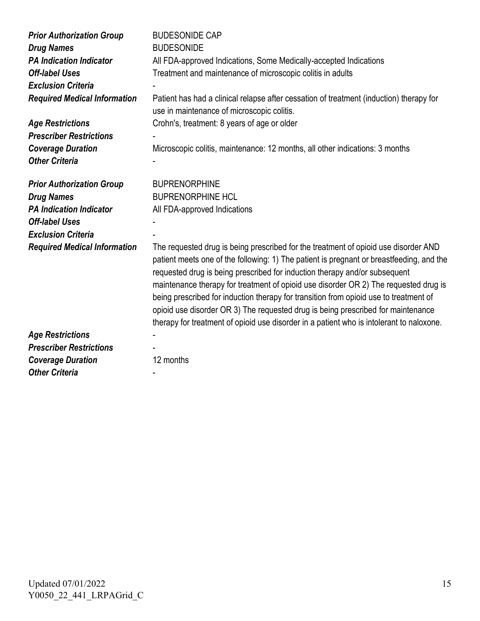| <b>Prior Authorization Group</b><br><b>Drug Names</b><br><b>PA Indication Indicator</b><br><b>Off-label Uses</b><br><b>Exclusion Criteria</b><br><b>Required Medical Information</b><br><b>Age Restrictions</b><br><b>Prescriber Restrictions</b><br><b>Coverage Duration</b><br><b>Other Criteria</b> | <b>BUDESONIDE CAP</b><br><b>BUDESONIDE</b><br>All FDA-approved Indications, Some Medically-accepted Indications<br>Treatment and maintenance of microscopic colitis in adults<br>Patient has had a clinical relapse after cessation of treatment (induction) therapy for<br>use in maintenance of microscopic colitis.<br>Crohn's, treatment: 8 years of age or older<br>Microscopic colitis, maintenance: 12 months, all other indications: 3 months                                                                                                                                                                                                                                                              |
|--------------------------------------------------------------------------------------------------------------------------------------------------------------------------------------------------------------------------------------------------------------------------------------------------------|--------------------------------------------------------------------------------------------------------------------------------------------------------------------------------------------------------------------------------------------------------------------------------------------------------------------------------------------------------------------------------------------------------------------------------------------------------------------------------------------------------------------------------------------------------------------------------------------------------------------------------------------------------------------------------------------------------------------|
| <b>Prior Authorization Group</b><br><b>Drug Names</b><br><b>PA Indication Indicator</b><br><b>Off-label Uses</b><br><b>Exclusion Criteria</b><br><b>Required Medical Information</b>                                                                                                                   | <b>BUPRENORPHINE</b><br><b>BUPRENORPHINE HCL</b><br>All FDA-approved Indications<br>The requested drug is being prescribed for the treatment of opioid use disorder AND<br>patient meets one of the following: 1) The patient is pregnant or breastfeeding, and the<br>requested drug is being prescribed for induction therapy and/or subsequent<br>maintenance therapy for treatment of opioid use disorder OR 2) The requested drug is<br>being prescribed for induction therapy for transition from opioid use to treatment of<br>opioid use disorder OR 3) The requested drug is being prescribed for maintenance<br>therapy for treatment of opioid use disorder in a patient who is intolerant to naloxone. |
| <b>Age Restrictions</b><br><b>Prescriber Restrictions</b><br><b>Coverage Duration</b><br><b>Other Criteria</b>                                                                                                                                                                                         | 12 months                                                                                                                                                                                                                                                                                                                                                                                                                                                                                                                                                                                                                                                                                                          |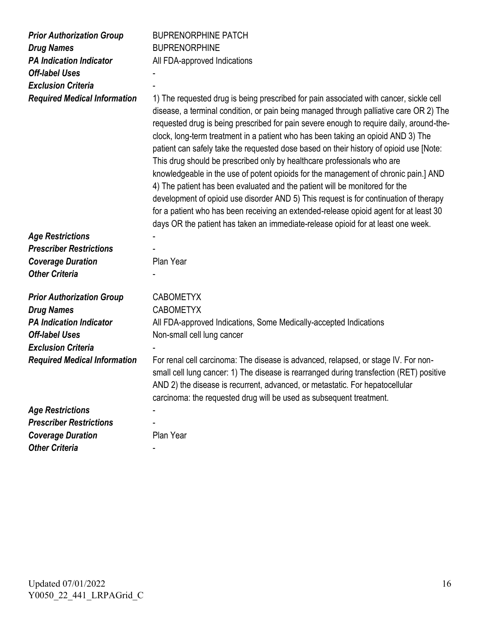| <b>Prior Authorization Group</b><br><b>Drug Names</b><br><b>PA Indication Indicator</b><br><b>Off-label Uses</b><br><b>Exclusion Criteria</b><br><b>Required Medical Information</b> | <b>BUPRENORPHINE PATCH</b><br><b>BUPRENORPHINE</b><br>All FDA-approved Indications<br>1) The requested drug is being prescribed for pain associated with cancer, sickle cell<br>disease, a terminal condition, or pain being managed through palliative care OR 2) The<br>requested drug is being prescribed for pain severe enough to require daily, around-the-<br>clock, long-term treatment in a patient who has been taking an opioid AND 3) The<br>patient can safely take the requested dose based on their history of opioid use [Note:<br>This drug should be prescribed only by healthcare professionals who are<br>knowledgeable in the use of potent opioids for the management of chronic pain.] AND<br>4) The patient has been evaluated and the patient will be monitored for the<br>development of opioid use disorder AND 5) This request is for continuation of therapy<br>for a patient who has been receiving an extended-release opioid agent for at least 30<br>days OR the patient has taken an immediate-release opioid for at least one week. |
|--------------------------------------------------------------------------------------------------------------------------------------------------------------------------------------|------------------------------------------------------------------------------------------------------------------------------------------------------------------------------------------------------------------------------------------------------------------------------------------------------------------------------------------------------------------------------------------------------------------------------------------------------------------------------------------------------------------------------------------------------------------------------------------------------------------------------------------------------------------------------------------------------------------------------------------------------------------------------------------------------------------------------------------------------------------------------------------------------------------------------------------------------------------------------------------------------------------------------------------------------------------------|
| <b>Age Restrictions</b>                                                                                                                                                              |                                                                                                                                                                                                                                                                                                                                                                                                                                                                                                                                                                                                                                                                                                                                                                                                                                                                                                                                                                                                                                                                        |
| <b>Prescriber Restrictions</b>                                                                                                                                                       |                                                                                                                                                                                                                                                                                                                                                                                                                                                                                                                                                                                                                                                                                                                                                                                                                                                                                                                                                                                                                                                                        |
| <b>Coverage Duration</b>                                                                                                                                                             | Plan Year                                                                                                                                                                                                                                                                                                                                                                                                                                                                                                                                                                                                                                                                                                                                                                                                                                                                                                                                                                                                                                                              |
| <b>Other Criteria</b>                                                                                                                                                                |                                                                                                                                                                                                                                                                                                                                                                                                                                                                                                                                                                                                                                                                                                                                                                                                                                                                                                                                                                                                                                                                        |
| <b>Prior Authorization Group</b>                                                                                                                                                     | <b>CABOMETYX</b>                                                                                                                                                                                                                                                                                                                                                                                                                                                                                                                                                                                                                                                                                                                                                                                                                                                                                                                                                                                                                                                       |
| <b>Drug Names</b>                                                                                                                                                                    | <b>CABOMETYX</b>                                                                                                                                                                                                                                                                                                                                                                                                                                                                                                                                                                                                                                                                                                                                                                                                                                                                                                                                                                                                                                                       |
| <b>PA Indication Indicator</b>                                                                                                                                                       | All FDA-approved Indications, Some Medically-accepted Indications                                                                                                                                                                                                                                                                                                                                                                                                                                                                                                                                                                                                                                                                                                                                                                                                                                                                                                                                                                                                      |
| <b>Off-label Uses</b>                                                                                                                                                                | Non-small cell lung cancer                                                                                                                                                                                                                                                                                                                                                                                                                                                                                                                                                                                                                                                                                                                                                                                                                                                                                                                                                                                                                                             |
| <b>Exclusion Criteria</b>                                                                                                                                                            |                                                                                                                                                                                                                                                                                                                                                                                                                                                                                                                                                                                                                                                                                                                                                                                                                                                                                                                                                                                                                                                                        |
| <b>Required Medical Information</b>                                                                                                                                                  | For renal cell carcinoma: The disease is advanced, relapsed, or stage IV. For non-<br>small cell lung cancer: 1) The disease is rearranged during transfection (RET) positive<br>AND 2) the disease is recurrent, advanced, or metastatic. For hepatocellular<br>carcinoma: the requested drug will be used as subsequent treatment.                                                                                                                                                                                                                                                                                                                                                                                                                                                                                                                                                                                                                                                                                                                                   |
| <b>Age Restrictions</b>                                                                                                                                                              |                                                                                                                                                                                                                                                                                                                                                                                                                                                                                                                                                                                                                                                                                                                                                                                                                                                                                                                                                                                                                                                                        |
| <b>Prescriber Restrictions</b>                                                                                                                                                       |                                                                                                                                                                                                                                                                                                                                                                                                                                                                                                                                                                                                                                                                                                                                                                                                                                                                                                                                                                                                                                                                        |
| <b>Coverage Duration</b>                                                                                                                                                             | Plan Year                                                                                                                                                                                                                                                                                                                                                                                                                                                                                                                                                                                                                                                                                                                                                                                                                                                                                                                                                                                                                                                              |
| <b>Other Criteria</b>                                                                                                                                                                |                                                                                                                                                                                                                                                                                                                                                                                                                                                                                                                                                                                                                                                                                                                                                                                                                                                                                                                                                                                                                                                                        |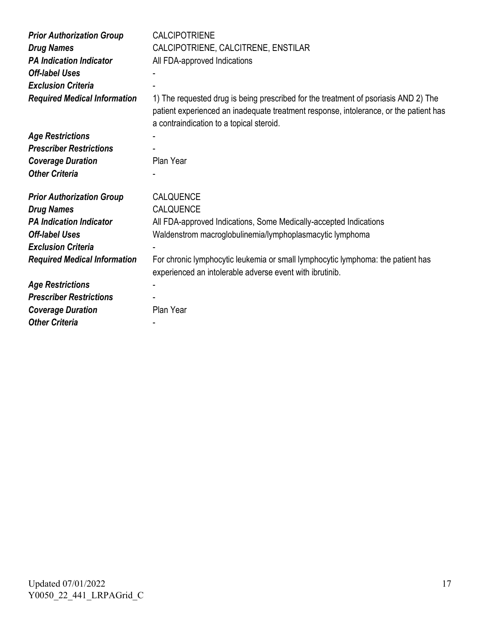| <b>Prior Authorization Group</b><br><b>Drug Names</b><br><b>PA Indication Indicator</b><br><b>Off-label Uses</b><br><b>Exclusion Criteria</b> | <b>CALCIPOTRIENE</b><br>CALCIPOTRIENE, CALCITRENE, ENSTILAR<br>All FDA-approved Indications                                                                                                                              |
|-----------------------------------------------------------------------------------------------------------------------------------------------|--------------------------------------------------------------------------------------------------------------------------------------------------------------------------------------------------------------------------|
| <b>Required Medical Information</b>                                                                                                           | 1) The requested drug is being prescribed for the treatment of psoriasis AND 2) The<br>patient experienced an inadequate treatment response, intolerance, or the patient has<br>a contraindication to a topical steroid. |
| <b>Age Restrictions</b>                                                                                                                       |                                                                                                                                                                                                                          |
| <b>Prescriber Restrictions</b>                                                                                                                |                                                                                                                                                                                                                          |
| <b>Coverage Duration</b>                                                                                                                      | Plan Year                                                                                                                                                                                                                |
| <b>Other Criteria</b>                                                                                                                         |                                                                                                                                                                                                                          |
|                                                                                                                                               |                                                                                                                                                                                                                          |
| <b>Prior Authorization Group</b>                                                                                                              | CALQUENCE                                                                                                                                                                                                                |
| <b>Drug Names</b>                                                                                                                             | CALQUENCE                                                                                                                                                                                                                |
| <b>PA Indication Indicator</b>                                                                                                                | All FDA-approved Indications, Some Medically-accepted Indications                                                                                                                                                        |
| <b>Off-label Uses</b>                                                                                                                         | Waldenstrom macroglobulinemia/lymphoplasmacytic lymphoma                                                                                                                                                                 |
| <b>Exclusion Criteria</b>                                                                                                                     |                                                                                                                                                                                                                          |
| <b>Required Medical Information</b>                                                                                                           | For chronic lymphocytic leukemia or small lymphocytic lymphoma: the patient has<br>experienced an intolerable adverse event with ibrutinib.                                                                              |
| <b>Age Restrictions</b>                                                                                                                       |                                                                                                                                                                                                                          |
| <b>Prescriber Restrictions</b>                                                                                                                |                                                                                                                                                                                                                          |
| <b>Coverage Duration</b>                                                                                                                      | Plan Year                                                                                                                                                                                                                |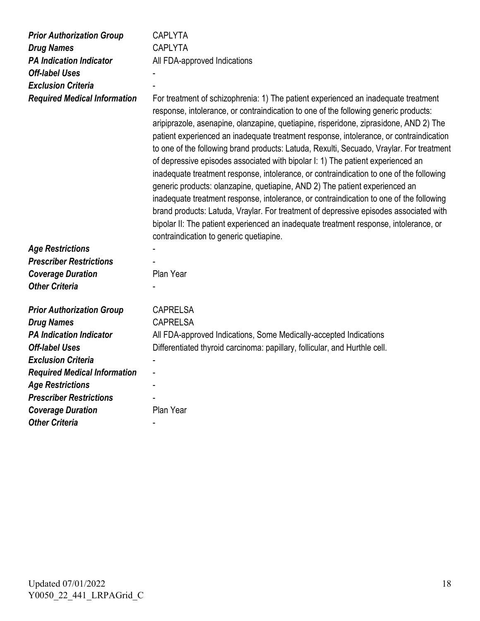| <b>Prior Authorization Group</b><br><b>Drug Names</b><br><b>PA Indication Indicator</b><br><b>Off-label Uses</b><br><b>Exclusion Criteria</b><br><b>Required Medical Information</b> | <b>CAPLYTA</b><br><b>CAPLYTA</b><br>All FDA-approved Indications<br>For treatment of schizophrenia: 1) The patient experienced an inadequate treatment<br>response, intolerance, or contraindication to one of the following generic products:<br>aripiprazole, asenapine, olanzapine, quetiapine, risperidone, ziprasidone, AND 2) The<br>patient experienced an inadequate treatment response, intolerance, or contraindication<br>to one of the following brand products: Latuda, Rexulti, Secuado, Vraylar. For treatment<br>of depressive episodes associated with bipolar I: 1) The patient experienced an<br>inadequate treatment response, intolerance, or contraindication to one of the following<br>generic products: olanzapine, quetiapine, AND 2) The patient experienced an<br>inadequate treatment response, intolerance, or contraindication to one of the following<br>brand products: Latuda, Vraylar. For treatment of depressive episodes associated with<br>bipolar II: The patient experienced an inadequate treatment response, intolerance, or |
|--------------------------------------------------------------------------------------------------------------------------------------------------------------------------------------|-------------------------------------------------------------------------------------------------------------------------------------------------------------------------------------------------------------------------------------------------------------------------------------------------------------------------------------------------------------------------------------------------------------------------------------------------------------------------------------------------------------------------------------------------------------------------------------------------------------------------------------------------------------------------------------------------------------------------------------------------------------------------------------------------------------------------------------------------------------------------------------------------------------------------------------------------------------------------------------------------------------------------------------------------------------------------|
|                                                                                                                                                                                      | contraindication to generic quetiapine.                                                                                                                                                                                                                                                                                                                                                                                                                                                                                                                                                                                                                                                                                                                                                                                                                                                                                                                                                                                                                                 |
| <b>Age Restrictions</b>                                                                                                                                                              |                                                                                                                                                                                                                                                                                                                                                                                                                                                                                                                                                                                                                                                                                                                                                                                                                                                                                                                                                                                                                                                                         |
| <b>Prescriber Restrictions</b>                                                                                                                                                       |                                                                                                                                                                                                                                                                                                                                                                                                                                                                                                                                                                                                                                                                                                                                                                                                                                                                                                                                                                                                                                                                         |
| <b>Coverage Duration</b>                                                                                                                                                             | Plan Year                                                                                                                                                                                                                                                                                                                                                                                                                                                                                                                                                                                                                                                                                                                                                                                                                                                                                                                                                                                                                                                               |
| <b>Other Criteria</b>                                                                                                                                                                |                                                                                                                                                                                                                                                                                                                                                                                                                                                                                                                                                                                                                                                                                                                                                                                                                                                                                                                                                                                                                                                                         |
| <b>Prior Authorization Group</b>                                                                                                                                                     | <b>CAPRELSA</b>                                                                                                                                                                                                                                                                                                                                                                                                                                                                                                                                                                                                                                                                                                                                                                                                                                                                                                                                                                                                                                                         |
| <b>Drug Names</b>                                                                                                                                                                    | <b>CAPRELSA</b>                                                                                                                                                                                                                                                                                                                                                                                                                                                                                                                                                                                                                                                                                                                                                                                                                                                                                                                                                                                                                                                         |
| <b>PA Indication Indicator</b>                                                                                                                                                       | All FDA-approved Indications, Some Medically-accepted Indications                                                                                                                                                                                                                                                                                                                                                                                                                                                                                                                                                                                                                                                                                                                                                                                                                                                                                                                                                                                                       |
| <b>Off-label Uses</b>                                                                                                                                                                | Differentiated thyroid carcinoma: papillary, follicular, and Hurthle cell.                                                                                                                                                                                                                                                                                                                                                                                                                                                                                                                                                                                                                                                                                                                                                                                                                                                                                                                                                                                              |
| <b>Exclusion Criteria</b>                                                                                                                                                            |                                                                                                                                                                                                                                                                                                                                                                                                                                                                                                                                                                                                                                                                                                                                                                                                                                                                                                                                                                                                                                                                         |
| <b>Required Medical Information</b>                                                                                                                                                  |                                                                                                                                                                                                                                                                                                                                                                                                                                                                                                                                                                                                                                                                                                                                                                                                                                                                                                                                                                                                                                                                         |
| <b>Age Restrictions</b>                                                                                                                                                              |                                                                                                                                                                                                                                                                                                                                                                                                                                                                                                                                                                                                                                                                                                                                                                                                                                                                                                                                                                                                                                                                         |
| <b>Prescriber Restrictions</b>                                                                                                                                                       |                                                                                                                                                                                                                                                                                                                                                                                                                                                                                                                                                                                                                                                                                                                                                                                                                                                                                                                                                                                                                                                                         |
| <b>Coverage Duration</b>                                                                                                                                                             | Plan Year                                                                                                                                                                                                                                                                                                                                                                                                                                                                                                                                                                                                                                                                                                                                                                                                                                                                                                                                                                                                                                                               |
| <b>Other Criteria</b>                                                                                                                                                                |                                                                                                                                                                                                                                                                                                                                                                                                                                                                                                                                                                                                                                                                                                                                                                                                                                                                                                                                                                                                                                                                         |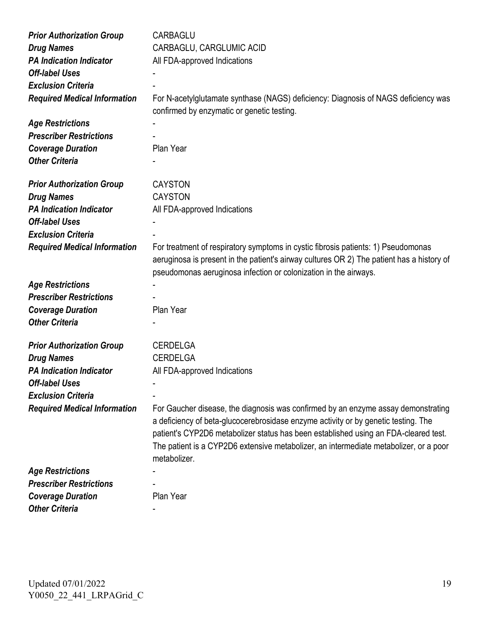| <b>Prior Authorization Group</b>    | <b>CARBAGLU</b>                                                                           |
|-------------------------------------|-------------------------------------------------------------------------------------------|
| <b>Drug Names</b>                   | CARBAGLU, CARGLUMIC ACID                                                                  |
| <b>PA Indication Indicator</b>      | All FDA-approved Indications                                                              |
| <b>Off-label Uses</b>               |                                                                                           |
| <b>Exclusion Criteria</b>           |                                                                                           |
| <b>Required Medical Information</b> | For N-acetylglutamate synthase (NAGS) deficiency: Diagnosis of NAGS deficiency was        |
|                                     | confirmed by enzymatic or genetic testing.                                                |
| <b>Age Restrictions</b>             |                                                                                           |
| <b>Prescriber Restrictions</b>      |                                                                                           |
| <b>Coverage Duration</b>            | Plan Year                                                                                 |
| <b>Other Criteria</b>               |                                                                                           |
|                                     |                                                                                           |
| <b>Prior Authorization Group</b>    | <b>CAYSTON</b>                                                                            |
| <b>Drug Names</b>                   | <b>CAYSTON</b>                                                                            |
| <b>PA Indication Indicator</b>      | All FDA-approved Indications                                                              |
| <b>Off-label Uses</b>               |                                                                                           |
| <b>Exclusion Criteria</b>           |                                                                                           |
| <b>Required Medical Information</b> | For treatment of respiratory symptoms in cystic fibrosis patients: 1) Pseudomonas         |
|                                     | aeruginosa is present in the patient's airway cultures OR 2) The patient has a history of |
|                                     | pseudomonas aeruginosa infection or colonization in the airways.                          |
| <b>Age Restrictions</b>             |                                                                                           |
| <b>Prescriber Restrictions</b>      |                                                                                           |
| <b>Coverage Duration</b>            | Plan Year                                                                                 |
| <b>Other Criteria</b>               |                                                                                           |
|                                     |                                                                                           |
| <b>Prior Authorization Group</b>    | <b>CERDELGA</b>                                                                           |
| <b>Drug Names</b>                   | <b>CERDELGA</b>                                                                           |
| <b>PA Indication Indicator</b>      | All FDA-approved Indications                                                              |
| <b>Off-label Uses</b>               |                                                                                           |
| <b>Exclusion Criteria</b>           |                                                                                           |
| <b>Required Medical Information</b> | For Gaucher disease, the diagnosis was confirmed by an enzyme assay demonstrating         |
|                                     | a deficiency of beta-glucocerebrosidase enzyme activity or by genetic testing. The        |
|                                     | patient's CYP2D6 metabolizer status has been established using an FDA-cleared test.       |
|                                     | The patient is a CYP2D6 extensive metabolizer, an intermediate metabolizer, or a poor     |
|                                     | metabolizer.                                                                              |
| <b>Age Restrictions</b>             |                                                                                           |
| <b>Prescriber Restrictions</b>      |                                                                                           |
|                                     | Plan Year                                                                                 |
| <b>Coverage Duration</b>            |                                                                                           |
| <b>Other Criteria</b>               |                                                                                           |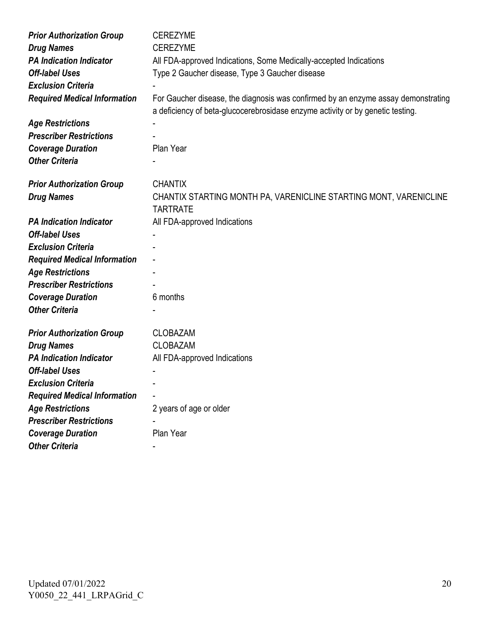| <b>Prior Authorization Group</b>    | <b>CEREZYME</b>                                                                                                                                                     |
|-------------------------------------|---------------------------------------------------------------------------------------------------------------------------------------------------------------------|
| <b>Drug Names</b>                   | <b>CEREZYME</b>                                                                                                                                                     |
| <b>PA Indication Indicator</b>      | All FDA-approved Indications, Some Medically-accepted Indications                                                                                                   |
| <b>Off-label Uses</b>               | Type 2 Gaucher disease, Type 3 Gaucher disease                                                                                                                      |
| <b>Exclusion Criteria</b>           |                                                                                                                                                                     |
| <b>Required Medical Information</b> | For Gaucher disease, the diagnosis was confirmed by an enzyme assay demonstrating<br>a deficiency of beta-glucocerebrosidase enzyme activity or by genetic testing. |
| <b>Age Restrictions</b>             |                                                                                                                                                                     |
| <b>Prescriber Restrictions</b>      |                                                                                                                                                                     |
| <b>Coverage Duration</b>            | Plan Year                                                                                                                                                           |
| <b>Other Criteria</b>               |                                                                                                                                                                     |
|                                     |                                                                                                                                                                     |
| <b>Prior Authorization Group</b>    | <b>CHANTIX</b>                                                                                                                                                      |
| <b>Drug Names</b>                   | CHANTIX STARTING MONTH PA, VARENICLINE STARTING MONT, VARENICLINE                                                                                                   |
|                                     | <b>TARTRATE</b>                                                                                                                                                     |
| <b>PA Indication Indicator</b>      | All FDA-approved Indications                                                                                                                                        |
| <b>Off-label Uses</b>               |                                                                                                                                                                     |
| <b>Exclusion Criteria</b>           |                                                                                                                                                                     |
| <b>Required Medical Information</b> |                                                                                                                                                                     |
| <b>Age Restrictions</b>             |                                                                                                                                                                     |
| <b>Prescriber Restrictions</b>      |                                                                                                                                                                     |
| <b>Coverage Duration</b>            | 6 months                                                                                                                                                            |
| <b>Other Criteria</b>               |                                                                                                                                                                     |
| <b>Prior Authorization Group</b>    | <b>CLOBAZAM</b>                                                                                                                                                     |
| <b>Drug Names</b>                   | <b>CLOBAZAM</b>                                                                                                                                                     |
| <b>PA Indication Indicator</b>      | All FDA-approved Indications                                                                                                                                        |
| <b>Off-label Uses</b>               |                                                                                                                                                                     |
| <b>Exclusion Criteria</b>           |                                                                                                                                                                     |
| <b>Required Medical Information</b> |                                                                                                                                                                     |
| <b>Age Restrictions</b>             | 2 years of age or older                                                                                                                                             |
| <b>Prescriber Restrictions</b>      |                                                                                                                                                                     |
| <b>Coverage Duration</b>            | Plan Year                                                                                                                                                           |
| <b>Other Criteria</b>               |                                                                                                                                                                     |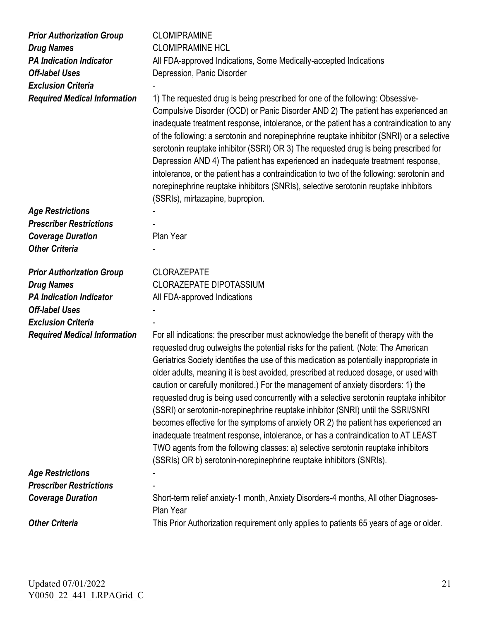| <b>Prior Authorization Group</b>    | <b>CLOMIPRAMINE</b>                                                                                                                                                                                                                                                                                                                                                                                                                                                                                                                                                                                                                                                                                                                                                                                                                                                                                                                                                     |
|-------------------------------------|-------------------------------------------------------------------------------------------------------------------------------------------------------------------------------------------------------------------------------------------------------------------------------------------------------------------------------------------------------------------------------------------------------------------------------------------------------------------------------------------------------------------------------------------------------------------------------------------------------------------------------------------------------------------------------------------------------------------------------------------------------------------------------------------------------------------------------------------------------------------------------------------------------------------------------------------------------------------------|
| <b>Drug Names</b>                   | <b>CLOMIPRAMINE HCL</b>                                                                                                                                                                                                                                                                                                                                                                                                                                                                                                                                                                                                                                                                                                                                                                                                                                                                                                                                                 |
| <b>PA Indication Indicator</b>      | All FDA-approved Indications, Some Medically-accepted Indications                                                                                                                                                                                                                                                                                                                                                                                                                                                                                                                                                                                                                                                                                                                                                                                                                                                                                                       |
| <b>Off-label Uses</b>               | Depression, Panic Disorder                                                                                                                                                                                                                                                                                                                                                                                                                                                                                                                                                                                                                                                                                                                                                                                                                                                                                                                                              |
| <b>Exclusion Criteria</b>           |                                                                                                                                                                                                                                                                                                                                                                                                                                                                                                                                                                                                                                                                                                                                                                                                                                                                                                                                                                         |
| <b>Required Medical Information</b> | 1) The requested drug is being prescribed for one of the following: Obsessive-<br>Compulsive Disorder (OCD) or Panic Disorder AND 2) The patient has experienced an<br>inadequate treatment response, intolerance, or the patient has a contraindication to any<br>of the following: a serotonin and norepinephrine reuptake inhibitor (SNRI) or a selective<br>serotonin reuptake inhibitor (SSRI) OR 3) The requested drug is being prescribed for<br>Depression AND 4) The patient has experienced an inadequate treatment response,<br>intolerance, or the patient has a contraindication to two of the following: serotonin and<br>norepinephrine reuptake inhibitors (SNRIs), selective serotonin reuptake inhibitors<br>(SSRIs), mirtazapine, bupropion.                                                                                                                                                                                                         |
| <b>Age Restrictions</b>             |                                                                                                                                                                                                                                                                                                                                                                                                                                                                                                                                                                                                                                                                                                                                                                                                                                                                                                                                                                         |
| <b>Prescriber Restrictions</b>      |                                                                                                                                                                                                                                                                                                                                                                                                                                                                                                                                                                                                                                                                                                                                                                                                                                                                                                                                                                         |
| <b>Coverage Duration</b>            | Plan Year                                                                                                                                                                                                                                                                                                                                                                                                                                                                                                                                                                                                                                                                                                                                                                                                                                                                                                                                                               |
| <b>Other Criteria</b>               |                                                                                                                                                                                                                                                                                                                                                                                                                                                                                                                                                                                                                                                                                                                                                                                                                                                                                                                                                                         |
| <b>Prior Authorization Group</b>    | <b>CLORAZEPATE</b>                                                                                                                                                                                                                                                                                                                                                                                                                                                                                                                                                                                                                                                                                                                                                                                                                                                                                                                                                      |
| <b>Drug Names</b>                   | <b>CLORAZEPATE DIPOTASSIUM</b>                                                                                                                                                                                                                                                                                                                                                                                                                                                                                                                                                                                                                                                                                                                                                                                                                                                                                                                                          |
| <b>PA Indication Indicator</b>      | All FDA-approved Indications                                                                                                                                                                                                                                                                                                                                                                                                                                                                                                                                                                                                                                                                                                                                                                                                                                                                                                                                            |
| <b>Off-label Uses</b>               |                                                                                                                                                                                                                                                                                                                                                                                                                                                                                                                                                                                                                                                                                                                                                                                                                                                                                                                                                                         |
| <b>Exclusion Criteria</b>           |                                                                                                                                                                                                                                                                                                                                                                                                                                                                                                                                                                                                                                                                                                                                                                                                                                                                                                                                                                         |
| <b>Required Medical Information</b> | For all indications: the prescriber must acknowledge the benefit of therapy with the<br>requested drug outweighs the potential risks for the patient. (Note: The American<br>Geriatrics Society identifies the use of this medication as potentially inappropriate in<br>older adults, meaning it is best avoided, prescribed at reduced dosage, or used with<br>caution or carefully monitored.) For the management of anxiety disorders: 1) the<br>requested drug is being used concurrently with a selective serotonin reuptake inhibitor<br>(SSRI) or serotonin-norepinephrine reuptake inhibitor (SNRI) until the SSRI/SNRI<br>becomes effective for the symptoms of anxiety OR 2) the patient has experienced an<br>inadequate treatment response, intolerance, or has a contraindication to AT LEAST<br>TWO agents from the following classes: a) selective serotonin reuptake inhibitors<br>(SSRIs) OR b) serotonin-norepinephrine reuptake inhibitors (SNRIs). |
| <b>Age Restrictions</b>             |                                                                                                                                                                                                                                                                                                                                                                                                                                                                                                                                                                                                                                                                                                                                                                                                                                                                                                                                                                         |
| <b>Prescriber Restrictions</b>      |                                                                                                                                                                                                                                                                                                                                                                                                                                                                                                                                                                                                                                                                                                                                                                                                                                                                                                                                                                         |
| <b>Coverage Duration</b>            | Short-term relief anxiety-1 month, Anxiety Disorders-4 months, All other Diagnoses-<br>Plan Year                                                                                                                                                                                                                                                                                                                                                                                                                                                                                                                                                                                                                                                                                                                                                                                                                                                                        |
| <b>Other Criteria</b>               | This Prior Authorization requirement only applies to patients 65 years of age or older.                                                                                                                                                                                                                                                                                                                                                                                                                                                                                                                                                                                                                                                                                                                                                                                                                                                                                 |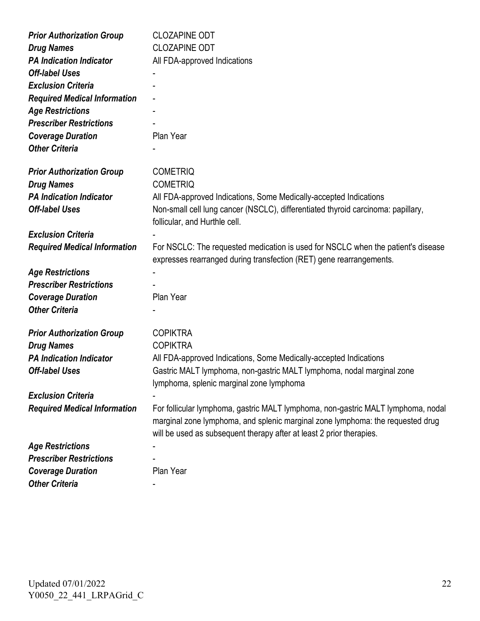| <b>Prior Authorization Group</b>    | <b>CLOZAPINE ODT</b>                                                                                                                                    |
|-------------------------------------|---------------------------------------------------------------------------------------------------------------------------------------------------------|
| <b>Drug Names</b>                   | <b>CLOZAPINE ODT</b>                                                                                                                                    |
| <b>PA Indication Indicator</b>      | All FDA-approved Indications                                                                                                                            |
| <b>Off-label Uses</b>               |                                                                                                                                                         |
| <b>Exclusion Criteria</b>           |                                                                                                                                                         |
| <b>Required Medical Information</b> |                                                                                                                                                         |
| <b>Age Restrictions</b>             |                                                                                                                                                         |
| <b>Prescriber Restrictions</b>      |                                                                                                                                                         |
| <b>Coverage Duration</b>            | Plan Year                                                                                                                                               |
| <b>Other Criteria</b>               |                                                                                                                                                         |
|                                     |                                                                                                                                                         |
| <b>Prior Authorization Group</b>    | <b>COMETRIQ</b>                                                                                                                                         |
| <b>Drug Names</b>                   | <b>COMETRIQ</b>                                                                                                                                         |
| <b>PA Indication Indicator</b>      | All FDA-approved Indications, Some Medically-accepted Indications                                                                                       |
| <b>Off-label Uses</b>               | Non-small cell lung cancer (NSCLC), differentiated thyroid carcinoma: papillary,                                                                        |
|                                     | follicular, and Hurthle cell.                                                                                                                           |
| <b>Exclusion Criteria</b>           |                                                                                                                                                         |
| <b>Required Medical Information</b> | For NSCLC: The requested medication is used for NSCLC when the patient's disease<br>expresses rearranged during transfection (RET) gene rearrangements. |
| <b>Age Restrictions</b>             |                                                                                                                                                         |
| <b>Prescriber Restrictions</b>      |                                                                                                                                                         |
| <b>Coverage Duration</b>            | Plan Year                                                                                                                                               |
| <b>Other Criteria</b>               |                                                                                                                                                         |
|                                     |                                                                                                                                                         |
| <b>Prior Authorization Group</b>    | <b>COPIKTRA</b>                                                                                                                                         |
| <b>Drug Names</b>                   | <b>COPIKTRA</b>                                                                                                                                         |
| <b>PA Indication Indicator</b>      | All FDA-approved Indications, Some Medically-accepted Indications                                                                                       |
| <b>Off-label Uses</b>               | Gastric MALT lymphoma, non-gastric MALT lymphoma, nodal marginal zone                                                                                   |
|                                     | lymphoma, splenic marginal zone lymphoma                                                                                                                |
| <b>Exclusion Criteria</b>           |                                                                                                                                                         |
| <b>Required Medical Information</b> | For follicular lymphoma, gastric MALT lymphoma, non-gastric MALT lymphoma, nodal                                                                        |
|                                     | marginal zone lymphoma, and splenic marginal zone lymphoma: the requested drug                                                                          |
|                                     | will be used as subsequent therapy after at least 2 prior therapies.                                                                                    |
| <b>Age Restrictions</b>             |                                                                                                                                                         |
| <b>Prescriber Restrictions</b>      |                                                                                                                                                         |
| <b>Coverage Duration</b>            | Plan Year                                                                                                                                               |
| <b>Other Criteria</b>               |                                                                                                                                                         |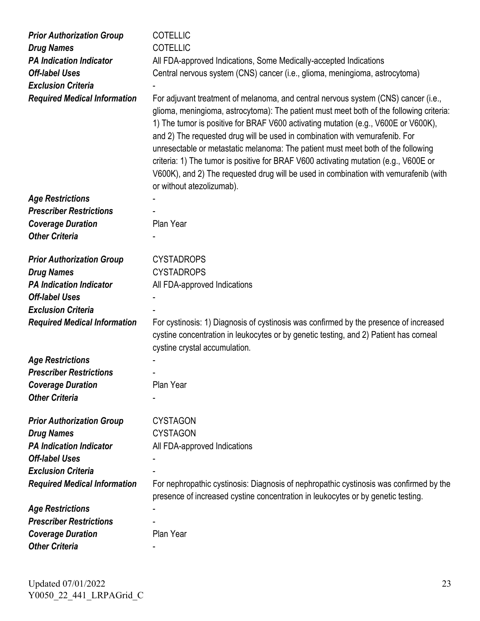| <b>Prior Authorization Group</b><br><b>Drug Names</b><br><b>PA Indication Indicator</b><br><b>Off-label Uses</b><br><b>Exclusion Criteria</b><br><b>Required Medical Information</b> | <b>COTELLIC</b><br><b>COTELLIC</b><br>All FDA-approved Indications, Some Medically-accepted Indications<br>Central nervous system (CNS) cancer (i.e., glioma, meningioma, astrocytoma)<br>For adjuvant treatment of melanoma, and central nervous system (CNS) cancer (i.e.,<br>glioma, meningioma, astrocytoma): The patient must meet both of the following criteria:<br>1) The tumor is positive for BRAF V600 activating mutation (e.g., V600E or V600K),<br>and 2) The requested drug will be used in combination with vemurafenib. For<br>unresectable or metastatic melanoma: The patient must meet both of the following<br>criteria: 1) The tumor is positive for BRAF V600 activating mutation (e.g., V600E or<br>V600K), and 2) The requested drug will be used in combination with vemurafenib (with<br>or without atezolizumab). |
|--------------------------------------------------------------------------------------------------------------------------------------------------------------------------------------|-----------------------------------------------------------------------------------------------------------------------------------------------------------------------------------------------------------------------------------------------------------------------------------------------------------------------------------------------------------------------------------------------------------------------------------------------------------------------------------------------------------------------------------------------------------------------------------------------------------------------------------------------------------------------------------------------------------------------------------------------------------------------------------------------------------------------------------------------|
| <b>Age Restrictions</b>                                                                                                                                                              |                                                                                                                                                                                                                                                                                                                                                                                                                                                                                                                                                                                                                                                                                                                                                                                                                                               |
| <b>Prescriber Restrictions</b>                                                                                                                                                       |                                                                                                                                                                                                                                                                                                                                                                                                                                                                                                                                                                                                                                                                                                                                                                                                                                               |
| <b>Coverage Duration</b>                                                                                                                                                             | Plan Year                                                                                                                                                                                                                                                                                                                                                                                                                                                                                                                                                                                                                                                                                                                                                                                                                                     |
| <b>Other Criteria</b>                                                                                                                                                                |                                                                                                                                                                                                                                                                                                                                                                                                                                                                                                                                                                                                                                                                                                                                                                                                                                               |
|                                                                                                                                                                                      |                                                                                                                                                                                                                                                                                                                                                                                                                                                                                                                                                                                                                                                                                                                                                                                                                                               |
| <b>Prior Authorization Group</b>                                                                                                                                                     | <b>CYSTADROPS</b>                                                                                                                                                                                                                                                                                                                                                                                                                                                                                                                                                                                                                                                                                                                                                                                                                             |
| <b>Drug Names</b>                                                                                                                                                                    | <b>CYSTADROPS</b>                                                                                                                                                                                                                                                                                                                                                                                                                                                                                                                                                                                                                                                                                                                                                                                                                             |
| <b>PA Indication Indicator</b>                                                                                                                                                       | All FDA-approved Indications                                                                                                                                                                                                                                                                                                                                                                                                                                                                                                                                                                                                                                                                                                                                                                                                                  |
| <b>Off-label Uses</b>                                                                                                                                                                |                                                                                                                                                                                                                                                                                                                                                                                                                                                                                                                                                                                                                                                                                                                                                                                                                                               |
| <b>Exclusion Criteria</b>                                                                                                                                                            |                                                                                                                                                                                                                                                                                                                                                                                                                                                                                                                                                                                                                                                                                                                                                                                                                                               |
| <b>Required Medical Information</b>                                                                                                                                                  | For cystinosis: 1) Diagnosis of cystinosis was confirmed by the presence of increased<br>cystine concentration in leukocytes or by genetic testing, and 2) Patient has corneal<br>cystine crystal accumulation.                                                                                                                                                                                                                                                                                                                                                                                                                                                                                                                                                                                                                               |
| <b>Age Restrictions</b>                                                                                                                                                              |                                                                                                                                                                                                                                                                                                                                                                                                                                                                                                                                                                                                                                                                                                                                                                                                                                               |
| <b>Prescriber Restrictions</b>                                                                                                                                                       |                                                                                                                                                                                                                                                                                                                                                                                                                                                                                                                                                                                                                                                                                                                                                                                                                                               |
| <b>Coverage Duration</b>                                                                                                                                                             | Plan Year                                                                                                                                                                                                                                                                                                                                                                                                                                                                                                                                                                                                                                                                                                                                                                                                                                     |
| <b>Other Criteria</b>                                                                                                                                                                |                                                                                                                                                                                                                                                                                                                                                                                                                                                                                                                                                                                                                                                                                                                                                                                                                                               |
|                                                                                                                                                                                      |                                                                                                                                                                                                                                                                                                                                                                                                                                                                                                                                                                                                                                                                                                                                                                                                                                               |
| <b>Prior Authorization Group</b>                                                                                                                                                     | <b>CYSTAGON</b>                                                                                                                                                                                                                                                                                                                                                                                                                                                                                                                                                                                                                                                                                                                                                                                                                               |
| <b>Drug Names</b>                                                                                                                                                                    | <b>CYSTAGON</b>                                                                                                                                                                                                                                                                                                                                                                                                                                                                                                                                                                                                                                                                                                                                                                                                                               |
| <b>PA Indication Indicator</b>                                                                                                                                                       | All FDA-approved Indications                                                                                                                                                                                                                                                                                                                                                                                                                                                                                                                                                                                                                                                                                                                                                                                                                  |
| <b>Off-label Uses</b>                                                                                                                                                                |                                                                                                                                                                                                                                                                                                                                                                                                                                                                                                                                                                                                                                                                                                                                                                                                                                               |
| <b>Exclusion Criteria</b>                                                                                                                                                            |                                                                                                                                                                                                                                                                                                                                                                                                                                                                                                                                                                                                                                                                                                                                                                                                                                               |
| <b>Required Medical Information</b>                                                                                                                                                  | For nephropathic cystinosis: Diagnosis of nephropathic cystinosis was confirmed by the<br>presence of increased cystine concentration in leukocytes or by genetic testing.                                                                                                                                                                                                                                                                                                                                                                                                                                                                                                                                                                                                                                                                    |
| <b>Age Restrictions</b>                                                                                                                                                              |                                                                                                                                                                                                                                                                                                                                                                                                                                                                                                                                                                                                                                                                                                                                                                                                                                               |
| <b>Prescriber Restrictions</b>                                                                                                                                                       |                                                                                                                                                                                                                                                                                                                                                                                                                                                                                                                                                                                                                                                                                                                                                                                                                                               |
| <b>Coverage Duration</b>                                                                                                                                                             | Plan Year                                                                                                                                                                                                                                                                                                                                                                                                                                                                                                                                                                                                                                                                                                                                                                                                                                     |
| <b>Other Criteria</b>                                                                                                                                                                |                                                                                                                                                                                                                                                                                                                                                                                                                                                                                                                                                                                                                                                                                                                                                                                                                                               |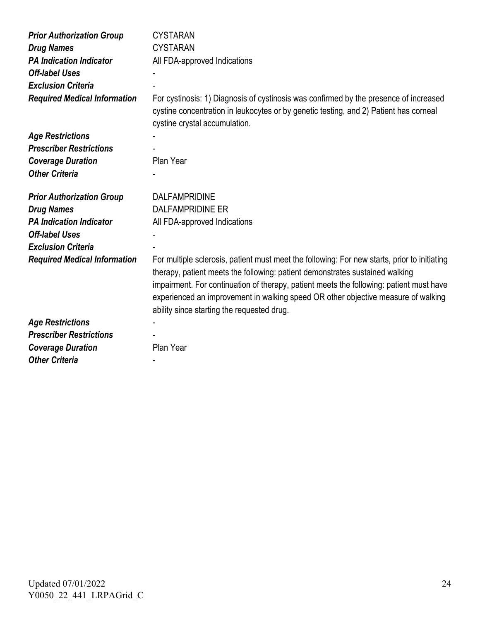| <b>Prior Authorization Group</b><br><b>Drug Names</b><br><b>PA Indication Indicator</b><br><b>Off-label Uses</b><br><b>Exclusion Criteria</b><br><b>Required Medical Information</b> | <b>CYSTARAN</b><br><b>CYSTARAN</b><br>All FDA-approved Indications<br>For cystinosis: 1) Diagnosis of cystinosis was confirmed by the presence of increased<br>cystine concentration in leukocytes or by genetic testing, and 2) Patient has corneal<br>cystine crystal accumulation.                                                                                                                      |
|--------------------------------------------------------------------------------------------------------------------------------------------------------------------------------------|------------------------------------------------------------------------------------------------------------------------------------------------------------------------------------------------------------------------------------------------------------------------------------------------------------------------------------------------------------------------------------------------------------|
| <b>Age Restrictions</b>                                                                                                                                                              |                                                                                                                                                                                                                                                                                                                                                                                                            |
| <b>Prescriber Restrictions</b>                                                                                                                                                       |                                                                                                                                                                                                                                                                                                                                                                                                            |
| <b>Coverage Duration</b>                                                                                                                                                             | Plan Year                                                                                                                                                                                                                                                                                                                                                                                                  |
| <b>Other Criteria</b>                                                                                                                                                                |                                                                                                                                                                                                                                                                                                                                                                                                            |
| <b>Prior Authorization Group</b>                                                                                                                                                     | <b>DALFAMPRIDINE</b>                                                                                                                                                                                                                                                                                                                                                                                       |
| <b>Drug Names</b>                                                                                                                                                                    | <b>DALFAMPRIDINE ER</b>                                                                                                                                                                                                                                                                                                                                                                                    |
| <b>PA Indication Indicator</b>                                                                                                                                                       | All FDA-approved Indications                                                                                                                                                                                                                                                                                                                                                                               |
| <b>Off-label Uses</b>                                                                                                                                                                |                                                                                                                                                                                                                                                                                                                                                                                                            |
| <b>Exclusion Criteria</b>                                                                                                                                                            |                                                                                                                                                                                                                                                                                                                                                                                                            |
| <b>Required Medical Information</b>                                                                                                                                                  | For multiple sclerosis, patient must meet the following: For new starts, prior to initiating<br>therapy, patient meets the following: patient demonstrates sustained walking<br>impairment. For continuation of therapy, patient meets the following: patient must have<br>experienced an improvement in walking speed OR other objective measure of walking<br>ability since starting the requested drug. |
| <b>Age Restrictions</b>                                                                                                                                                              |                                                                                                                                                                                                                                                                                                                                                                                                            |
| <b>Prescriber Restrictions</b>                                                                                                                                                       |                                                                                                                                                                                                                                                                                                                                                                                                            |
| <b>Coverage Duration</b>                                                                                                                                                             | Plan Year                                                                                                                                                                                                                                                                                                                                                                                                  |
| <b>Other Criteria</b>                                                                                                                                                                |                                                                                                                                                                                                                                                                                                                                                                                                            |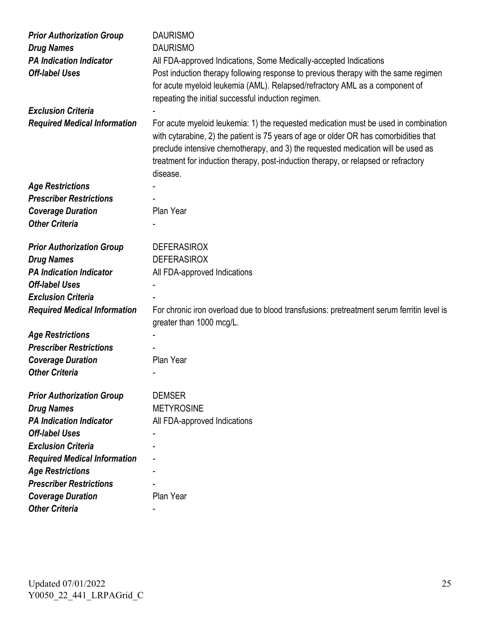| <b>Prior Authorization Group</b>    | <b>DAURISMO</b>                                                                                                                                                                    |
|-------------------------------------|------------------------------------------------------------------------------------------------------------------------------------------------------------------------------------|
| <b>Drug Names</b>                   | <b>DAURISMO</b>                                                                                                                                                                    |
| <b>PA Indication Indicator</b>      | All FDA-approved Indications, Some Medically-accepted Indications                                                                                                                  |
| <b>Off-label Uses</b>               | Post induction therapy following response to previous therapy with the same regimen                                                                                                |
|                                     | for acute myeloid leukemia (AML). Relapsed/refractory AML as a component of                                                                                                        |
|                                     | repeating the initial successful induction regimen.                                                                                                                                |
| <b>Exclusion Criteria</b>           |                                                                                                                                                                                    |
| <b>Required Medical Information</b> | For acute myeloid leukemia: 1) the requested medication must be used in combination<br>with cytarabine, 2) the patient is 75 years of age or older OR has comorbidities that       |
|                                     | preclude intensive chemotherapy, and 3) the requested medication will be used as<br>treatment for induction therapy, post-induction therapy, or relapsed or refractory<br>disease. |
| <b>Age Restrictions</b>             |                                                                                                                                                                                    |
| <b>Prescriber Restrictions</b>      |                                                                                                                                                                                    |
| <b>Coverage Duration</b>            | Plan Year                                                                                                                                                                          |
| <b>Other Criteria</b>               |                                                                                                                                                                                    |
|                                     |                                                                                                                                                                                    |
| <b>Prior Authorization Group</b>    | <b>DEFERASIROX</b>                                                                                                                                                                 |
| <b>Drug Names</b>                   | <b>DEFERASIROX</b>                                                                                                                                                                 |
| <b>PA Indication Indicator</b>      | All FDA-approved Indications                                                                                                                                                       |
| <b>Off-label Uses</b>               |                                                                                                                                                                                    |
| <b>Exclusion Criteria</b>           |                                                                                                                                                                                    |
| <b>Required Medical Information</b> | For chronic iron overload due to blood transfusions: pretreatment serum ferritin level is<br>greater than 1000 mcg/L.                                                              |
| <b>Age Restrictions</b>             |                                                                                                                                                                                    |
| <b>Prescriber Restrictions</b>      |                                                                                                                                                                                    |
| <b>Coverage Duration</b>            | Plan Year                                                                                                                                                                          |
| <b>Other Criteria</b>               |                                                                                                                                                                                    |
|                                     |                                                                                                                                                                                    |
| <b>Prior Authorization Group</b>    | <b>DEMSER</b>                                                                                                                                                                      |
| <b>Drug Names</b>                   | <b>METYROSINE</b>                                                                                                                                                                  |
| <b>PA Indication Indicator</b>      | All FDA-approved Indications                                                                                                                                                       |
| <b>Off-label Uses</b>               |                                                                                                                                                                                    |
| <b>Exclusion Criteria</b>           |                                                                                                                                                                                    |
| <b>Required Medical Information</b> |                                                                                                                                                                                    |
| <b>Age Restrictions</b>             |                                                                                                                                                                                    |
| <b>Prescriber Restrictions</b>      |                                                                                                                                                                                    |
| <b>Coverage Duration</b>            | Plan Year                                                                                                                                                                          |
| <b>Other Criteria</b>               |                                                                                                                                                                                    |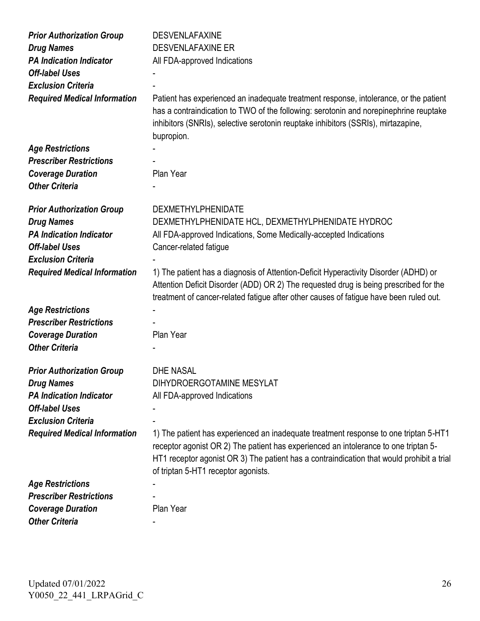| <b>Prior Authorization Group</b><br><b>Drug Names</b><br><b>PA Indication Indicator</b> | <b>DESVENLAFAXINE</b><br><b>DESVENLAFAXINE ER</b><br>All FDA-approved Indications                                                                                                                                                                                                                               |
|-----------------------------------------------------------------------------------------|-----------------------------------------------------------------------------------------------------------------------------------------------------------------------------------------------------------------------------------------------------------------------------------------------------------------|
| <b>Off-label Uses</b>                                                                   |                                                                                                                                                                                                                                                                                                                 |
| <b>Exclusion Criteria</b>                                                               |                                                                                                                                                                                                                                                                                                                 |
| <b>Required Medical Information</b>                                                     | Patient has experienced an inadequate treatment response, intolerance, or the patient<br>has a contraindication to TWO of the following: serotonin and norepinephrine reuptake<br>inhibitors (SNRIs), selective serotonin reuptake inhibitors (SSRIs), mirtazapine,<br>bupropion.                               |
| <b>Age Restrictions</b>                                                                 |                                                                                                                                                                                                                                                                                                                 |
| <b>Prescriber Restrictions</b>                                                          |                                                                                                                                                                                                                                                                                                                 |
| <b>Coverage Duration</b>                                                                | Plan Year                                                                                                                                                                                                                                                                                                       |
| <b>Other Criteria</b>                                                                   |                                                                                                                                                                                                                                                                                                                 |
|                                                                                         |                                                                                                                                                                                                                                                                                                                 |
| <b>Prior Authorization Group</b>                                                        | <b>DEXMETHYLPHENIDATE</b>                                                                                                                                                                                                                                                                                       |
| <b>Drug Names</b>                                                                       | DEXMETHYLPHENIDATE HCL, DEXMETHYLPHENIDATE HYDROC                                                                                                                                                                                                                                                               |
| <b>PA Indication Indicator</b>                                                          | All FDA-approved Indications, Some Medically-accepted Indications                                                                                                                                                                                                                                               |
| <b>Off-label Uses</b>                                                                   | Cancer-related fatigue                                                                                                                                                                                                                                                                                          |
| <b>Exclusion Criteria</b>                                                               |                                                                                                                                                                                                                                                                                                                 |
| <b>Required Medical Information</b>                                                     | 1) The patient has a diagnosis of Attention-Deficit Hyperactivity Disorder (ADHD) or<br>Attention Deficit Disorder (ADD) OR 2) The requested drug is being prescribed for the<br>treatment of cancer-related fatigue after other causes of fatigue have been ruled out.                                         |
| <b>Age Restrictions</b>                                                                 |                                                                                                                                                                                                                                                                                                                 |
| <b>Prescriber Restrictions</b>                                                          |                                                                                                                                                                                                                                                                                                                 |
| <b>Coverage Duration</b>                                                                | Plan Year                                                                                                                                                                                                                                                                                                       |
| <b>Other Criteria</b>                                                                   |                                                                                                                                                                                                                                                                                                                 |
|                                                                                         |                                                                                                                                                                                                                                                                                                                 |
| <b>Prior Authorization Group</b>                                                        | <b>DHE NASAL</b>                                                                                                                                                                                                                                                                                                |
| <b>Drug Names</b>                                                                       | DIHYDROERGOTAMINE MESYLAT                                                                                                                                                                                                                                                                                       |
| <b>PA Indication Indicator</b>                                                          | All FDA-approved Indications                                                                                                                                                                                                                                                                                    |
| <b>Off-label Uses</b>                                                                   |                                                                                                                                                                                                                                                                                                                 |
| <b>Exclusion Criteria</b>                                                               |                                                                                                                                                                                                                                                                                                                 |
| <b>Required Medical Information</b>                                                     | 1) The patient has experienced an inadequate treatment response to one triptan 5-HT1<br>receptor agonist OR 2) The patient has experienced an intolerance to one triptan 5-<br>HT1 receptor agonist OR 3) The patient has a contraindication that would prohibit a trial<br>of triptan 5-HT1 receptor agonists. |
| <b>Age Restrictions</b>                                                                 |                                                                                                                                                                                                                                                                                                                 |
| <b>Prescriber Restrictions</b>                                                          |                                                                                                                                                                                                                                                                                                                 |
| <b>Coverage Duration</b>                                                                | Plan Year                                                                                                                                                                                                                                                                                                       |
| <b>Other Criteria</b>                                                                   |                                                                                                                                                                                                                                                                                                                 |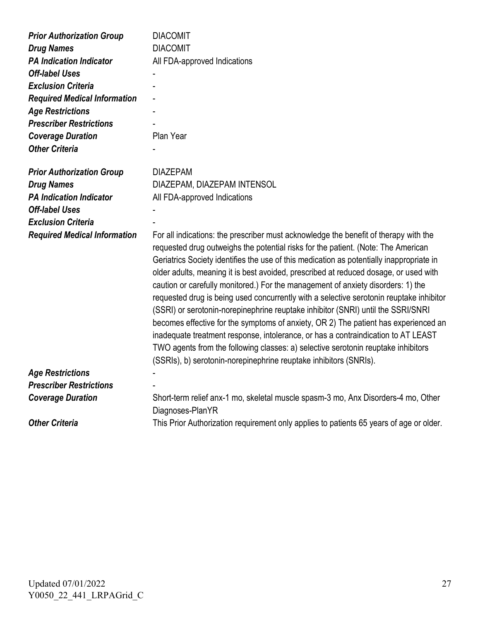| <b>Prior Authorization Group</b>                                                        | <b>DIACOMIT</b>                                                                                                                                                                                                                                                                                                                                                                                                                                                                                                                                                                                                                                                                                                                                                                                                                                                                                                                                                        |
|-----------------------------------------------------------------------------------------|------------------------------------------------------------------------------------------------------------------------------------------------------------------------------------------------------------------------------------------------------------------------------------------------------------------------------------------------------------------------------------------------------------------------------------------------------------------------------------------------------------------------------------------------------------------------------------------------------------------------------------------------------------------------------------------------------------------------------------------------------------------------------------------------------------------------------------------------------------------------------------------------------------------------------------------------------------------------|
| <b>Drug Names</b>                                                                       | <b>DIACOMIT</b>                                                                                                                                                                                                                                                                                                                                                                                                                                                                                                                                                                                                                                                                                                                                                                                                                                                                                                                                                        |
| <b>PA Indication Indicator</b>                                                          | All FDA-approved Indications                                                                                                                                                                                                                                                                                                                                                                                                                                                                                                                                                                                                                                                                                                                                                                                                                                                                                                                                           |
| <b>Off-label Uses</b>                                                                   |                                                                                                                                                                                                                                                                                                                                                                                                                                                                                                                                                                                                                                                                                                                                                                                                                                                                                                                                                                        |
| <b>Exclusion Criteria</b>                                                               |                                                                                                                                                                                                                                                                                                                                                                                                                                                                                                                                                                                                                                                                                                                                                                                                                                                                                                                                                                        |
| <b>Required Medical Information</b>                                                     |                                                                                                                                                                                                                                                                                                                                                                                                                                                                                                                                                                                                                                                                                                                                                                                                                                                                                                                                                                        |
| <b>Age Restrictions</b>                                                                 |                                                                                                                                                                                                                                                                                                                                                                                                                                                                                                                                                                                                                                                                                                                                                                                                                                                                                                                                                                        |
| <b>Prescriber Restrictions</b>                                                          |                                                                                                                                                                                                                                                                                                                                                                                                                                                                                                                                                                                                                                                                                                                                                                                                                                                                                                                                                                        |
| <b>Coverage Duration</b>                                                                | Plan Year                                                                                                                                                                                                                                                                                                                                                                                                                                                                                                                                                                                                                                                                                                                                                                                                                                                                                                                                                              |
| <b>Other Criteria</b>                                                                   |                                                                                                                                                                                                                                                                                                                                                                                                                                                                                                                                                                                                                                                                                                                                                                                                                                                                                                                                                                        |
| <b>Prior Authorization Group</b><br><b>Drug Names</b><br><b>PA Indication Indicator</b> | <b>DIAZEPAM</b><br>DIAZEPAM, DIAZEPAM INTENSOL<br>All FDA-approved Indications                                                                                                                                                                                                                                                                                                                                                                                                                                                                                                                                                                                                                                                                                                                                                                                                                                                                                         |
| <b>Off-label Uses</b>                                                                   |                                                                                                                                                                                                                                                                                                                                                                                                                                                                                                                                                                                                                                                                                                                                                                                                                                                                                                                                                                        |
| <b>Exclusion Criteria</b>                                                               |                                                                                                                                                                                                                                                                                                                                                                                                                                                                                                                                                                                                                                                                                                                                                                                                                                                                                                                                                                        |
| <b>Required Medical Information</b>                                                     | For all indications: the prescriber must acknowledge the benefit of therapy with the<br>requested drug outweighs the potential risks for the patient. (Note: The American<br>Geriatrics Society identifies the use of this medication as potentially inappropriate in<br>older adults, meaning it is best avoided, prescribed at reduced dosage, or used with<br>caution or carefully monitored.) For the management of anxiety disorders: 1) the<br>requested drug is being used concurrently with a selective serotonin reuptake inhibitor<br>(SSRI) or serotonin-norepinephrine reuptake inhibitor (SNRI) until the SSRI/SNRI<br>becomes effective for the symptoms of anxiety, OR 2) The patient has experienced an<br>inadequate treatment response, intolerance, or has a contraindication to AT LEAST<br>TWO agents from the following classes: a) selective serotonin reuptake inhibitors<br>(SSRIs), b) serotonin-norepinephrine reuptake inhibitors (SNRIs). |
| <b>Age Restrictions</b>                                                                 |                                                                                                                                                                                                                                                                                                                                                                                                                                                                                                                                                                                                                                                                                                                                                                                                                                                                                                                                                                        |
| <b>Prescriber Restrictions</b>                                                          |                                                                                                                                                                                                                                                                                                                                                                                                                                                                                                                                                                                                                                                                                                                                                                                                                                                                                                                                                                        |
| <b>Coverage Duration</b>                                                                | Short-term relief anx-1 mo, skeletal muscle spasm-3 mo, Anx Disorders-4 mo, Other<br>Diagnoses-PlanYR                                                                                                                                                                                                                                                                                                                                                                                                                                                                                                                                                                                                                                                                                                                                                                                                                                                                  |
| <b>Other Criteria</b>                                                                   | This Prior Authorization requirement only applies to patients 65 years of age or older.                                                                                                                                                                                                                                                                                                                                                                                                                                                                                                                                                                                                                                                                                                                                                                                                                                                                                |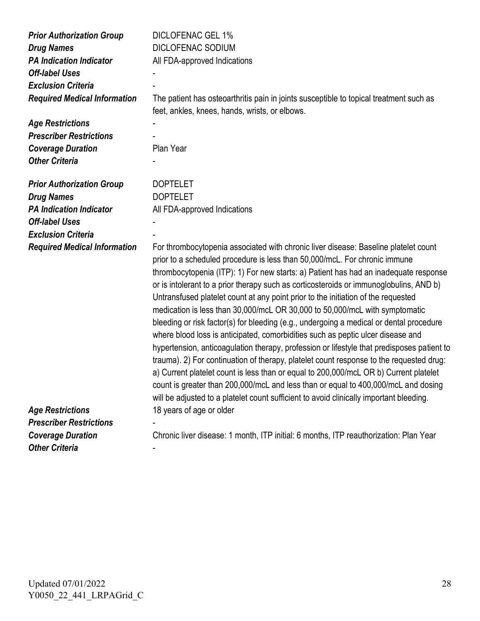| <b>Prior Authorization Group</b><br><b>Drug Names</b><br><b>PA Indication Indicator</b><br><b>Off-label Uses</b><br><b>Exclusion Criteria</b><br><b>Required Medical Information</b><br><b>Age Restrictions</b><br><b>Prescriber Restrictions</b> | DICLOFENAC GEL 1%<br><b>DICLOFENAC SODIUM</b><br>All FDA-approved Indications<br>The patient has osteoarthritis pain in joints susceptible to topical treatment such as<br>feet, ankles, knees, hands, wrists, or elbows.                                                                                                                                                                                                                                                                                                                                                                                                                                                                                                                                                                                                                                                                                                                                                                                                                                                                                                                                                |
|---------------------------------------------------------------------------------------------------------------------------------------------------------------------------------------------------------------------------------------------------|--------------------------------------------------------------------------------------------------------------------------------------------------------------------------------------------------------------------------------------------------------------------------------------------------------------------------------------------------------------------------------------------------------------------------------------------------------------------------------------------------------------------------------------------------------------------------------------------------------------------------------------------------------------------------------------------------------------------------------------------------------------------------------------------------------------------------------------------------------------------------------------------------------------------------------------------------------------------------------------------------------------------------------------------------------------------------------------------------------------------------------------------------------------------------|
| <b>Coverage Duration</b>                                                                                                                                                                                                                          | Plan Year                                                                                                                                                                                                                                                                                                                                                                                                                                                                                                                                                                                                                                                                                                                                                                                                                                                                                                                                                                                                                                                                                                                                                                |
| <b>Other Criteria</b>                                                                                                                                                                                                                             |                                                                                                                                                                                                                                                                                                                                                                                                                                                                                                                                                                                                                                                                                                                                                                                                                                                                                                                                                                                                                                                                                                                                                                          |
| <b>Prior Authorization Group</b><br><b>Drug Names</b><br><b>PA Indication Indicator</b><br><b>Off-label Uses</b><br><b>Exclusion Criteria</b>                                                                                                     | <b>DOPTELET</b><br><b>DOPTELET</b><br>All FDA-approved Indications                                                                                                                                                                                                                                                                                                                                                                                                                                                                                                                                                                                                                                                                                                                                                                                                                                                                                                                                                                                                                                                                                                       |
| <b>Required Medical Information</b>                                                                                                                                                                                                               | For thrombocytopenia associated with chronic liver disease: Baseline platelet count<br>prior to a scheduled procedure is less than 50,000/mcL. For chronic immune<br>thrombocytopenia (ITP): 1) For new starts: a) Patient has had an inadequate response<br>or is intolerant to a prior therapy such as corticosteroids or immunoglobulins, AND b)<br>Untransfused platelet count at any point prior to the initiation of the requested<br>medication is less than 30,000/mcL OR 30,000 to 50,000/mcL with symptomatic<br>bleeding or risk factor(s) for bleeding (e.g., undergoing a medical or dental procedure<br>where blood loss is anticipated, comorbidities such as peptic ulcer disease and<br>hypertension, anticoagulation therapy, profession or lifestyle that predisposes patient to<br>trauma). 2) For continuation of therapy, platelet count response to the requested drug:<br>a) Current platelet count is less than or equal to 200,000/mcL OR b) Current platelet<br>count is greater than 200,000/mcL and less than or equal to 400,000/mcL and dosing<br>will be adjusted to a platelet count sufficient to avoid clinically important bleeding. |
| <b>Age Restrictions</b>                                                                                                                                                                                                                           | 18 years of age or older                                                                                                                                                                                                                                                                                                                                                                                                                                                                                                                                                                                                                                                                                                                                                                                                                                                                                                                                                                                                                                                                                                                                                 |
| <b>Prescriber Restrictions</b>                                                                                                                                                                                                                    |                                                                                                                                                                                                                                                                                                                                                                                                                                                                                                                                                                                                                                                                                                                                                                                                                                                                                                                                                                                                                                                                                                                                                                          |
| <b>Coverage Duration</b>                                                                                                                                                                                                                          | Chronic liver disease: 1 month, ITP initial: 6 months, ITP reauthorization: Plan Year                                                                                                                                                                                                                                                                                                                                                                                                                                                                                                                                                                                                                                                                                                                                                                                                                                                                                                                                                                                                                                                                                    |
| <b>Other Criteria</b>                                                                                                                                                                                                                             |                                                                                                                                                                                                                                                                                                                                                                                                                                                                                                                                                                                                                                                                                                                                                                                                                                                                                                                                                                                                                                                                                                                                                                          |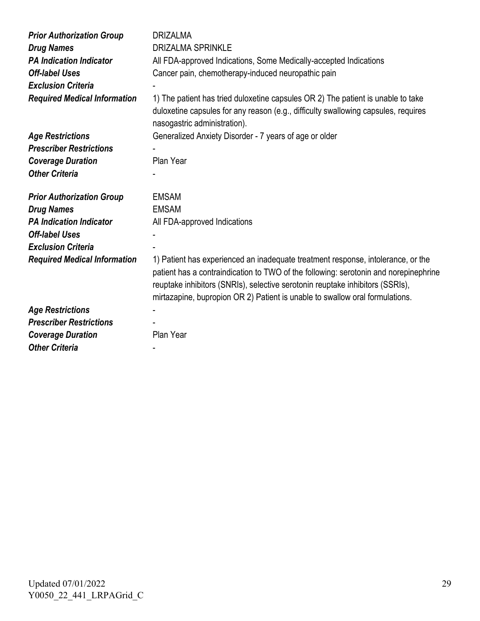| <b>Prior Authorization Group</b><br><b>Drug Names</b><br><b>PA Indication Indicator</b><br><b>Off-label Uses</b><br><b>Exclusion Criteria</b><br><b>Required Medical Information</b> | <b>DRIZALMA</b><br><b>DRIZALMA SPRINKLE</b><br>All FDA-approved Indications, Some Medically-accepted Indications<br>Cancer pain, chemotherapy-induced neuropathic pain<br>1) The patient has tried duloxetine capsules OR 2) The patient is unable to take<br>duloxetine capsules for any reason (e.g., difficulty swallowing capsules, requires<br>nasogastric administration). |
|--------------------------------------------------------------------------------------------------------------------------------------------------------------------------------------|----------------------------------------------------------------------------------------------------------------------------------------------------------------------------------------------------------------------------------------------------------------------------------------------------------------------------------------------------------------------------------|
| <b>Age Restrictions</b>                                                                                                                                                              | Generalized Anxiety Disorder - 7 years of age or older                                                                                                                                                                                                                                                                                                                           |
| <b>Prescriber Restrictions</b>                                                                                                                                                       |                                                                                                                                                                                                                                                                                                                                                                                  |
| <b>Coverage Duration</b>                                                                                                                                                             | Plan Year                                                                                                                                                                                                                                                                                                                                                                        |
| <b>Other Criteria</b>                                                                                                                                                                |                                                                                                                                                                                                                                                                                                                                                                                  |
| <b>Prior Authorization Group</b>                                                                                                                                                     | <b>EMSAM</b>                                                                                                                                                                                                                                                                                                                                                                     |
| <b>Drug Names</b>                                                                                                                                                                    | <b>EMSAM</b>                                                                                                                                                                                                                                                                                                                                                                     |
| <b>PA Indication Indicator</b>                                                                                                                                                       | All FDA-approved Indications                                                                                                                                                                                                                                                                                                                                                     |
| <b>Off-label Uses</b>                                                                                                                                                                |                                                                                                                                                                                                                                                                                                                                                                                  |
| <b>Exclusion Criteria</b>                                                                                                                                                            |                                                                                                                                                                                                                                                                                                                                                                                  |
| <b>Required Medical Information</b>                                                                                                                                                  | 1) Patient has experienced an inadequate treatment response, intolerance, or the<br>patient has a contraindication to TWO of the following: serotonin and norepinephrine<br>reuptake inhibitors (SNRIs), selective serotonin reuptake inhibitors (SSRIs),<br>mirtazapine, bupropion OR 2) Patient is unable to swallow oral formulations.                                        |
| <b>Age Restrictions</b>                                                                                                                                                              |                                                                                                                                                                                                                                                                                                                                                                                  |
| <b>Prescriber Restrictions</b>                                                                                                                                                       |                                                                                                                                                                                                                                                                                                                                                                                  |
| <b>Coverage Duration</b>                                                                                                                                                             | Plan Year                                                                                                                                                                                                                                                                                                                                                                        |
| <b>Other Criteria</b>                                                                                                                                                                |                                                                                                                                                                                                                                                                                                                                                                                  |
|                                                                                                                                                                                      |                                                                                                                                                                                                                                                                                                                                                                                  |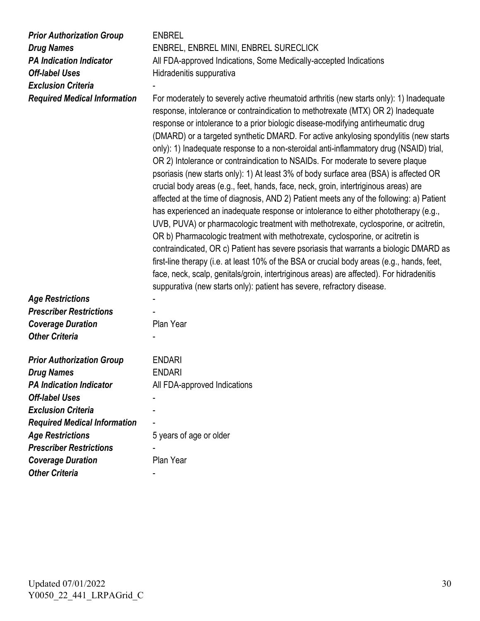| <b>Prior Authorization Group</b><br><b>Drug Names</b><br><b>PA Indication Indicator</b><br><b>Off-label Uses</b><br><b>Exclusion Criteria</b><br><b>Required Medical Information</b> | <b>ENBREL</b><br>ENBREL, ENBREL MINI, ENBREL SURECLICK<br>All FDA-approved Indications, Some Medically-accepted Indications<br>Hidradenitis suppurativa<br>For moderately to severely active rheumatoid arthritis (new starts only): 1) Inadequate<br>response, intolerance or contraindication to methotrexate (MTX) OR 2) Inadequate<br>response or intolerance to a prior biologic disease-modifying antirheumatic drug<br>(DMARD) or a targeted synthetic DMARD. For active ankylosing spondylitis (new starts<br>only): 1) Inadequate response to a non-steroidal anti-inflammatory drug (NSAID) trial,<br>OR 2) Intolerance or contraindication to NSAIDs. For moderate to severe plaque<br>psoriasis (new starts only): 1) At least 3% of body surface area (BSA) is affected OR<br>crucial body areas (e.g., feet, hands, face, neck, groin, intertriginous areas) are |
|--------------------------------------------------------------------------------------------------------------------------------------------------------------------------------------|--------------------------------------------------------------------------------------------------------------------------------------------------------------------------------------------------------------------------------------------------------------------------------------------------------------------------------------------------------------------------------------------------------------------------------------------------------------------------------------------------------------------------------------------------------------------------------------------------------------------------------------------------------------------------------------------------------------------------------------------------------------------------------------------------------------------------------------------------------------------------------|
|                                                                                                                                                                                      | affected at the time of diagnosis, AND 2) Patient meets any of the following: a) Patient<br>has experienced an inadequate response or intolerance to either phototherapy (e.g.,<br>UVB, PUVA) or pharmacologic treatment with methotrexate, cyclosporine, or acitretin,<br>OR b) Pharmacologic treatment with methotrexate, cyclosporine, or acitretin is<br>contraindicated, OR c) Patient has severe psoriasis that warrants a biologic DMARD as<br>first-line therapy (i.e. at least 10% of the BSA or crucial body areas (e.g., hands, feet,<br>face, neck, scalp, genitals/groin, intertriginous areas) are affected). For hidradenitis<br>suppurativa (new starts only): patient has severe, refractory disease.                                                                                                                                                         |
| <b>Age Restrictions</b>                                                                                                                                                              |                                                                                                                                                                                                                                                                                                                                                                                                                                                                                                                                                                                                                                                                                                                                                                                                                                                                                |
| <b>Prescriber Restrictions</b>                                                                                                                                                       |                                                                                                                                                                                                                                                                                                                                                                                                                                                                                                                                                                                                                                                                                                                                                                                                                                                                                |
| <b>Coverage Duration</b>                                                                                                                                                             | Plan Year                                                                                                                                                                                                                                                                                                                                                                                                                                                                                                                                                                                                                                                                                                                                                                                                                                                                      |
| <b>Other Criteria</b>                                                                                                                                                                |                                                                                                                                                                                                                                                                                                                                                                                                                                                                                                                                                                                                                                                                                                                                                                                                                                                                                |
| <b>Prior Authorization Group</b>                                                                                                                                                     | <b>ENDARI</b>                                                                                                                                                                                                                                                                                                                                                                                                                                                                                                                                                                                                                                                                                                                                                                                                                                                                  |
| <b>Drug Names</b>                                                                                                                                                                    | <b>ENDARI</b>                                                                                                                                                                                                                                                                                                                                                                                                                                                                                                                                                                                                                                                                                                                                                                                                                                                                  |
| <b>PA Indication Indicator</b>                                                                                                                                                       | All FDA-approved Indications                                                                                                                                                                                                                                                                                                                                                                                                                                                                                                                                                                                                                                                                                                                                                                                                                                                   |
| <b>Off-label Uses</b>                                                                                                                                                                |                                                                                                                                                                                                                                                                                                                                                                                                                                                                                                                                                                                                                                                                                                                                                                                                                                                                                |
| <b>Exclusion Criteria</b>                                                                                                                                                            |                                                                                                                                                                                                                                                                                                                                                                                                                                                                                                                                                                                                                                                                                                                                                                                                                                                                                |
| <b>Required Medical Information</b>                                                                                                                                                  |                                                                                                                                                                                                                                                                                                                                                                                                                                                                                                                                                                                                                                                                                                                                                                                                                                                                                |
| <b>Age Restrictions</b>                                                                                                                                                              | 5 years of age or older                                                                                                                                                                                                                                                                                                                                                                                                                                                                                                                                                                                                                                                                                                                                                                                                                                                        |
| <b>Prescriber Restrictions</b>                                                                                                                                                       |                                                                                                                                                                                                                                                                                                                                                                                                                                                                                                                                                                                                                                                                                                                                                                                                                                                                                |
| <b>Coverage Duration</b>                                                                                                                                                             | Plan Year                                                                                                                                                                                                                                                                                                                                                                                                                                                                                                                                                                                                                                                                                                                                                                                                                                                                      |
| <b>Other Criteria</b>                                                                                                                                                                |                                                                                                                                                                                                                                                                                                                                                                                                                                                                                                                                                                                                                                                                                                                                                                                                                                                                                |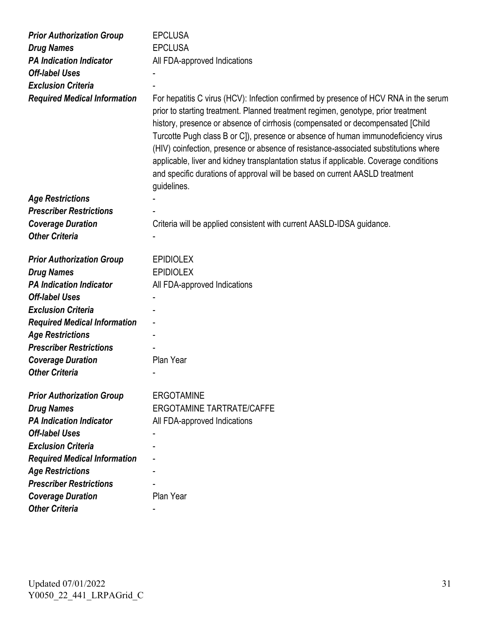| <b>Prior Authorization Group</b>    | <b>EPCLUSA</b>                                                                                                                                                                                                                                                                                                                                                                                                                                                                                                                                                                                                                  |
|-------------------------------------|---------------------------------------------------------------------------------------------------------------------------------------------------------------------------------------------------------------------------------------------------------------------------------------------------------------------------------------------------------------------------------------------------------------------------------------------------------------------------------------------------------------------------------------------------------------------------------------------------------------------------------|
| <b>Drug Names</b>                   | <b>EPCLUSA</b>                                                                                                                                                                                                                                                                                                                                                                                                                                                                                                                                                                                                                  |
| <b>PA Indication Indicator</b>      | All FDA-approved Indications                                                                                                                                                                                                                                                                                                                                                                                                                                                                                                                                                                                                    |
| <b>Off-label Uses</b>               |                                                                                                                                                                                                                                                                                                                                                                                                                                                                                                                                                                                                                                 |
| <b>Exclusion Criteria</b>           |                                                                                                                                                                                                                                                                                                                                                                                                                                                                                                                                                                                                                                 |
| <b>Required Medical Information</b> | For hepatitis C virus (HCV): Infection confirmed by presence of HCV RNA in the serum<br>prior to starting treatment. Planned treatment regimen, genotype, prior treatment<br>history, presence or absence of cirrhosis (compensated or decompensated [Child<br>Turcotte Pugh class B or C]), presence or absence of human immunodeficiency virus<br>(HIV) coinfection, presence or absence of resistance-associated substitutions where<br>applicable, liver and kidney transplantation status if applicable. Coverage conditions<br>and specific durations of approval will be based on current AASLD treatment<br>guidelines. |
| <b>Age Restrictions</b>             |                                                                                                                                                                                                                                                                                                                                                                                                                                                                                                                                                                                                                                 |
| <b>Prescriber Restrictions</b>      |                                                                                                                                                                                                                                                                                                                                                                                                                                                                                                                                                                                                                                 |
| <b>Coverage Duration</b>            | Criteria will be applied consistent with current AASLD-IDSA guidance.                                                                                                                                                                                                                                                                                                                                                                                                                                                                                                                                                           |
| <b>Other Criteria</b>               |                                                                                                                                                                                                                                                                                                                                                                                                                                                                                                                                                                                                                                 |
| <b>Prior Authorization Group</b>    | <b>EPIDIOLEX</b>                                                                                                                                                                                                                                                                                                                                                                                                                                                                                                                                                                                                                |
| <b>Drug Names</b>                   | <b>EPIDIOLEX</b>                                                                                                                                                                                                                                                                                                                                                                                                                                                                                                                                                                                                                |
| <b>PA Indication Indicator</b>      | All FDA-approved Indications                                                                                                                                                                                                                                                                                                                                                                                                                                                                                                                                                                                                    |
| <b>Off-label Uses</b>               |                                                                                                                                                                                                                                                                                                                                                                                                                                                                                                                                                                                                                                 |
| <b>Exclusion Criteria</b>           |                                                                                                                                                                                                                                                                                                                                                                                                                                                                                                                                                                                                                                 |
| <b>Required Medical Information</b> |                                                                                                                                                                                                                                                                                                                                                                                                                                                                                                                                                                                                                                 |
| <b>Age Restrictions</b>             |                                                                                                                                                                                                                                                                                                                                                                                                                                                                                                                                                                                                                                 |
| <b>Prescriber Restrictions</b>      |                                                                                                                                                                                                                                                                                                                                                                                                                                                                                                                                                                                                                                 |
| <b>Coverage Duration</b>            | Plan Year                                                                                                                                                                                                                                                                                                                                                                                                                                                                                                                                                                                                                       |
| <b>Other Criteria</b>               |                                                                                                                                                                                                                                                                                                                                                                                                                                                                                                                                                                                                                                 |
| <b>Prior Authorization Group</b>    | <b>ERGOTAMINE</b>                                                                                                                                                                                                                                                                                                                                                                                                                                                                                                                                                                                                               |
| <b>Drug Names</b>                   | <b>ERGOTAMINE TARTRATE/CAFFE</b>                                                                                                                                                                                                                                                                                                                                                                                                                                                                                                                                                                                                |
| <b>PA Indication Indicator</b>      | All FDA-approved Indications                                                                                                                                                                                                                                                                                                                                                                                                                                                                                                                                                                                                    |
| <b>Off-label Uses</b>               |                                                                                                                                                                                                                                                                                                                                                                                                                                                                                                                                                                                                                                 |
| <b>Exclusion Criteria</b>           |                                                                                                                                                                                                                                                                                                                                                                                                                                                                                                                                                                                                                                 |
| <b>Required Medical Information</b> |                                                                                                                                                                                                                                                                                                                                                                                                                                                                                                                                                                                                                                 |
| <b>Age Restrictions</b>             |                                                                                                                                                                                                                                                                                                                                                                                                                                                                                                                                                                                                                                 |
| <b>Prescriber Restrictions</b>      |                                                                                                                                                                                                                                                                                                                                                                                                                                                                                                                                                                                                                                 |
| <b>Coverage Duration</b>            | Plan Year                                                                                                                                                                                                                                                                                                                                                                                                                                                                                                                                                                                                                       |
| <b>Other Criteria</b>               |                                                                                                                                                                                                                                                                                                                                                                                                                                                                                                                                                                                                                                 |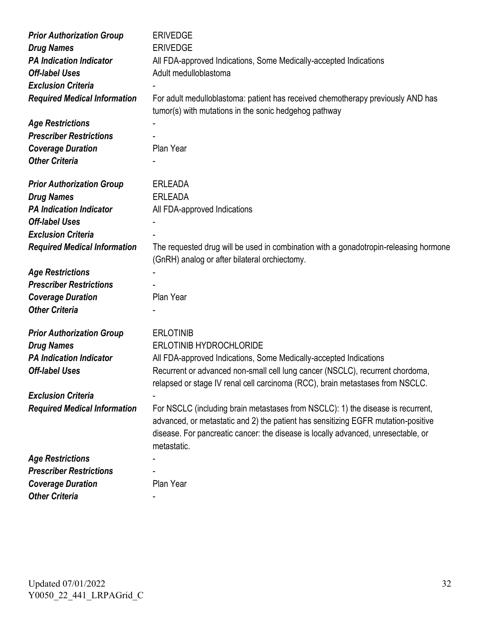| <b>Prior Authorization Group</b>    | <b>ERIVEDGE</b>                                                                                                                                                      |
|-------------------------------------|----------------------------------------------------------------------------------------------------------------------------------------------------------------------|
| <b>Drug Names</b>                   | <b>ERIVEDGE</b>                                                                                                                                                      |
| <b>PA Indication Indicator</b>      | All FDA-approved Indications, Some Medically-accepted Indications                                                                                                    |
| <b>Off-label Uses</b>               | Adult medulloblastoma                                                                                                                                                |
| <b>Exclusion Criteria</b>           |                                                                                                                                                                      |
| <b>Required Medical Information</b> | For adult medulloblastoma: patient has received chemotherapy previously AND has                                                                                      |
|                                     | tumor(s) with mutations in the sonic hedgehog pathway                                                                                                                |
| <b>Age Restrictions</b>             |                                                                                                                                                                      |
| <b>Prescriber Restrictions</b>      |                                                                                                                                                                      |
| <b>Coverage Duration</b>            | Plan Year                                                                                                                                                            |
| <b>Other Criteria</b>               |                                                                                                                                                                      |
| <b>Prior Authorization Group</b>    | <b>ERLEADA</b>                                                                                                                                                       |
| <b>Drug Names</b>                   | <b>ERLEADA</b>                                                                                                                                                       |
| <b>PA Indication Indicator</b>      | All FDA-approved Indications                                                                                                                                         |
| <b>Off-label Uses</b>               |                                                                                                                                                                      |
| <b>Exclusion Criteria</b>           |                                                                                                                                                                      |
| <b>Required Medical Information</b> | The requested drug will be used in combination with a gonadotropin-releasing hormone<br>(GnRH) analog or after bilateral orchiectomy.                                |
| <b>Age Restrictions</b>             |                                                                                                                                                                      |
| <b>Prescriber Restrictions</b>      |                                                                                                                                                                      |
| <b>Coverage Duration</b>            | Plan Year                                                                                                                                                            |
| <b>Other Criteria</b>               |                                                                                                                                                                      |
| <b>Prior Authorization Group</b>    | <b>ERLOTINIB</b>                                                                                                                                                     |
| <b>Drug Names</b>                   | <b>ERLOTINIB HYDROCHLORIDE</b>                                                                                                                                       |
| <b>PA Indication Indicator</b>      | All FDA-approved Indications, Some Medically-accepted Indications                                                                                                    |
| <b>Off-label Uses</b>               | Recurrent or advanced non-small cell lung cancer (NSCLC), recurrent chordoma,                                                                                        |
|                                     | relapsed or stage IV renal cell carcinoma (RCC), brain metastases from NSCLC.                                                                                        |
| <b>Exclusion Criteria</b>           |                                                                                                                                                                      |
| <b>Required Medical Information</b> | For NSCLC (including brain metastases from NSCLC): 1) the disease is recurrent,<br>advanced, or metastatic and 2) the patient has sensitizing EGFR mutation-positive |
|                                     | disease. For pancreatic cancer: the disease is locally advanced, unresectable, or<br>metastatic.                                                                     |
| <b>Age Restrictions</b>             |                                                                                                                                                                      |
| <b>Prescriber Restrictions</b>      |                                                                                                                                                                      |
| <b>Coverage Duration</b>            | Plan Year                                                                                                                                                            |
| <b>Other Criteria</b>               |                                                                                                                                                                      |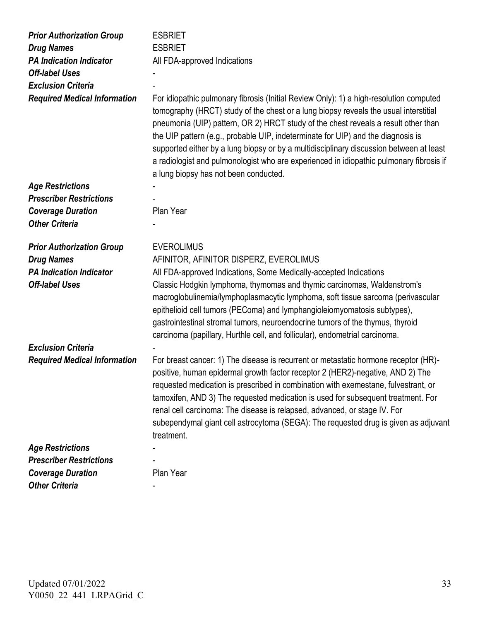| <b>Prior Authorization Group</b>    | <b>ESBRIET</b>                                                                                                                                                                                                                                                                                                                                                                                                                                                                                                                                                                          |
|-------------------------------------|-----------------------------------------------------------------------------------------------------------------------------------------------------------------------------------------------------------------------------------------------------------------------------------------------------------------------------------------------------------------------------------------------------------------------------------------------------------------------------------------------------------------------------------------------------------------------------------------|
| <b>Drug Names</b>                   | <b>ESBRIET</b>                                                                                                                                                                                                                                                                                                                                                                                                                                                                                                                                                                          |
| <b>PA Indication Indicator</b>      | All FDA-approved Indications                                                                                                                                                                                                                                                                                                                                                                                                                                                                                                                                                            |
| <b>Off-label Uses</b>               |                                                                                                                                                                                                                                                                                                                                                                                                                                                                                                                                                                                         |
| <b>Exclusion Criteria</b>           |                                                                                                                                                                                                                                                                                                                                                                                                                                                                                                                                                                                         |
| <b>Required Medical Information</b> | For idiopathic pulmonary fibrosis (Initial Review Only): 1) a high-resolution computed<br>tomography (HRCT) study of the chest or a lung biopsy reveals the usual interstitial<br>pneumonia (UIP) pattern, OR 2) HRCT study of the chest reveals a result other than<br>the UIP pattern (e.g., probable UIP, indeterminate for UIP) and the diagnosis is<br>supported either by a lung biopsy or by a multidisciplinary discussion between at least<br>a radiologist and pulmonologist who are experienced in idiopathic pulmonary fibrosis if<br>a lung biopsy has not been conducted. |
| <b>Age Restrictions</b>             |                                                                                                                                                                                                                                                                                                                                                                                                                                                                                                                                                                                         |
| <b>Prescriber Restrictions</b>      |                                                                                                                                                                                                                                                                                                                                                                                                                                                                                                                                                                                         |
| <b>Coverage Duration</b>            | Plan Year                                                                                                                                                                                                                                                                                                                                                                                                                                                                                                                                                                               |
| <b>Other Criteria</b>               |                                                                                                                                                                                                                                                                                                                                                                                                                                                                                                                                                                                         |
| <b>Prior Authorization Group</b>    | <b>EVEROLIMUS</b>                                                                                                                                                                                                                                                                                                                                                                                                                                                                                                                                                                       |
| <b>Drug Names</b>                   | AFINITOR, AFINITOR DISPERZ, EVEROLIMUS                                                                                                                                                                                                                                                                                                                                                                                                                                                                                                                                                  |
| <b>PA Indication Indicator</b>      | All FDA-approved Indications, Some Medically-accepted Indications                                                                                                                                                                                                                                                                                                                                                                                                                                                                                                                       |
| <b>Off-label Uses</b>               | Classic Hodgkin lymphoma, thymomas and thymic carcinomas, Waldenstrom's<br>macroglobulinemia/lymphoplasmacytic lymphoma, soft tissue sarcoma (perivascular<br>epithelioid cell tumors (PEComa) and lymphangioleiomyomatosis subtypes),<br>gastrointestinal stromal tumors, neuroendocrine tumors of the thymus, thyroid<br>carcinoma (papillary, Hurthle cell, and follicular), endometrial carcinoma.                                                                                                                                                                                  |
| <b>Exclusion Criteria</b>           |                                                                                                                                                                                                                                                                                                                                                                                                                                                                                                                                                                                         |
| <b>Required Medical Information</b> | For breast cancer: 1) The disease is recurrent or metastatic hormone receptor (HR)-<br>positive, human epidermal growth factor receptor 2 (HER2)-negative, AND 2) The<br>requested medication is prescribed in combination with exemestane, fulvestrant, or<br>tamoxifen, AND 3) The requested medication is used for subsequent treatment. For<br>renal cell carcinoma: The disease is relapsed, advanced, or stage IV. For<br>subependymal giant cell astrocytoma (SEGA): The requested drug is given as adjuvant<br>treatment.                                                       |
| <b>Age Restrictions</b>             |                                                                                                                                                                                                                                                                                                                                                                                                                                                                                                                                                                                         |
| <b>Prescriber Restrictions</b>      |                                                                                                                                                                                                                                                                                                                                                                                                                                                                                                                                                                                         |
| <b>Coverage Duration</b>            | Plan Year                                                                                                                                                                                                                                                                                                                                                                                                                                                                                                                                                                               |
| <b>Other Criteria</b>               |                                                                                                                                                                                                                                                                                                                                                                                                                                                                                                                                                                                         |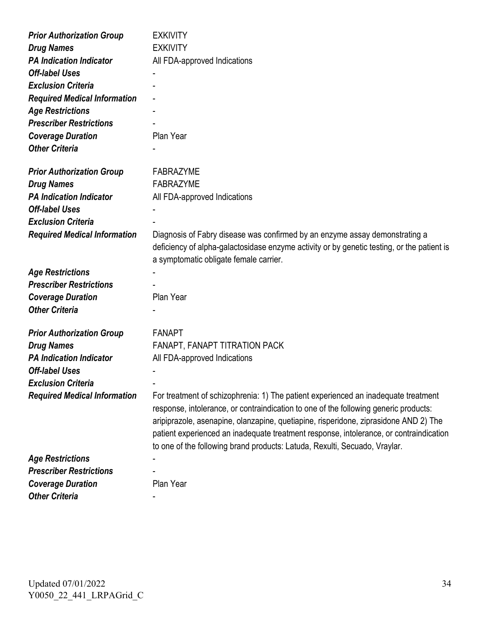| <b>Prior Authorization Group</b>    | <b>EXKIVITY</b>                                                                            |
|-------------------------------------|--------------------------------------------------------------------------------------------|
| <b>Drug Names</b>                   | <b>EXKIVITY</b>                                                                            |
| <b>PA Indication Indicator</b>      | All FDA-approved Indications                                                               |
| <b>Off-label Uses</b>               |                                                                                            |
| <b>Exclusion Criteria</b>           |                                                                                            |
| <b>Required Medical Information</b> |                                                                                            |
| <b>Age Restrictions</b>             |                                                                                            |
| <b>Prescriber Restrictions</b>      |                                                                                            |
| <b>Coverage Duration</b>            | Plan Year                                                                                  |
| <b>Other Criteria</b>               |                                                                                            |
|                                     |                                                                                            |
| <b>Prior Authorization Group</b>    | <b>FABRAZYME</b>                                                                           |
| <b>Drug Names</b>                   | <b>FABRAZYME</b>                                                                           |
| <b>PA Indication Indicator</b>      | All FDA-approved Indications                                                               |
| <b>Off-label Uses</b>               |                                                                                            |
| <b>Exclusion Criteria</b>           |                                                                                            |
| <b>Required Medical Information</b> | Diagnosis of Fabry disease was confirmed by an enzyme assay demonstrating a                |
|                                     | deficiency of alpha-galactosidase enzyme activity or by genetic testing, or the patient is |
|                                     | a symptomatic obligate female carrier.                                                     |
| <b>Age Restrictions</b>             |                                                                                            |
| <b>Prescriber Restrictions</b>      |                                                                                            |
| <b>Coverage Duration</b>            | Plan Year                                                                                  |
| <b>Other Criteria</b>               |                                                                                            |
|                                     |                                                                                            |
| <b>Prior Authorization Group</b>    | <b>FANAPT</b>                                                                              |
| <b>Drug Names</b>                   | FANAPT, FANAPT TITRATION PACK                                                              |
| <b>PA Indication Indicator</b>      | All FDA-approved Indications                                                               |
| <b>Off-label Uses</b>               |                                                                                            |
| <b>Exclusion Criteria</b>           |                                                                                            |
| <b>Required Medical Information</b> | For treatment of schizophrenia: 1) The patient experienced an inadequate treatment         |
|                                     | response, intolerance, or contraindication to one of the following generic products:       |
|                                     | aripiprazole, asenapine, olanzapine, quetiapine, risperidone, ziprasidone AND 2) The       |
|                                     | patient experienced an inadequate treatment response, intolerance, or contraindication     |
|                                     | to one of the following brand products: Latuda, Rexulti, Secuado, Vraylar.                 |
| <b>Age Restrictions</b>             |                                                                                            |
| <b>Prescriber Restrictions</b>      |                                                                                            |
| <b>Coverage Duration</b>            | Plan Year                                                                                  |
| <b>Other Criteria</b>               |                                                                                            |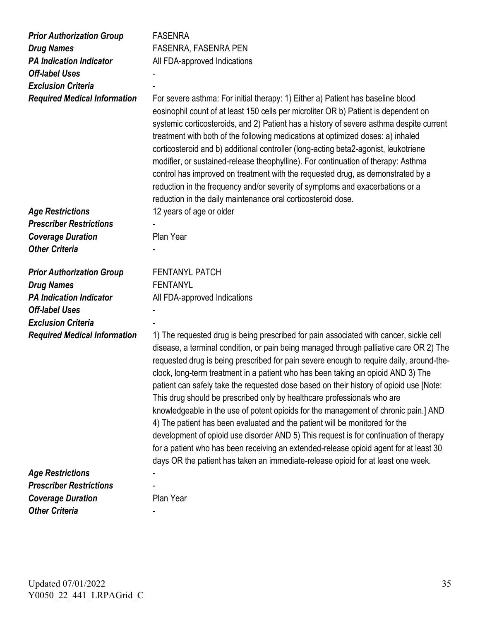| <b>Prior Authorization Group</b><br><b>Drug Names</b><br><b>PA Indication Indicator</b><br><b>Off-label Uses</b><br><b>Exclusion Criteria</b><br><b>Required Medical Information</b> | <b>FASENRA</b><br><b>FASENRA, FASENRA PEN</b><br>All FDA-approved Indications<br>For severe asthma: For initial therapy: 1) Either a) Patient has baseline blood<br>eosinophil count of at least 150 cells per microliter OR b) Patient is dependent on<br>systemic corticosteroids, and 2) Patient has a history of severe asthma despite current<br>treatment with both of the following medications at optimized doses: a) inhaled<br>corticosteroid and b) additional controller (long-acting beta2-agonist, leukotriene<br>modifier, or sustained-release theophylline). For continuation of therapy: Asthma<br>control has improved on treatment with the requested drug, as demonstrated by a<br>reduction in the frequency and/or severity of symptoms and exacerbations or a<br>reduction in the daily maintenance oral corticosteroid dose.                                                                                                                            |
|--------------------------------------------------------------------------------------------------------------------------------------------------------------------------------------|----------------------------------------------------------------------------------------------------------------------------------------------------------------------------------------------------------------------------------------------------------------------------------------------------------------------------------------------------------------------------------------------------------------------------------------------------------------------------------------------------------------------------------------------------------------------------------------------------------------------------------------------------------------------------------------------------------------------------------------------------------------------------------------------------------------------------------------------------------------------------------------------------------------------------------------------------------------------------------|
| <b>Age Restrictions</b>                                                                                                                                                              | 12 years of age or older                                                                                                                                                                                                                                                                                                                                                                                                                                                                                                                                                                                                                                                                                                                                                                                                                                                                                                                                                         |
| <b>Prescriber Restrictions</b>                                                                                                                                                       |                                                                                                                                                                                                                                                                                                                                                                                                                                                                                                                                                                                                                                                                                                                                                                                                                                                                                                                                                                                  |
| <b>Coverage Duration</b>                                                                                                                                                             | Plan Year                                                                                                                                                                                                                                                                                                                                                                                                                                                                                                                                                                                                                                                                                                                                                                                                                                                                                                                                                                        |
| <b>Other Criteria</b>                                                                                                                                                                |                                                                                                                                                                                                                                                                                                                                                                                                                                                                                                                                                                                                                                                                                                                                                                                                                                                                                                                                                                                  |
| <b>Prior Authorization Group</b>                                                                                                                                                     | <b>FENTANYL PATCH</b>                                                                                                                                                                                                                                                                                                                                                                                                                                                                                                                                                                                                                                                                                                                                                                                                                                                                                                                                                            |
| <b>Drug Names</b>                                                                                                                                                                    | <b>FENTANYL</b>                                                                                                                                                                                                                                                                                                                                                                                                                                                                                                                                                                                                                                                                                                                                                                                                                                                                                                                                                                  |
| <b>PA Indication Indicator</b>                                                                                                                                                       | All FDA-approved Indications                                                                                                                                                                                                                                                                                                                                                                                                                                                                                                                                                                                                                                                                                                                                                                                                                                                                                                                                                     |
| <b>Off-label Uses</b>                                                                                                                                                                |                                                                                                                                                                                                                                                                                                                                                                                                                                                                                                                                                                                                                                                                                                                                                                                                                                                                                                                                                                                  |
| <b>Exclusion Criteria</b>                                                                                                                                                            |                                                                                                                                                                                                                                                                                                                                                                                                                                                                                                                                                                                                                                                                                                                                                                                                                                                                                                                                                                                  |
| <b>Required Medical Information</b>                                                                                                                                                  | 1) The requested drug is being prescribed for pain associated with cancer, sickle cell<br>disease, a terminal condition, or pain being managed through palliative care OR 2) The<br>requested drug is being prescribed for pain severe enough to require daily, around-the-<br>clock, long-term treatment in a patient who has been taking an opioid AND 3) The<br>patient can safely take the requested dose based on their history of opioid use [Note:<br>This drug should be prescribed only by healthcare professionals who are<br>knowledgeable in the use of potent opioids for the management of chronic pain.] AND<br>4) The patient has been evaluated and the patient will be monitored for the<br>development of opioid use disorder AND 5) This request is for continuation of therapy<br>for a patient who has been receiving an extended-release opioid agent for at least 30<br>days OR the patient has taken an immediate-release opioid for at least one week. |
| <b>Age Restrictions</b>                                                                                                                                                              |                                                                                                                                                                                                                                                                                                                                                                                                                                                                                                                                                                                                                                                                                                                                                                                                                                                                                                                                                                                  |
| <b>Prescriber Restrictions</b>                                                                                                                                                       |                                                                                                                                                                                                                                                                                                                                                                                                                                                                                                                                                                                                                                                                                                                                                                                                                                                                                                                                                                                  |
| <b>Coverage Duration</b>                                                                                                                                                             | Plan Year                                                                                                                                                                                                                                                                                                                                                                                                                                                                                                                                                                                                                                                                                                                                                                                                                                                                                                                                                                        |
| <b>Other Criteria</b>                                                                                                                                                                |                                                                                                                                                                                                                                                                                                                                                                                                                                                                                                                                                                                                                                                                                                                                                                                                                                                                                                                                                                                  |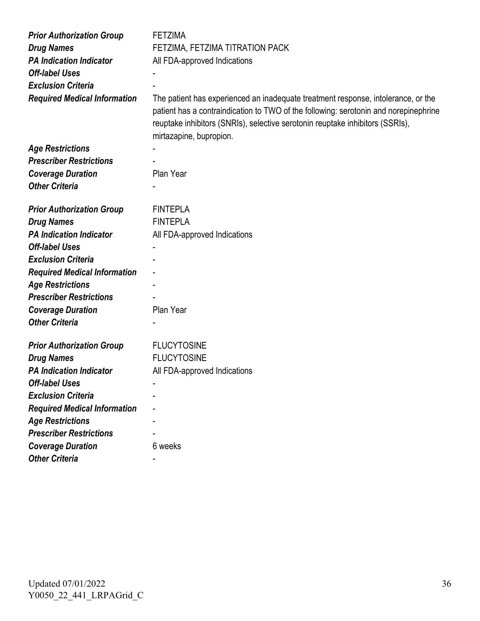| <b>Prior Authorization Group</b>    | <b>FETZIMA</b>                                                                                                                                                                                                                                                                        |
|-------------------------------------|---------------------------------------------------------------------------------------------------------------------------------------------------------------------------------------------------------------------------------------------------------------------------------------|
| <b>Drug Names</b>                   | FETZIMA, FETZIMA TITRATION PACK                                                                                                                                                                                                                                                       |
| <b>PA Indication Indicator</b>      | All FDA-approved Indications                                                                                                                                                                                                                                                          |
| <b>Off-label Uses</b>               |                                                                                                                                                                                                                                                                                       |
| <b>Exclusion Criteria</b>           |                                                                                                                                                                                                                                                                                       |
| <b>Required Medical Information</b> | The patient has experienced an inadequate treatment response, intolerance, or the<br>patient has a contraindication to TWO of the following: serotonin and norepinephrine<br>reuptake inhibitors (SNRIs), selective serotonin reuptake inhibitors (SSRIs),<br>mirtazapine, bupropion. |
| <b>Age Restrictions</b>             |                                                                                                                                                                                                                                                                                       |
| <b>Prescriber Restrictions</b>      |                                                                                                                                                                                                                                                                                       |
| <b>Coverage Duration</b>            | Plan Year                                                                                                                                                                                                                                                                             |
| <b>Other Criteria</b>               |                                                                                                                                                                                                                                                                                       |
| <b>Prior Authorization Group</b>    | <b>FINTEPLA</b>                                                                                                                                                                                                                                                                       |
| <b>Drug Names</b>                   | <b>FINTEPLA</b>                                                                                                                                                                                                                                                                       |
| <b>PA Indication Indicator</b>      | All FDA-approved Indications                                                                                                                                                                                                                                                          |
| <b>Off-label Uses</b>               |                                                                                                                                                                                                                                                                                       |
| <b>Exclusion Criteria</b>           |                                                                                                                                                                                                                                                                                       |
| <b>Required Medical Information</b> |                                                                                                                                                                                                                                                                                       |
| <b>Age Restrictions</b>             |                                                                                                                                                                                                                                                                                       |
| <b>Prescriber Restrictions</b>      |                                                                                                                                                                                                                                                                                       |
| <b>Coverage Duration</b>            | Plan Year                                                                                                                                                                                                                                                                             |
| <b>Other Criteria</b>               |                                                                                                                                                                                                                                                                                       |
| <b>Prior Authorization Group</b>    | <b>FLUCYTOSINE</b>                                                                                                                                                                                                                                                                    |
| <b>Drug Names</b>                   | <b>FLUCYTOSINE</b>                                                                                                                                                                                                                                                                    |
| <b>PA Indication Indicator</b>      | All FDA-approved Indications                                                                                                                                                                                                                                                          |
| <b>Off-label Uses</b>               |                                                                                                                                                                                                                                                                                       |
| <b>Exclusion Criteria</b>           |                                                                                                                                                                                                                                                                                       |
| <b>Required Medical Information</b> |                                                                                                                                                                                                                                                                                       |
| <b>Age Restrictions</b>             |                                                                                                                                                                                                                                                                                       |
| <b>Prescriber Restrictions</b>      |                                                                                                                                                                                                                                                                                       |
| <b>Coverage Duration</b>            | 6 weeks                                                                                                                                                                                                                                                                               |
| <b>Other Criteria</b>               |                                                                                                                                                                                                                                                                                       |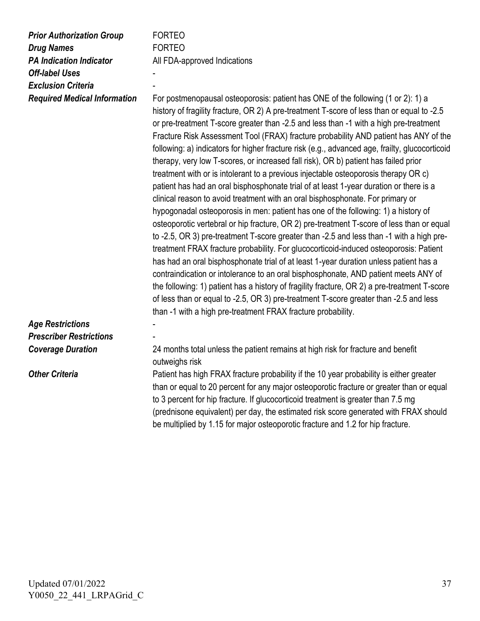| <b>Prior Authorization Group</b><br><b>Drug Names</b><br><b>PA Indication Indicator</b><br><b>Off-label Uses</b><br><b>Exclusion Criteria</b><br><b>Required Medical Information</b> | <b>FORTEO</b><br><b>FORTEO</b><br>All FDA-approved Indications<br>For postmenopausal osteoporosis: patient has ONE of the following (1 or 2): 1) a<br>history of fragility fracture, OR 2) A pre-treatment T-score of less than or equal to -2.5<br>or pre-treatment T-score greater than -2.5 and less than -1 with a high pre-treatment<br>Fracture Risk Assessment Tool (FRAX) fracture probability AND patient has ANY of the<br>following: a) indicators for higher fracture risk (e.g., advanced age, frailty, glucocorticoid<br>therapy, very low T-scores, or increased fall risk), OR b) patient has failed prior<br>treatment with or is intolerant to a previous injectable osteoporosis therapy OR c)<br>patient has had an oral bisphosphonate trial of at least 1-year duration or there is a<br>clinical reason to avoid treatment with an oral bisphosphonate. For primary or<br>hypogonadal osteoporosis in men: patient has one of the following: 1) a history of<br>osteoporotic vertebral or hip fracture, OR 2) pre-treatment T-score of less than or equal<br>to -2.5, OR 3) pre-treatment T-score greater than -2.5 and less than -1 with a high pre-<br>treatment FRAX fracture probability. For glucocorticoid-induced osteoporosis: Patient<br>has had an oral bisphosphonate trial of at least 1-year duration unless patient has a<br>contraindication or intolerance to an oral bisphosphonate, AND patient meets ANY of<br>the following: 1) patient has a history of fragility fracture, OR 2) a pre-treatment T-score<br>of less than or equal to -2.5, OR 3) pre-treatment T-score greater than -2.5 and less<br>than -1 with a high pre-treatment FRAX fracture probability. |
|--------------------------------------------------------------------------------------------------------------------------------------------------------------------------------------|----------------------------------------------------------------------------------------------------------------------------------------------------------------------------------------------------------------------------------------------------------------------------------------------------------------------------------------------------------------------------------------------------------------------------------------------------------------------------------------------------------------------------------------------------------------------------------------------------------------------------------------------------------------------------------------------------------------------------------------------------------------------------------------------------------------------------------------------------------------------------------------------------------------------------------------------------------------------------------------------------------------------------------------------------------------------------------------------------------------------------------------------------------------------------------------------------------------------------------------------------------------------------------------------------------------------------------------------------------------------------------------------------------------------------------------------------------------------------------------------------------------------------------------------------------------------------------------------------------------------------------------------------------------------------------------------------------------|
| <b>Age Restrictions</b>                                                                                                                                                              |                                                                                                                                                                                                                                                                                                                                                                                                                                                                                                                                                                                                                                                                                                                                                                                                                                                                                                                                                                                                                                                                                                                                                                                                                                                                                                                                                                                                                                                                                                                                                                                                                                                                                                                |
| <b>Prescriber Restrictions</b>                                                                                                                                                       |                                                                                                                                                                                                                                                                                                                                                                                                                                                                                                                                                                                                                                                                                                                                                                                                                                                                                                                                                                                                                                                                                                                                                                                                                                                                                                                                                                                                                                                                                                                                                                                                                                                                                                                |
| <b>Coverage Duration</b>                                                                                                                                                             | 24 months total unless the patient remains at high risk for fracture and benefit<br>outweighs risk                                                                                                                                                                                                                                                                                                                                                                                                                                                                                                                                                                                                                                                                                                                                                                                                                                                                                                                                                                                                                                                                                                                                                                                                                                                                                                                                                                                                                                                                                                                                                                                                             |
| <b>Other Criteria</b>                                                                                                                                                                | Patient has high FRAX fracture probability if the 10 year probability is either greater<br>than or equal to 20 percent for any major osteoporotic fracture or greater than or equal<br>to 3 percent for hip fracture. If glucocorticoid treatment is greater than 7.5 mg<br>(prednisone equivalent) per day, the estimated risk score generated with FRAX should<br>be multiplied by 1.15 for major osteoporotic fracture and 1.2 for hip fracture.                                                                                                                                                                                                                                                                                                                                                                                                                                                                                                                                                                                                                                                                                                                                                                                                                                                                                                                                                                                                                                                                                                                                                                                                                                                            |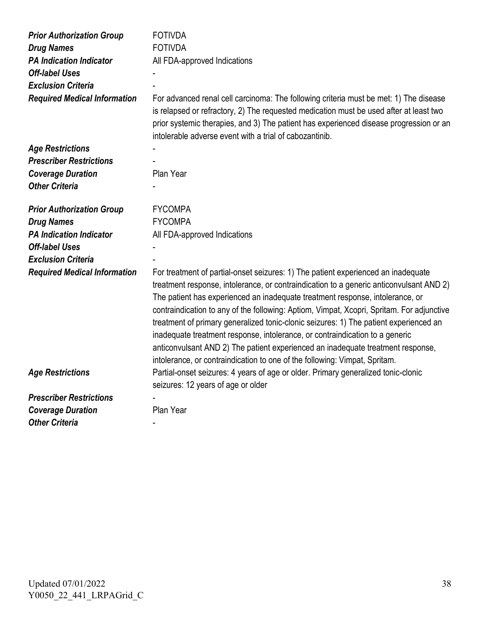| <b>Prior Authorization Group</b><br><b>Drug Names</b><br><b>PA Indication Indicator</b><br><b>Off-label Uses</b><br><b>Exclusion Criteria</b><br><b>Required Medical Information</b> | <b>FOTIVDA</b><br><b>FOTIVDA</b><br>All FDA-approved Indications<br>For advanced renal cell carcinoma: The following criteria must be met: 1) The disease<br>is relapsed or refractory, 2) The requested medication must be used after at least two<br>prior systemic therapies, and 3) The patient has experienced disease progression or an<br>intolerable adverse event with a trial of cabozantinib.                                                                                                                                                                                                                                                                                             |
|--------------------------------------------------------------------------------------------------------------------------------------------------------------------------------------|------------------------------------------------------------------------------------------------------------------------------------------------------------------------------------------------------------------------------------------------------------------------------------------------------------------------------------------------------------------------------------------------------------------------------------------------------------------------------------------------------------------------------------------------------------------------------------------------------------------------------------------------------------------------------------------------------|
| <b>Age Restrictions</b>                                                                                                                                                              |                                                                                                                                                                                                                                                                                                                                                                                                                                                                                                                                                                                                                                                                                                      |
| <b>Prescriber Restrictions</b>                                                                                                                                                       |                                                                                                                                                                                                                                                                                                                                                                                                                                                                                                                                                                                                                                                                                                      |
| <b>Coverage Duration</b>                                                                                                                                                             | Plan Year                                                                                                                                                                                                                                                                                                                                                                                                                                                                                                                                                                                                                                                                                            |
| <b>Other Criteria</b>                                                                                                                                                                |                                                                                                                                                                                                                                                                                                                                                                                                                                                                                                                                                                                                                                                                                                      |
| <b>Prior Authorization Group</b>                                                                                                                                                     | <b>FYCOMPA</b>                                                                                                                                                                                                                                                                                                                                                                                                                                                                                                                                                                                                                                                                                       |
| <b>Drug Names</b>                                                                                                                                                                    | <b>FYCOMPA</b>                                                                                                                                                                                                                                                                                                                                                                                                                                                                                                                                                                                                                                                                                       |
| <b>PA Indication Indicator</b>                                                                                                                                                       | All FDA-approved Indications                                                                                                                                                                                                                                                                                                                                                                                                                                                                                                                                                                                                                                                                         |
| <b>Off-label Uses</b>                                                                                                                                                                |                                                                                                                                                                                                                                                                                                                                                                                                                                                                                                                                                                                                                                                                                                      |
| <b>Exclusion Criteria</b>                                                                                                                                                            |                                                                                                                                                                                                                                                                                                                                                                                                                                                                                                                                                                                                                                                                                                      |
| <b>Required Medical Information</b>                                                                                                                                                  | For treatment of partial-onset seizures: 1) The patient experienced an inadequate<br>treatment response, intolerance, or contraindication to a generic anticonvulsant AND 2)<br>The patient has experienced an inadequate treatment response, intolerance, or<br>contraindication to any of the following: Aptiom, Vimpat, Xcopri, Spritam. For adjunctive<br>treatment of primary generalized tonic-clonic seizures: 1) The patient experienced an<br>inadequate treatment response, intolerance, or contraindication to a generic<br>anticonvulsant AND 2) The patient experienced an inadequate treatment response,<br>intolerance, or contraindication to one of the following: Vimpat, Spritam. |
| <b>Age Restrictions</b>                                                                                                                                                              | Partial-onset seizures: 4 years of age or older. Primary generalized tonic-clonic<br>seizures: 12 years of age or older                                                                                                                                                                                                                                                                                                                                                                                                                                                                                                                                                                              |
| <b>Prescriber Restrictions</b>                                                                                                                                                       |                                                                                                                                                                                                                                                                                                                                                                                                                                                                                                                                                                                                                                                                                                      |
| <b>Coverage Duration</b>                                                                                                                                                             | Plan Year                                                                                                                                                                                                                                                                                                                                                                                                                                                                                                                                                                                                                                                                                            |
| <b>Other Criteria</b>                                                                                                                                                                |                                                                                                                                                                                                                                                                                                                                                                                                                                                                                                                                                                                                                                                                                                      |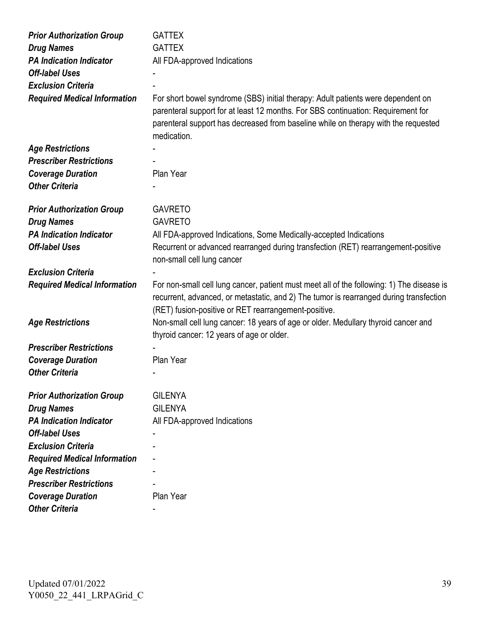| <b>Prior Authorization Group</b>    | <b>GATTEX</b>                                                                                                                                                                                                                                              |
|-------------------------------------|------------------------------------------------------------------------------------------------------------------------------------------------------------------------------------------------------------------------------------------------------------|
| <b>Drug Names</b>                   | <b>GATTEX</b>                                                                                                                                                                                                                                              |
| <b>PA Indication Indicator</b>      | All FDA-approved Indications                                                                                                                                                                                                                               |
| <b>Off-label Uses</b>               |                                                                                                                                                                                                                                                            |
| <b>Exclusion Criteria</b>           |                                                                                                                                                                                                                                                            |
| <b>Required Medical Information</b> | For short bowel syndrome (SBS) initial therapy: Adult patients were dependent on<br>parenteral support for at least 12 months. For SBS continuation: Requirement for<br>parenteral support has decreased from baseline while on therapy with the requested |
|                                     | medication.                                                                                                                                                                                                                                                |
| <b>Age Restrictions</b>             |                                                                                                                                                                                                                                                            |
| <b>Prescriber Restrictions</b>      |                                                                                                                                                                                                                                                            |
| <b>Coverage Duration</b>            | Plan Year                                                                                                                                                                                                                                                  |
| <b>Other Criteria</b>               |                                                                                                                                                                                                                                                            |
| <b>Prior Authorization Group</b>    | <b>GAVRETO</b>                                                                                                                                                                                                                                             |
| <b>Drug Names</b>                   | <b>GAVRETO</b>                                                                                                                                                                                                                                             |
| <b>PA Indication Indicator</b>      | All FDA-approved Indications, Some Medically-accepted Indications                                                                                                                                                                                          |
| <b>Off-label Uses</b>               | Recurrent or advanced rearranged during transfection (RET) rearrangement-positive<br>non-small cell lung cancer                                                                                                                                            |
| <b>Exclusion Criteria</b>           |                                                                                                                                                                                                                                                            |
| <b>Required Medical Information</b> | For non-small cell lung cancer, patient must meet all of the following: 1) The disease is<br>recurrent, advanced, or metastatic, and 2) The tumor is rearranged during transfection<br>(RET) fusion-positive or RET rearrangement-positive.                |
| <b>Age Restrictions</b>             | Non-small cell lung cancer: 18 years of age or older. Medullary thyroid cancer and<br>thyroid cancer: 12 years of age or older.                                                                                                                            |
| <b>Prescriber Restrictions</b>      |                                                                                                                                                                                                                                                            |
| <b>Coverage Duration</b>            | Plan Year                                                                                                                                                                                                                                                  |
| <b>Other Criteria</b>               |                                                                                                                                                                                                                                                            |
| <b>Prior Authorization Group</b>    | <b>GILENYA</b>                                                                                                                                                                                                                                             |
| <b>Drug Names</b>                   | <b>GILENYA</b>                                                                                                                                                                                                                                             |
| <b>PA Indication Indicator</b>      | All FDA-approved Indications                                                                                                                                                                                                                               |
| <b>Off-label Uses</b>               |                                                                                                                                                                                                                                                            |
| <b>Exclusion Criteria</b>           |                                                                                                                                                                                                                                                            |
| <b>Required Medical Information</b> |                                                                                                                                                                                                                                                            |
| <b>Age Restrictions</b>             |                                                                                                                                                                                                                                                            |
| <b>Prescriber Restrictions</b>      |                                                                                                                                                                                                                                                            |
| <b>Coverage Duration</b>            | Plan Year                                                                                                                                                                                                                                                  |
| <b>Other Criteria</b>               |                                                                                                                                                                                                                                                            |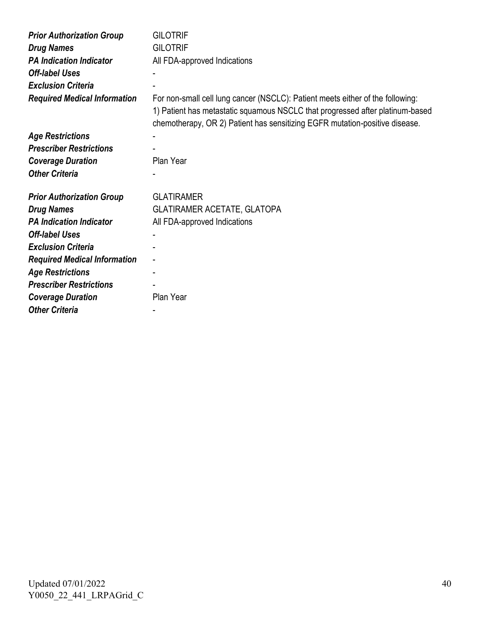| <b>Prior Authorization Group</b>    | <b>GILOTRIF</b>                                                                                                                                                                                                                                |
|-------------------------------------|------------------------------------------------------------------------------------------------------------------------------------------------------------------------------------------------------------------------------------------------|
| <b>Drug Names</b>                   | <b>GILOTRIF</b>                                                                                                                                                                                                                                |
| <b>PA Indication Indicator</b>      | All FDA-approved Indications                                                                                                                                                                                                                   |
| <b>Off-label Uses</b>               |                                                                                                                                                                                                                                                |
| <b>Exclusion Criteria</b>           |                                                                                                                                                                                                                                                |
| <b>Required Medical Information</b> | For non-small cell lung cancer (NSCLC): Patient meets either of the following:<br>1) Patient has metastatic squamous NSCLC that progressed after platinum-based<br>chemotherapy, OR 2) Patient has sensitizing EGFR mutation-positive disease. |
| <b>Age Restrictions</b>             |                                                                                                                                                                                                                                                |
| <b>Prescriber Restrictions</b>      |                                                                                                                                                                                                                                                |
| <b>Coverage Duration</b>            | Plan Year                                                                                                                                                                                                                                      |
| <b>Other Criteria</b>               |                                                                                                                                                                                                                                                |
| <b>Prior Authorization Group</b>    | <b>GLATIRAMER</b>                                                                                                                                                                                                                              |
| <b>Drug Names</b>                   | <b>GLATIRAMER ACETATE, GLATOPA</b>                                                                                                                                                                                                             |
| <b>PA Indication Indicator</b>      | All FDA-approved Indications                                                                                                                                                                                                                   |
| <b>Off-label Uses</b>               |                                                                                                                                                                                                                                                |
| <b>Exclusion Criteria</b>           |                                                                                                                                                                                                                                                |
| <b>Required Medical Information</b> |                                                                                                                                                                                                                                                |
| <b>Age Restrictions</b>             |                                                                                                                                                                                                                                                |
| <b>Prescriber Restrictions</b>      |                                                                                                                                                                                                                                                |
| <b>Coverage Duration</b>            | Plan Year                                                                                                                                                                                                                                      |
| <b>Other Criteria</b>               |                                                                                                                                                                                                                                                |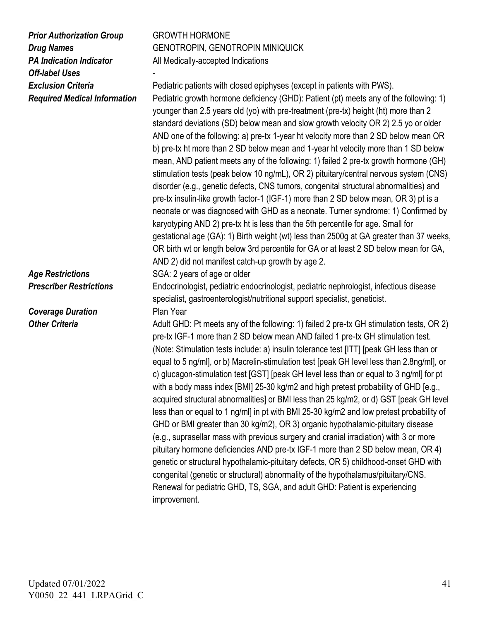*Prior Authorization Group* GROWTH HORMONE *Off-label Uses* -

**Coverage Duration** Plan Year

**Drug Names** GENOTROPIN, GENOTROPIN MINIQUICK **PA Indication Indicator All Medically-accepted Indications** 

**Exclusion Criteria** Pediatric patients with closed epiphyses (except in patients with PWS). *Required Medical Information* Pediatric growth hormone deficiency (GHD): Patient (pt) meets any of the following: 1) younger than 2.5 years old (yo) with pre-treatment (pre-tx) height (ht) more than 2 standard deviations (SD) below mean and slow growth velocity OR 2) 2.5 yo or older AND one of the following: a) pre-tx 1-year ht velocity more than 2 SD below mean OR b) pre-tx ht more than 2 SD below mean and 1-year ht velocity more than 1 SD below mean, AND patient meets any of the following: 1) failed 2 pre-tx growth hormone (GH) stimulation tests (peak below 10 ng/mL), OR 2) pituitary/central nervous system (CNS) disorder (e.g., genetic defects, CNS tumors, congenital structural abnormalities) and pre-tx insulin-like growth factor-1 (IGF-1) more than 2 SD below mean, OR 3) pt is a neonate or was diagnosed with GHD as a neonate. Turner syndrome: 1) Confirmed by karyotyping AND 2) pre-tx ht is less than the 5th percentile for age. Small for gestational age (GA): 1) Birth weight (wt) less than 2500g at GA greater than 37 weeks, OR birth wt or length below 3rd percentile for GA or at least 2 SD below mean for GA, AND 2) did not manifest catch-up growth by age 2. **Age Restrictions** SGA: 2 years of age or older **Prescriber Restrictions** Endocrinologist, pediatric endocrinologist, pediatric nephrologist, infectious disease specialist, gastroenterologist/nutritional support specialist, geneticist.

**Other Criteria** Adult GHD: Pt meets any of the following: 1) failed 2 pre-tx GH stimulation tests, OR 2) pre-tx IGF-1 more than 2 SD below mean AND failed 1 pre-tx GH stimulation test. (Note: Stimulation tests include: a) insulin tolerance test [ITT] [peak GH less than or equal to 5 ng/ml], or b) Macrelin-stimulation test [peak GH level less than 2.8ng/ml], or c) glucagon-stimulation test [GST] [peak GH level less than or equal to 3 ng/ml] for pt with a body mass index [BMI] 25-30 kg/m2 and high pretest probability of GHD [e.g., acquired structural abnormalities] or BMI less than 25 kg/m2, or d) GST [peak GH level less than or equal to 1 ng/ml] in pt with BMI 25-30 kg/m2 and low pretest probability of GHD or BMI greater than 30 kg/m2), OR 3) organic hypothalamic-pituitary disease (e.g., suprasellar mass with previous surgery and cranial irradiation) with 3 or more pituitary hormone deficiencies AND pre-tx IGF-1 more than 2 SD below mean, OR 4) genetic or structural hypothalamic-pituitary defects, OR 5) childhood-onset GHD with congenital (genetic or structural) abnormality of the hypothalamus/pituitary/CNS. Renewal for pediatric GHD, TS, SGA, and adult GHD: Patient is experiencing improvement.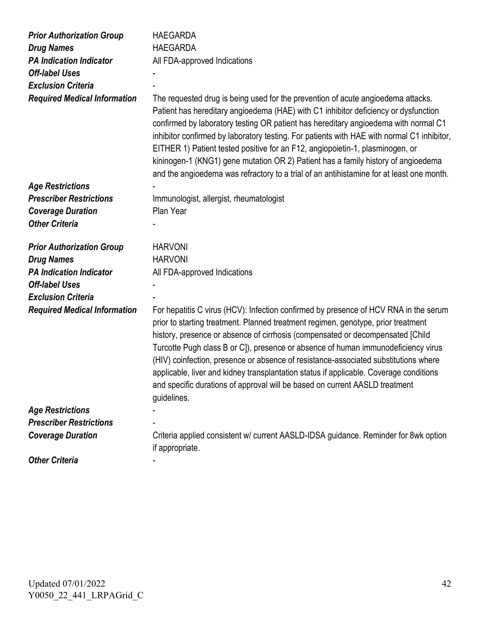| <b>Prior Authorization Group</b>    | <b>HAEGARDA</b>                                                                                                                                                                                                                                                                                                                                                                                                                                                                                                                                                                                                                 |
|-------------------------------------|---------------------------------------------------------------------------------------------------------------------------------------------------------------------------------------------------------------------------------------------------------------------------------------------------------------------------------------------------------------------------------------------------------------------------------------------------------------------------------------------------------------------------------------------------------------------------------------------------------------------------------|
| <b>Drug Names</b>                   | <b>HAEGARDA</b>                                                                                                                                                                                                                                                                                                                                                                                                                                                                                                                                                                                                                 |
| <b>PA Indication Indicator</b>      | All FDA-approved Indications                                                                                                                                                                                                                                                                                                                                                                                                                                                                                                                                                                                                    |
| <b>Off-label Uses</b>               |                                                                                                                                                                                                                                                                                                                                                                                                                                                                                                                                                                                                                                 |
| <b>Exclusion Criteria</b>           |                                                                                                                                                                                                                                                                                                                                                                                                                                                                                                                                                                                                                                 |
| <b>Required Medical Information</b> | The requested drug is being used for the prevention of acute angioedema attacks.<br>Patient has hereditary angioedema (HAE) with C1 inhibitor deficiency or dysfunction<br>confirmed by laboratory testing OR patient has hereditary angioedema with normal C1<br>inhibitor confirmed by laboratory testing. For patients with HAE with normal C1 inhibitor,<br>EITHER 1) Patient tested positive for an F12, angiopoietin-1, plasminogen, or<br>kininogen-1 (KNG1) gene mutation OR 2) Patient has a family history of angioedema<br>and the angioedema was refractory to a trial of an antihistamine for at least one month.  |
| <b>Age Restrictions</b>             |                                                                                                                                                                                                                                                                                                                                                                                                                                                                                                                                                                                                                                 |
| <b>Prescriber Restrictions</b>      | Immunologist, allergist, rheumatologist                                                                                                                                                                                                                                                                                                                                                                                                                                                                                                                                                                                         |
| <b>Coverage Duration</b>            | Plan Year                                                                                                                                                                                                                                                                                                                                                                                                                                                                                                                                                                                                                       |
| <b>Other Criteria</b>               |                                                                                                                                                                                                                                                                                                                                                                                                                                                                                                                                                                                                                                 |
| <b>Prior Authorization Group</b>    | <b>HARVONI</b>                                                                                                                                                                                                                                                                                                                                                                                                                                                                                                                                                                                                                  |
| <b>Drug Names</b>                   | <b>HARVONI</b>                                                                                                                                                                                                                                                                                                                                                                                                                                                                                                                                                                                                                  |
| <b>PA Indication Indicator</b>      | All FDA-approved Indications                                                                                                                                                                                                                                                                                                                                                                                                                                                                                                                                                                                                    |
| <b>Off-label Uses</b>               |                                                                                                                                                                                                                                                                                                                                                                                                                                                                                                                                                                                                                                 |
| <b>Exclusion Criteria</b>           |                                                                                                                                                                                                                                                                                                                                                                                                                                                                                                                                                                                                                                 |
| <b>Required Medical Information</b> | For hepatitis C virus (HCV): Infection confirmed by presence of HCV RNA in the serum<br>prior to starting treatment. Planned treatment regimen, genotype, prior treatment<br>history, presence or absence of cirrhosis (compensated or decompensated [Child<br>Turcotte Pugh class B or C]), presence or absence of human immunodeficiency virus<br>(HIV) coinfection, presence or absence of resistance-associated substitutions where<br>applicable, liver and kidney transplantation status if applicable. Coverage conditions<br>and specific durations of approval will be based on current AASLD treatment<br>guidelines. |
| <b>Age Restrictions</b>             |                                                                                                                                                                                                                                                                                                                                                                                                                                                                                                                                                                                                                                 |
| <b>Prescriber Restrictions</b>      |                                                                                                                                                                                                                                                                                                                                                                                                                                                                                                                                                                                                                                 |
| <b>Coverage Duration</b>            | Criteria applied consistent w/ current AASLD-IDSA guidance. Reminder for 8wk option<br>if appropriate.                                                                                                                                                                                                                                                                                                                                                                                                                                                                                                                          |
| <b>Other Criteria</b>               |                                                                                                                                                                                                                                                                                                                                                                                                                                                                                                                                                                                                                                 |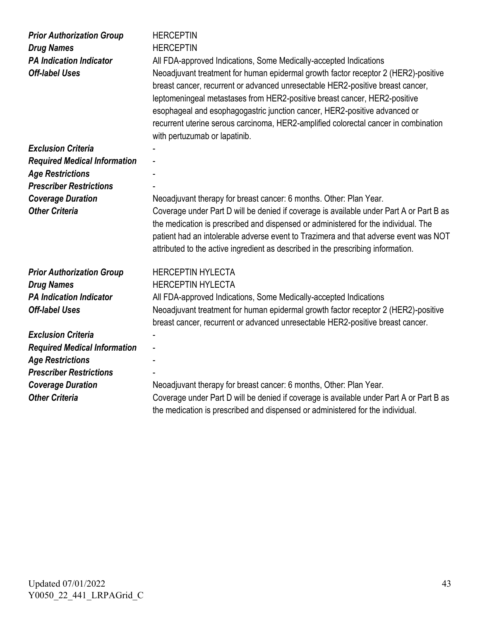| <b>Prior Authorization Group</b><br><b>Drug Names</b><br><b>PA Indication Indicator</b><br><b>Off-label Uses</b> | <b>HERCEPTIN</b><br><b>HERCEPTIN</b><br>All FDA-approved Indications, Some Medically-accepted Indications<br>Neoadjuvant treatment for human epidermal growth factor receptor 2 (HER2)-positive<br>breast cancer, recurrent or advanced unresectable HER2-positive breast cancer,<br>leptomeningeal metastases from HER2-positive breast cancer, HER2-positive<br>esophageal and esophagogastric junction cancer, HER2-positive advanced or<br>recurrent uterine serous carcinoma, HER2-amplified colorectal cancer in combination<br>with pertuzumab or lapatinib. |
|------------------------------------------------------------------------------------------------------------------|---------------------------------------------------------------------------------------------------------------------------------------------------------------------------------------------------------------------------------------------------------------------------------------------------------------------------------------------------------------------------------------------------------------------------------------------------------------------------------------------------------------------------------------------------------------------|
| <b>Exclusion Criteria</b>                                                                                        |                                                                                                                                                                                                                                                                                                                                                                                                                                                                                                                                                                     |
| <b>Required Medical Information</b>                                                                              |                                                                                                                                                                                                                                                                                                                                                                                                                                                                                                                                                                     |
| <b>Age Restrictions</b>                                                                                          |                                                                                                                                                                                                                                                                                                                                                                                                                                                                                                                                                                     |
| <b>Prescriber Restrictions</b>                                                                                   |                                                                                                                                                                                                                                                                                                                                                                                                                                                                                                                                                                     |
| <b>Coverage Duration</b><br><b>Other Criteria</b>                                                                | Neoadjuvant therapy for breast cancer: 6 months. Other: Plan Year.                                                                                                                                                                                                                                                                                                                                                                                                                                                                                                  |
|                                                                                                                  | Coverage under Part D will be denied if coverage is available under Part A or Part B as<br>the medication is prescribed and dispensed or administered for the individual. The<br>patient had an intolerable adverse event to Trazimera and that adverse event was NOT<br>attributed to the active ingredient as described in the prescribing information.                                                                                                                                                                                                           |
| <b>Prior Authorization Group</b>                                                                                 | <b>HERCEPTIN HYLECTA</b>                                                                                                                                                                                                                                                                                                                                                                                                                                                                                                                                            |
| <b>Drug Names</b>                                                                                                | <b>HERCEPTIN HYLECTA</b>                                                                                                                                                                                                                                                                                                                                                                                                                                                                                                                                            |
| <b>PA Indication Indicator</b>                                                                                   | All FDA-approved Indications, Some Medically-accepted Indications                                                                                                                                                                                                                                                                                                                                                                                                                                                                                                   |
| <b>Off-label Uses</b>                                                                                            | Neoadjuvant treatment for human epidermal growth factor receptor 2 (HER2)-positive<br>breast cancer, recurrent or advanced unresectable HER2-positive breast cancer.                                                                                                                                                                                                                                                                                                                                                                                                |
| <b>Exclusion Criteria</b>                                                                                        |                                                                                                                                                                                                                                                                                                                                                                                                                                                                                                                                                                     |
| <b>Required Medical Information</b>                                                                              |                                                                                                                                                                                                                                                                                                                                                                                                                                                                                                                                                                     |
| <b>Age Restrictions</b>                                                                                          |                                                                                                                                                                                                                                                                                                                                                                                                                                                                                                                                                                     |
| <b>Prescriber Restrictions</b>                                                                                   |                                                                                                                                                                                                                                                                                                                                                                                                                                                                                                                                                                     |
| <b>Coverage Duration</b>                                                                                         | Neoadjuvant therapy for breast cancer: 6 months, Other: Plan Year.                                                                                                                                                                                                                                                                                                                                                                                                                                                                                                  |
| <b>Other Criteria</b>                                                                                            | Coverage under Part D will be denied if coverage is available under Part A or Part B as<br>the medication is prescribed and dispensed or administered for the individual.                                                                                                                                                                                                                                                                                                                                                                                           |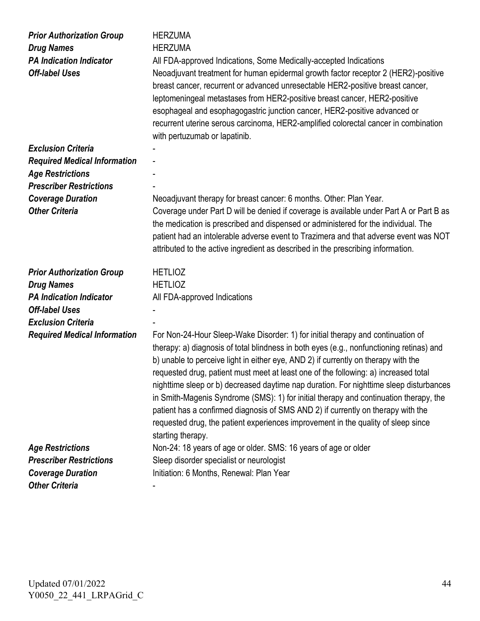| <b>Prior Authorization Group</b><br><b>Drug Names</b><br><b>PA Indication Indicator</b><br><b>Off-label Uses</b> | <b>HERZUMA</b><br><b>HERZUMA</b><br>All FDA-approved Indications, Some Medically-accepted Indications<br>Neoadjuvant treatment for human epidermal growth factor receptor 2 (HER2)-positive<br>breast cancer, recurrent or advanced unresectable HER2-positive breast cancer,<br>leptomeningeal metastases from HER2-positive breast cancer, HER2-positive<br>esophageal and esophagogastric junction cancer, HER2-positive advanced or<br>recurrent uterine serous carcinoma, HER2-amplified colorectal cancer in combination<br>with pertuzumab or lapatinib.                                                                                                                                                                           |
|------------------------------------------------------------------------------------------------------------------|-------------------------------------------------------------------------------------------------------------------------------------------------------------------------------------------------------------------------------------------------------------------------------------------------------------------------------------------------------------------------------------------------------------------------------------------------------------------------------------------------------------------------------------------------------------------------------------------------------------------------------------------------------------------------------------------------------------------------------------------|
| <b>Exclusion Criteria</b>                                                                                        |                                                                                                                                                                                                                                                                                                                                                                                                                                                                                                                                                                                                                                                                                                                                           |
| <b>Required Medical Information</b>                                                                              |                                                                                                                                                                                                                                                                                                                                                                                                                                                                                                                                                                                                                                                                                                                                           |
| <b>Age Restrictions</b>                                                                                          |                                                                                                                                                                                                                                                                                                                                                                                                                                                                                                                                                                                                                                                                                                                                           |
| <b>Prescriber Restrictions</b>                                                                                   |                                                                                                                                                                                                                                                                                                                                                                                                                                                                                                                                                                                                                                                                                                                                           |
| <b>Coverage Duration</b><br><b>Other Criteria</b>                                                                | Neoadjuvant therapy for breast cancer: 6 months. Other: Plan Year.<br>Coverage under Part D will be denied if coverage is available under Part A or Part B as<br>the medication is prescribed and dispensed or administered for the individual. The<br>patient had an intolerable adverse event to Trazimera and that adverse event was NOT<br>attributed to the active ingredient as described in the prescribing information.                                                                                                                                                                                                                                                                                                           |
| <b>Prior Authorization Group</b>                                                                                 | <b>HETLIOZ</b>                                                                                                                                                                                                                                                                                                                                                                                                                                                                                                                                                                                                                                                                                                                            |
| <b>Drug Names</b>                                                                                                | <b>HETLIOZ</b>                                                                                                                                                                                                                                                                                                                                                                                                                                                                                                                                                                                                                                                                                                                            |
| <b>PA Indication Indicator</b>                                                                                   | All FDA-approved Indications                                                                                                                                                                                                                                                                                                                                                                                                                                                                                                                                                                                                                                                                                                              |
| <b>Off-label Uses</b>                                                                                            |                                                                                                                                                                                                                                                                                                                                                                                                                                                                                                                                                                                                                                                                                                                                           |
| <b>Exclusion Criteria</b>                                                                                        |                                                                                                                                                                                                                                                                                                                                                                                                                                                                                                                                                                                                                                                                                                                                           |
| <b>Required Medical Information</b>                                                                              | For Non-24-Hour Sleep-Wake Disorder: 1) for initial therapy and continuation of<br>therapy: a) diagnosis of total blindness in both eyes (e.g., nonfunctioning retinas) and<br>b) unable to perceive light in either eye, AND 2) if currently on therapy with the<br>requested drug, patient must meet at least one of the following: a) increased total<br>nighttime sleep or b) decreased daytime nap duration. For nighttime sleep disturbances<br>in Smith-Magenis Syndrome (SMS): 1) for initial therapy and continuation therapy, the<br>patient has a confirmed diagnosis of SMS AND 2) if currently on therapy with the<br>requested drug, the patient experiences improvement in the quality of sleep since<br>starting therapy. |
| <b>Age Restrictions</b>                                                                                          | Non-24: 18 years of age or older. SMS: 16 years of age or older                                                                                                                                                                                                                                                                                                                                                                                                                                                                                                                                                                                                                                                                           |
| <b>Prescriber Restrictions</b>                                                                                   | Sleep disorder specialist or neurologist                                                                                                                                                                                                                                                                                                                                                                                                                                                                                                                                                                                                                                                                                                  |
| <b>Coverage Duration</b>                                                                                         | Initiation: 6 Months, Renewal: Plan Year                                                                                                                                                                                                                                                                                                                                                                                                                                                                                                                                                                                                                                                                                                  |
| <b>Other Criteria</b>                                                                                            |                                                                                                                                                                                                                                                                                                                                                                                                                                                                                                                                                                                                                                                                                                                                           |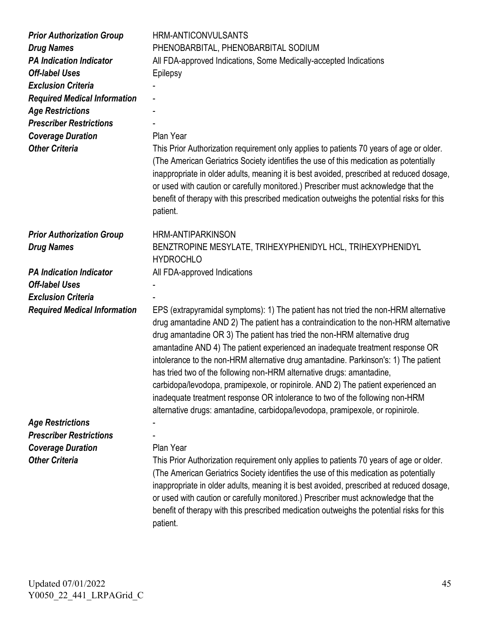| <b>Prior Authorization Group</b><br><b>Drug Names</b><br><b>PA Indication Indicator</b><br><b>Off-label Uses</b><br><b>Exclusion Criteria</b><br><b>Required Medical Information</b><br><b>Age Restrictions</b><br><b>Prescriber Restrictions</b><br><b>Coverage Duration</b><br><b>Other Criteria</b> | <b>HRM-ANTICONVULSANTS</b><br>PHENOBARBITAL, PHENOBARBITAL SODIUM<br>All FDA-approved Indications, Some Medically-accepted Indications<br>Epilepsy<br>Plan Year<br>This Prior Authorization requirement only applies to patients 70 years of age or older.<br>(The American Geriatrics Society identifies the use of this medication as potentially<br>inappropriate in older adults, meaning it is best avoided, prescribed at reduced dosage,<br>or used with caution or carefully monitored.) Prescriber must acknowledge that the<br>benefit of therapy with this prescribed medication outweighs the potential risks for this<br>patient.                                                                                                                  |
|--------------------------------------------------------------------------------------------------------------------------------------------------------------------------------------------------------------------------------------------------------------------------------------------------------|-----------------------------------------------------------------------------------------------------------------------------------------------------------------------------------------------------------------------------------------------------------------------------------------------------------------------------------------------------------------------------------------------------------------------------------------------------------------------------------------------------------------------------------------------------------------------------------------------------------------------------------------------------------------------------------------------------------------------------------------------------------------|
| <b>Prior Authorization Group</b>                                                                                                                                                                                                                                                                       | <b>HRM-ANTIPARKINSON</b>                                                                                                                                                                                                                                                                                                                                                                                                                                                                                                                                                                                                                                                                                                                                        |
| <b>Drug Names</b>                                                                                                                                                                                                                                                                                      | BENZTROPINE MESYLATE, TRIHEXYPHENIDYL HCL, TRIHEXYPHENIDYL<br><b>HYDROCHLO</b>                                                                                                                                                                                                                                                                                                                                                                                                                                                                                                                                                                                                                                                                                  |
| <b>PA Indication Indicator</b>                                                                                                                                                                                                                                                                         | All FDA-approved Indications                                                                                                                                                                                                                                                                                                                                                                                                                                                                                                                                                                                                                                                                                                                                    |
| <b>Off-label Uses</b>                                                                                                                                                                                                                                                                                  |                                                                                                                                                                                                                                                                                                                                                                                                                                                                                                                                                                                                                                                                                                                                                                 |
| <b>Exclusion Criteria</b>                                                                                                                                                                                                                                                                              |                                                                                                                                                                                                                                                                                                                                                                                                                                                                                                                                                                                                                                                                                                                                                                 |
| <b>Required Medical Information</b>                                                                                                                                                                                                                                                                    | EPS (extrapyramidal symptoms): 1) The patient has not tried the non-HRM alternative<br>drug amantadine AND 2) The patient has a contraindication to the non-HRM alternative<br>drug amantadine OR 3) The patient has tried the non-HRM alternative drug<br>amantadine AND 4) The patient experienced an inadequate treatment response OR<br>intolerance to the non-HRM alternative drug amantadine. Parkinson's: 1) The patient<br>has tried two of the following non-HRM alternative drugs: amantadine,<br>carbidopa/levodopa, pramipexole, or ropinirole. AND 2) The patient experienced an<br>inadequate treatment response OR intolerance to two of the following non-HRM<br>alternative drugs: amantadine, carbidopa/levodopa, pramipexole, or ropinirole. |
| <b>Age Restrictions</b>                                                                                                                                                                                                                                                                                |                                                                                                                                                                                                                                                                                                                                                                                                                                                                                                                                                                                                                                                                                                                                                                 |
| <b>Prescriber Restrictions</b>                                                                                                                                                                                                                                                                         |                                                                                                                                                                                                                                                                                                                                                                                                                                                                                                                                                                                                                                                                                                                                                                 |
| <b>Coverage Duration</b>                                                                                                                                                                                                                                                                               | Plan Year                                                                                                                                                                                                                                                                                                                                                                                                                                                                                                                                                                                                                                                                                                                                                       |
| <b>Other Criteria</b>                                                                                                                                                                                                                                                                                  | This Prior Authorization requirement only applies to patients 70 years of age or older.<br>(The American Geriatrics Society identifies the use of this medication as potentially<br>inappropriate in older adults, meaning it is best avoided, prescribed at reduced dosage,<br>or used with caution or carefully monitored.) Prescriber must acknowledge that the<br>benefit of therapy with this prescribed medication outweighs the potential risks for this<br>patient.                                                                                                                                                                                                                                                                                     |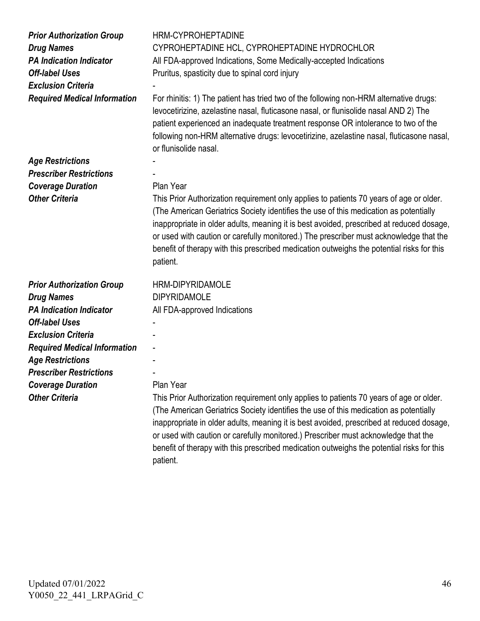| <b>Prior Authorization Group</b><br><b>Drug Names</b><br><b>PA Indication Indicator</b><br><b>Off-label Uses</b><br><b>Exclusion Criteria</b><br><b>Required Medical Information</b> | <b>HRM-CYPROHEPTADINE</b><br>CYPROHEPTADINE HCL, CYPROHEPTADINE HYDROCHLOR<br>All FDA-approved Indications, Some Medically-accepted Indications<br>Pruritus, spasticity due to spinal cord injury<br>For rhinitis: 1) The patient has tried two of the following non-HRM alternative drugs:<br>levocetirizine, azelastine nasal, fluticasone nasal, or flunisolide nasal AND 2) The<br>patient experienced an inadequate treatment response OR intolerance to two of the<br>following non-HRM alternative drugs: levocetirizine, azelastine nasal, fluticasone nasal,<br>or flunisolide nasal. |
|--------------------------------------------------------------------------------------------------------------------------------------------------------------------------------------|------------------------------------------------------------------------------------------------------------------------------------------------------------------------------------------------------------------------------------------------------------------------------------------------------------------------------------------------------------------------------------------------------------------------------------------------------------------------------------------------------------------------------------------------------------------------------------------------|
| <b>Age Restrictions</b>                                                                                                                                                              |                                                                                                                                                                                                                                                                                                                                                                                                                                                                                                                                                                                                |
| <b>Prescriber Restrictions</b>                                                                                                                                                       |                                                                                                                                                                                                                                                                                                                                                                                                                                                                                                                                                                                                |
| <b>Coverage Duration</b>                                                                                                                                                             | Plan Year                                                                                                                                                                                                                                                                                                                                                                                                                                                                                                                                                                                      |
| <b>Other Criteria</b>                                                                                                                                                                | This Prior Authorization requirement only applies to patients 70 years of age or older.<br>(The American Geriatrics Society identifies the use of this medication as potentially<br>inappropriate in older adults, meaning it is best avoided, prescribed at reduced dosage,<br>or used with caution or carefully monitored.) The prescriber must acknowledge that the<br>benefit of therapy with this prescribed medication outweighs the potential risks for this<br>patient.                                                                                                                |
| <b>Prior Authorization Group</b>                                                                                                                                                     | <b>HRM-DIPYRIDAMOLE</b>                                                                                                                                                                                                                                                                                                                                                                                                                                                                                                                                                                        |
| <b>Drug Names</b>                                                                                                                                                                    | <b>DIPYRIDAMOLE</b>                                                                                                                                                                                                                                                                                                                                                                                                                                                                                                                                                                            |
| <b>PA Indication Indicator</b>                                                                                                                                                       | All FDA-approved Indications                                                                                                                                                                                                                                                                                                                                                                                                                                                                                                                                                                   |
| <b>Off-label Uses</b>                                                                                                                                                                |                                                                                                                                                                                                                                                                                                                                                                                                                                                                                                                                                                                                |
| <b>Exclusion Criteria</b>                                                                                                                                                            |                                                                                                                                                                                                                                                                                                                                                                                                                                                                                                                                                                                                |
| <b>Required Medical Information</b>                                                                                                                                                  |                                                                                                                                                                                                                                                                                                                                                                                                                                                                                                                                                                                                |
| <b>Age Restrictions</b>                                                                                                                                                              |                                                                                                                                                                                                                                                                                                                                                                                                                                                                                                                                                                                                |
| <b>Prescriber Restrictions</b>                                                                                                                                                       |                                                                                                                                                                                                                                                                                                                                                                                                                                                                                                                                                                                                |
| <b>Coverage Duration</b>                                                                                                                                                             | Plan Year                                                                                                                                                                                                                                                                                                                                                                                                                                                                                                                                                                                      |
| <b>Other Criteria</b>                                                                                                                                                                | This Prior Authorization requirement only applies to patients 70 years of age or older.<br>(The American Geriatrics Society identifies the use of this medication as potentially<br>inappropriate in older adults, meaning it is best avoided, prescribed at reduced dosage,<br>or used with caution or carefully monitored.) Prescriber must acknowledge that the<br>benefit of therapy with this prescribed medication outweighs the potential risks for this<br>patient.                                                                                                                    |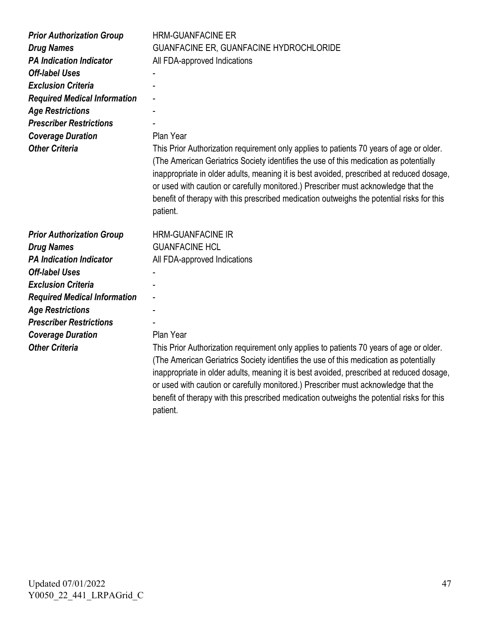| <b>Prior Authorization Group</b>                    | <b>HRM-GUANFACINE ER</b>                                                                                                                                                                                                                                                                                                                                                         |
|-----------------------------------------------------|----------------------------------------------------------------------------------------------------------------------------------------------------------------------------------------------------------------------------------------------------------------------------------------------------------------------------------------------------------------------------------|
| <b>Drug Names</b>                                   | GUANFACINE ER, GUANFACINE HYDROCHLORIDE                                                                                                                                                                                                                                                                                                                                          |
| <b>PA Indication Indicator</b>                      | All FDA-approved Indications                                                                                                                                                                                                                                                                                                                                                     |
| <b>Off-label Uses</b>                               |                                                                                                                                                                                                                                                                                                                                                                                  |
| <b>Exclusion Criteria</b>                           |                                                                                                                                                                                                                                                                                                                                                                                  |
| <b>Required Medical Information</b>                 |                                                                                                                                                                                                                                                                                                                                                                                  |
| <b>Age Restrictions</b>                             |                                                                                                                                                                                                                                                                                                                                                                                  |
| <b>Prescriber Restrictions</b>                      |                                                                                                                                                                                                                                                                                                                                                                                  |
| <b>Coverage Duration</b>                            | Plan Year                                                                                                                                                                                                                                                                                                                                                                        |
| <b>Other Criteria</b>                               | This Prior Authorization requirement only applies to patients 70 years of age or older.                                                                                                                                                                                                                                                                                          |
|                                                     | (The American Geriatrics Society identifies the use of this medication as potentially<br>inappropriate in older adults, meaning it is best avoided, prescribed at reduced dosage,<br>or used with caution or carefully monitored.) Prescriber must acknowledge that the<br>benefit of therapy with this prescribed medication outweighs the potential risks for this<br>patient. |
|                                                     |                                                                                                                                                                                                                                                                                                                                                                                  |
|                                                     |                                                                                                                                                                                                                                                                                                                                                                                  |
| <b>Prior Authorization Group</b>                    | <b>HRM-GUANFACINE IR</b><br><b>GUANFACINE HCL</b>                                                                                                                                                                                                                                                                                                                                |
| <b>Drug Names</b><br><b>PA Indication Indicator</b> |                                                                                                                                                                                                                                                                                                                                                                                  |
| <b>Off-label Uses</b>                               | All FDA-approved Indications                                                                                                                                                                                                                                                                                                                                                     |
| <b>Exclusion Criteria</b>                           |                                                                                                                                                                                                                                                                                                                                                                                  |
| <b>Required Medical Information</b>                 |                                                                                                                                                                                                                                                                                                                                                                                  |
| <b>Age Restrictions</b>                             |                                                                                                                                                                                                                                                                                                                                                                                  |
| <b>Prescriber Restrictions</b>                      |                                                                                                                                                                                                                                                                                                                                                                                  |
| <b>Coverage Duration</b>                            | Plan Year                                                                                                                                                                                                                                                                                                                                                                        |
| <b>Other Criteria</b>                               | This Prior Authorization requirement only applies to patients 70 years of age or older.                                                                                                                                                                                                                                                                                          |

Updated 07/01/2022 Y0050\_22\_441\_LRPAGrid\_C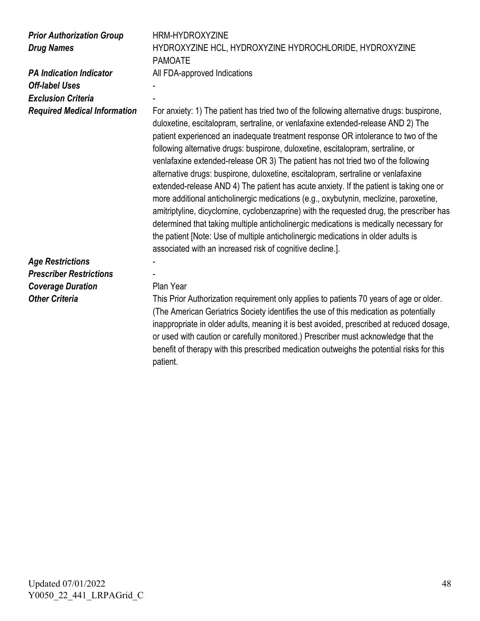| <b>Prior Authorization Group</b><br><b>Drug Names</b> | <b>HRM-HYDROXYZINE</b><br>HYDROXYZINE HCL, HYDROXYZINE HYDROCHLORIDE, HYDROXYZINE                                                                                                                                                                                                                                                                                                                                                                                                                                                                                                                                                                                                                                                                                                                                                                                                                                                                                                                                                                          |
|-------------------------------------------------------|------------------------------------------------------------------------------------------------------------------------------------------------------------------------------------------------------------------------------------------------------------------------------------------------------------------------------------------------------------------------------------------------------------------------------------------------------------------------------------------------------------------------------------------------------------------------------------------------------------------------------------------------------------------------------------------------------------------------------------------------------------------------------------------------------------------------------------------------------------------------------------------------------------------------------------------------------------------------------------------------------------------------------------------------------------|
|                                                       | <b>PAMOATE</b>                                                                                                                                                                                                                                                                                                                                                                                                                                                                                                                                                                                                                                                                                                                                                                                                                                                                                                                                                                                                                                             |
| <b>PA Indication Indicator</b>                        | All FDA-approved Indications                                                                                                                                                                                                                                                                                                                                                                                                                                                                                                                                                                                                                                                                                                                                                                                                                                                                                                                                                                                                                               |
| <b>Off-label Uses</b>                                 |                                                                                                                                                                                                                                                                                                                                                                                                                                                                                                                                                                                                                                                                                                                                                                                                                                                                                                                                                                                                                                                            |
| <b>Exclusion Criteria</b>                             |                                                                                                                                                                                                                                                                                                                                                                                                                                                                                                                                                                                                                                                                                                                                                                                                                                                                                                                                                                                                                                                            |
| <b>Required Medical Information</b>                   | For anxiety: 1) The patient has tried two of the following alternative drugs: buspirone,<br>duloxetine, escitalopram, sertraline, or venlafaxine extended-release AND 2) The<br>patient experienced an inadequate treatment response OR intolerance to two of the<br>following alternative drugs: buspirone, duloxetine, escitalopram, sertraline, or<br>venlafaxine extended-release OR 3) The patient has not tried two of the following<br>alternative drugs: buspirone, duloxetine, escitalopram, sertraline or venlafaxine<br>extended-release AND 4) The patient has acute anxiety. If the patient is taking one or<br>more additional anticholinergic medications (e.g., oxybutynin, meclizine, paroxetine,<br>amitriptyline, dicyclomine, cyclobenzaprine) with the requested drug, the prescriber has<br>determined that taking multiple anticholinergic medications is medically necessary for<br>the patient [Note: Use of multiple anticholinergic medications in older adults is<br>associated with an increased risk of cognitive decline.]. |
| <b>Age Restrictions</b>                               |                                                                                                                                                                                                                                                                                                                                                                                                                                                                                                                                                                                                                                                                                                                                                                                                                                                                                                                                                                                                                                                            |
| <b>Prescriber Restrictions</b>                        |                                                                                                                                                                                                                                                                                                                                                                                                                                                                                                                                                                                                                                                                                                                                                                                                                                                                                                                                                                                                                                                            |
| <b>Coverage Duration</b>                              | Plan Year                                                                                                                                                                                                                                                                                                                                                                                                                                                                                                                                                                                                                                                                                                                                                                                                                                                                                                                                                                                                                                                  |
| <b>Other Criteria</b>                                 | This Prior Authorization requirement only applies to patients 70 years of age or older.                                                                                                                                                                                                                                                                                                                                                                                                                                                                                                                                                                                                                                                                                                                                                                                                                                                                                                                                                                    |
|                                                       | (The American Geriatrics Society identifies the use of this medication as potentially<br>inappropriate in older adults, meaning it is best avoided, prescribed at reduced dosage,<br>or used with caution or carefully monitored.) Prescriber must acknowledge that the<br>benefit of therapy with this prescribed medication outweighs the potential risks for this                                                                                                                                                                                                                                                                                                                                                                                                                                                                                                                                                                                                                                                                                       |

patient.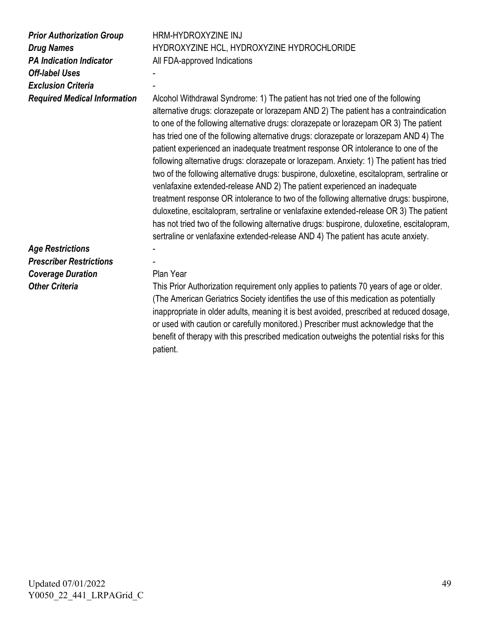| <b>Prior Authorization Group</b>    |   |
|-------------------------------------|---|
| <b>Drug Names</b>                   | Н |
| <b>PA Indication Indicator</b>      | А |
| <b>Off-label Uses</b>               |   |
| <b>Exclusion Criteria</b>           |   |
| <b>Required Medical Information</b> | А |

*Prior Authorization Group* HRM-HYDROXYZINE INJ HYDROXYZINE HCL, HYDROXYZINE HYDROCHLORIDE All FDA-approved Indications

*Repurem Medicohol Withdrawal Syndrome: 1)* The patient has not tried one of the following alternative drugs: clorazepate or lorazepam AND 2) The patient has a contraindication to one of the following alternative drugs: clorazepate or lorazepam OR 3) The patient has tried one of the following alternative drugs: clorazepate or lorazepam AND 4) The patient experienced an inadequate treatment response OR intolerance to one of the following alternative drugs: clorazepate or lorazepam. Anxiety: 1) The patient has tried two of the following alternative drugs: buspirone, duloxetine, escitalopram, sertraline or venlafaxine extended-release AND 2) The patient experienced an inadequate treatment response OR intolerance to two of the following alternative drugs: buspirone, duloxetine, escitalopram, sertraline or venlafaxine extended-release OR 3) The patient has not tried two of the following alternative drugs: buspirone, duloxetine, escitalopram, sertraline or venlafaxine extended-release AND 4) The patient has acute anxiety.

*Age Restrictions* - *Prescriber Restrictions* - **Coverage Duration** Plan Year

**Other Criteria** This Prior Authorization requirement only applies to patients 70 years of age or older. (The American Geriatrics Society identifies the use of this medication as potentially inappropriate in older adults, meaning it is best avoided, prescribed at reduced dosage, or used with caution or carefully monitored.) Prescriber must acknowledge that the benefit of therapy with this prescribed medication outweighs the potential risks for this patient.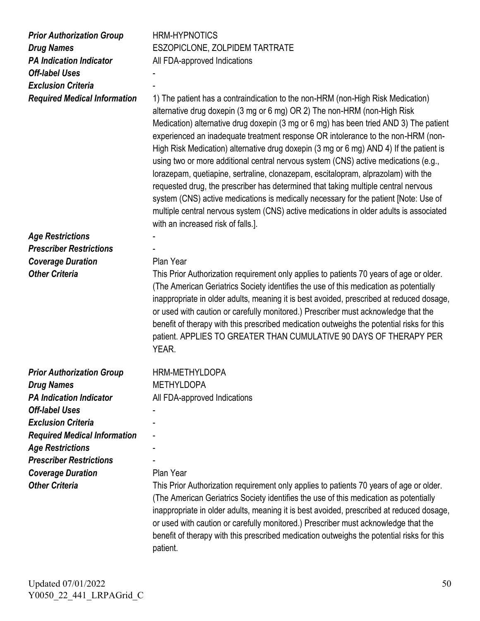| <b>Prior Authorization Group</b><br><b>Drug Names</b><br><b>PA Indication Indicator</b><br><b>Off-label Uses</b><br><b>Exclusion Criteria</b><br><b>Required Medical Information</b> | <b>HRM-HYPNOTICS</b><br>ESZOPICLONE, ZOLPIDEM TARTRATE<br>All FDA-approved Indications<br>1) The patient has a contraindication to the non-HRM (non-High Risk Medication)<br>alternative drug doxepin (3 mg or 6 mg) OR 2) The non-HRM (non-High Risk<br>Medication) alternative drug doxepin (3 mg or 6 mg) has been tried AND 3) The patient<br>experienced an inadequate treatment response OR intolerance to the non-HRM (non-<br>High Risk Medication) alternative drug doxepin (3 mg or 6 mg) AND 4) If the patient is<br>using two or more additional central nervous system (CNS) active medications (e.g.,<br>lorazepam, quetiapine, sertraline, clonazepam, escitalopram, alprazolam) with the<br>requested drug, the prescriber has determined that taking multiple central nervous<br>system (CNS) active medications is medically necessary for the patient [Note: Use of<br>multiple central nervous system (CNS) active medications in older adults is associated<br>with an increased risk of falls.]. |
|--------------------------------------------------------------------------------------------------------------------------------------------------------------------------------------|------------------------------------------------------------------------------------------------------------------------------------------------------------------------------------------------------------------------------------------------------------------------------------------------------------------------------------------------------------------------------------------------------------------------------------------------------------------------------------------------------------------------------------------------------------------------------------------------------------------------------------------------------------------------------------------------------------------------------------------------------------------------------------------------------------------------------------------------------------------------------------------------------------------------------------------------------------------------------------------------------------------------|
| <b>Age Restrictions</b>                                                                                                                                                              |                                                                                                                                                                                                                                                                                                                                                                                                                                                                                                                                                                                                                                                                                                                                                                                                                                                                                                                                                                                                                        |
| <b>Prescriber Restrictions</b>                                                                                                                                                       |                                                                                                                                                                                                                                                                                                                                                                                                                                                                                                                                                                                                                                                                                                                                                                                                                                                                                                                                                                                                                        |
| <b>Coverage Duration</b>                                                                                                                                                             | Plan Year                                                                                                                                                                                                                                                                                                                                                                                                                                                                                                                                                                                                                                                                                                                                                                                                                                                                                                                                                                                                              |
| <b>Other Criteria</b>                                                                                                                                                                | This Prior Authorization requirement only applies to patients 70 years of age or older.<br>(The American Geriatrics Society identifies the use of this medication as potentially<br>inappropriate in older adults, meaning it is best avoided, prescribed at reduced dosage,<br>or used with caution or carefully monitored.) Prescriber must acknowledge that the<br>benefit of therapy with this prescribed medication outweighs the potential risks for this<br>patient. APPLIES TO GREATER THAN CUMULATIVE 90 DAYS OF THERAPY PER<br>YEAR.                                                                                                                                                                                                                                                                                                                                                                                                                                                                         |
| <b>Prior Authorization Group</b>                                                                                                                                                     | HRM-METHYLDOPA                                                                                                                                                                                                                                                                                                                                                                                                                                                                                                                                                                                                                                                                                                                                                                                                                                                                                                                                                                                                         |
| <b>Drug Names</b>                                                                                                                                                                    | <b>METHYLDOPA</b>                                                                                                                                                                                                                                                                                                                                                                                                                                                                                                                                                                                                                                                                                                                                                                                                                                                                                                                                                                                                      |
| <b>PA Indication Indicator</b>                                                                                                                                                       | All FDA-approved Indications                                                                                                                                                                                                                                                                                                                                                                                                                                                                                                                                                                                                                                                                                                                                                                                                                                                                                                                                                                                           |
| <b>Off-label Uses</b>                                                                                                                                                                |                                                                                                                                                                                                                                                                                                                                                                                                                                                                                                                                                                                                                                                                                                                                                                                                                                                                                                                                                                                                                        |
| <b>Exclusion Criteria</b>                                                                                                                                                            |                                                                                                                                                                                                                                                                                                                                                                                                                                                                                                                                                                                                                                                                                                                                                                                                                                                                                                                                                                                                                        |
| <b>Required Medical Information</b>                                                                                                                                                  |                                                                                                                                                                                                                                                                                                                                                                                                                                                                                                                                                                                                                                                                                                                                                                                                                                                                                                                                                                                                                        |
| <b>Age Restrictions</b>                                                                                                                                                              |                                                                                                                                                                                                                                                                                                                                                                                                                                                                                                                                                                                                                                                                                                                                                                                                                                                                                                                                                                                                                        |
| <b>Prescriber Restrictions</b>                                                                                                                                                       |                                                                                                                                                                                                                                                                                                                                                                                                                                                                                                                                                                                                                                                                                                                                                                                                                                                                                                                                                                                                                        |
| <b>Coverage Duration</b>                                                                                                                                                             | Plan Year                                                                                                                                                                                                                                                                                                                                                                                                                                                                                                                                                                                                                                                                                                                                                                                                                                                                                                                                                                                                              |
| <b>Other Criteria</b>                                                                                                                                                                | This Prior Authorization requirement only applies to patients 70 years of age or older.<br>(The American Geriatrics Society identifies the use of this medication as potentially<br>inappropriate in older adults, meaning it is best avoided, prescribed at reduced dosage,<br>or used with caution or carefully monitored.) Prescriber must acknowledge that the<br>benefit of therapy with this prescribed medication outweighs the potential risks for this<br>patient.                                                                                                                                                                                                                                                                                                                                                                                                                                                                                                                                            |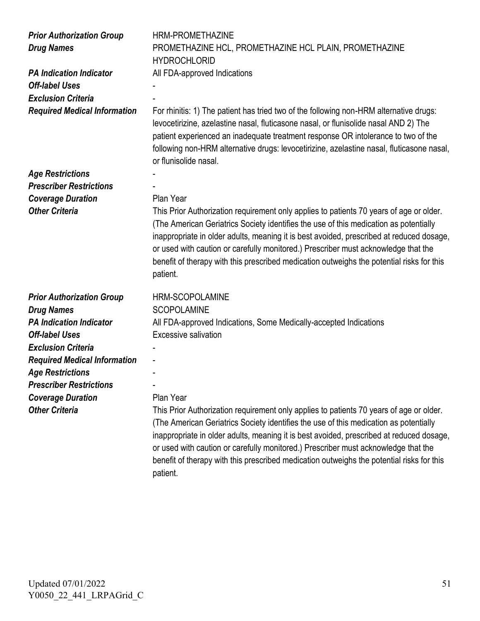| <b>Prior Authorization Group</b><br><b>Drug Names</b> | HRM-PROMETHAZINE<br>PROMETHAZINE HCL, PROMETHAZINE HCL PLAIN, PROMETHAZINE<br><b>HYDROCHLORID</b>                                                                                                                                                                                                                                                                                                                                                                           |
|-------------------------------------------------------|-----------------------------------------------------------------------------------------------------------------------------------------------------------------------------------------------------------------------------------------------------------------------------------------------------------------------------------------------------------------------------------------------------------------------------------------------------------------------------|
| <b>PA Indication Indicator</b>                        | All FDA-approved Indications                                                                                                                                                                                                                                                                                                                                                                                                                                                |
| <b>Off-label Uses</b>                                 |                                                                                                                                                                                                                                                                                                                                                                                                                                                                             |
| <b>Exclusion Criteria</b>                             |                                                                                                                                                                                                                                                                                                                                                                                                                                                                             |
| <b>Required Medical Information</b>                   | For rhinitis: 1) The patient has tried two of the following non-HRM alternative drugs:<br>levocetirizine, azelastine nasal, fluticasone nasal, or flunisolide nasal AND 2) The<br>patient experienced an inadequate treatment response OR intolerance to two of the<br>following non-HRM alternative drugs: levocetirizine, azelastine nasal, fluticasone nasal,<br>or flunisolide nasal.                                                                                   |
| <b>Age Restrictions</b>                               |                                                                                                                                                                                                                                                                                                                                                                                                                                                                             |
| <b>Prescriber Restrictions</b>                        |                                                                                                                                                                                                                                                                                                                                                                                                                                                                             |
| <b>Coverage Duration</b>                              | Plan Year                                                                                                                                                                                                                                                                                                                                                                                                                                                                   |
| <b>Other Criteria</b>                                 | This Prior Authorization requirement only applies to patients 70 years of age or older.<br>(The American Geriatrics Society identifies the use of this medication as potentially<br>inappropriate in older adults, meaning it is best avoided, prescribed at reduced dosage,<br>or used with caution or carefully monitored.) Prescriber must acknowledge that the<br>benefit of therapy with this prescribed medication outweighs the potential risks for this<br>patient. |
| <b>Prior Authorization Group</b>                      | <b>HRM-SCOPOLAMINE</b>                                                                                                                                                                                                                                                                                                                                                                                                                                                      |
| <b>Drug Names</b>                                     | <b>SCOPOLAMINE</b>                                                                                                                                                                                                                                                                                                                                                                                                                                                          |
| <b>PA Indication Indicator</b>                        | All FDA-approved Indications, Some Medically-accepted Indications                                                                                                                                                                                                                                                                                                                                                                                                           |
| <b>Off-label Uses</b>                                 | <b>Excessive salivation</b>                                                                                                                                                                                                                                                                                                                                                                                                                                                 |
| <b>Exclusion Criteria</b>                             |                                                                                                                                                                                                                                                                                                                                                                                                                                                                             |
| <b>Required Medical Information</b>                   |                                                                                                                                                                                                                                                                                                                                                                                                                                                                             |
| <b>Age Restrictions</b>                               |                                                                                                                                                                                                                                                                                                                                                                                                                                                                             |
| <b>Prescriber Restrictions</b>                        |                                                                                                                                                                                                                                                                                                                                                                                                                                                                             |
| <b>Coverage Duration</b>                              | Plan Year                                                                                                                                                                                                                                                                                                                                                                                                                                                                   |
| <b>Other Criteria</b>                                 | This Prior Authorization requirement only applies to patients 70 years of age or older.                                                                                                                                                                                                                                                                                                                                                                                     |
|                                                       | (The American Geriatrics Society identifies the use of this medication as potentially<br>inappropriate in older adults, meaning it is best avoided, prescribed at reduced dosage,<br>or used with caution or carefully monitored.) Prescriber must acknowledge that the<br>benefit of therapy with this prescribed medication outweighs the potential risks for this                                                                                                        |

patient.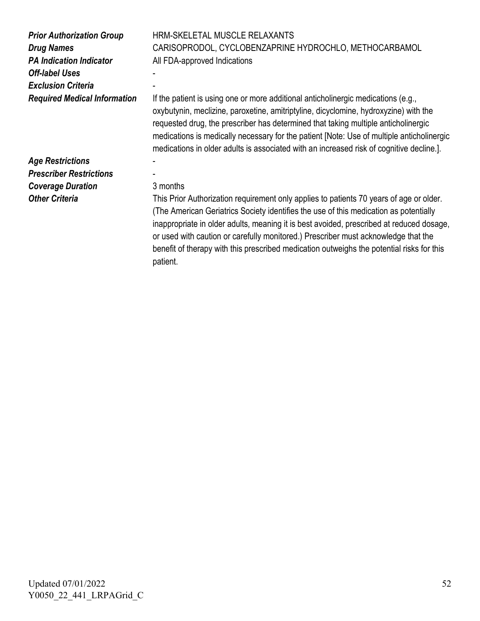| <b>Prior Authorization Group</b><br><b>Drug Names</b><br><b>PA Indication Indicator</b><br><b>Off-label Uses</b><br><b>Exclusion Criteria</b> | HRM-SKELETAL MUSCLE RELAXANTS<br>CARISOPRODOL, CYCLOBENZAPRINE HYDROCHLO, METHOCARBAMOL<br>All FDA-approved Indications                                                                                                                                                                                                                                                                                                                                         |
|-----------------------------------------------------------------------------------------------------------------------------------------------|-----------------------------------------------------------------------------------------------------------------------------------------------------------------------------------------------------------------------------------------------------------------------------------------------------------------------------------------------------------------------------------------------------------------------------------------------------------------|
| <b>Required Medical Information</b>                                                                                                           | If the patient is using one or more additional anticholinergic medications (e.g.,<br>oxybutynin, meclizine, paroxetine, amitriptyline, dicyclomine, hydroxyzine) with the<br>requested drug, the prescriber has determined that taking multiple anticholinergic<br>medications is medically necessary for the patient [Note: Use of multiple anticholinergic<br>medications in older adults is associated with an increased risk of cognitive decline.].        |
| <b>Age Restrictions</b>                                                                                                                       |                                                                                                                                                                                                                                                                                                                                                                                                                                                                 |
| <b>Prescriber Restrictions</b>                                                                                                                |                                                                                                                                                                                                                                                                                                                                                                                                                                                                 |
| <b>Coverage Duration</b>                                                                                                                      | 3 months                                                                                                                                                                                                                                                                                                                                                                                                                                                        |
| <b>Other Criteria</b>                                                                                                                         | This Prior Authorization requirement only applies to patients 70 years of age or older.<br>(The American Geriatrics Society identifies the use of this medication as potentially<br>inappropriate in older adults, meaning it is best avoided, prescribed at reduced dosage,<br>or used with caution or carefully monitored.) Prescriber must acknowledge that the<br>benefit of therapy with this prescribed medication outweighs the potential risks for this |

patient.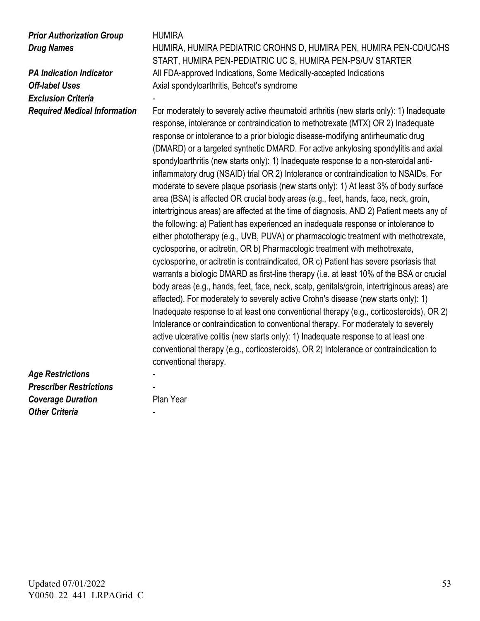## *Prior Authorization Group* HUMIRA

*Exclusion Criteria* 

**Drug Names HUMIRA, HUMIRA PEDIATRIC CROHNS D, HUMIRA PEN, HUMIRA PEN-CD/UC/HS** START, HUMIRA PEN-PEDIATRIC UC S, HUMIRA PEN-PS/UV STARTER **PA Indication Indicator All FDA-approved Indications, Some Medically-accepted Indications Off-label Uses** Axial spondyloarthritis, Behcet's syndrome

*Required Medical Information* For moderately to severely active rheumatoid arthritis (new starts only): 1) Inadequate response, intolerance or contraindication to methotrexate (MTX) OR 2) Inadequate response or intolerance to a prior biologic disease-modifying antirheumatic drug (DMARD) or a targeted synthetic DMARD. For active ankylosing spondylitis and axial spondyloarthritis (new starts only): 1) Inadequate response to a non-steroidal antiinflammatory drug (NSAID) trial OR 2) Intolerance or contraindication to NSAIDs. For moderate to severe plaque psoriasis (new starts only): 1) At least 3% of body surface area (BSA) is affected OR crucial body areas (e.g., feet, hands, face, neck, groin, intertriginous areas) are affected at the time of diagnosis, AND 2) Patient meets any of the following: a) Patient has experienced an inadequate response or intolerance to either phototherapy (e.g., UVB, PUVA) or pharmacologic treatment with methotrexate, cyclosporine, or acitretin, OR b) Pharmacologic treatment with methotrexate, cyclosporine, or acitretin is contraindicated, OR c) Patient has severe psoriasis that warrants a biologic DMARD as first-line therapy (i.e. at least 10% of the BSA or crucial body areas (e.g., hands, feet, face, neck, scalp, genitals/groin, intertriginous areas) are affected). For moderately to severely active Crohn's disease (new starts only): 1) Inadequate response to at least one conventional therapy (e.g., corticosteroids), OR 2) Intolerance or contraindication to conventional therapy. For moderately to severely active ulcerative colitis (new starts only): 1) Inadequate response to at least one conventional therapy (e.g., corticosteroids), OR 2) Intolerance or contraindication to conventional therapy.

## *Age Restrictions* - *Prescriber Restrictions* - **Coverage Duration** Plan Year **Other Criteria**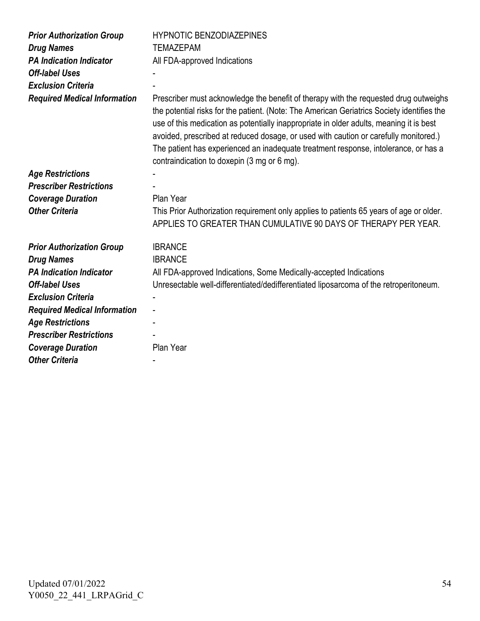| <b>Prior Authorization Group</b>    | <b>HYPNOTIC BENZODIAZEPINES</b>                                                                                                                                                                                                                                                                                                                                                                                                                                                                             |
|-------------------------------------|-------------------------------------------------------------------------------------------------------------------------------------------------------------------------------------------------------------------------------------------------------------------------------------------------------------------------------------------------------------------------------------------------------------------------------------------------------------------------------------------------------------|
| <b>Drug Names</b>                   | <b>TEMAZEPAM</b>                                                                                                                                                                                                                                                                                                                                                                                                                                                                                            |
| <b>PA Indication Indicator</b>      | All FDA-approved Indications                                                                                                                                                                                                                                                                                                                                                                                                                                                                                |
| <b>Off-label Uses</b>               |                                                                                                                                                                                                                                                                                                                                                                                                                                                                                                             |
| <b>Exclusion Criteria</b>           |                                                                                                                                                                                                                                                                                                                                                                                                                                                                                                             |
| <b>Required Medical Information</b> | Prescriber must acknowledge the benefit of therapy with the requested drug outweighs<br>the potential risks for the patient. (Note: The American Geriatrics Society identifies the<br>use of this medication as potentially inappropriate in older adults, meaning it is best<br>avoided, prescribed at reduced dosage, or used with caution or carefully monitored.)<br>The patient has experienced an inadequate treatment response, intolerance, or has a<br>contraindication to doxepin (3 mg or 6 mg). |
| <b>Age Restrictions</b>             |                                                                                                                                                                                                                                                                                                                                                                                                                                                                                                             |
| <b>Prescriber Restrictions</b>      |                                                                                                                                                                                                                                                                                                                                                                                                                                                                                                             |
| <b>Coverage Duration</b>            | Plan Year                                                                                                                                                                                                                                                                                                                                                                                                                                                                                                   |
| <b>Other Criteria</b>               | This Prior Authorization requirement only applies to patients 65 years of age or older.<br>APPLIES TO GREATER THAN CUMULATIVE 90 DAYS OF THERAPY PER YEAR.                                                                                                                                                                                                                                                                                                                                                  |
| <b>Prior Authorization Group</b>    | <b>IBRANCE</b>                                                                                                                                                                                                                                                                                                                                                                                                                                                                                              |
| <b>Drug Names</b>                   | <b>IBRANCE</b>                                                                                                                                                                                                                                                                                                                                                                                                                                                                                              |
| <b>PA Indication Indicator</b>      | All FDA-approved Indications, Some Medically-accepted Indications                                                                                                                                                                                                                                                                                                                                                                                                                                           |
| <b>Off-label Uses</b>               | Unresectable well-differentiated/dedifferentiated liposarcoma of the retroperitoneum.                                                                                                                                                                                                                                                                                                                                                                                                                       |
| <b>Exclusion Criteria</b>           |                                                                                                                                                                                                                                                                                                                                                                                                                                                                                                             |
| <b>Required Medical Information</b> |                                                                                                                                                                                                                                                                                                                                                                                                                                                                                                             |
| <b>Age Restrictions</b>             |                                                                                                                                                                                                                                                                                                                                                                                                                                                                                                             |
| <b>Prescriber Restrictions</b>      |                                                                                                                                                                                                                                                                                                                                                                                                                                                                                                             |
| <b>Coverage Duration</b>            | Plan Year                                                                                                                                                                                                                                                                                                                                                                                                                                                                                                   |
| <b>Other Criteria</b>               |                                                                                                                                                                                                                                                                                                                                                                                                                                                                                                             |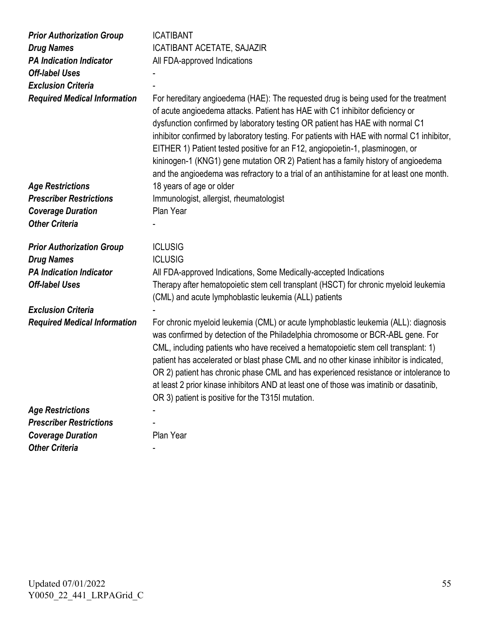| <b>Prior Authorization Group</b>    | <b>ICATIBANT</b>                                                                                                                                                                                                                                                                                                                                                                                                                                                                                                                                                                                                     |
|-------------------------------------|----------------------------------------------------------------------------------------------------------------------------------------------------------------------------------------------------------------------------------------------------------------------------------------------------------------------------------------------------------------------------------------------------------------------------------------------------------------------------------------------------------------------------------------------------------------------------------------------------------------------|
| <b>Drug Names</b>                   | <b>ICATIBANT ACETATE, SAJAZIR</b>                                                                                                                                                                                                                                                                                                                                                                                                                                                                                                                                                                                    |
| <b>PA Indication Indicator</b>      | All FDA-approved Indications                                                                                                                                                                                                                                                                                                                                                                                                                                                                                                                                                                                         |
| <b>Off-label Uses</b>               |                                                                                                                                                                                                                                                                                                                                                                                                                                                                                                                                                                                                                      |
| <b>Exclusion Criteria</b>           |                                                                                                                                                                                                                                                                                                                                                                                                                                                                                                                                                                                                                      |
| <b>Required Medical Information</b> | For hereditary angioedema (HAE): The requested drug is being used for the treatment<br>of acute angioedema attacks. Patient has HAE with C1 inhibitor deficiency or<br>dysfunction confirmed by laboratory testing OR patient has HAE with normal C1<br>inhibitor confirmed by laboratory testing. For patients with HAE with normal C1 inhibitor,<br>EITHER 1) Patient tested positive for an F12, angiopoietin-1, plasminogen, or<br>kininogen-1 (KNG1) gene mutation OR 2) Patient has a family history of angioedema<br>and the angioedema was refractory to a trial of an antihistamine for at least one month. |
| <b>Age Restrictions</b>             | 18 years of age or older                                                                                                                                                                                                                                                                                                                                                                                                                                                                                                                                                                                             |
| <b>Prescriber Restrictions</b>      | Immunologist, allergist, rheumatologist                                                                                                                                                                                                                                                                                                                                                                                                                                                                                                                                                                              |
| <b>Coverage Duration</b>            | Plan Year                                                                                                                                                                                                                                                                                                                                                                                                                                                                                                                                                                                                            |
| <b>Other Criteria</b>               |                                                                                                                                                                                                                                                                                                                                                                                                                                                                                                                                                                                                                      |
| <b>Prior Authorization Group</b>    | <b>ICLUSIG</b>                                                                                                                                                                                                                                                                                                                                                                                                                                                                                                                                                                                                       |
| <b>Drug Names</b>                   | <b>ICLUSIG</b>                                                                                                                                                                                                                                                                                                                                                                                                                                                                                                                                                                                                       |
| <b>PA Indication Indicator</b>      | All FDA-approved Indications, Some Medically-accepted Indications                                                                                                                                                                                                                                                                                                                                                                                                                                                                                                                                                    |
| <b>Off-label Uses</b>               | Therapy after hematopoietic stem cell transplant (HSCT) for chronic myeloid leukemia<br>(CML) and acute lymphoblastic leukemia (ALL) patients                                                                                                                                                                                                                                                                                                                                                                                                                                                                        |
| <b>Exclusion Criteria</b>           |                                                                                                                                                                                                                                                                                                                                                                                                                                                                                                                                                                                                                      |
| <b>Required Medical Information</b> | For chronic myeloid leukemia (CML) or acute lymphoblastic leukemia (ALL): diagnosis<br>was confirmed by detection of the Philadelphia chromosome or BCR-ABL gene. For<br>CML, including patients who have received a hematopoietic stem cell transplant: 1)<br>patient has accelerated or blast phase CML and no other kinase inhibitor is indicated,<br>OR 2) patient has chronic phase CML and has experienced resistance or intolerance to<br>at least 2 prior kinase inhibitors AND at least one of those was imatinib or dasatinib,<br>OR 3) patient is positive for the T315I mutation.                        |
| <b>Age Restrictions</b>             |                                                                                                                                                                                                                                                                                                                                                                                                                                                                                                                                                                                                                      |
| <b>Prescriber Restrictions</b>      |                                                                                                                                                                                                                                                                                                                                                                                                                                                                                                                                                                                                                      |
| <b>Coverage Duration</b>            | Plan Year                                                                                                                                                                                                                                                                                                                                                                                                                                                                                                                                                                                                            |
| <b>Other Criteria</b>               |                                                                                                                                                                                                                                                                                                                                                                                                                                                                                                                                                                                                                      |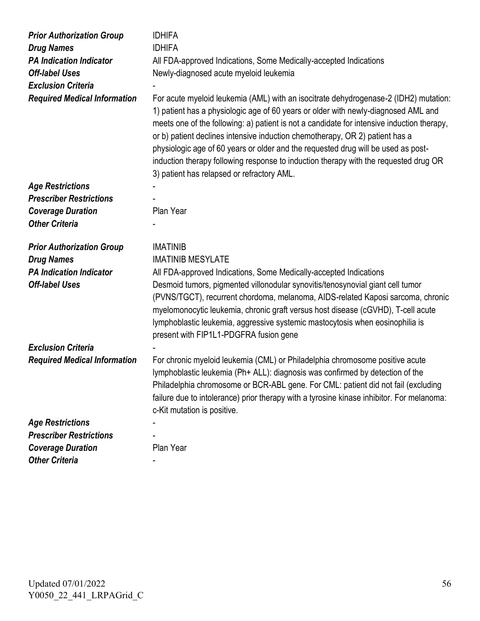| <b>Prior Authorization Group</b><br><b>Drug Names</b> | <b>IDHIFA</b><br><b>IDHIFA</b>                                                                                                                                                                                                                                                                                                                                                                                                                                                              |
|-------------------------------------------------------|---------------------------------------------------------------------------------------------------------------------------------------------------------------------------------------------------------------------------------------------------------------------------------------------------------------------------------------------------------------------------------------------------------------------------------------------------------------------------------------------|
| <b>PA Indication Indicator</b>                        | All FDA-approved Indications, Some Medically-accepted Indications                                                                                                                                                                                                                                                                                                                                                                                                                           |
| <b>Off-label Uses</b>                                 | Newly-diagnosed acute myeloid leukemia                                                                                                                                                                                                                                                                                                                                                                                                                                                      |
| <b>Exclusion Criteria</b>                             |                                                                                                                                                                                                                                                                                                                                                                                                                                                                                             |
| <b>Required Medical Information</b>                   | For acute myeloid leukemia (AML) with an isocitrate dehydrogenase-2 (IDH2) mutation:                                                                                                                                                                                                                                                                                                                                                                                                        |
|                                                       | 1) patient has a physiologic age of 60 years or older with newly-diagnosed AML and<br>meets one of the following: a) patient is not a candidate for intensive induction therapy,<br>or b) patient declines intensive induction chemotherapy, OR 2) patient has a<br>physiologic age of 60 years or older and the requested drug will be used as post-<br>induction therapy following response to induction therapy with the requested drug OR<br>3) patient has relapsed or refractory AML. |
| <b>Age Restrictions</b>                               |                                                                                                                                                                                                                                                                                                                                                                                                                                                                                             |
| <b>Prescriber Restrictions</b>                        |                                                                                                                                                                                                                                                                                                                                                                                                                                                                                             |
| <b>Coverage Duration</b>                              | Plan Year                                                                                                                                                                                                                                                                                                                                                                                                                                                                                   |
| <b>Other Criteria</b>                                 |                                                                                                                                                                                                                                                                                                                                                                                                                                                                                             |
| <b>Prior Authorization Group</b>                      | <b>IMATINIB</b>                                                                                                                                                                                                                                                                                                                                                                                                                                                                             |
| <b>Drug Names</b>                                     | <b>IMATINIB MESYLATE</b>                                                                                                                                                                                                                                                                                                                                                                                                                                                                    |
| <b>PA Indication Indicator</b>                        | All FDA-approved Indications, Some Medically-accepted Indications                                                                                                                                                                                                                                                                                                                                                                                                                           |
| <b>Off-label Uses</b>                                 | Desmoid tumors, pigmented villonodular synovitis/tenosynovial giant cell tumor<br>(PVNS/TGCT), recurrent chordoma, melanoma, AIDS-related Kaposi sarcoma, chronic<br>myelomonocytic leukemia, chronic graft versus host disease (cGVHD), T-cell acute<br>lymphoblastic leukemia, aggressive systemic mastocytosis when eosinophilia is<br>present with FIP1L1-PDGFRA fusion gene                                                                                                            |
| <b>Exclusion Criteria</b>                             |                                                                                                                                                                                                                                                                                                                                                                                                                                                                                             |
| <b>Required Medical Information</b>                   | For chronic myeloid leukemia (CML) or Philadelphia chromosome positive acute<br>lymphoblastic leukemia (Ph+ ALL): diagnosis was confirmed by detection of the<br>Philadelphia chromosome or BCR-ABL gene. For CML: patient did not fail (excluding<br>failure due to intolerance) prior therapy with a tyrosine kinase inhibitor. For melanoma:<br>c-Kit mutation is positive.                                                                                                              |
| <b>Age Restrictions</b>                               |                                                                                                                                                                                                                                                                                                                                                                                                                                                                                             |
| <b>Prescriber Restrictions</b>                        |                                                                                                                                                                                                                                                                                                                                                                                                                                                                                             |
| <b>Coverage Duration</b>                              | Plan Year                                                                                                                                                                                                                                                                                                                                                                                                                                                                                   |
| <b>Other Criteria</b>                                 |                                                                                                                                                                                                                                                                                                                                                                                                                                                                                             |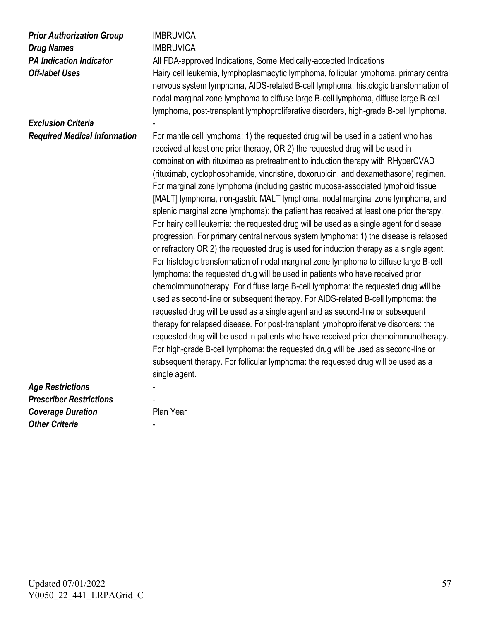| <b>Prior Authorization Group</b><br><b>Drug Names</b><br><b>PA Indication Indicator</b><br><b>Off-label Uses</b><br><b>Exclusion Criteria</b> | <b>IMBRUVICA</b><br><b>IMBRUVICA</b><br>All FDA-approved Indications, Some Medically-accepted Indications<br>Hairy cell leukemia, lymphoplasmacytic lymphoma, follicular lymphoma, primary central<br>nervous system lymphoma, AIDS-related B-cell lymphoma, histologic transformation of<br>nodal marginal zone lymphoma to diffuse large B-cell lymphoma, diffuse large B-cell<br>lymphoma, post-transplant lymphoproliferative disorders, high-grade B-cell lymphoma.                                                                                                                                                                                                                                                                                                                                                                                                                                                                                                                                                                                                                                                                                                                                                                                                                                                                                                                                                                                                                                                        |
|-----------------------------------------------------------------------------------------------------------------------------------------------|---------------------------------------------------------------------------------------------------------------------------------------------------------------------------------------------------------------------------------------------------------------------------------------------------------------------------------------------------------------------------------------------------------------------------------------------------------------------------------------------------------------------------------------------------------------------------------------------------------------------------------------------------------------------------------------------------------------------------------------------------------------------------------------------------------------------------------------------------------------------------------------------------------------------------------------------------------------------------------------------------------------------------------------------------------------------------------------------------------------------------------------------------------------------------------------------------------------------------------------------------------------------------------------------------------------------------------------------------------------------------------------------------------------------------------------------------------------------------------------------------------------------------------|
| <b>Required Medical Information</b>                                                                                                           | For mantle cell lymphoma: 1) the requested drug will be used in a patient who has<br>received at least one prior therapy, OR 2) the requested drug will be used in                                                                                                                                                                                                                                                                                                                                                                                                                                                                                                                                                                                                                                                                                                                                                                                                                                                                                                                                                                                                                                                                                                                                                                                                                                                                                                                                                              |
|                                                                                                                                               | combination with rituximab as pretreatment to induction therapy with RHyperCVAD<br>(rituximab, cyclophosphamide, vincristine, doxorubicin, and dexamethasone) regimen.<br>For marginal zone lymphoma (including gastric mucosa-associated lymphoid tissue<br>[MALT] lymphoma, non-gastric MALT lymphoma, nodal marginal zone lymphoma, and<br>splenic marginal zone lymphoma): the patient has received at least one prior therapy.<br>For hairy cell leukemia: the requested drug will be used as a single agent for disease<br>progression. For primary central nervous system lymphoma: 1) the disease is relapsed<br>or refractory OR 2) the requested drug is used for induction therapy as a single agent.<br>For histologic transformation of nodal marginal zone lymphoma to diffuse large B-cell<br>lymphoma: the requested drug will be used in patients who have received prior<br>chemoimmunotherapy. For diffuse large B-cell lymphoma: the requested drug will be<br>used as second-line or subsequent therapy. For AIDS-related B-cell lymphoma: the<br>requested drug will be used as a single agent and as second-line or subsequent<br>therapy for relapsed disease. For post-transplant lymphoproliferative disorders: the<br>requested drug will be used in patients who have received prior chemoimmunotherapy.<br>For high-grade B-cell lymphoma: the requested drug will be used as second-line or<br>subsequent therapy. For follicular lymphoma: the requested drug will be used as a<br>single agent. |
| <b>Age Restrictions</b>                                                                                                                       |                                                                                                                                                                                                                                                                                                                                                                                                                                                                                                                                                                                                                                                                                                                                                                                                                                                                                                                                                                                                                                                                                                                                                                                                                                                                                                                                                                                                                                                                                                                                 |
| <b>Prescriber Restrictions</b>                                                                                                                |                                                                                                                                                                                                                                                                                                                                                                                                                                                                                                                                                                                                                                                                                                                                                                                                                                                                                                                                                                                                                                                                                                                                                                                                                                                                                                                                                                                                                                                                                                                                 |
| <b>Coverage Duration</b>                                                                                                                      | Plan Year                                                                                                                                                                                                                                                                                                                                                                                                                                                                                                                                                                                                                                                                                                                                                                                                                                                                                                                                                                                                                                                                                                                                                                                                                                                                                                                                                                                                                                                                                                                       |
| <b>Other Criteria</b>                                                                                                                         |                                                                                                                                                                                                                                                                                                                                                                                                                                                                                                                                                                                                                                                                                                                                                                                                                                                                                                                                                                                                                                                                                                                                                                                                                                                                                                                                                                                                                                                                                                                                 |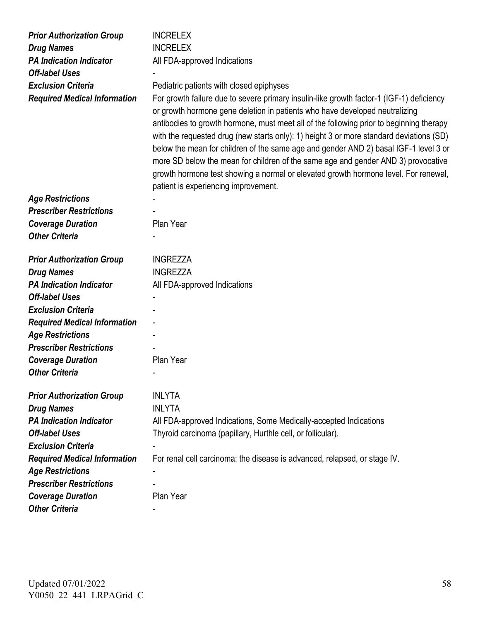| <b>Prior Authorization Group</b>    | <b>INCRELEX</b>                                                                          |
|-------------------------------------|------------------------------------------------------------------------------------------|
| <b>Drug Names</b>                   | <b>INCRELEX</b>                                                                          |
| <b>PA Indication Indicator</b>      | All FDA-approved Indications                                                             |
| <b>Off-label Uses</b>               |                                                                                          |
| <b>Exclusion Criteria</b>           | Pediatric patients with closed epiphyses                                                 |
| <b>Required Medical Information</b> | For growth failure due to severe primary insulin-like growth factor-1 (IGF-1) deficiency |
|                                     | or growth hormone gene deletion in patients who have developed neutralizing              |
|                                     | antibodies to growth hormone, must meet all of the following prior to beginning therapy  |
|                                     | with the requested drug (new starts only): 1) height 3 or more standard deviations (SD)  |
|                                     | below the mean for children of the same age and gender AND 2) basal IGF-1 level 3 or     |
|                                     | more SD below the mean for children of the same age and gender AND 3) provocative        |
|                                     | growth hormone test showing a normal or elevated growth hormone level. For renewal,      |
|                                     | patient is experiencing improvement.                                                     |
| <b>Age Restrictions</b>             |                                                                                          |
| <b>Prescriber Restrictions</b>      |                                                                                          |
| <b>Coverage Duration</b>            | Plan Year                                                                                |
| <b>Other Criteria</b>               |                                                                                          |
|                                     |                                                                                          |
| <b>Prior Authorization Group</b>    | <b>INGREZZA</b>                                                                          |
| <b>Drug Names</b>                   | <b>INGREZZA</b>                                                                          |
| <b>PA Indication Indicator</b>      | All FDA-approved Indications                                                             |
| <b>Off-label Uses</b>               |                                                                                          |
| <b>Exclusion Criteria</b>           |                                                                                          |
| <b>Required Medical Information</b> | $\qquad \qquad \blacksquare$                                                             |
| <b>Age Restrictions</b>             |                                                                                          |
| <b>Prescriber Restrictions</b>      |                                                                                          |
| <b>Coverage Duration</b>            | Plan Year                                                                                |
| <b>Other Criteria</b>               |                                                                                          |
|                                     |                                                                                          |
| <b>Prior Authorization Group</b>    | <b>INLYTA</b>                                                                            |
| <b>Drug Names</b>                   | <b>INLYTA</b>                                                                            |
| <b>PA Indication Indicator</b>      | All FDA-approved Indications, Some Medically-accepted Indications                        |
| <b>Off-label Uses</b>               | Thyroid carcinoma (papillary, Hurthle cell, or follicular).                              |
| <b>Exclusion Criteria</b>           |                                                                                          |
| <b>Required Medical Information</b> | For renal cell carcinoma: the disease is advanced, relapsed, or stage IV.                |
| <b>Age Restrictions</b>             |                                                                                          |
| <b>Prescriber Restrictions</b>      |                                                                                          |
| <b>Coverage Duration</b>            | Plan Year                                                                                |
| <b>Other Criteria</b>               |                                                                                          |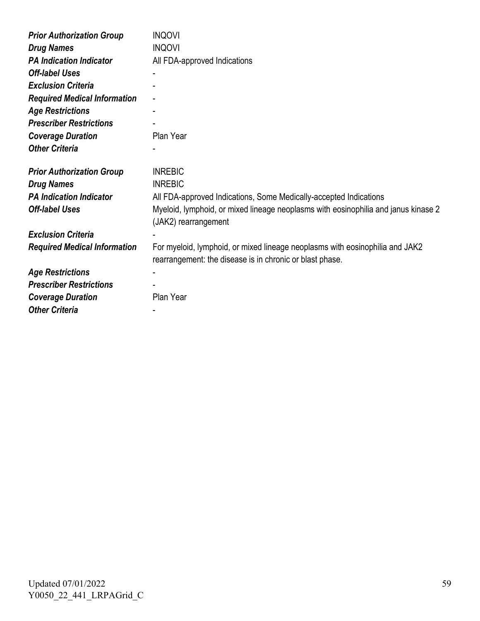| <b>Prior Authorization Group</b>    | <b>INQOVI</b>                                                                                                                            |
|-------------------------------------|------------------------------------------------------------------------------------------------------------------------------------------|
| <b>Drug Names</b>                   | <b>INQOVI</b>                                                                                                                            |
| <b>PA Indication Indicator</b>      | All FDA-approved Indications                                                                                                             |
| <b>Off-label Uses</b>               |                                                                                                                                          |
| <b>Exclusion Criteria</b>           |                                                                                                                                          |
| <b>Required Medical Information</b> |                                                                                                                                          |
| <b>Age Restrictions</b>             |                                                                                                                                          |
| <b>Prescriber Restrictions</b>      |                                                                                                                                          |
| <b>Coverage Duration</b>            | Plan Year                                                                                                                                |
| <b>Other Criteria</b>               |                                                                                                                                          |
| <b>Prior Authorization Group</b>    | <b>INREBIC</b>                                                                                                                           |
| <b>Drug Names</b>                   | <b>INREBIC</b>                                                                                                                           |
| <b>PA Indication Indicator</b>      | All FDA-approved Indications, Some Medically-accepted Indications                                                                        |
| <b>Off-label Uses</b>               | Myeloid, lymphoid, or mixed lineage neoplasms with eosinophilia and janus kinase 2<br>(JAK2) rearrangement                               |
| <b>Exclusion Criteria</b>           |                                                                                                                                          |
| <b>Required Medical Information</b> | For myeloid, lymphoid, or mixed lineage neoplasms with eosinophilia and JAK2<br>rearrangement: the disease is in chronic or blast phase. |
| <b>Age Restrictions</b>             |                                                                                                                                          |
| <b>Prescriber Restrictions</b>      |                                                                                                                                          |
| <b>Coverage Duration</b>            | Plan Year                                                                                                                                |
| <b>Other Criteria</b>               |                                                                                                                                          |
|                                     |                                                                                                                                          |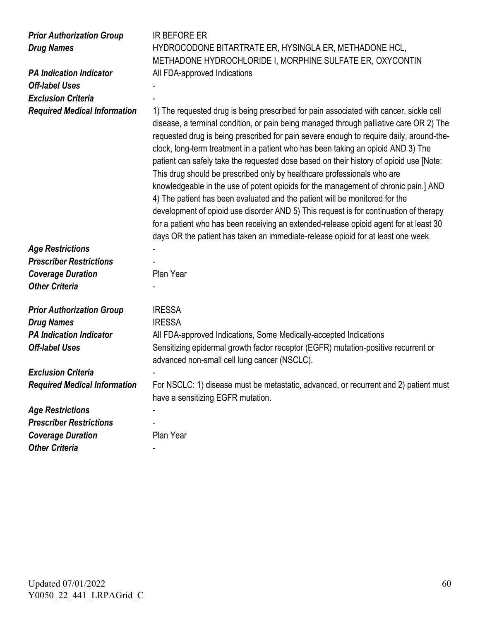| <b>Prior Authorization Group</b><br><b>Drug Names</b><br><b>PA Indication Indicator</b><br><b>Off-label Uses</b><br><b>Exclusion Criteria</b><br><b>Required Medical Information</b> | <b>IR BEFORE ER</b><br>HYDROCODONE BITARTRATE ER, HYSINGLA ER, METHADONE HCL,<br>METHADONE HYDROCHLORIDE I, MORPHINE SULFATE ER, OXYCONTIN<br>All FDA-approved Indications<br>1) The requested drug is being prescribed for pain associated with cancer, sickle cell<br>disease, a terminal condition, or pain being managed through palliative care OR 2) The<br>requested drug is being prescribed for pain severe enough to require daily, around-the-<br>clock, long-term treatment in a patient who has been taking an opioid AND 3) The<br>patient can safely take the requested dose based on their history of opioid use [Note:<br>This drug should be prescribed only by healthcare professionals who are<br>knowledgeable in the use of potent opioids for the management of chronic pain.] AND<br>4) The patient has been evaluated and the patient will be monitored for the<br>development of opioid use disorder AND 5) This request is for continuation of therapy<br>for a patient who has been receiving an extended-release opioid agent for at least 30<br>days OR the patient has taken an immediate-release opioid for at least one week. |
|--------------------------------------------------------------------------------------------------------------------------------------------------------------------------------------|----------------------------------------------------------------------------------------------------------------------------------------------------------------------------------------------------------------------------------------------------------------------------------------------------------------------------------------------------------------------------------------------------------------------------------------------------------------------------------------------------------------------------------------------------------------------------------------------------------------------------------------------------------------------------------------------------------------------------------------------------------------------------------------------------------------------------------------------------------------------------------------------------------------------------------------------------------------------------------------------------------------------------------------------------------------------------------------------------------------------------------------------------------------|
| <b>Age Restrictions</b>                                                                                                                                                              |                                                                                                                                                                                                                                                                                                                                                                                                                                                                                                                                                                                                                                                                                                                                                                                                                                                                                                                                                                                                                                                                                                                                                                |
| <b>Prescriber Restrictions</b>                                                                                                                                                       |                                                                                                                                                                                                                                                                                                                                                                                                                                                                                                                                                                                                                                                                                                                                                                                                                                                                                                                                                                                                                                                                                                                                                                |
| <b>Coverage Duration</b>                                                                                                                                                             | Plan Year                                                                                                                                                                                                                                                                                                                                                                                                                                                                                                                                                                                                                                                                                                                                                                                                                                                                                                                                                                                                                                                                                                                                                      |
| <b>Other Criteria</b>                                                                                                                                                                |                                                                                                                                                                                                                                                                                                                                                                                                                                                                                                                                                                                                                                                                                                                                                                                                                                                                                                                                                                                                                                                                                                                                                                |
| <b>Prior Authorization Group</b>                                                                                                                                                     | <b>IRESSA</b>                                                                                                                                                                                                                                                                                                                                                                                                                                                                                                                                                                                                                                                                                                                                                                                                                                                                                                                                                                                                                                                                                                                                                  |
| <b>Drug Names</b>                                                                                                                                                                    | <b>IRESSA</b>                                                                                                                                                                                                                                                                                                                                                                                                                                                                                                                                                                                                                                                                                                                                                                                                                                                                                                                                                                                                                                                                                                                                                  |
| <b>PA Indication Indicator</b>                                                                                                                                                       | All FDA-approved Indications, Some Medically-accepted Indications                                                                                                                                                                                                                                                                                                                                                                                                                                                                                                                                                                                                                                                                                                                                                                                                                                                                                                                                                                                                                                                                                              |
| <b>Off-label Uses</b>                                                                                                                                                                | Sensitizing epidermal growth factor receptor (EGFR) mutation-positive recurrent or<br>advanced non-small cell lung cancer (NSCLC).                                                                                                                                                                                                                                                                                                                                                                                                                                                                                                                                                                                                                                                                                                                                                                                                                                                                                                                                                                                                                             |
| <b>Exclusion Criteria</b>                                                                                                                                                            |                                                                                                                                                                                                                                                                                                                                                                                                                                                                                                                                                                                                                                                                                                                                                                                                                                                                                                                                                                                                                                                                                                                                                                |
| <b>Required Medical Information</b>                                                                                                                                                  | For NSCLC: 1) disease must be metastatic, advanced, or recurrent and 2) patient must<br>have a sensitizing EGFR mutation.                                                                                                                                                                                                                                                                                                                                                                                                                                                                                                                                                                                                                                                                                                                                                                                                                                                                                                                                                                                                                                      |
| <b>Age Restrictions</b>                                                                                                                                                              |                                                                                                                                                                                                                                                                                                                                                                                                                                                                                                                                                                                                                                                                                                                                                                                                                                                                                                                                                                                                                                                                                                                                                                |
| <b>Prescriber Restrictions</b>                                                                                                                                                       |                                                                                                                                                                                                                                                                                                                                                                                                                                                                                                                                                                                                                                                                                                                                                                                                                                                                                                                                                                                                                                                                                                                                                                |
| <b>Coverage Duration</b>                                                                                                                                                             | Plan Year                                                                                                                                                                                                                                                                                                                                                                                                                                                                                                                                                                                                                                                                                                                                                                                                                                                                                                                                                                                                                                                                                                                                                      |
| <b>Other Criteria</b>                                                                                                                                                                |                                                                                                                                                                                                                                                                                                                                                                                                                                                                                                                                                                                                                                                                                                                                                                                                                                                                                                                                                                                                                                                                                                                                                                |
|                                                                                                                                                                                      |                                                                                                                                                                                                                                                                                                                                                                                                                                                                                                                                                                                                                                                                                                                                                                                                                                                                                                                                                                                                                                                                                                                                                                |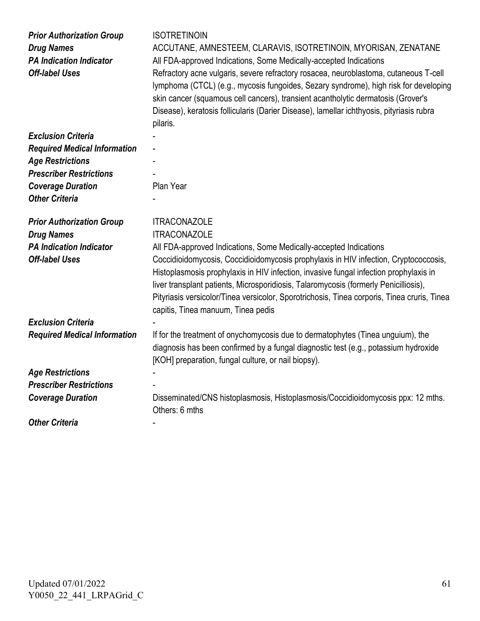| <b>Prior Authorization Group</b><br><b>Drug Names</b><br><b>PA Indication Indicator</b><br><b>Off-label Uses</b> | <b>ISOTRETINOIN</b><br>ACCUTANE, AMNESTEEM, CLARAVIS, ISOTRETINOIN, MYORISAN, ZENATANE<br>All FDA-approved Indications, Some Medically-accepted Indications<br>Refractory acne vulgaris, severe refractory rosacea, neuroblastoma, cutaneous T-cell<br>lymphoma (CTCL) (e.g., mycosis fungoides, Sezary syndrome), high risk for developing<br>skin cancer (squamous cell cancers), transient acantholytic dermatosis (Grover's<br>Disease), keratosis follicularis (Darier Disease), lamellar ichthyosis, pityriasis rubra<br>pilaris. |
|------------------------------------------------------------------------------------------------------------------|-----------------------------------------------------------------------------------------------------------------------------------------------------------------------------------------------------------------------------------------------------------------------------------------------------------------------------------------------------------------------------------------------------------------------------------------------------------------------------------------------------------------------------------------|
| <b>Exclusion Criteria</b>                                                                                        |                                                                                                                                                                                                                                                                                                                                                                                                                                                                                                                                         |
| <b>Required Medical Information</b>                                                                              |                                                                                                                                                                                                                                                                                                                                                                                                                                                                                                                                         |
| <b>Age Restrictions</b>                                                                                          |                                                                                                                                                                                                                                                                                                                                                                                                                                                                                                                                         |
| <b>Prescriber Restrictions</b>                                                                                   |                                                                                                                                                                                                                                                                                                                                                                                                                                                                                                                                         |
| <b>Coverage Duration</b>                                                                                         | Plan Year                                                                                                                                                                                                                                                                                                                                                                                                                                                                                                                               |
| <b>Other Criteria</b>                                                                                            |                                                                                                                                                                                                                                                                                                                                                                                                                                                                                                                                         |
|                                                                                                                  |                                                                                                                                                                                                                                                                                                                                                                                                                                                                                                                                         |
| <b>Prior Authorization Group</b><br><b>Drug Names</b><br><b>PA Indication Indicator</b><br><b>Off-label Uses</b> | <b>ITRACONAZOLE</b><br><b>ITRACONAZOLE</b><br>All FDA-approved Indications, Some Medically-accepted Indications<br>Coccidioidomycosis, Coccidioidomycosis prophylaxis in HIV infection, Cryptococcosis,<br>Histoplasmosis prophylaxis in HIV infection, invasive fungal infection prophylaxis in<br>liver transplant patients, Microsporidiosis, Talaromycosis (formerly Penicilliosis),<br>Pityriasis versicolor/Tinea versicolor, Sporotrichosis, Tinea corporis, Tinea cruris, Tinea<br>capitis, Tinea manuum, Tinea pedis           |
| <b>Exclusion Criteria</b>                                                                                        |                                                                                                                                                                                                                                                                                                                                                                                                                                                                                                                                         |
| <b>Required Medical Information</b>                                                                              | If for the treatment of onychomycosis due to dermatophytes (Tinea unguium), the<br>diagnosis has been confirmed by a fungal diagnostic test (e.g., potassium hydroxide<br>[KOH] preparation, fungal culture, or nail biopsy).                                                                                                                                                                                                                                                                                                           |
| <b>Age Restrictions</b>                                                                                          |                                                                                                                                                                                                                                                                                                                                                                                                                                                                                                                                         |
| <b>Prescriber Restrictions</b>                                                                                   |                                                                                                                                                                                                                                                                                                                                                                                                                                                                                                                                         |
| <b>Coverage Duration</b>                                                                                         | Disseminated/CNS histoplasmosis, Histoplasmosis/Coccidioidomycosis ppx: 12 mths.<br>Others: 6 mths                                                                                                                                                                                                                                                                                                                                                                                                                                      |
| <b>Other Criteria</b>                                                                                            |                                                                                                                                                                                                                                                                                                                                                                                                                                                                                                                                         |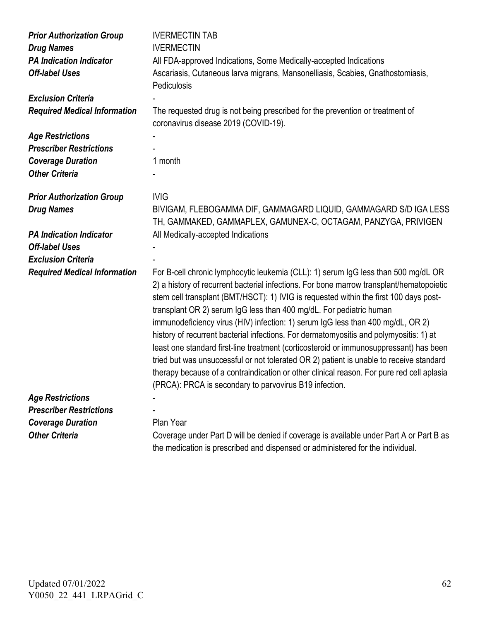| <b>Prior Authorization Group</b>    | <b>IVERMECTIN TAB</b>                                                                                                                                                                                                                                                                                                                                                                                                                                                                                                                                                                                                                                                                                                                                                                                                                                                   |
|-------------------------------------|-------------------------------------------------------------------------------------------------------------------------------------------------------------------------------------------------------------------------------------------------------------------------------------------------------------------------------------------------------------------------------------------------------------------------------------------------------------------------------------------------------------------------------------------------------------------------------------------------------------------------------------------------------------------------------------------------------------------------------------------------------------------------------------------------------------------------------------------------------------------------|
| <b>Drug Names</b>                   | <b>IVERMECTIN</b>                                                                                                                                                                                                                                                                                                                                                                                                                                                                                                                                                                                                                                                                                                                                                                                                                                                       |
| <b>PA Indication Indicator</b>      | All FDA-approved Indications, Some Medically-accepted Indications                                                                                                                                                                                                                                                                                                                                                                                                                                                                                                                                                                                                                                                                                                                                                                                                       |
| <b>Off-label Uses</b>               | Ascariasis, Cutaneous larva migrans, Mansonelliasis, Scabies, Gnathostomiasis,<br>Pediculosis                                                                                                                                                                                                                                                                                                                                                                                                                                                                                                                                                                                                                                                                                                                                                                           |
| <b>Exclusion Criteria</b>           |                                                                                                                                                                                                                                                                                                                                                                                                                                                                                                                                                                                                                                                                                                                                                                                                                                                                         |
| <b>Required Medical Information</b> | The requested drug is not being prescribed for the prevention or treatment of<br>coronavirus disease 2019 (COVID-19).                                                                                                                                                                                                                                                                                                                                                                                                                                                                                                                                                                                                                                                                                                                                                   |
| <b>Age Restrictions</b>             |                                                                                                                                                                                                                                                                                                                                                                                                                                                                                                                                                                                                                                                                                                                                                                                                                                                                         |
| <b>Prescriber Restrictions</b>      |                                                                                                                                                                                                                                                                                                                                                                                                                                                                                                                                                                                                                                                                                                                                                                                                                                                                         |
| <b>Coverage Duration</b>            | 1 month                                                                                                                                                                                                                                                                                                                                                                                                                                                                                                                                                                                                                                                                                                                                                                                                                                                                 |
| <b>Other Criteria</b>               |                                                                                                                                                                                                                                                                                                                                                                                                                                                                                                                                                                                                                                                                                                                                                                                                                                                                         |
| <b>Prior Authorization Group</b>    | <b>IVIG</b>                                                                                                                                                                                                                                                                                                                                                                                                                                                                                                                                                                                                                                                                                                                                                                                                                                                             |
| <b>Drug Names</b>                   | BIVIGAM, FLEBOGAMMA DIF, GAMMAGARD LIQUID, GAMMAGARD S/D IGA LESS                                                                                                                                                                                                                                                                                                                                                                                                                                                                                                                                                                                                                                                                                                                                                                                                       |
|                                     | TH, GAMMAKED, GAMMAPLEX, GAMUNEX-C, OCTAGAM, PANZYGA, PRIVIGEN                                                                                                                                                                                                                                                                                                                                                                                                                                                                                                                                                                                                                                                                                                                                                                                                          |
| <b>PA Indication Indicator</b>      | All Medically-accepted Indications                                                                                                                                                                                                                                                                                                                                                                                                                                                                                                                                                                                                                                                                                                                                                                                                                                      |
| <b>Off-label Uses</b>               |                                                                                                                                                                                                                                                                                                                                                                                                                                                                                                                                                                                                                                                                                                                                                                                                                                                                         |
| <b>Exclusion Criteria</b>           |                                                                                                                                                                                                                                                                                                                                                                                                                                                                                                                                                                                                                                                                                                                                                                                                                                                                         |
| <b>Required Medical Information</b> | For B-cell chronic lymphocytic leukemia (CLL): 1) serum IgG less than 500 mg/dL OR<br>2) a history of recurrent bacterial infections. For bone marrow transplant/hematopoietic<br>stem cell transplant (BMT/HSCT): 1) IVIG is requested within the first 100 days post-<br>transplant OR 2) serum IgG less than 400 mg/dL. For pediatric human<br>immunodeficiency virus (HIV) infection: 1) serum IgG less than 400 mg/dL, OR 2)<br>history of recurrent bacterial infections. For dermatomyositis and polymyositis: 1) at<br>least one standard first-line treatment (corticosteroid or immunosuppressant) has been<br>tried but was unsuccessful or not tolerated OR 2) patient is unable to receive standard<br>therapy because of a contraindication or other clinical reason. For pure red cell aplasia<br>(PRCA): PRCA is secondary to parvovirus B19 infection. |
| <b>Age Restrictions</b>             |                                                                                                                                                                                                                                                                                                                                                                                                                                                                                                                                                                                                                                                                                                                                                                                                                                                                         |
| <b>Prescriber Restrictions</b>      |                                                                                                                                                                                                                                                                                                                                                                                                                                                                                                                                                                                                                                                                                                                                                                                                                                                                         |
| <b>Coverage Duration</b>            | Plan Year                                                                                                                                                                                                                                                                                                                                                                                                                                                                                                                                                                                                                                                                                                                                                                                                                                                               |
| <b>Other Criteria</b>               | Coverage under Part D will be denied if coverage is available under Part A or Part B as<br>the medication is prescribed and dispensed or administered for the individual.                                                                                                                                                                                                                                                                                                                                                                                                                                                                                                                                                                                                                                                                                               |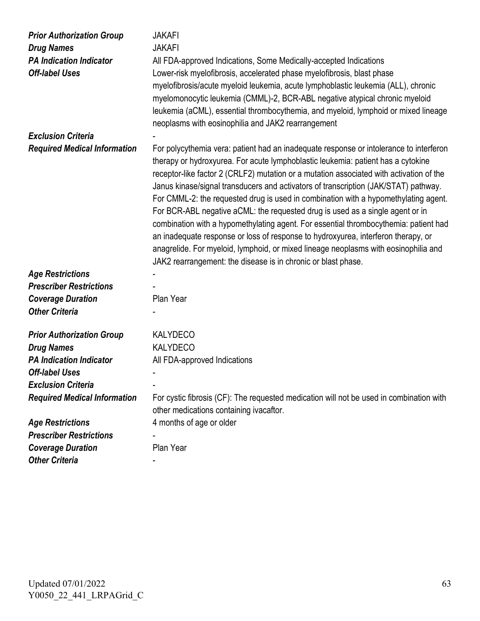| <b>Prior Authorization Group</b><br><b>Drug Names</b> | <b>JAKAFI</b><br><b>JAKAFI</b>                                                                                                                                                                                                                                                                                                                                                                                                                                                                                                                                                                                                                                                                                                                                                                                                                                            |
|-------------------------------------------------------|---------------------------------------------------------------------------------------------------------------------------------------------------------------------------------------------------------------------------------------------------------------------------------------------------------------------------------------------------------------------------------------------------------------------------------------------------------------------------------------------------------------------------------------------------------------------------------------------------------------------------------------------------------------------------------------------------------------------------------------------------------------------------------------------------------------------------------------------------------------------------|
| <b>PA Indication Indicator</b>                        | All FDA-approved Indications, Some Medically-accepted Indications                                                                                                                                                                                                                                                                                                                                                                                                                                                                                                                                                                                                                                                                                                                                                                                                         |
| <b>Off-label Uses</b>                                 | Lower-risk myelofibrosis, accelerated phase myelofibrosis, blast phase                                                                                                                                                                                                                                                                                                                                                                                                                                                                                                                                                                                                                                                                                                                                                                                                    |
|                                                       | myelofibrosis/acute myeloid leukemia, acute lymphoblastic leukemia (ALL), chronic<br>myelomonocytic leukemia (CMML)-2, BCR-ABL negative atypical chronic myeloid<br>leukemia (aCML), essential thrombocythemia, and myeloid, lymphoid or mixed lineage<br>neoplasms with eosinophilia and JAK2 rearrangement                                                                                                                                                                                                                                                                                                                                                                                                                                                                                                                                                              |
| <b>Exclusion Criteria</b>                             |                                                                                                                                                                                                                                                                                                                                                                                                                                                                                                                                                                                                                                                                                                                                                                                                                                                                           |
| <b>Required Medical Information</b>                   | For polycythemia vera: patient had an inadequate response or intolerance to interferon<br>therapy or hydroxyurea. For acute lymphoblastic leukemia: patient has a cytokine<br>receptor-like factor 2 (CRLF2) mutation or a mutation associated with activation of the<br>Janus kinase/signal transducers and activators of transcription (JAK/STAT) pathway.<br>For CMML-2: the requested drug is used in combination with a hypomethylating agent.<br>For BCR-ABL negative aCML: the requested drug is used as a single agent or in<br>combination with a hypomethylating agent. For essential thrombocythemia: patient had<br>an inadequate response or loss of response to hydroxyurea, interferon therapy, or<br>anagrelide. For myeloid, lymphoid, or mixed lineage neoplasms with eosinophilia and<br>JAK2 rearrangement: the disease is in chronic or blast phase. |
| <b>Age Restrictions</b>                               |                                                                                                                                                                                                                                                                                                                                                                                                                                                                                                                                                                                                                                                                                                                                                                                                                                                                           |
| <b>Prescriber Restrictions</b>                        |                                                                                                                                                                                                                                                                                                                                                                                                                                                                                                                                                                                                                                                                                                                                                                                                                                                                           |
| <b>Coverage Duration</b>                              | Plan Year                                                                                                                                                                                                                                                                                                                                                                                                                                                                                                                                                                                                                                                                                                                                                                                                                                                                 |
| <b>Other Criteria</b>                                 |                                                                                                                                                                                                                                                                                                                                                                                                                                                                                                                                                                                                                                                                                                                                                                                                                                                                           |
|                                                       |                                                                                                                                                                                                                                                                                                                                                                                                                                                                                                                                                                                                                                                                                                                                                                                                                                                                           |
| <b>Prior Authorization Group</b>                      | <b>KALYDECO</b>                                                                                                                                                                                                                                                                                                                                                                                                                                                                                                                                                                                                                                                                                                                                                                                                                                                           |
| <b>Drug Names</b>                                     | <b>KALYDECO</b>                                                                                                                                                                                                                                                                                                                                                                                                                                                                                                                                                                                                                                                                                                                                                                                                                                                           |
| <b>PA Indication Indicator</b>                        | All FDA-approved Indications                                                                                                                                                                                                                                                                                                                                                                                                                                                                                                                                                                                                                                                                                                                                                                                                                                              |
| <b>Off-label Uses</b>                                 |                                                                                                                                                                                                                                                                                                                                                                                                                                                                                                                                                                                                                                                                                                                                                                                                                                                                           |
| <b>Exclusion Criteria</b>                             |                                                                                                                                                                                                                                                                                                                                                                                                                                                                                                                                                                                                                                                                                                                                                                                                                                                                           |
| <b>Required Medical Information</b>                   | For cystic fibrosis (CF): The requested medication will not be used in combination with<br>other medications containing ivacaftor.                                                                                                                                                                                                                                                                                                                                                                                                                                                                                                                                                                                                                                                                                                                                        |
| <b>Age Restrictions</b>                               | 4 months of age or older                                                                                                                                                                                                                                                                                                                                                                                                                                                                                                                                                                                                                                                                                                                                                                                                                                                  |
| <b>Prescriber Restrictions</b>                        |                                                                                                                                                                                                                                                                                                                                                                                                                                                                                                                                                                                                                                                                                                                                                                                                                                                                           |
| <b>Coverage Duration</b>                              | Plan Year                                                                                                                                                                                                                                                                                                                                                                                                                                                                                                                                                                                                                                                                                                                                                                                                                                                                 |
| <b>Other Criteria</b>                                 |                                                                                                                                                                                                                                                                                                                                                                                                                                                                                                                                                                                                                                                                                                                                                                                                                                                                           |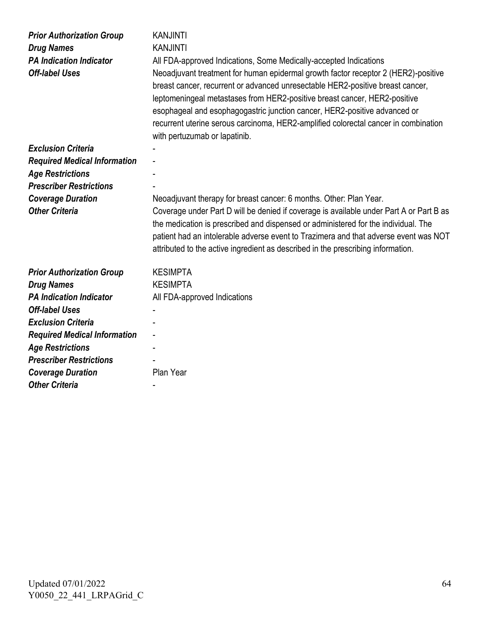| <b>Prior Authorization Group</b><br><b>Drug Names</b><br><b>PA Indication Indicator</b><br><b>Off-label Uses</b> | <b>KANJINTI</b><br><b>KANJINTI</b><br>All FDA-approved Indications, Some Medically-accepted Indications<br>Neoadjuvant treatment for human epidermal growth factor receptor 2 (HER2)-positive<br>breast cancer, recurrent or advanced unresectable HER2-positive breast cancer,<br>leptomeningeal metastases from HER2-positive breast cancer, HER2-positive<br>esophageal and esophagogastric junction cancer, HER2-positive advanced or<br>recurrent uterine serous carcinoma, HER2-amplified colorectal cancer in combination<br>with pertuzumab or lapatinib. |
|------------------------------------------------------------------------------------------------------------------|-------------------------------------------------------------------------------------------------------------------------------------------------------------------------------------------------------------------------------------------------------------------------------------------------------------------------------------------------------------------------------------------------------------------------------------------------------------------------------------------------------------------------------------------------------------------|
| <b>Exclusion Criteria</b>                                                                                        |                                                                                                                                                                                                                                                                                                                                                                                                                                                                                                                                                                   |
| <b>Required Medical Information</b>                                                                              |                                                                                                                                                                                                                                                                                                                                                                                                                                                                                                                                                                   |
| <b>Age Restrictions</b>                                                                                          |                                                                                                                                                                                                                                                                                                                                                                                                                                                                                                                                                                   |
| <b>Prescriber Restrictions</b>                                                                                   |                                                                                                                                                                                                                                                                                                                                                                                                                                                                                                                                                                   |
| <b>Coverage Duration</b>                                                                                         | Neoadjuvant therapy for breast cancer: 6 months. Other: Plan Year.                                                                                                                                                                                                                                                                                                                                                                                                                                                                                                |
| <b>Other Criteria</b>                                                                                            | Coverage under Part D will be denied if coverage is available under Part A or Part B as<br>the medication is prescribed and dispensed or administered for the individual. The<br>patient had an intolerable adverse event to Trazimera and that adverse event was NOT<br>attributed to the active ingredient as described in the prescribing information.                                                                                                                                                                                                         |
| <b>Prior Authorization Group</b>                                                                                 | <b>KESIMPTA</b>                                                                                                                                                                                                                                                                                                                                                                                                                                                                                                                                                   |
| <b>Drug Names</b>                                                                                                | <b>KESIMPTA</b>                                                                                                                                                                                                                                                                                                                                                                                                                                                                                                                                                   |
| <b>PA Indication Indicator</b>                                                                                   | All FDA-approved Indications                                                                                                                                                                                                                                                                                                                                                                                                                                                                                                                                      |
| <b>Off-label Uses</b>                                                                                            |                                                                                                                                                                                                                                                                                                                                                                                                                                                                                                                                                                   |
| <b>Exclusion Criteria</b>                                                                                        |                                                                                                                                                                                                                                                                                                                                                                                                                                                                                                                                                                   |
| <b>Required Medical Information</b>                                                                              |                                                                                                                                                                                                                                                                                                                                                                                                                                                                                                                                                                   |
| <b>Age Restrictions</b>                                                                                          |                                                                                                                                                                                                                                                                                                                                                                                                                                                                                                                                                                   |
| <b>Prescriber Restrictions</b>                                                                                   |                                                                                                                                                                                                                                                                                                                                                                                                                                                                                                                                                                   |
| <b>Coverage Duration</b>                                                                                         | Plan Year                                                                                                                                                                                                                                                                                                                                                                                                                                                                                                                                                         |
| <b>Other Criteria</b>                                                                                            |                                                                                                                                                                                                                                                                                                                                                                                                                                                                                                                                                                   |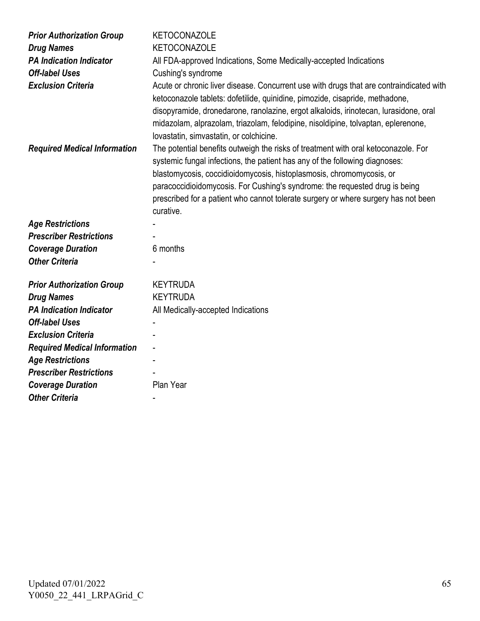| <b>Prior Authorization Group</b>                                 | <b>KETOCONAZOLE</b>                                                                                                                                                                                                                                                                                                                                                                                                                                                                   |
|------------------------------------------------------------------|---------------------------------------------------------------------------------------------------------------------------------------------------------------------------------------------------------------------------------------------------------------------------------------------------------------------------------------------------------------------------------------------------------------------------------------------------------------------------------------|
| <b>Drug Names</b>                                                | <b>KETOCONAZOLE</b>                                                                                                                                                                                                                                                                                                                                                                                                                                                                   |
| <b>PA Indication Indicator</b>                                   | All FDA-approved Indications, Some Medically-accepted Indications                                                                                                                                                                                                                                                                                                                                                                                                                     |
| <b>Off-label Uses</b>                                            | Cushing's syndrome                                                                                                                                                                                                                                                                                                                                                                                                                                                                    |
| <b>Exclusion Criteria</b><br><b>Required Medical Information</b> | Acute or chronic liver disease. Concurrent use with drugs that are contraindicated with<br>ketoconazole tablets: dofetilide, quinidine, pimozide, cisapride, methadone,<br>disopyramide, dronedarone, ranolazine, ergot alkaloids, irinotecan, lurasidone, oral<br>midazolam, alprazolam, triazolam, felodipine, nisoldipine, tolvaptan, eplerenone,<br>lovastatin, simvastatin, or colchicine.<br>The potential benefits outweigh the risks of treatment with oral ketoconazole. For |
|                                                                  | systemic fungal infections, the patient has any of the following diagnoses:<br>blastomycosis, coccidioidomycosis, histoplasmosis, chromomycosis, or<br>paracoccidioidomycosis. For Cushing's syndrome: the requested drug is being<br>prescribed for a patient who cannot tolerate surgery or where surgery has not been<br>curative.                                                                                                                                                 |
| <b>Age Restrictions</b>                                          |                                                                                                                                                                                                                                                                                                                                                                                                                                                                                       |
| <b>Prescriber Restrictions</b>                                   |                                                                                                                                                                                                                                                                                                                                                                                                                                                                                       |
| <b>Coverage Duration</b>                                         | 6 months                                                                                                                                                                                                                                                                                                                                                                                                                                                                              |
| <b>Other Criteria</b>                                            |                                                                                                                                                                                                                                                                                                                                                                                                                                                                                       |
| <b>Prior Authorization Group</b>                                 | <b>KEYTRUDA</b>                                                                                                                                                                                                                                                                                                                                                                                                                                                                       |
| <b>Drug Names</b>                                                | <b>KEYTRUDA</b>                                                                                                                                                                                                                                                                                                                                                                                                                                                                       |
| <b>PA Indication Indicator</b>                                   | All Medically-accepted Indications                                                                                                                                                                                                                                                                                                                                                                                                                                                    |
| <b>Off-label Uses</b>                                            |                                                                                                                                                                                                                                                                                                                                                                                                                                                                                       |
| <b>Exclusion Criteria</b>                                        |                                                                                                                                                                                                                                                                                                                                                                                                                                                                                       |
| <b>Required Medical Information</b>                              |                                                                                                                                                                                                                                                                                                                                                                                                                                                                                       |
| <b>Age Restrictions</b>                                          |                                                                                                                                                                                                                                                                                                                                                                                                                                                                                       |
| <b>Prescriber Restrictions</b>                                   |                                                                                                                                                                                                                                                                                                                                                                                                                                                                                       |
| <b>Coverage Duration</b>                                         | Plan Year                                                                                                                                                                                                                                                                                                                                                                                                                                                                             |
| <b>Other Criteria</b>                                            |                                                                                                                                                                                                                                                                                                                                                                                                                                                                                       |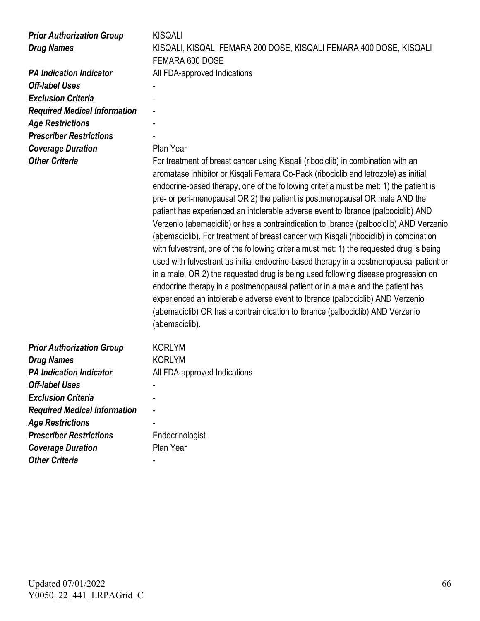| <b>Prior Authorization Group</b><br><b>Drug Names</b><br><b>PA Indication Indicator</b><br><b>Off-label Uses</b><br><b>Exclusion Criteria</b><br><b>Required Medical Information</b><br><b>Age Restrictions</b><br><b>Prescriber Restrictions</b><br><b>Coverage Duration</b><br><b>Other Criteria</b> | <b>KISQALI</b><br>KISQALI, KISQALI FEMARA 200 DOSE, KISQALI FEMARA 400 DOSE, KISQALI<br>FEMARA 600 DOSE<br>All FDA-approved Indications<br>Plan Year<br>For treatment of breast cancer using Kisqali (ribociclib) in combination with an<br>aromatase inhibitor or Kisqali Femara Co-Pack (ribociclib and letrozole) as initial<br>endocrine-based therapy, one of the following criteria must be met: 1) the patient is<br>pre- or peri-menopausal OR 2) the patient is postmenopausal OR male AND the<br>patient has experienced an intolerable adverse event to Ibrance (palbociclib) AND<br>Verzenio (abemaciclib) or has a contraindication to Ibrance (palbociclib) AND Verzenio<br>(abemaciclib). For treatment of breast cancer with Kisgali (ribociclib) in combination<br>with fulvestrant, one of the following criteria must met: 1) the requested drug is being<br>used with fulvestrant as initial endocrine-based therapy in a postmenopausal patient or<br>in a male, OR 2) the requested drug is being used following disease progression on<br>endocrine therapy in a postmenopausal patient or in a male and the patient has<br>experienced an intolerable adverse event to Ibrance (palbociclib) AND Verzenio<br>(abemaciclib) OR has a contraindication to Ibrance (palbociclib) AND Verzenio<br>(abemaciclib). |
|--------------------------------------------------------------------------------------------------------------------------------------------------------------------------------------------------------------------------------------------------------------------------------------------------------|--------------------------------------------------------------------------------------------------------------------------------------------------------------------------------------------------------------------------------------------------------------------------------------------------------------------------------------------------------------------------------------------------------------------------------------------------------------------------------------------------------------------------------------------------------------------------------------------------------------------------------------------------------------------------------------------------------------------------------------------------------------------------------------------------------------------------------------------------------------------------------------------------------------------------------------------------------------------------------------------------------------------------------------------------------------------------------------------------------------------------------------------------------------------------------------------------------------------------------------------------------------------------------------------------------------------------------------|
| <b>Prior Authorization Group</b>                                                                                                                                                                                                                                                                       | <b>KORLYM</b>                                                                                                                                                                                                                                                                                                                                                                                                                                                                                                                                                                                                                                                                                                                                                                                                                                                                                                                                                                                                                                                                                                                                                                                                                                                                                                                        |
| <b>Drug Names</b>                                                                                                                                                                                                                                                                                      | <b>KORLYM</b>                                                                                                                                                                                                                                                                                                                                                                                                                                                                                                                                                                                                                                                                                                                                                                                                                                                                                                                                                                                                                                                                                                                                                                                                                                                                                                                        |
| <b>PA Indication Indicator</b>                                                                                                                                                                                                                                                                         | All FDA-approved Indications                                                                                                                                                                                                                                                                                                                                                                                                                                                                                                                                                                                                                                                                                                                                                                                                                                                                                                                                                                                                                                                                                                                                                                                                                                                                                                         |
| <b>Off-label Uses</b>                                                                                                                                                                                                                                                                                  |                                                                                                                                                                                                                                                                                                                                                                                                                                                                                                                                                                                                                                                                                                                                                                                                                                                                                                                                                                                                                                                                                                                                                                                                                                                                                                                                      |
| <b>Exclusion Criteria</b>                                                                                                                                                                                                                                                                              |                                                                                                                                                                                                                                                                                                                                                                                                                                                                                                                                                                                                                                                                                                                                                                                                                                                                                                                                                                                                                                                                                                                                                                                                                                                                                                                                      |
| <b>Required Medical Information</b>                                                                                                                                                                                                                                                                    |                                                                                                                                                                                                                                                                                                                                                                                                                                                                                                                                                                                                                                                                                                                                                                                                                                                                                                                                                                                                                                                                                                                                                                                                                                                                                                                                      |
| <b>Age Restrictions</b>                                                                                                                                                                                                                                                                                |                                                                                                                                                                                                                                                                                                                                                                                                                                                                                                                                                                                                                                                                                                                                                                                                                                                                                                                                                                                                                                                                                                                                                                                                                                                                                                                                      |
| <b>Prescriber Restrictions</b>                                                                                                                                                                                                                                                                         | Endocrinologist                                                                                                                                                                                                                                                                                                                                                                                                                                                                                                                                                                                                                                                                                                                                                                                                                                                                                                                                                                                                                                                                                                                                                                                                                                                                                                                      |
| <b>Coverage Duration</b>                                                                                                                                                                                                                                                                               | Plan Year                                                                                                                                                                                                                                                                                                                                                                                                                                                                                                                                                                                                                                                                                                                                                                                                                                                                                                                                                                                                                                                                                                                                                                                                                                                                                                                            |
| <b>Other Criteria</b>                                                                                                                                                                                                                                                                                  |                                                                                                                                                                                                                                                                                                                                                                                                                                                                                                                                                                                                                                                                                                                                                                                                                                                                                                                                                                                                                                                                                                                                                                                                                                                                                                                                      |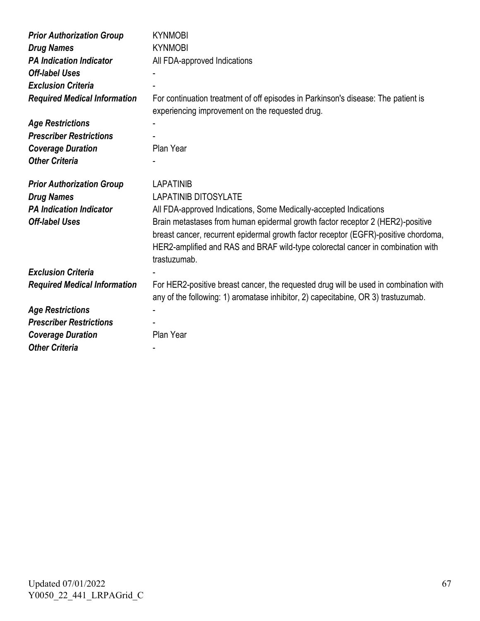| <b>Prior Authorization Group</b>    | <b>KYNMOBI</b>                                                                       |
|-------------------------------------|--------------------------------------------------------------------------------------|
| <b>Drug Names</b>                   | <b>KYNMOBI</b>                                                                       |
| <b>PA Indication Indicator</b>      | All FDA-approved Indications                                                         |
| <b>Off-label Uses</b>               |                                                                                      |
| <b>Exclusion Criteria</b>           |                                                                                      |
| <b>Required Medical Information</b> | For continuation treatment of off episodes in Parkinson's disease: The patient is    |
|                                     | experiencing improvement on the requested drug.                                      |
| <b>Age Restrictions</b>             |                                                                                      |
| <b>Prescriber Restrictions</b>      |                                                                                      |
| <b>Coverage Duration</b>            | Plan Year                                                                            |
| <b>Other Criteria</b>               |                                                                                      |
|                                     |                                                                                      |
| <b>Prior Authorization Group</b>    | <b>LAPATINIB</b>                                                                     |
| <b>Drug Names</b>                   | <b>LAPATINIB DITOSYLATE</b>                                                          |
| <b>PA Indication Indicator</b>      | All FDA-approved Indications, Some Medically-accepted Indications                    |
| <b>Off-label Uses</b>               | Brain metastases from human epidermal growth factor receptor 2 (HER2)-positive       |
|                                     | breast cancer, recurrent epidermal growth factor receptor (EGFR)-positive chordoma,  |
|                                     | HER2-amplified and RAS and BRAF wild-type colorectal cancer in combination with      |
|                                     | trastuzumab.                                                                         |
| <b>Exclusion Criteria</b>           |                                                                                      |
| <b>Required Medical Information</b> | For HER2-positive breast cancer, the requested drug will be used in combination with |
|                                     | any of the following: 1) aromatase inhibitor, 2) capecitabine, OR 3) trastuzumab.    |
| <b>Age Restrictions</b>             |                                                                                      |
| <b>Prescriber Restrictions</b>      |                                                                                      |
| <b>Coverage Duration</b>            | Plan Year                                                                            |
| <b>Other Criteria</b>               |                                                                                      |
|                                     |                                                                                      |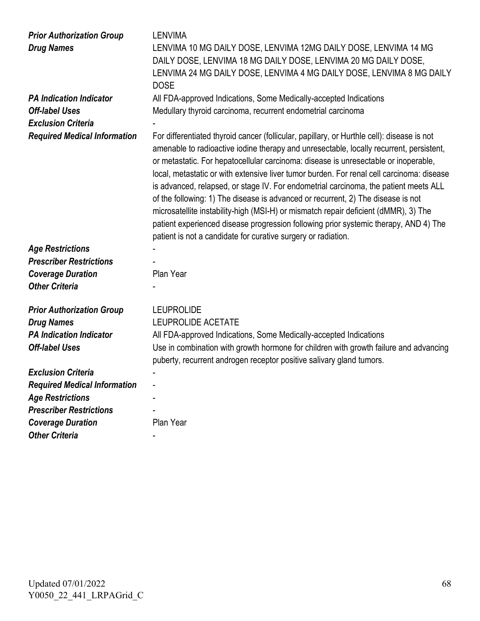| <b>Prior Authorization Group</b><br><b>Drug Names</b> | <b>LENVIMA</b><br>LENVIMA 10 MG DAILY DOSE, LENVIMA 12MG DAILY DOSE, LENVIMA 14 MG                                                                                                                                                                                                                                                                                                                                                                                                                                                                                                                                                                                                                                                                                                                    |
|-------------------------------------------------------|-------------------------------------------------------------------------------------------------------------------------------------------------------------------------------------------------------------------------------------------------------------------------------------------------------------------------------------------------------------------------------------------------------------------------------------------------------------------------------------------------------------------------------------------------------------------------------------------------------------------------------------------------------------------------------------------------------------------------------------------------------------------------------------------------------|
|                                                       | DAILY DOSE, LENVIMA 18 MG DAILY DOSE, LENVIMA 20 MG DAILY DOSE,<br>LENVIMA 24 MG DAILY DOSE, LENVIMA 4 MG DAILY DOSE, LENVIMA 8 MG DAILY<br><b>DOSE</b>                                                                                                                                                                                                                                                                                                                                                                                                                                                                                                                                                                                                                                               |
| <b>PA Indication Indicator</b>                        | All FDA-approved Indications, Some Medically-accepted Indications                                                                                                                                                                                                                                                                                                                                                                                                                                                                                                                                                                                                                                                                                                                                     |
| <b>Off-label Uses</b>                                 | Medullary thyroid carcinoma, recurrent endometrial carcinoma                                                                                                                                                                                                                                                                                                                                                                                                                                                                                                                                                                                                                                                                                                                                          |
| <b>Exclusion Criteria</b>                             |                                                                                                                                                                                                                                                                                                                                                                                                                                                                                                                                                                                                                                                                                                                                                                                                       |
| <b>Required Medical Information</b>                   | For differentiated thyroid cancer (follicular, papillary, or Hurthle cell): disease is not<br>amenable to radioactive iodine therapy and unresectable, locally recurrent, persistent,<br>or metastatic. For hepatocellular carcinoma: disease is unresectable or inoperable,<br>local, metastatic or with extensive liver tumor burden. For renal cell carcinoma: disease<br>is advanced, relapsed, or stage IV. For endometrial carcinoma, the patient meets ALL<br>of the following: 1) The disease is advanced or recurrent, 2) The disease is not<br>microsatellite instability-high (MSI-H) or mismatch repair deficient (dMMR), 3) The<br>patient experienced disease progression following prior systemic therapy, AND 4) The<br>patient is not a candidate for curative surgery or radiation. |
| <b>Age Restrictions</b>                               |                                                                                                                                                                                                                                                                                                                                                                                                                                                                                                                                                                                                                                                                                                                                                                                                       |
| <b>Prescriber Restrictions</b>                        |                                                                                                                                                                                                                                                                                                                                                                                                                                                                                                                                                                                                                                                                                                                                                                                                       |
| <b>Coverage Duration</b>                              | Plan Year                                                                                                                                                                                                                                                                                                                                                                                                                                                                                                                                                                                                                                                                                                                                                                                             |
| <b>Other Criteria</b>                                 |                                                                                                                                                                                                                                                                                                                                                                                                                                                                                                                                                                                                                                                                                                                                                                                                       |
| <b>Prior Authorization Group</b>                      | <b>LEUPROLIDE</b>                                                                                                                                                                                                                                                                                                                                                                                                                                                                                                                                                                                                                                                                                                                                                                                     |
| <b>Drug Names</b>                                     | <b>LEUPROLIDE ACETATE</b>                                                                                                                                                                                                                                                                                                                                                                                                                                                                                                                                                                                                                                                                                                                                                                             |
| <b>PA Indication Indicator</b>                        | All FDA-approved Indications, Some Medically-accepted Indications                                                                                                                                                                                                                                                                                                                                                                                                                                                                                                                                                                                                                                                                                                                                     |
| <b>Off-label Uses</b>                                 | Use in combination with growth hormone for children with growth failure and advancing<br>puberty, recurrent androgen receptor positive salivary gland tumors.                                                                                                                                                                                                                                                                                                                                                                                                                                                                                                                                                                                                                                         |
| <b>Exclusion Criteria</b>                             |                                                                                                                                                                                                                                                                                                                                                                                                                                                                                                                                                                                                                                                                                                                                                                                                       |
| <b>Required Medical Information</b>                   |                                                                                                                                                                                                                                                                                                                                                                                                                                                                                                                                                                                                                                                                                                                                                                                                       |
| <b>Age Restrictions</b>                               |                                                                                                                                                                                                                                                                                                                                                                                                                                                                                                                                                                                                                                                                                                                                                                                                       |
| <b>Prescriber Restrictions</b>                        |                                                                                                                                                                                                                                                                                                                                                                                                                                                                                                                                                                                                                                                                                                                                                                                                       |
| <b>Coverage Duration</b>                              | Plan Year                                                                                                                                                                                                                                                                                                                                                                                                                                                                                                                                                                                                                                                                                                                                                                                             |
| <b>Other Criteria</b>                                 |                                                                                                                                                                                                                                                                                                                                                                                                                                                                                                                                                                                                                                                                                                                                                                                                       |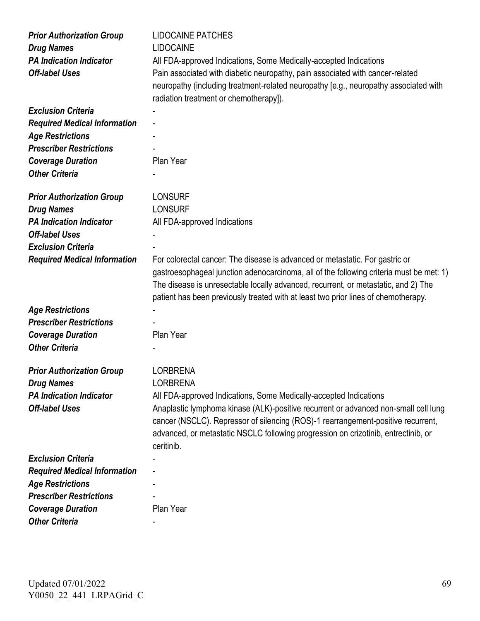| <b>Prior Authorization Group</b><br><b>Drug Names</b><br><b>PA Indication Indicator</b><br><b>Off-label Uses</b> | <b>LIDOCAINE PATCHES</b><br><b>LIDOCAINE</b><br>All FDA-approved Indications, Some Medically-accepted Indications<br>Pain associated with diabetic neuropathy, pain associated with cancer-related<br>neuropathy (including treatment-related neuropathy [e.g., neuropathy associated with<br>radiation treatment or chemotherapy]).                |
|------------------------------------------------------------------------------------------------------------------|-----------------------------------------------------------------------------------------------------------------------------------------------------------------------------------------------------------------------------------------------------------------------------------------------------------------------------------------------------|
| <b>Exclusion Criteria</b>                                                                                        |                                                                                                                                                                                                                                                                                                                                                     |
| <b>Required Medical Information</b>                                                                              |                                                                                                                                                                                                                                                                                                                                                     |
| <b>Age Restrictions</b>                                                                                          |                                                                                                                                                                                                                                                                                                                                                     |
| <b>Prescriber Restrictions</b>                                                                                   |                                                                                                                                                                                                                                                                                                                                                     |
| <b>Coverage Duration</b>                                                                                         | Plan Year                                                                                                                                                                                                                                                                                                                                           |
| <b>Other Criteria</b>                                                                                            |                                                                                                                                                                                                                                                                                                                                                     |
| <b>Prior Authorization Group</b>                                                                                 | <b>LONSURF</b>                                                                                                                                                                                                                                                                                                                                      |
| <b>Drug Names</b>                                                                                                | <b>LONSURF</b>                                                                                                                                                                                                                                                                                                                                      |
| <b>PA Indication Indicator</b>                                                                                   | All FDA-approved Indications                                                                                                                                                                                                                                                                                                                        |
| <b>Off-label Uses</b>                                                                                            |                                                                                                                                                                                                                                                                                                                                                     |
| <b>Exclusion Criteria</b>                                                                                        |                                                                                                                                                                                                                                                                                                                                                     |
| <b>Required Medical Information</b>                                                                              | For colorectal cancer: The disease is advanced or metastatic. For gastric or<br>gastroesophageal junction adenocarcinoma, all of the following criteria must be met: 1)<br>The disease is unresectable locally advanced, recurrent, or metastatic, and 2) The<br>patient has been previously treated with at least two prior lines of chemotherapy. |
| <b>Age Restrictions</b>                                                                                          |                                                                                                                                                                                                                                                                                                                                                     |
| <b>Prescriber Restrictions</b>                                                                                   |                                                                                                                                                                                                                                                                                                                                                     |
| <b>Coverage Duration</b>                                                                                         | Plan Year                                                                                                                                                                                                                                                                                                                                           |
| <b>Other Criteria</b>                                                                                            |                                                                                                                                                                                                                                                                                                                                                     |
| <b>Prior Authorization Group</b>                                                                                 | <b>LORBRENA</b>                                                                                                                                                                                                                                                                                                                                     |
| <b>Drug Names</b>                                                                                                | <b>LORBRENA</b>                                                                                                                                                                                                                                                                                                                                     |
| <b>PA Indication Indicator</b>                                                                                   | All FDA-approved Indications, Some Medically-accepted Indications                                                                                                                                                                                                                                                                                   |
| <b>Off-label Uses</b>                                                                                            | Anaplastic lymphoma kinase (ALK)-positive recurrent or advanced non-small cell lung<br>cancer (NSCLC). Repressor of silencing (ROS)-1 rearrangement-positive recurrent,<br>advanced, or metastatic NSCLC following progression on crizotinib, entrectinib, or<br>ceritinib.                                                                         |
| <b>Exclusion Criteria</b>                                                                                        |                                                                                                                                                                                                                                                                                                                                                     |
| <b>Required Medical Information</b>                                                                              |                                                                                                                                                                                                                                                                                                                                                     |
| <b>Age Restrictions</b>                                                                                          |                                                                                                                                                                                                                                                                                                                                                     |
| <b>Prescriber Restrictions</b>                                                                                   |                                                                                                                                                                                                                                                                                                                                                     |
| <b>Coverage Duration</b>                                                                                         | Plan Year                                                                                                                                                                                                                                                                                                                                           |
| <b>Other Criteria</b>                                                                                            |                                                                                                                                                                                                                                                                                                                                                     |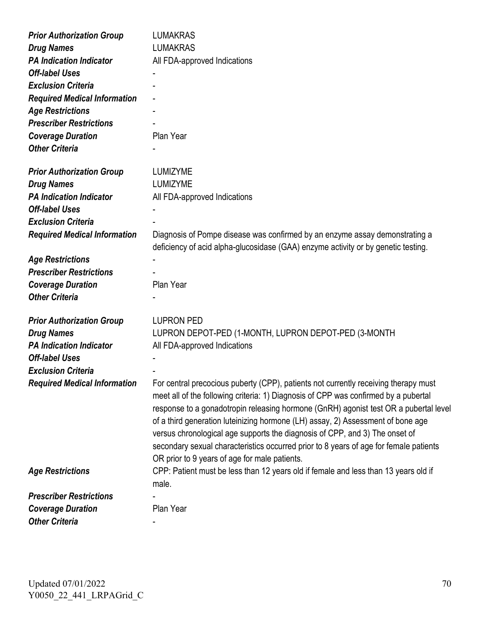| <b>Prior Authorization Group</b>    | <b>LUMAKRAS</b>                                                                                                                                                                                                                                                                                                                                                                                                                                                                                                                                                                |
|-------------------------------------|--------------------------------------------------------------------------------------------------------------------------------------------------------------------------------------------------------------------------------------------------------------------------------------------------------------------------------------------------------------------------------------------------------------------------------------------------------------------------------------------------------------------------------------------------------------------------------|
| <b>Drug Names</b>                   | <b>LUMAKRAS</b>                                                                                                                                                                                                                                                                                                                                                                                                                                                                                                                                                                |
| <b>PA Indication Indicator</b>      | All FDA-approved Indications                                                                                                                                                                                                                                                                                                                                                                                                                                                                                                                                                   |
| <b>Off-label Uses</b>               |                                                                                                                                                                                                                                                                                                                                                                                                                                                                                                                                                                                |
| <b>Exclusion Criteria</b>           |                                                                                                                                                                                                                                                                                                                                                                                                                                                                                                                                                                                |
| <b>Required Medical Information</b> |                                                                                                                                                                                                                                                                                                                                                                                                                                                                                                                                                                                |
| <b>Age Restrictions</b>             |                                                                                                                                                                                                                                                                                                                                                                                                                                                                                                                                                                                |
| <b>Prescriber Restrictions</b>      |                                                                                                                                                                                                                                                                                                                                                                                                                                                                                                                                                                                |
| <b>Coverage Duration</b>            | Plan Year                                                                                                                                                                                                                                                                                                                                                                                                                                                                                                                                                                      |
| <b>Other Criteria</b>               |                                                                                                                                                                                                                                                                                                                                                                                                                                                                                                                                                                                |
| <b>Prior Authorization Group</b>    | LUMIZYME                                                                                                                                                                                                                                                                                                                                                                                                                                                                                                                                                                       |
| <b>Drug Names</b>                   | <b>LUMIZYME</b>                                                                                                                                                                                                                                                                                                                                                                                                                                                                                                                                                                |
| <b>PA Indication Indicator</b>      | All FDA-approved Indications                                                                                                                                                                                                                                                                                                                                                                                                                                                                                                                                                   |
| <b>Off-label Uses</b>               |                                                                                                                                                                                                                                                                                                                                                                                                                                                                                                                                                                                |
| <b>Exclusion Criteria</b>           |                                                                                                                                                                                                                                                                                                                                                                                                                                                                                                                                                                                |
| <b>Required Medical Information</b> | Diagnosis of Pompe disease was confirmed by an enzyme assay demonstrating a<br>deficiency of acid alpha-glucosidase (GAA) enzyme activity or by genetic testing.                                                                                                                                                                                                                                                                                                                                                                                                               |
| <b>Age Restrictions</b>             |                                                                                                                                                                                                                                                                                                                                                                                                                                                                                                                                                                                |
| <b>Prescriber Restrictions</b>      |                                                                                                                                                                                                                                                                                                                                                                                                                                                                                                                                                                                |
| <b>Coverage Duration</b>            | Plan Year                                                                                                                                                                                                                                                                                                                                                                                                                                                                                                                                                                      |
| <b>Other Criteria</b>               |                                                                                                                                                                                                                                                                                                                                                                                                                                                                                                                                                                                |
| <b>Prior Authorization Group</b>    | <b>LUPRON PED</b>                                                                                                                                                                                                                                                                                                                                                                                                                                                                                                                                                              |
| <b>Drug Names</b>                   | LUPRON DEPOT-PED (1-MONTH, LUPRON DEPOT-PED (3-MONTH                                                                                                                                                                                                                                                                                                                                                                                                                                                                                                                           |
| <b>PA Indication Indicator</b>      | All FDA-approved Indications                                                                                                                                                                                                                                                                                                                                                                                                                                                                                                                                                   |
| <b>Off-label Uses</b>               |                                                                                                                                                                                                                                                                                                                                                                                                                                                                                                                                                                                |
| <b>Exclusion Criteria</b>           |                                                                                                                                                                                                                                                                                                                                                                                                                                                                                                                                                                                |
| <b>Required Medical Information</b> | For central precocious puberty (CPP), patients not currently receiving therapy must<br>meet all of the following criteria: 1) Diagnosis of CPP was confirmed by a pubertal<br>response to a gonadotropin releasing hormone (GnRH) agonist test OR a pubertal level<br>of a third generation luteinizing hormone (LH) assay, 2) Assessment of bone age<br>versus chronological age supports the diagnosis of CPP, and 3) The onset of<br>secondary sexual characteristics occurred prior to 8 years of age for female patients<br>OR prior to 9 years of age for male patients. |
| <b>Age Restrictions</b>             | CPP: Patient must be less than 12 years old if female and less than 13 years old if<br>male.                                                                                                                                                                                                                                                                                                                                                                                                                                                                                   |
| <b>Prescriber Restrictions</b>      |                                                                                                                                                                                                                                                                                                                                                                                                                                                                                                                                                                                |
| <b>Coverage Duration</b>            | Plan Year                                                                                                                                                                                                                                                                                                                                                                                                                                                                                                                                                                      |
| <b>Other Criteria</b>               |                                                                                                                                                                                                                                                                                                                                                                                                                                                                                                                                                                                |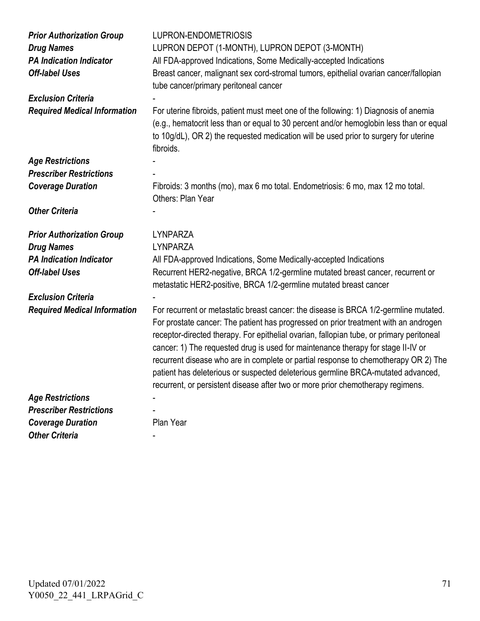| <b>Prior Authorization Group</b><br><b>Drug Names</b><br><b>PA Indication Indicator</b><br><b>Off-label Uses</b> | LUPRON-ENDOMETRIOSIS<br>LUPRON DEPOT (1-MONTH), LUPRON DEPOT (3-MONTH)<br>All FDA-approved Indications, Some Medically-accepted Indications<br>Breast cancer, malignant sex cord-stromal tumors, epithelial ovarian cancer/fallopian<br>tube cancer/primary peritoneal cancer                                                                                                                                                                                                                                                                                                                                             |
|------------------------------------------------------------------------------------------------------------------|---------------------------------------------------------------------------------------------------------------------------------------------------------------------------------------------------------------------------------------------------------------------------------------------------------------------------------------------------------------------------------------------------------------------------------------------------------------------------------------------------------------------------------------------------------------------------------------------------------------------------|
| <b>Exclusion Criteria</b>                                                                                        |                                                                                                                                                                                                                                                                                                                                                                                                                                                                                                                                                                                                                           |
| <b>Required Medical Information</b>                                                                              | For uterine fibroids, patient must meet one of the following: 1) Diagnosis of anemia<br>(e.g., hematocrit less than or equal to 30 percent and/or hemoglobin less than or equal<br>to 10g/dL), OR 2) the requested medication will be used prior to surgery for uterine<br>fibroids.                                                                                                                                                                                                                                                                                                                                      |
| <b>Age Restrictions</b>                                                                                          |                                                                                                                                                                                                                                                                                                                                                                                                                                                                                                                                                                                                                           |
| <b>Prescriber Restrictions</b>                                                                                   |                                                                                                                                                                                                                                                                                                                                                                                                                                                                                                                                                                                                                           |
| <b>Coverage Duration</b>                                                                                         | Fibroids: 3 months (mo), max 6 mo total. Endometriosis: 6 mo, max 12 mo total.<br>Others: Plan Year                                                                                                                                                                                                                                                                                                                                                                                                                                                                                                                       |
| <b>Other Criteria</b>                                                                                            |                                                                                                                                                                                                                                                                                                                                                                                                                                                                                                                                                                                                                           |
| <b>Prior Authorization Group</b>                                                                                 | <b>LYNPARZA</b>                                                                                                                                                                                                                                                                                                                                                                                                                                                                                                                                                                                                           |
| <b>Drug Names</b>                                                                                                | LYNPARZA                                                                                                                                                                                                                                                                                                                                                                                                                                                                                                                                                                                                                  |
| <b>PA Indication Indicator</b>                                                                                   | All FDA-approved Indications, Some Medically-accepted Indications                                                                                                                                                                                                                                                                                                                                                                                                                                                                                                                                                         |
| <b>Off-label Uses</b>                                                                                            | Recurrent HER2-negative, BRCA 1/2-germline mutated breast cancer, recurrent or<br>metastatic HER2-positive, BRCA 1/2-germline mutated breast cancer                                                                                                                                                                                                                                                                                                                                                                                                                                                                       |
| <b>Exclusion Criteria</b>                                                                                        |                                                                                                                                                                                                                                                                                                                                                                                                                                                                                                                                                                                                                           |
| <b>Required Medical Information</b>                                                                              | For recurrent or metastatic breast cancer: the disease is BRCA 1/2-germline mutated.<br>For prostate cancer: The patient has progressed on prior treatment with an androgen<br>receptor-directed therapy. For epithelial ovarian, fallopian tube, or primary peritoneal<br>cancer: 1) The requested drug is used for maintenance therapy for stage II-IV or<br>recurrent disease who are in complete or partial response to chemotherapy OR 2) The<br>patient has deleterious or suspected deleterious germline BRCA-mutated advanced,<br>recurrent, or persistent disease after two or more prior chemotherapy regimens. |
| <b>Age Restrictions</b>                                                                                          |                                                                                                                                                                                                                                                                                                                                                                                                                                                                                                                                                                                                                           |
| <b>Prescriber Restrictions</b>                                                                                   |                                                                                                                                                                                                                                                                                                                                                                                                                                                                                                                                                                                                                           |
| <b>Coverage Duration</b>                                                                                         | Plan Year                                                                                                                                                                                                                                                                                                                                                                                                                                                                                                                                                                                                                 |
| <b>Other Criteria</b>                                                                                            |                                                                                                                                                                                                                                                                                                                                                                                                                                                                                                                                                                                                                           |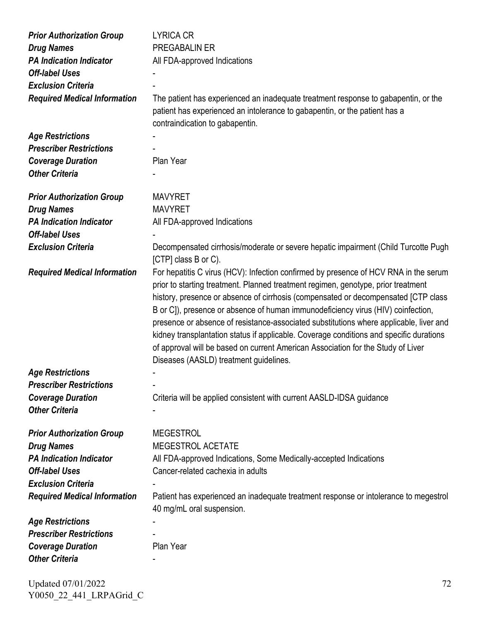| <b>Prior Authorization Group</b>    | <b>LYRICA CR</b>                                                                                                                                                                                                                                                                                                                                                                                                                                                                                                                                                                                                                                                       |
|-------------------------------------|------------------------------------------------------------------------------------------------------------------------------------------------------------------------------------------------------------------------------------------------------------------------------------------------------------------------------------------------------------------------------------------------------------------------------------------------------------------------------------------------------------------------------------------------------------------------------------------------------------------------------------------------------------------------|
| <b>Drug Names</b>                   | PREGABALIN ER                                                                                                                                                                                                                                                                                                                                                                                                                                                                                                                                                                                                                                                          |
| <b>PA Indication Indicator</b>      | All FDA-approved Indications                                                                                                                                                                                                                                                                                                                                                                                                                                                                                                                                                                                                                                           |
| <b>Off-label Uses</b>               |                                                                                                                                                                                                                                                                                                                                                                                                                                                                                                                                                                                                                                                                        |
| <b>Exclusion Criteria</b>           |                                                                                                                                                                                                                                                                                                                                                                                                                                                                                                                                                                                                                                                                        |
| <b>Required Medical Information</b> | The patient has experienced an inadequate treatment response to gabapentin, or the<br>patient has experienced an intolerance to gabapentin, or the patient has a<br>contraindication to gabapentin.                                                                                                                                                                                                                                                                                                                                                                                                                                                                    |
| <b>Age Restrictions</b>             |                                                                                                                                                                                                                                                                                                                                                                                                                                                                                                                                                                                                                                                                        |
| <b>Prescriber Restrictions</b>      |                                                                                                                                                                                                                                                                                                                                                                                                                                                                                                                                                                                                                                                                        |
| <b>Coverage Duration</b>            | Plan Year                                                                                                                                                                                                                                                                                                                                                                                                                                                                                                                                                                                                                                                              |
| <b>Other Criteria</b>               |                                                                                                                                                                                                                                                                                                                                                                                                                                                                                                                                                                                                                                                                        |
|                                     |                                                                                                                                                                                                                                                                                                                                                                                                                                                                                                                                                                                                                                                                        |
| <b>Prior Authorization Group</b>    | <b>MAVYRET</b>                                                                                                                                                                                                                                                                                                                                                                                                                                                                                                                                                                                                                                                         |
| <b>Drug Names</b>                   | <b>MAVYRET</b>                                                                                                                                                                                                                                                                                                                                                                                                                                                                                                                                                                                                                                                         |
| <b>PA Indication Indicator</b>      | All FDA-approved Indications                                                                                                                                                                                                                                                                                                                                                                                                                                                                                                                                                                                                                                           |
| <b>Off-label Uses</b>               |                                                                                                                                                                                                                                                                                                                                                                                                                                                                                                                                                                                                                                                                        |
| <b>Exclusion Criteria</b>           | Decompensated cirrhosis/moderate or severe hepatic impairment (Child Turcotte Pugh<br>[CTP] class B or C).                                                                                                                                                                                                                                                                                                                                                                                                                                                                                                                                                             |
| <b>Required Medical Information</b> | For hepatitis C virus (HCV): Infection confirmed by presence of HCV RNA in the serum<br>prior to starting treatment. Planned treatment regimen, genotype, prior treatment<br>history, presence or absence of cirrhosis (compensated or decompensated [CTP class<br>B or C]), presence or absence of human immunodeficiency virus (HIV) coinfection,<br>presence or absence of resistance-associated substitutions where applicable, liver and<br>kidney transplantation status if applicable. Coverage conditions and specific durations<br>of approval will be based on current American Association for the Study of Liver<br>Diseases (AASLD) treatment guidelines. |
| <b>Age Restrictions</b>             |                                                                                                                                                                                                                                                                                                                                                                                                                                                                                                                                                                                                                                                                        |
| <b>Prescriber Restrictions</b>      |                                                                                                                                                                                                                                                                                                                                                                                                                                                                                                                                                                                                                                                                        |
| <b>Coverage Duration</b>            | Criteria will be applied consistent with current AASLD-IDSA guidance                                                                                                                                                                                                                                                                                                                                                                                                                                                                                                                                                                                                   |
| <b>Other Criteria</b>               |                                                                                                                                                                                                                                                                                                                                                                                                                                                                                                                                                                                                                                                                        |
| <b>Prior Authorization Group</b>    | <b>MEGESTROL</b>                                                                                                                                                                                                                                                                                                                                                                                                                                                                                                                                                                                                                                                       |
| <b>Drug Names</b>                   | MEGESTROL ACETATE                                                                                                                                                                                                                                                                                                                                                                                                                                                                                                                                                                                                                                                      |
| <b>PA Indication Indicator</b>      | All FDA-approved Indications, Some Medically-accepted Indications                                                                                                                                                                                                                                                                                                                                                                                                                                                                                                                                                                                                      |
| <b>Off-label Uses</b>               | Cancer-related cachexia in adults                                                                                                                                                                                                                                                                                                                                                                                                                                                                                                                                                                                                                                      |
| <b>Exclusion Criteria</b>           |                                                                                                                                                                                                                                                                                                                                                                                                                                                                                                                                                                                                                                                                        |
| <b>Required Medical Information</b> | Patient has experienced an inadequate treatment response or intolerance to megestrol                                                                                                                                                                                                                                                                                                                                                                                                                                                                                                                                                                                   |
|                                     | 40 mg/mL oral suspension.                                                                                                                                                                                                                                                                                                                                                                                                                                                                                                                                                                                                                                              |
| <b>Age Restrictions</b>             |                                                                                                                                                                                                                                                                                                                                                                                                                                                                                                                                                                                                                                                                        |
| <b>Prescriber Restrictions</b>      |                                                                                                                                                                                                                                                                                                                                                                                                                                                                                                                                                                                                                                                                        |
| <b>Coverage Duration</b>            | Plan Year                                                                                                                                                                                                                                                                                                                                                                                                                                                                                                                                                                                                                                                              |
| <b>Other Criteria</b>               |                                                                                                                                                                                                                                                                                                                                                                                                                                                                                                                                                                                                                                                                        |
|                                     |                                                                                                                                                                                                                                                                                                                                                                                                                                                                                                                                                                                                                                                                        |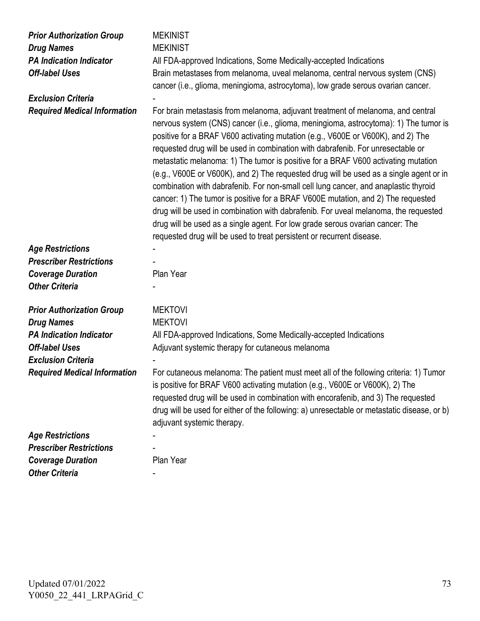| <b>Prior Authorization Group</b>    | <b>MEKINIST</b>                                                                                                                                                                                                                                                                                                                                                                                                                                                                                                                                                                                                                                                                                                                                                                                                                                                                                                                                          |
|-------------------------------------|----------------------------------------------------------------------------------------------------------------------------------------------------------------------------------------------------------------------------------------------------------------------------------------------------------------------------------------------------------------------------------------------------------------------------------------------------------------------------------------------------------------------------------------------------------------------------------------------------------------------------------------------------------------------------------------------------------------------------------------------------------------------------------------------------------------------------------------------------------------------------------------------------------------------------------------------------------|
| <b>Drug Names</b>                   | <b>MEKINIST</b>                                                                                                                                                                                                                                                                                                                                                                                                                                                                                                                                                                                                                                                                                                                                                                                                                                                                                                                                          |
| <b>PA Indication Indicator</b>      | All FDA-approved Indications, Some Medically-accepted Indications                                                                                                                                                                                                                                                                                                                                                                                                                                                                                                                                                                                                                                                                                                                                                                                                                                                                                        |
| <b>Off-label Uses</b>               | Brain metastases from melanoma, uveal melanoma, central nervous system (CNS)                                                                                                                                                                                                                                                                                                                                                                                                                                                                                                                                                                                                                                                                                                                                                                                                                                                                             |
|                                     | cancer (i.e., glioma, meningioma, astrocytoma), low grade serous ovarian cancer.                                                                                                                                                                                                                                                                                                                                                                                                                                                                                                                                                                                                                                                                                                                                                                                                                                                                         |
| <b>Exclusion Criteria</b>           |                                                                                                                                                                                                                                                                                                                                                                                                                                                                                                                                                                                                                                                                                                                                                                                                                                                                                                                                                          |
| <b>Required Medical Information</b> | For brain metastasis from melanoma, adjuvant treatment of melanoma, and central<br>nervous system (CNS) cancer (i.e., glioma, meningioma, astrocytoma): 1) The tumor is<br>positive for a BRAF V600 activating mutation (e.g., V600E or V600K), and 2) The<br>requested drug will be used in combination with dabrafenib. For unresectable or<br>metastatic melanoma: 1) The tumor is positive for a BRAF V600 activating mutation<br>(e.g., V600E or V600K), and 2) The requested drug will be used as a single agent or in<br>combination with dabrafenib. For non-small cell lung cancer, and anaplastic thyroid<br>cancer: 1) The tumor is positive for a BRAF V600E mutation, and 2) The requested<br>drug will be used in combination with dabrafenib. For uveal melanoma, the requested<br>drug will be used as a single agent. For low grade serous ovarian cancer: The<br>requested drug will be used to treat persistent or recurrent disease. |
| <b>Age Restrictions</b>             |                                                                                                                                                                                                                                                                                                                                                                                                                                                                                                                                                                                                                                                                                                                                                                                                                                                                                                                                                          |
| <b>Prescriber Restrictions</b>      |                                                                                                                                                                                                                                                                                                                                                                                                                                                                                                                                                                                                                                                                                                                                                                                                                                                                                                                                                          |
| <b>Coverage Duration</b>            | Plan Year                                                                                                                                                                                                                                                                                                                                                                                                                                                                                                                                                                                                                                                                                                                                                                                                                                                                                                                                                |
| <b>Other Criteria</b>               |                                                                                                                                                                                                                                                                                                                                                                                                                                                                                                                                                                                                                                                                                                                                                                                                                                                                                                                                                          |
|                                     |                                                                                                                                                                                                                                                                                                                                                                                                                                                                                                                                                                                                                                                                                                                                                                                                                                                                                                                                                          |
| <b>Prior Authorization Group</b>    | <b>MEKTOVI</b>                                                                                                                                                                                                                                                                                                                                                                                                                                                                                                                                                                                                                                                                                                                                                                                                                                                                                                                                           |
| <b>Drug Names</b>                   | <b>MEKTOVI</b>                                                                                                                                                                                                                                                                                                                                                                                                                                                                                                                                                                                                                                                                                                                                                                                                                                                                                                                                           |
| <b>PA Indication Indicator</b>      | All FDA-approved Indications, Some Medically-accepted Indications                                                                                                                                                                                                                                                                                                                                                                                                                                                                                                                                                                                                                                                                                                                                                                                                                                                                                        |
| <b>Off-label Uses</b>               | Adjuvant systemic therapy for cutaneous melanoma                                                                                                                                                                                                                                                                                                                                                                                                                                                                                                                                                                                                                                                                                                                                                                                                                                                                                                         |
| <b>Exclusion Criteria</b>           |                                                                                                                                                                                                                                                                                                                                                                                                                                                                                                                                                                                                                                                                                                                                                                                                                                                                                                                                                          |
| <b>Required Medical Information</b> | For cutaneous melanoma: The patient must meet all of the following criteria: 1) Tumor<br>is positive for BRAF V600 activating mutation (e.g., V600E or V600K), 2) The<br>requested drug will be used in combination with encorafenib, and 3) The requested<br>drug will be used for either of the following: a) unresectable or metastatic disease, or b)<br>adjuvant systemic therapy.                                                                                                                                                                                                                                                                                                                                                                                                                                                                                                                                                                  |
| <b>Age Restrictions</b>             |                                                                                                                                                                                                                                                                                                                                                                                                                                                                                                                                                                                                                                                                                                                                                                                                                                                                                                                                                          |
| <b>Prescriber Restrictions</b>      |                                                                                                                                                                                                                                                                                                                                                                                                                                                                                                                                                                                                                                                                                                                                                                                                                                                                                                                                                          |
| <b>Coverage Duration</b>            | Plan Year                                                                                                                                                                                                                                                                                                                                                                                                                                                                                                                                                                                                                                                                                                                                                                                                                                                                                                                                                |
| <b>Other Criteria</b>               |                                                                                                                                                                                                                                                                                                                                                                                                                                                                                                                                                                                                                                                                                                                                                                                                                                                                                                                                                          |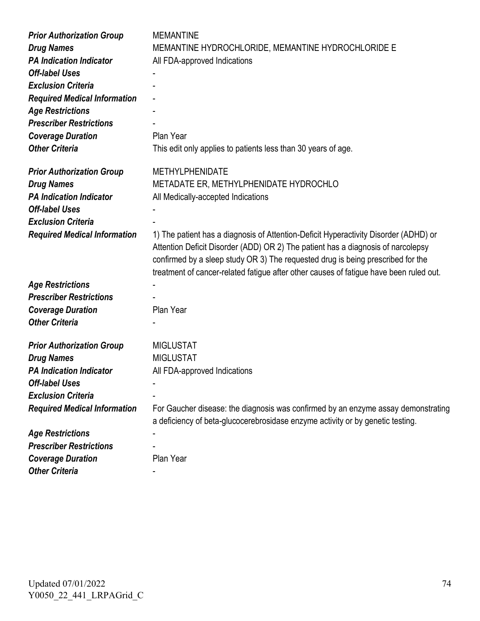| <b>Prior Authorization Group</b>    | <b>MEMANTINE</b>                                                                                                                                                                                                                                                                                                                                      |
|-------------------------------------|-------------------------------------------------------------------------------------------------------------------------------------------------------------------------------------------------------------------------------------------------------------------------------------------------------------------------------------------------------|
| <b>Drug Names</b>                   | MEMANTINE HYDROCHLORIDE, MEMANTINE HYDROCHLORIDE E                                                                                                                                                                                                                                                                                                    |
| <b>PA Indication Indicator</b>      | All FDA-approved Indications                                                                                                                                                                                                                                                                                                                          |
| <b>Off-label Uses</b>               |                                                                                                                                                                                                                                                                                                                                                       |
| <b>Exclusion Criteria</b>           |                                                                                                                                                                                                                                                                                                                                                       |
| <b>Required Medical Information</b> |                                                                                                                                                                                                                                                                                                                                                       |
| <b>Age Restrictions</b>             |                                                                                                                                                                                                                                                                                                                                                       |
| <b>Prescriber Restrictions</b>      |                                                                                                                                                                                                                                                                                                                                                       |
| <b>Coverage Duration</b>            | Plan Year                                                                                                                                                                                                                                                                                                                                             |
| <b>Other Criteria</b>               | This edit only applies to patients less than 30 years of age.                                                                                                                                                                                                                                                                                         |
| <b>Prior Authorization Group</b>    | <b>METHYLPHENIDATE</b>                                                                                                                                                                                                                                                                                                                                |
| <b>Drug Names</b>                   | METADATE ER, METHYLPHENIDATE HYDROCHLO                                                                                                                                                                                                                                                                                                                |
| <b>PA Indication Indicator</b>      | All Medically-accepted Indications                                                                                                                                                                                                                                                                                                                    |
| <b>Off-label Uses</b>               |                                                                                                                                                                                                                                                                                                                                                       |
| <b>Exclusion Criteria</b>           |                                                                                                                                                                                                                                                                                                                                                       |
| <b>Required Medical Information</b> | 1) The patient has a diagnosis of Attention-Deficit Hyperactivity Disorder (ADHD) or<br>Attention Deficit Disorder (ADD) OR 2) The patient has a diagnosis of narcolepsy<br>confirmed by a sleep study OR 3) The requested drug is being prescribed for the<br>treatment of cancer-related fatigue after other causes of fatigue have been ruled out. |
| <b>Age Restrictions</b>             |                                                                                                                                                                                                                                                                                                                                                       |
| <b>Prescriber Restrictions</b>      |                                                                                                                                                                                                                                                                                                                                                       |
| <b>Coverage Duration</b>            | Plan Year                                                                                                                                                                                                                                                                                                                                             |
| <b>Other Criteria</b>               |                                                                                                                                                                                                                                                                                                                                                       |
| <b>Prior Authorization Group</b>    | <b>MIGLUSTAT</b>                                                                                                                                                                                                                                                                                                                                      |
| <b>Drug Names</b>                   | <b>MIGLUSTAT</b>                                                                                                                                                                                                                                                                                                                                      |
| <b>PA Indication Indicator</b>      | All FDA-approved Indications                                                                                                                                                                                                                                                                                                                          |
| <b>Off-label Uses</b>               |                                                                                                                                                                                                                                                                                                                                                       |
| <b>Exclusion Criteria</b>           |                                                                                                                                                                                                                                                                                                                                                       |
| <b>Required Medical Information</b> | For Gaucher disease: the diagnosis was confirmed by an enzyme assay demonstrating<br>a deficiency of beta-glucocerebrosidase enzyme activity or by genetic testing.                                                                                                                                                                                   |
| <b>Age Restrictions</b>             |                                                                                                                                                                                                                                                                                                                                                       |
| <b>Prescriber Restrictions</b>      |                                                                                                                                                                                                                                                                                                                                                       |
| <b>Coverage Duration</b>            | Plan Year                                                                                                                                                                                                                                                                                                                                             |
| <b>Other Criteria</b>               |                                                                                                                                                                                                                                                                                                                                                       |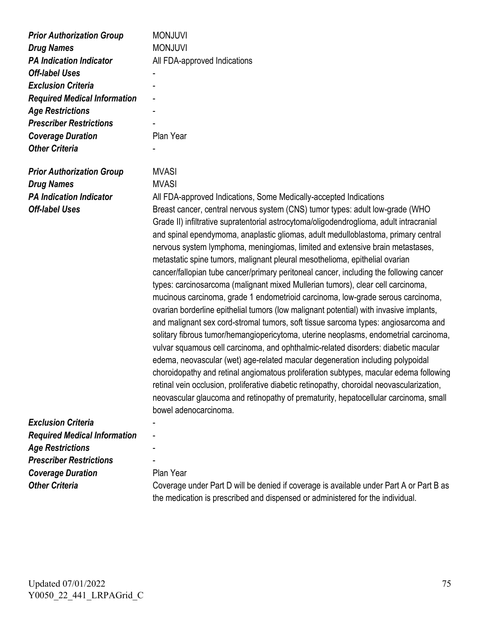| <b>Prior Authorization Group</b><br><b>Drug Names</b><br><b>PA Indication Indicator</b><br><b>Off-label Uses</b><br><b>Exclusion Criteria</b><br><b>Required Medical Information</b><br><b>Age Restrictions</b><br><b>Prescriber Restrictions</b><br><b>Coverage Duration</b><br><b>Other Criteria</b> | <b>MONJUVI</b><br><b>MONJUVI</b><br>All FDA-approved Indications<br>Plan Year                                                                                                                                                                                                                                                                                                                                                                                                                                                                                                                                                                                                                                                                                                                                                                                                                                                                                                                                                                                                                                                                                                                                                                                                                                                                                                                                                                        |
|--------------------------------------------------------------------------------------------------------------------------------------------------------------------------------------------------------------------------------------------------------------------------------------------------------|------------------------------------------------------------------------------------------------------------------------------------------------------------------------------------------------------------------------------------------------------------------------------------------------------------------------------------------------------------------------------------------------------------------------------------------------------------------------------------------------------------------------------------------------------------------------------------------------------------------------------------------------------------------------------------------------------------------------------------------------------------------------------------------------------------------------------------------------------------------------------------------------------------------------------------------------------------------------------------------------------------------------------------------------------------------------------------------------------------------------------------------------------------------------------------------------------------------------------------------------------------------------------------------------------------------------------------------------------------------------------------------------------------------------------------------------------|
| <b>Prior Authorization Group</b>                                                                                                                                                                                                                                                                       | <b>MVASI</b>                                                                                                                                                                                                                                                                                                                                                                                                                                                                                                                                                                                                                                                                                                                                                                                                                                                                                                                                                                                                                                                                                                                                                                                                                                                                                                                                                                                                                                         |
| <b>Drug Names</b>                                                                                                                                                                                                                                                                                      | <b>MVASI</b>                                                                                                                                                                                                                                                                                                                                                                                                                                                                                                                                                                                                                                                                                                                                                                                                                                                                                                                                                                                                                                                                                                                                                                                                                                                                                                                                                                                                                                         |
| <b>PA Indication Indicator</b>                                                                                                                                                                                                                                                                         | All FDA-approved Indications, Some Medically-accepted Indications                                                                                                                                                                                                                                                                                                                                                                                                                                                                                                                                                                                                                                                                                                                                                                                                                                                                                                                                                                                                                                                                                                                                                                                                                                                                                                                                                                                    |
| <b>Off-label Uses</b>                                                                                                                                                                                                                                                                                  | Breast cancer, central nervous system (CNS) tumor types: adult low-grade (WHO<br>Grade II) infiltrative supratentorial astrocytoma/oligodendroglioma, adult intracranial<br>and spinal ependymoma, anaplastic gliomas, adult medulloblastoma, primary central<br>nervous system lymphoma, meningiomas, limited and extensive brain metastases,<br>metastatic spine tumors, malignant pleural mesothelioma, epithelial ovarian<br>cancer/fallopian tube cancer/primary peritoneal cancer, including the following cancer<br>types: carcinosarcoma (malignant mixed Mullerian tumors), clear cell carcinoma,<br>mucinous carcinoma, grade 1 endometrioid carcinoma, low-grade serous carcinoma,<br>ovarian borderline epithelial tumors (low malignant potential) with invasive implants,<br>and malignant sex cord-stromal tumors, soft tissue sarcoma types: angiosarcoma and<br>solitary fibrous tumor/hemangiopericytoma, uterine neoplasms, endometrial carcinoma,<br>vulvar squamous cell carcinoma, and ophthalmic-related disorders: diabetic macular<br>edema, neovascular (wet) age-related macular degeneration including polypoidal<br>choroidopathy and retinal angiomatous proliferation subtypes, macular edema following<br>retinal vein occlusion, proliferative diabetic retinopathy, choroidal neovascularization,<br>neovascular glaucoma and retinopathy of prematurity, hepatocellular carcinoma, small<br>bowel adenocarcinoma. |
| <b>Exclusion Criteria</b>                                                                                                                                                                                                                                                                              |                                                                                                                                                                                                                                                                                                                                                                                                                                                                                                                                                                                                                                                                                                                                                                                                                                                                                                                                                                                                                                                                                                                                                                                                                                                                                                                                                                                                                                                      |
| <b>Required Medical Information</b>                                                                                                                                                                                                                                                                    |                                                                                                                                                                                                                                                                                                                                                                                                                                                                                                                                                                                                                                                                                                                                                                                                                                                                                                                                                                                                                                                                                                                                                                                                                                                                                                                                                                                                                                                      |
| <b>Age Restrictions</b>                                                                                                                                                                                                                                                                                |                                                                                                                                                                                                                                                                                                                                                                                                                                                                                                                                                                                                                                                                                                                                                                                                                                                                                                                                                                                                                                                                                                                                                                                                                                                                                                                                                                                                                                                      |
| <b>Prescriber Restrictions</b>                                                                                                                                                                                                                                                                         |                                                                                                                                                                                                                                                                                                                                                                                                                                                                                                                                                                                                                                                                                                                                                                                                                                                                                                                                                                                                                                                                                                                                                                                                                                                                                                                                                                                                                                                      |
| <b>Coverage Duration</b>                                                                                                                                                                                                                                                                               | Plan Year                                                                                                                                                                                                                                                                                                                                                                                                                                                                                                                                                                                                                                                                                                                                                                                                                                                                                                                                                                                                                                                                                                                                                                                                                                                                                                                                                                                                                                            |
| <b>Other Criteria</b>                                                                                                                                                                                                                                                                                  | Coverage under Part D will be denied if coverage is available under Part A or Part B as<br>the medication is prescribed and dispensed or administered for the individual.                                                                                                                                                                                                                                                                                                                                                                                                                                                                                                                                                                                                                                                                                                                                                                                                                                                                                                                                                                                                                                                                                                                                                                                                                                                                            |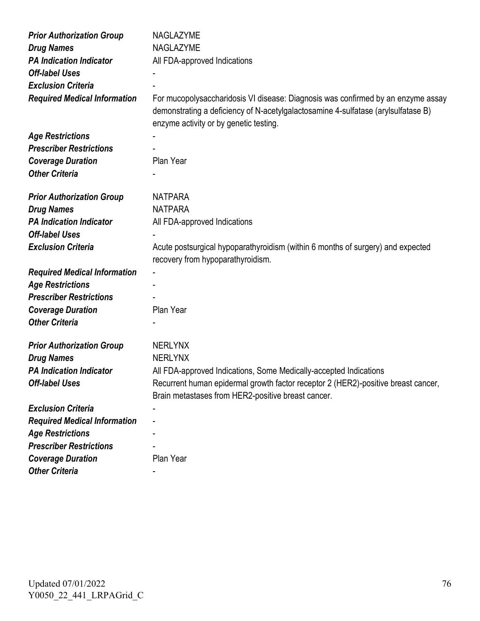| <b>Prior Authorization Group</b>    | NAGLAZYME                                                                                                            |
|-------------------------------------|----------------------------------------------------------------------------------------------------------------------|
| <b>Drug Names</b>                   | NAGLAZYME                                                                                                            |
| <b>PA Indication Indicator</b>      | All FDA-approved Indications                                                                                         |
| <b>Off-label Uses</b>               |                                                                                                                      |
| <b>Exclusion Criteria</b>           |                                                                                                                      |
| <b>Required Medical Information</b> | For mucopolysaccharidosis VI disease: Diagnosis was confirmed by an enzyme assay                                     |
|                                     | demonstrating a deficiency of N-acetylgalactosamine 4-sulfatase (arylsulfatase B)                                    |
|                                     | enzyme activity or by genetic testing.                                                                               |
| <b>Age Restrictions</b>             |                                                                                                                      |
| <b>Prescriber Restrictions</b>      |                                                                                                                      |
| <b>Coverage Duration</b>            | Plan Year                                                                                                            |
| <b>Other Criteria</b>               |                                                                                                                      |
|                                     |                                                                                                                      |
| <b>Prior Authorization Group</b>    | <b>NATPARA</b>                                                                                                       |
| <b>Drug Names</b>                   | <b>NATPARA</b>                                                                                                       |
| <b>PA Indication Indicator</b>      | All FDA-approved Indications                                                                                         |
| <b>Off-label Uses</b>               |                                                                                                                      |
| <b>Exclusion Criteria</b>           | Acute postsurgical hypoparathyroidism (within 6 months of surgery) and expected<br>recovery from hypoparathyroidism. |
| <b>Required Medical Information</b> |                                                                                                                      |
| <b>Age Restrictions</b>             |                                                                                                                      |
| <b>Prescriber Restrictions</b>      |                                                                                                                      |
| <b>Coverage Duration</b>            | Plan Year                                                                                                            |
| <b>Other Criteria</b>               |                                                                                                                      |
|                                     |                                                                                                                      |
| <b>Prior Authorization Group</b>    | <b>NERLYNX</b>                                                                                                       |
| <b>Drug Names</b>                   | <b>NERLYNX</b>                                                                                                       |
| <b>PA Indication Indicator</b>      | All FDA-approved Indications, Some Medically-accepted Indications                                                    |
| <b>Off-label Uses</b>               | Recurrent human epidermal growth factor receptor 2 (HER2)-positive breast cancer,                                    |
|                                     | Brain metastases from HER2-positive breast cancer.                                                                   |
| <b>Exclusion Criteria</b>           |                                                                                                                      |
| <b>Required Medical Information</b> |                                                                                                                      |
| <b>Age Restrictions</b>             |                                                                                                                      |
| <b>Prescriber Restrictions</b>      |                                                                                                                      |
| <b>Coverage Duration</b>            | Plan Year                                                                                                            |
| <b>Other Criteria</b>               |                                                                                                                      |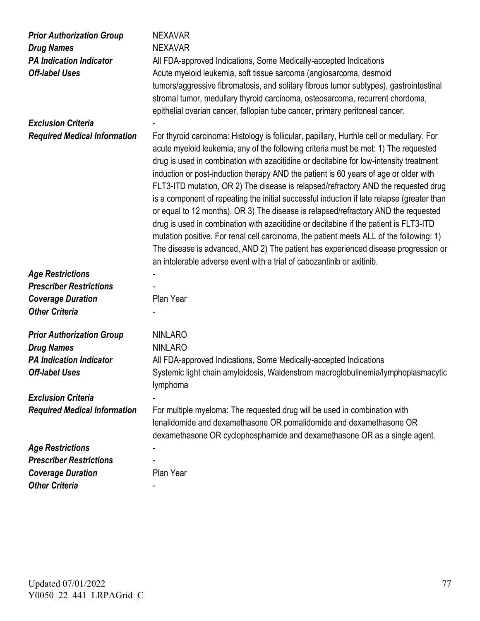| <b>Prior Authorization Group</b><br><b>Drug Names</b><br><b>PA Indication Indicator</b><br><b>Off-label Uses</b> | <b>NEXAVAR</b><br><b>NEXAVAR</b><br>All FDA-approved Indications, Some Medically-accepted Indications<br>Acute myeloid leukemia, soft tissue sarcoma (angiosarcoma, desmoid<br>tumors/aggressive fibromatosis, and solitary fibrous tumor subtypes), gastrointestinal<br>stromal tumor, medullary thyroid carcinoma, osteosarcoma, recurrent chordoma,<br>epithelial ovarian cancer, fallopian tube cancer, primary peritoneal cancer.                                                                                                                                                                                                                                                                                                                                                                                                                                                                                                                                                           |
|------------------------------------------------------------------------------------------------------------------|--------------------------------------------------------------------------------------------------------------------------------------------------------------------------------------------------------------------------------------------------------------------------------------------------------------------------------------------------------------------------------------------------------------------------------------------------------------------------------------------------------------------------------------------------------------------------------------------------------------------------------------------------------------------------------------------------------------------------------------------------------------------------------------------------------------------------------------------------------------------------------------------------------------------------------------------------------------------------------------------------|
| <b>Exclusion Criteria</b>                                                                                        |                                                                                                                                                                                                                                                                                                                                                                                                                                                                                                                                                                                                                                                                                                                                                                                                                                                                                                                                                                                                  |
| <b>Required Medical Information</b>                                                                              | For thyroid carcinoma: Histology is follicular, papillary, Hurthle cell or medullary. For<br>acute myeloid leukemia, any of the following criteria must be met: 1) The requested<br>drug is used in combination with azacitidine or decitabine for low-intensity treatment<br>induction or post-induction therapy AND the patient is 60 years of age or older with<br>FLT3-ITD mutation, OR 2) The disease is relapsed/refractory AND the requested drug<br>is a component of repeating the initial successful induction if late relapse (greater than<br>or equal to 12 months), OR 3) The disease is relapsed/refractory AND the requested<br>drug is used in combination with azacitidine or decitabine if the patient is FLT3-ITD<br>mutation positive. For renal cell carcinoma, the patient meets ALL of the following: 1)<br>The disease is advanced, AND 2) The patient has experienced disease progression or<br>an intolerable adverse event with a trial of cabozantinib or axitinib. |
| <b>Age Restrictions</b>                                                                                          |                                                                                                                                                                                                                                                                                                                                                                                                                                                                                                                                                                                                                                                                                                                                                                                                                                                                                                                                                                                                  |
| <b>Prescriber Restrictions</b>                                                                                   |                                                                                                                                                                                                                                                                                                                                                                                                                                                                                                                                                                                                                                                                                                                                                                                                                                                                                                                                                                                                  |
| <b>Coverage Duration</b>                                                                                         | Plan Year                                                                                                                                                                                                                                                                                                                                                                                                                                                                                                                                                                                                                                                                                                                                                                                                                                                                                                                                                                                        |
| <b>Other Criteria</b>                                                                                            |                                                                                                                                                                                                                                                                                                                                                                                                                                                                                                                                                                                                                                                                                                                                                                                                                                                                                                                                                                                                  |
| <b>Prior Authorization Group</b><br><b>Drug Names</b>                                                            | <b>NINLARO</b><br><b>NINLARO</b>                                                                                                                                                                                                                                                                                                                                                                                                                                                                                                                                                                                                                                                                                                                                                                                                                                                                                                                                                                 |
| <b>PA Indication Indicator</b>                                                                                   | All FDA-approved Indications, Some Medically-accepted Indications                                                                                                                                                                                                                                                                                                                                                                                                                                                                                                                                                                                                                                                                                                                                                                                                                                                                                                                                |
| <b>Off-label Uses</b>                                                                                            | Systemic light chain amyloidosis, Waldenstrom macroglobulinemia/lymphoplasmacytic<br>lymphoma                                                                                                                                                                                                                                                                                                                                                                                                                                                                                                                                                                                                                                                                                                                                                                                                                                                                                                    |
| <b>Exclusion Criteria</b>                                                                                        |                                                                                                                                                                                                                                                                                                                                                                                                                                                                                                                                                                                                                                                                                                                                                                                                                                                                                                                                                                                                  |
| <b>Required Medical Information</b>                                                                              | For multiple myeloma: The requested drug will be used in combination with<br>lenalidomide and dexamethasone OR pomalidomide and dexamethasone OR<br>dexamethasone OR cyclophosphamide and dexamethasone OR as a single agent.                                                                                                                                                                                                                                                                                                                                                                                                                                                                                                                                                                                                                                                                                                                                                                    |
| <b>Age Restrictions</b>                                                                                          |                                                                                                                                                                                                                                                                                                                                                                                                                                                                                                                                                                                                                                                                                                                                                                                                                                                                                                                                                                                                  |
| <b>Prescriber Restrictions</b>                                                                                   |                                                                                                                                                                                                                                                                                                                                                                                                                                                                                                                                                                                                                                                                                                                                                                                                                                                                                                                                                                                                  |
| <b>Coverage Duration</b>                                                                                         | Plan Year                                                                                                                                                                                                                                                                                                                                                                                                                                                                                                                                                                                                                                                                                                                                                                                                                                                                                                                                                                                        |
| <b>Other Criteria</b>                                                                                            |                                                                                                                                                                                                                                                                                                                                                                                                                                                                                                                                                                                                                                                                                                                                                                                                                                                                                                                                                                                                  |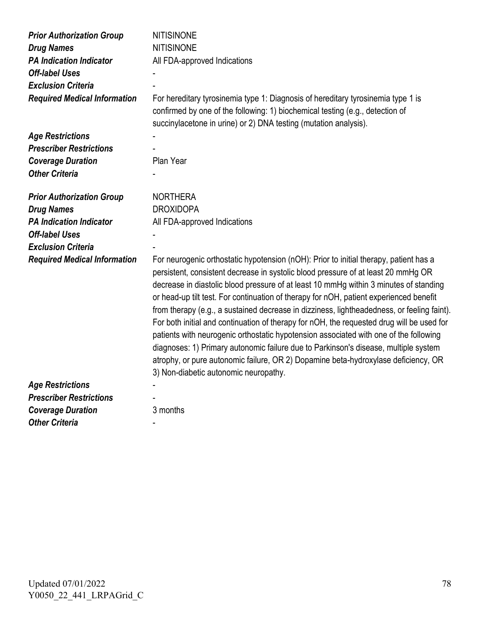| <b>Prior Authorization Group</b>    | <b>NITISINONE</b>                                                                                                                                                                                                                                                                                                                                                                                                                                                                                                                                                                                                                                                                                                                                                                                                                                                       |
|-------------------------------------|-------------------------------------------------------------------------------------------------------------------------------------------------------------------------------------------------------------------------------------------------------------------------------------------------------------------------------------------------------------------------------------------------------------------------------------------------------------------------------------------------------------------------------------------------------------------------------------------------------------------------------------------------------------------------------------------------------------------------------------------------------------------------------------------------------------------------------------------------------------------------|
| <b>Drug Names</b>                   | <b>NITISINONE</b>                                                                                                                                                                                                                                                                                                                                                                                                                                                                                                                                                                                                                                                                                                                                                                                                                                                       |
| <b>PA Indication Indicator</b>      | All FDA-approved Indications                                                                                                                                                                                                                                                                                                                                                                                                                                                                                                                                                                                                                                                                                                                                                                                                                                            |
| <b>Off-label Uses</b>               |                                                                                                                                                                                                                                                                                                                                                                                                                                                                                                                                                                                                                                                                                                                                                                                                                                                                         |
| <b>Exclusion Criteria</b>           |                                                                                                                                                                                                                                                                                                                                                                                                                                                                                                                                                                                                                                                                                                                                                                                                                                                                         |
| <b>Required Medical Information</b> | For hereditary tyrosinemia type 1: Diagnosis of hereditary tyrosinemia type 1 is<br>confirmed by one of the following: 1) biochemical testing (e.g., detection of<br>succinylacetone in urine) or 2) DNA testing (mutation analysis).                                                                                                                                                                                                                                                                                                                                                                                                                                                                                                                                                                                                                                   |
| <b>Age Restrictions</b>             |                                                                                                                                                                                                                                                                                                                                                                                                                                                                                                                                                                                                                                                                                                                                                                                                                                                                         |
| <b>Prescriber Restrictions</b>      |                                                                                                                                                                                                                                                                                                                                                                                                                                                                                                                                                                                                                                                                                                                                                                                                                                                                         |
| <b>Coverage Duration</b>            | Plan Year                                                                                                                                                                                                                                                                                                                                                                                                                                                                                                                                                                                                                                                                                                                                                                                                                                                               |
| <b>Other Criteria</b>               |                                                                                                                                                                                                                                                                                                                                                                                                                                                                                                                                                                                                                                                                                                                                                                                                                                                                         |
| <b>Prior Authorization Group</b>    | <b>NORTHERA</b>                                                                                                                                                                                                                                                                                                                                                                                                                                                                                                                                                                                                                                                                                                                                                                                                                                                         |
| <b>Drug Names</b>                   | <b>DROXIDOPA</b>                                                                                                                                                                                                                                                                                                                                                                                                                                                                                                                                                                                                                                                                                                                                                                                                                                                        |
| <b>PA Indication Indicator</b>      | All FDA-approved Indications                                                                                                                                                                                                                                                                                                                                                                                                                                                                                                                                                                                                                                                                                                                                                                                                                                            |
| <b>Off-label Uses</b>               |                                                                                                                                                                                                                                                                                                                                                                                                                                                                                                                                                                                                                                                                                                                                                                                                                                                                         |
| <b>Exclusion Criteria</b>           |                                                                                                                                                                                                                                                                                                                                                                                                                                                                                                                                                                                                                                                                                                                                                                                                                                                                         |
|                                     |                                                                                                                                                                                                                                                                                                                                                                                                                                                                                                                                                                                                                                                                                                                                                                                                                                                                         |
| <b>Required Medical Information</b> | For neurogenic orthostatic hypotension (nOH): Prior to initial therapy, patient has a<br>persistent, consistent decrease in systolic blood pressure of at least 20 mmHg OR<br>decrease in diastolic blood pressure of at least 10 mmHg within 3 minutes of standing<br>or head-up tilt test. For continuation of therapy for nOH, patient experienced benefit<br>from therapy (e.g., a sustained decrease in dizziness, lightheadedness, or feeling faint).<br>For both initial and continuation of therapy for nOH, the requested drug will be used for<br>patients with neurogenic orthostatic hypotension associated with one of the following<br>diagnoses: 1) Primary autonomic failure due to Parkinson's disease, multiple system<br>atrophy, or pure autonomic failure, OR 2) Dopamine beta-hydroxylase deficiency, OR<br>3) Non-diabetic autonomic neuropathy. |
| <b>Age Restrictions</b>             |                                                                                                                                                                                                                                                                                                                                                                                                                                                                                                                                                                                                                                                                                                                                                                                                                                                                         |
| <b>Prescriber Restrictions</b>      |                                                                                                                                                                                                                                                                                                                                                                                                                                                                                                                                                                                                                                                                                                                                                                                                                                                                         |
| <b>Coverage Duration</b>            | 3 months                                                                                                                                                                                                                                                                                                                                                                                                                                                                                                                                                                                                                                                                                                                                                                                                                                                                |
| <b>Other Criteria</b>               |                                                                                                                                                                                                                                                                                                                                                                                                                                                                                                                                                                                                                                                                                                                                                                                                                                                                         |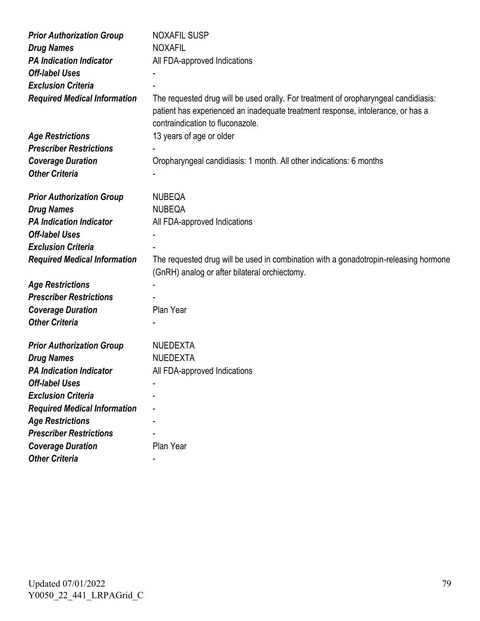| <b>Prior Authorization Group</b>    | <b>NOXAFIL SUSP</b>                                                                                                                                                                                        |
|-------------------------------------|------------------------------------------------------------------------------------------------------------------------------------------------------------------------------------------------------------|
| <b>Drug Names</b>                   | <b>NOXAFIL</b>                                                                                                                                                                                             |
| <b>PA Indication Indicator</b>      | All FDA-approved Indications                                                                                                                                                                               |
| <b>Off-label Uses</b>               |                                                                                                                                                                                                            |
| <b>Exclusion Criteria</b>           |                                                                                                                                                                                                            |
| <b>Required Medical Information</b> | The requested drug will be used orally. For treatment of oropharyngeal candidiasis:<br>patient has experienced an inadequate treatment response, intolerance, or has a<br>contraindication to fluconazole. |
| <b>Age Restrictions</b>             | 13 years of age or older                                                                                                                                                                                   |
| <b>Prescriber Restrictions</b>      |                                                                                                                                                                                                            |
| <b>Coverage Duration</b>            | Oropharyngeal candidiasis: 1 month. All other indications: 6 months                                                                                                                                        |
| <b>Other Criteria</b>               |                                                                                                                                                                                                            |
|                                     |                                                                                                                                                                                                            |
| <b>Prior Authorization Group</b>    | <b>NUBEQA</b>                                                                                                                                                                                              |
| <b>Drug Names</b>                   | <b>NUBEQA</b>                                                                                                                                                                                              |
| <b>PA Indication Indicator</b>      | All FDA-approved Indications                                                                                                                                                                               |
| <b>Off-label Uses</b>               |                                                                                                                                                                                                            |
| <b>Exclusion Criteria</b>           |                                                                                                                                                                                                            |
| <b>Required Medical Information</b> | The requested drug will be used in combination with a gonadotropin-releasing hormone<br>(GnRH) analog or after bilateral orchiectomy.                                                                      |
| <b>Age Restrictions</b>             |                                                                                                                                                                                                            |
| <b>Prescriber Restrictions</b>      |                                                                                                                                                                                                            |
| <b>Coverage Duration</b>            | Plan Year                                                                                                                                                                                                  |
| <b>Other Criteria</b>               |                                                                                                                                                                                                            |
|                                     |                                                                                                                                                                                                            |
| <b>Prior Authorization Group</b>    | <b>NUEDEXTA</b>                                                                                                                                                                                            |
| <b>Drug Names</b>                   | <b>NUEDEXTA</b>                                                                                                                                                                                            |
| <b>PA Indication Indicator</b>      | All FDA-approved Indications                                                                                                                                                                               |
| <b>Off-label Uses</b>               |                                                                                                                                                                                                            |
| <b>Exclusion Criteria</b>           |                                                                                                                                                                                                            |
| <b>Required Medical Information</b> |                                                                                                                                                                                                            |
| <b>Age Restrictions</b>             |                                                                                                                                                                                                            |
| <b>Prescriber Restrictions</b>      |                                                                                                                                                                                                            |
| <b>Coverage Duration</b>            | Plan Year                                                                                                                                                                                                  |
| <b>Other Criteria</b>               |                                                                                                                                                                                                            |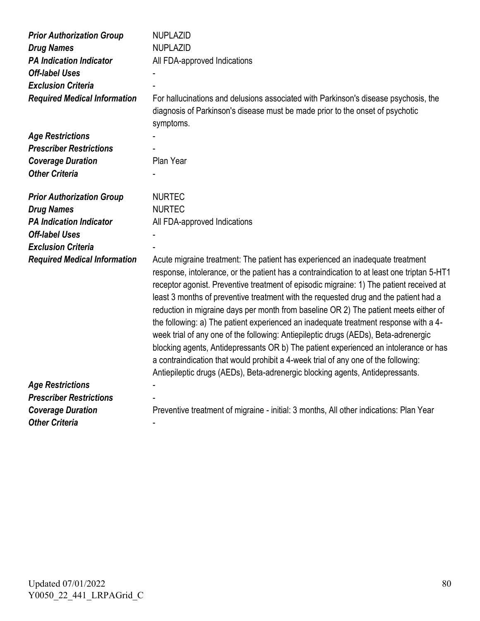| <b>Prior Authorization Group</b>    | <b>NUPLAZID</b>                                                                                                                                                                                                                                                                                                                                                                                                                                                                                                                                                                                                                                                                                                                                                                                                                                                                                      |
|-------------------------------------|------------------------------------------------------------------------------------------------------------------------------------------------------------------------------------------------------------------------------------------------------------------------------------------------------------------------------------------------------------------------------------------------------------------------------------------------------------------------------------------------------------------------------------------------------------------------------------------------------------------------------------------------------------------------------------------------------------------------------------------------------------------------------------------------------------------------------------------------------------------------------------------------------|
| <b>Drug Names</b>                   | <b>NUPLAZID</b>                                                                                                                                                                                                                                                                                                                                                                                                                                                                                                                                                                                                                                                                                                                                                                                                                                                                                      |
| <b>PA Indication Indicator</b>      | All FDA-approved Indications                                                                                                                                                                                                                                                                                                                                                                                                                                                                                                                                                                                                                                                                                                                                                                                                                                                                         |
| <b>Off-label Uses</b>               |                                                                                                                                                                                                                                                                                                                                                                                                                                                                                                                                                                                                                                                                                                                                                                                                                                                                                                      |
| <b>Exclusion Criteria</b>           |                                                                                                                                                                                                                                                                                                                                                                                                                                                                                                                                                                                                                                                                                                                                                                                                                                                                                                      |
| <b>Required Medical Information</b> | For hallucinations and delusions associated with Parkinson's disease psychosis, the<br>diagnosis of Parkinson's disease must be made prior to the onset of psychotic<br>symptoms.                                                                                                                                                                                                                                                                                                                                                                                                                                                                                                                                                                                                                                                                                                                    |
| <b>Age Restrictions</b>             |                                                                                                                                                                                                                                                                                                                                                                                                                                                                                                                                                                                                                                                                                                                                                                                                                                                                                                      |
| <b>Prescriber Restrictions</b>      |                                                                                                                                                                                                                                                                                                                                                                                                                                                                                                                                                                                                                                                                                                                                                                                                                                                                                                      |
| <b>Coverage Duration</b>            | Plan Year                                                                                                                                                                                                                                                                                                                                                                                                                                                                                                                                                                                                                                                                                                                                                                                                                                                                                            |
| <b>Other Criteria</b>               |                                                                                                                                                                                                                                                                                                                                                                                                                                                                                                                                                                                                                                                                                                                                                                                                                                                                                                      |
| <b>Prior Authorization Group</b>    | <b>NURTEC</b>                                                                                                                                                                                                                                                                                                                                                                                                                                                                                                                                                                                                                                                                                                                                                                                                                                                                                        |
| <b>Drug Names</b>                   | <b>NURTEC</b>                                                                                                                                                                                                                                                                                                                                                                                                                                                                                                                                                                                                                                                                                                                                                                                                                                                                                        |
| <b>PA Indication Indicator</b>      | All FDA-approved Indications                                                                                                                                                                                                                                                                                                                                                                                                                                                                                                                                                                                                                                                                                                                                                                                                                                                                         |
| <b>Off-label Uses</b>               |                                                                                                                                                                                                                                                                                                                                                                                                                                                                                                                                                                                                                                                                                                                                                                                                                                                                                                      |
| <b>Exclusion Criteria</b>           |                                                                                                                                                                                                                                                                                                                                                                                                                                                                                                                                                                                                                                                                                                                                                                                                                                                                                                      |
| <b>Required Medical Information</b> | Acute migraine treatment: The patient has experienced an inadequate treatment<br>response, intolerance, or the patient has a contraindication to at least one triptan 5-HT1<br>receptor agonist. Preventive treatment of episodic migraine: 1) The patient received at<br>least 3 months of preventive treatment with the requested drug and the patient had a<br>reduction in migraine days per month from baseline OR 2) The patient meets either of<br>the following: a) The patient experienced an inadequate treatment response with a 4-<br>week trial of any one of the following: Antiepileptic drugs (AEDs), Beta-adrenergic<br>blocking agents, Antidepressants OR b) The patient experienced an intolerance or has<br>a contraindication that would prohibit a 4-week trial of any one of the following:<br>Antiepileptic drugs (AEDs), Beta-adrenergic blocking agents, Antidepressants. |
| <b>Age Restrictions</b>             |                                                                                                                                                                                                                                                                                                                                                                                                                                                                                                                                                                                                                                                                                                                                                                                                                                                                                                      |
| <b>Prescriber Restrictions</b>      |                                                                                                                                                                                                                                                                                                                                                                                                                                                                                                                                                                                                                                                                                                                                                                                                                                                                                                      |
| <b>Coverage Duration</b>            | Preventive treatment of migraine - initial: 3 months, All other indications: Plan Year                                                                                                                                                                                                                                                                                                                                                                                                                                                                                                                                                                                                                                                                                                                                                                                                               |
| <b>Other Criteria</b>               |                                                                                                                                                                                                                                                                                                                                                                                                                                                                                                                                                                                                                                                                                                                                                                                                                                                                                                      |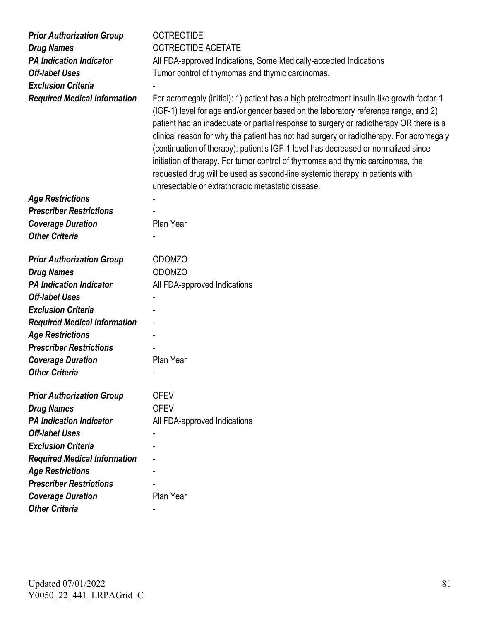| <b>Prior Authorization Group</b>    | <b>OCTREOTIDE</b>                                                                                                                                                                                                                                                                                                                                                                                                                                                                                                                                                                                                                                                                   |
|-------------------------------------|-------------------------------------------------------------------------------------------------------------------------------------------------------------------------------------------------------------------------------------------------------------------------------------------------------------------------------------------------------------------------------------------------------------------------------------------------------------------------------------------------------------------------------------------------------------------------------------------------------------------------------------------------------------------------------------|
| <b>Drug Names</b>                   | <b>OCTREOTIDE ACETATE</b>                                                                                                                                                                                                                                                                                                                                                                                                                                                                                                                                                                                                                                                           |
| <b>PA Indication Indicator</b>      | All FDA-approved Indications, Some Medically-accepted Indications                                                                                                                                                                                                                                                                                                                                                                                                                                                                                                                                                                                                                   |
| <b>Off-label Uses</b>               | Tumor control of thymomas and thymic carcinomas.                                                                                                                                                                                                                                                                                                                                                                                                                                                                                                                                                                                                                                    |
| <b>Exclusion Criteria</b>           |                                                                                                                                                                                                                                                                                                                                                                                                                                                                                                                                                                                                                                                                                     |
| <b>Required Medical Information</b> | For acromegaly (initial): 1) patient has a high pretreatment insulin-like growth factor-1<br>(IGF-1) level for age and/or gender based on the laboratory reference range, and 2)<br>patient had an inadequate or partial response to surgery or radiotherapy OR there is a<br>clinical reason for why the patient has not had surgery or radiotherapy. For acromegaly<br>(continuation of therapy): patient's IGF-1 level has decreased or normalized since<br>initiation of therapy. For tumor control of thymomas and thymic carcinomas, the<br>requested drug will be used as second-line systemic therapy in patients with<br>unresectable or extrathoracic metastatic disease. |
| <b>Age Restrictions</b>             |                                                                                                                                                                                                                                                                                                                                                                                                                                                                                                                                                                                                                                                                                     |
| <b>Prescriber Restrictions</b>      |                                                                                                                                                                                                                                                                                                                                                                                                                                                                                                                                                                                                                                                                                     |
| <b>Coverage Duration</b>            | Plan Year                                                                                                                                                                                                                                                                                                                                                                                                                                                                                                                                                                                                                                                                           |
| <b>Other Criteria</b>               |                                                                                                                                                                                                                                                                                                                                                                                                                                                                                                                                                                                                                                                                                     |
| <b>Prior Authorization Group</b>    | <b>ODOMZO</b>                                                                                                                                                                                                                                                                                                                                                                                                                                                                                                                                                                                                                                                                       |
| <b>Drug Names</b>                   | <b>ODOMZO</b>                                                                                                                                                                                                                                                                                                                                                                                                                                                                                                                                                                                                                                                                       |
| <b>PA Indication Indicator</b>      | All FDA-approved Indications                                                                                                                                                                                                                                                                                                                                                                                                                                                                                                                                                                                                                                                        |
| <b>Off-label Uses</b>               |                                                                                                                                                                                                                                                                                                                                                                                                                                                                                                                                                                                                                                                                                     |
| <b>Exclusion Criteria</b>           |                                                                                                                                                                                                                                                                                                                                                                                                                                                                                                                                                                                                                                                                                     |
| <b>Required Medical Information</b> |                                                                                                                                                                                                                                                                                                                                                                                                                                                                                                                                                                                                                                                                                     |
| <b>Age Restrictions</b>             |                                                                                                                                                                                                                                                                                                                                                                                                                                                                                                                                                                                                                                                                                     |
| <b>Prescriber Restrictions</b>      |                                                                                                                                                                                                                                                                                                                                                                                                                                                                                                                                                                                                                                                                                     |
| <b>Coverage Duration</b>            | Plan Year                                                                                                                                                                                                                                                                                                                                                                                                                                                                                                                                                                                                                                                                           |
| <b>Other Criteria</b>               |                                                                                                                                                                                                                                                                                                                                                                                                                                                                                                                                                                                                                                                                                     |
| <b>Prior Authorization Group</b>    | <b>OFEV</b>                                                                                                                                                                                                                                                                                                                                                                                                                                                                                                                                                                                                                                                                         |
| <b>Drug Names</b>                   | <b>OFEV</b>                                                                                                                                                                                                                                                                                                                                                                                                                                                                                                                                                                                                                                                                         |
| <b>PA Indication Indicator</b>      | All FDA-approved Indications                                                                                                                                                                                                                                                                                                                                                                                                                                                                                                                                                                                                                                                        |
| <b>Off-label Uses</b>               |                                                                                                                                                                                                                                                                                                                                                                                                                                                                                                                                                                                                                                                                                     |
| <b>Exclusion Criteria</b>           |                                                                                                                                                                                                                                                                                                                                                                                                                                                                                                                                                                                                                                                                                     |
| <b>Required Medical Information</b> |                                                                                                                                                                                                                                                                                                                                                                                                                                                                                                                                                                                                                                                                                     |
| <b>Age Restrictions</b>             |                                                                                                                                                                                                                                                                                                                                                                                                                                                                                                                                                                                                                                                                                     |
| <b>Prescriber Restrictions</b>      |                                                                                                                                                                                                                                                                                                                                                                                                                                                                                                                                                                                                                                                                                     |
| <b>Coverage Duration</b>            | Plan Year                                                                                                                                                                                                                                                                                                                                                                                                                                                                                                                                                                                                                                                                           |
| <b>Other Criteria</b>               |                                                                                                                                                                                                                                                                                                                                                                                                                                                                                                                                                                                                                                                                                     |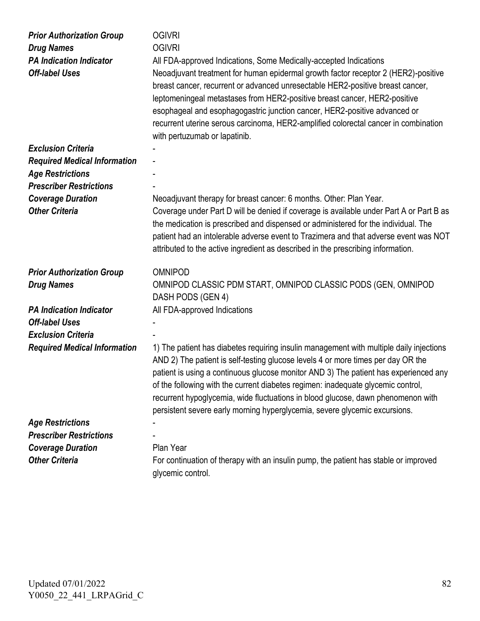| <b>Prior Authorization Group</b><br><b>Drug Names</b><br><b>PA Indication Indicator</b><br><b>Off-label Uses</b> | <b>OGIVRI</b><br><b>OGIVRI</b><br>All FDA-approved Indications, Some Medically-accepted Indications<br>Neoadjuvant treatment for human epidermal growth factor receptor 2 (HER2)-positive<br>breast cancer, recurrent or advanced unresectable HER2-positive breast cancer,<br>leptomeningeal metastases from HER2-positive breast cancer, HER2-positive<br>esophageal and esophagogastric junction cancer, HER2-positive advanced or<br>recurrent uterine serous carcinoma, HER2-amplified colorectal cancer in combination<br>with pertuzumab or lapatinib. |
|------------------------------------------------------------------------------------------------------------------|---------------------------------------------------------------------------------------------------------------------------------------------------------------------------------------------------------------------------------------------------------------------------------------------------------------------------------------------------------------------------------------------------------------------------------------------------------------------------------------------------------------------------------------------------------------|
| <b>Exclusion Criteria</b>                                                                                        |                                                                                                                                                                                                                                                                                                                                                                                                                                                                                                                                                               |
| <b>Required Medical Information</b>                                                                              |                                                                                                                                                                                                                                                                                                                                                                                                                                                                                                                                                               |
| <b>Age Restrictions</b>                                                                                          |                                                                                                                                                                                                                                                                                                                                                                                                                                                                                                                                                               |
| <b>Prescriber Restrictions</b>                                                                                   |                                                                                                                                                                                                                                                                                                                                                                                                                                                                                                                                                               |
| <b>Coverage Duration</b>                                                                                         | Neoadjuvant therapy for breast cancer: 6 months. Other: Plan Year.                                                                                                                                                                                                                                                                                                                                                                                                                                                                                            |
| <b>Other Criteria</b>                                                                                            | Coverage under Part D will be denied if coverage is available under Part A or Part B as<br>the medication is prescribed and dispensed or administered for the individual. The<br>patient had an intolerable adverse event to Trazimera and that adverse event was NOT<br>attributed to the active ingredient as described in the prescribing information.                                                                                                                                                                                                     |
| <b>Prior Authorization Group</b>                                                                                 | <b>OMNIPOD</b>                                                                                                                                                                                                                                                                                                                                                                                                                                                                                                                                                |
| <b>Drug Names</b>                                                                                                | OMNIPOD CLASSIC PDM START, OMNIPOD CLASSIC PODS (GEN, OMNIPOD<br>DASH PODS (GEN 4)                                                                                                                                                                                                                                                                                                                                                                                                                                                                            |
| <b>PA Indication Indicator</b>                                                                                   | All FDA-approved Indications                                                                                                                                                                                                                                                                                                                                                                                                                                                                                                                                  |
| <b>Off-label Uses</b>                                                                                            |                                                                                                                                                                                                                                                                                                                                                                                                                                                                                                                                                               |
| <b>Exclusion Criteria</b>                                                                                        |                                                                                                                                                                                                                                                                                                                                                                                                                                                                                                                                                               |
| <b>Required Medical Information</b>                                                                              | 1) The patient has diabetes requiring insulin management with multiple daily injections<br>AND 2) The patient is self-testing glucose levels 4 or more times per day OR the<br>patient is using a continuous glucose monitor AND 3) The patient has experienced any<br>of the following with the current diabetes regimen: inadequate glycemic control,<br>recurrent hypoglycemia, wide fluctuations in blood glucose, dawn phenomenon with<br>persistent severe early morning hyperglycemia, severe glycemic excursions.                                     |
| <b>Age Restrictions</b>                                                                                          |                                                                                                                                                                                                                                                                                                                                                                                                                                                                                                                                                               |
| <b>Prescriber Restrictions</b>                                                                                   |                                                                                                                                                                                                                                                                                                                                                                                                                                                                                                                                                               |
| <b>Coverage Duration</b>                                                                                         | Plan Year                                                                                                                                                                                                                                                                                                                                                                                                                                                                                                                                                     |
| <b>Other Criteria</b>                                                                                            | For continuation of therapy with an insulin pump, the patient has stable or improved<br>glycemic control.                                                                                                                                                                                                                                                                                                                                                                                                                                                     |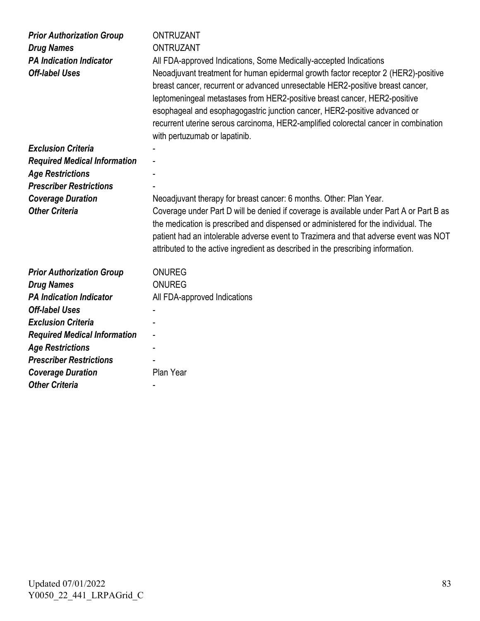| <b>Prior Authorization Group</b><br><b>Drug Names</b><br><b>PA Indication Indicator</b><br><b>Off-label Uses</b> | <b>ONTRUZANT</b><br><b>ONTRUZANT</b><br>All FDA-approved Indications, Some Medically-accepted Indications<br>Neoadjuvant treatment for human epidermal growth factor receptor 2 (HER2)-positive<br>breast cancer, recurrent or advanced unresectable HER2-positive breast cancer,<br>leptomeningeal metastases from HER2-positive breast cancer, HER2-positive<br>esophageal and esophagogastric junction cancer, HER2-positive advanced or<br>recurrent uterine serous carcinoma, HER2-amplified colorectal cancer in combination<br>with pertuzumab or lapatinib. |
|------------------------------------------------------------------------------------------------------------------|---------------------------------------------------------------------------------------------------------------------------------------------------------------------------------------------------------------------------------------------------------------------------------------------------------------------------------------------------------------------------------------------------------------------------------------------------------------------------------------------------------------------------------------------------------------------|
| <b>Exclusion Criteria</b>                                                                                        |                                                                                                                                                                                                                                                                                                                                                                                                                                                                                                                                                                     |
| <b>Required Medical Information</b>                                                                              |                                                                                                                                                                                                                                                                                                                                                                                                                                                                                                                                                                     |
| <b>Age Restrictions</b>                                                                                          |                                                                                                                                                                                                                                                                                                                                                                                                                                                                                                                                                                     |
| <b>Prescriber Restrictions</b>                                                                                   |                                                                                                                                                                                                                                                                                                                                                                                                                                                                                                                                                                     |
| <b>Coverage Duration</b>                                                                                         | Neoadjuvant therapy for breast cancer: 6 months. Other: Plan Year.                                                                                                                                                                                                                                                                                                                                                                                                                                                                                                  |
| <b>Other Criteria</b>                                                                                            | Coverage under Part D will be denied if coverage is available under Part A or Part B as<br>the medication is prescribed and dispensed or administered for the individual. The<br>patient had an intolerable adverse event to Trazimera and that adverse event was NOT<br>attributed to the active ingredient as described in the prescribing information.                                                                                                                                                                                                           |
| <b>Prior Authorization Group</b>                                                                                 | <b>ONUREG</b>                                                                                                                                                                                                                                                                                                                                                                                                                                                                                                                                                       |
| <b>Drug Names</b>                                                                                                | <b>ONUREG</b>                                                                                                                                                                                                                                                                                                                                                                                                                                                                                                                                                       |
| <b>PA Indication Indicator</b>                                                                                   | All FDA-approved Indications                                                                                                                                                                                                                                                                                                                                                                                                                                                                                                                                        |
| <b>Off-label Uses</b>                                                                                            |                                                                                                                                                                                                                                                                                                                                                                                                                                                                                                                                                                     |
| <b>Exclusion Criteria</b>                                                                                        |                                                                                                                                                                                                                                                                                                                                                                                                                                                                                                                                                                     |
| <b>Required Medical Information</b>                                                                              |                                                                                                                                                                                                                                                                                                                                                                                                                                                                                                                                                                     |
| <b>Age Restrictions</b>                                                                                          |                                                                                                                                                                                                                                                                                                                                                                                                                                                                                                                                                                     |
| <b>Prescriber Restrictions</b>                                                                                   |                                                                                                                                                                                                                                                                                                                                                                                                                                                                                                                                                                     |
| <b>Coverage Duration</b>                                                                                         | Plan Year                                                                                                                                                                                                                                                                                                                                                                                                                                                                                                                                                           |
| <b>Other Criteria</b>                                                                                            |                                                                                                                                                                                                                                                                                                                                                                                                                                                                                                                                                                     |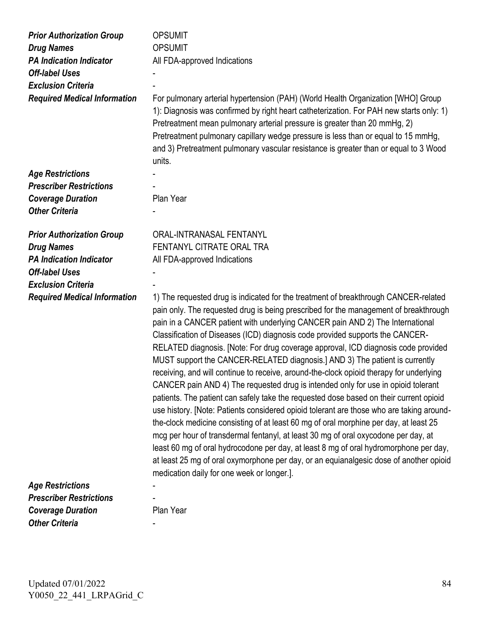| <b>Prior Authorization Group</b><br><b>Drug Names</b><br><b>PA Indication Indicator</b><br><b>Off-label Uses</b><br><b>Exclusion Criteria</b><br><b>Required Medical Information</b> | <b>OPSUMIT</b><br><b>OPSUMIT</b><br>All FDA-approved Indications<br>For pulmonary arterial hypertension (PAH) (World Health Organization [WHO] Group<br>1): Diagnosis was confirmed by right heart catheterization. For PAH new starts only: 1)<br>Pretreatment mean pulmonary arterial pressure is greater than 20 mmHg, 2)<br>Pretreatment pulmonary capillary wedge pressure is less than or equal to 15 mmHg,<br>and 3) Pretreatment pulmonary vascular resistance is greater than or equal to 3 Wood<br>units.                                                                                                                                                                                                                                                                                                                                                                                                                                                                                                                                                                                                                                                                                                                                                                                     |
|--------------------------------------------------------------------------------------------------------------------------------------------------------------------------------------|---------------------------------------------------------------------------------------------------------------------------------------------------------------------------------------------------------------------------------------------------------------------------------------------------------------------------------------------------------------------------------------------------------------------------------------------------------------------------------------------------------------------------------------------------------------------------------------------------------------------------------------------------------------------------------------------------------------------------------------------------------------------------------------------------------------------------------------------------------------------------------------------------------------------------------------------------------------------------------------------------------------------------------------------------------------------------------------------------------------------------------------------------------------------------------------------------------------------------------------------------------------------------------------------------------|
| <b>Age Restrictions</b>                                                                                                                                                              |                                                                                                                                                                                                                                                                                                                                                                                                                                                                                                                                                                                                                                                                                                                                                                                                                                                                                                                                                                                                                                                                                                                                                                                                                                                                                                         |
| <b>Prescriber Restrictions</b>                                                                                                                                                       |                                                                                                                                                                                                                                                                                                                                                                                                                                                                                                                                                                                                                                                                                                                                                                                                                                                                                                                                                                                                                                                                                                                                                                                                                                                                                                         |
| <b>Coverage Duration</b>                                                                                                                                                             | Plan Year                                                                                                                                                                                                                                                                                                                                                                                                                                                                                                                                                                                                                                                                                                                                                                                                                                                                                                                                                                                                                                                                                                                                                                                                                                                                                               |
| <b>Other Criteria</b>                                                                                                                                                                |                                                                                                                                                                                                                                                                                                                                                                                                                                                                                                                                                                                                                                                                                                                                                                                                                                                                                                                                                                                                                                                                                                                                                                                                                                                                                                         |
| <b>Prior Authorization Group</b>                                                                                                                                                     | ORAL-INTRANASAL FENTANYL                                                                                                                                                                                                                                                                                                                                                                                                                                                                                                                                                                                                                                                                                                                                                                                                                                                                                                                                                                                                                                                                                                                                                                                                                                                                                |
| <b>Drug Names</b>                                                                                                                                                                    | FENTANYL CITRATE ORAL TRA                                                                                                                                                                                                                                                                                                                                                                                                                                                                                                                                                                                                                                                                                                                                                                                                                                                                                                                                                                                                                                                                                                                                                                                                                                                                               |
| <b>PA Indication Indicator</b>                                                                                                                                                       | All FDA-approved Indications                                                                                                                                                                                                                                                                                                                                                                                                                                                                                                                                                                                                                                                                                                                                                                                                                                                                                                                                                                                                                                                                                                                                                                                                                                                                            |
| <b>Off-label Uses</b>                                                                                                                                                                |                                                                                                                                                                                                                                                                                                                                                                                                                                                                                                                                                                                                                                                                                                                                                                                                                                                                                                                                                                                                                                                                                                                                                                                                                                                                                                         |
| <b>Exclusion Criteria</b>                                                                                                                                                            |                                                                                                                                                                                                                                                                                                                                                                                                                                                                                                                                                                                                                                                                                                                                                                                                                                                                                                                                                                                                                                                                                                                                                                                                                                                                                                         |
| <b>Required Medical Information</b>                                                                                                                                                  | 1) The requested drug is indicated for the treatment of breakthrough CANCER-related<br>pain only. The requested drug is being prescribed for the management of breakthrough<br>pain in a CANCER patient with underlying CANCER pain AND 2) The International<br>Classification of Diseases (ICD) diagnosis code provided supports the CANCER-<br>RELATED diagnosis. [Note: For drug coverage approval, ICD diagnosis code provided<br>MUST support the CANCER-RELATED diagnosis.] AND 3) The patient is currently<br>receiving, and will continue to receive, around-the-clock opioid therapy for underlying<br>CANCER pain AND 4) The requested drug is intended only for use in opioid tolerant<br>patients. The patient can safely take the requested dose based on their current opioid<br>use history. [Note: Patients considered opioid tolerant are those who are taking around-<br>the-clock medicine consisting of at least 60 mg of oral morphine per day, at least 25<br>mcg per hour of transdermal fentanyl, at least 30 mg of oral oxycodone per day, at<br>least 60 mg of oral hydrocodone per day, at least 8 mg of oral hydromorphone per day,<br>at least 25 mg of oral oxymorphone per day, or an equianalgesic dose of another opioid<br>medication daily for one week or longer.]. |
| <b>Age Restrictions</b>                                                                                                                                                              |                                                                                                                                                                                                                                                                                                                                                                                                                                                                                                                                                                                                                                                                                                                                                                                                                                                                                                                                                                                                                                                                                                                                                                                                                                                                                                         |
| <b>Prescriber Restrictions</b>                                                                                                                                                       |                                                                                                                                                                                                                                                                                                                                                                                                                                                                                                                                                                                                                                                                                                                                                                                                                                                                                                                                                                                                                                                                                                                                                                                                                                                                                                         |
| <b>Coverage Duration</b>                                                                                                                                                             | Plan Year                                                                                                                                                                                                                                                                                                                                                                                                                                                                                                                                                                                                                                                                                                                                                                                                                                                                                                                                                                                                                                                                                                                                                                                                                                                                                               |
| <b>Other Criteria</b>                                                                                                                                                                |                                                                                                                                                                                                                                                                                                                                                                                                                                                                                                                                                                                                                                                                                                                                                                                                                                                                                                                                                                                                                                                                                                                                                                                                                                                                                                         |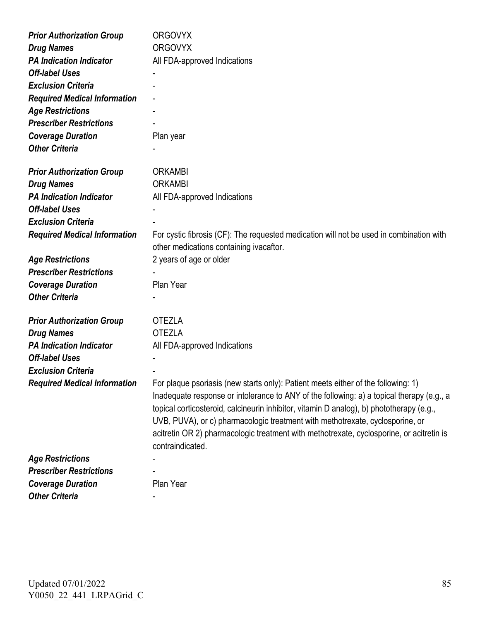| <b>Prior Authorization Group</b>    | <b>ORGOVYX</b>                                                                                                                                                                                                                                                                                                                                                                                                                                                              |
|-------------------------------------|-----------------------------------------------------------------------------------------------------------------------------------------------------------------------------------------------------------------------------------------------------------------------------------------------------------------------------------------------------------------------------------------------------------------------------------------------------------------------------|
| <b>Drug Names</b>                   | <b>ORGOVYX</b>                                                                                                                                                                                                                                                                                                                                                                                                                                                              |
| <b>PA Indication Indicator</b>      | All FDA-approved Indications                                                                                                                                                                                                                                                                                                                                                                                                                                                |
| <b>Off-label Uses</b>               |                                                                                                                                                                                                                                                                                                                                                                                                                                                                             |
| <b>Exclusion Criteria</b>           |                                                                                                                                                                                                                                                                                                                                                                                                                                                                             |
| <b>Required Medical Information</b> |                                                                                                                                                                                                                                                                                                                                                                                                                                                                             |
| <b>Age Restrictions</b>             |                                                                                                                                                                                                                                                                                                                                                                                                                                                                             |
| <b>Prescriber Restrictions</b>      |                                                                                                                                                                                                                                                                                                                                                                                                                                                                             |
| <b>Coverage Duration</b>            | Plan year                                                                                                                                                                                                                                                                                                                                                                                                                                                                   |
| <b>Other Criteria</b>               |                                                                                                                                                                                                                                                                                                                                                                                                                                                                             |
| <b>Prior Authorization Group</b>    | <b>ORKAMBI</b>                                                                                                                                                                                                                                                                                                                                                                                                                                                              |
| <b>Drug Names</b>                   | <b>ORKAMBI</b>                                                                                                                                                                                                                                                                                                                                                                                                                                                              |
| <b>PA Indication Indicator</b>      | All FDA-approved Indications                                                                                                                                                                                                                                                                                                                                                                                                                                                |
| <b>Off-label Uses</b>               |                                                                                                                                                                                                                                                                                                                                                                                                                                                                             |
| <b>Exclusion Criteria</b>           |                                                                                                                                                                                                                                                                                                                                                                                                                                                                             |
| <b>Required Medical Information</b> | For cystic fibrosis (CF): The requested medication will not be used in combination with<br>other medications containing ivacaftor.                                                                                                                                                                                                                                                                                                                                          |
| <b>Age Restrictions</b>             | 2 years of age or older                                                                                                                                                                                                                                                                                                                                                                                                                                                     |
| <b>Prescriber Restrictions</b>      |                                                                                                                                                                                                                                                                                                                                                                                                                                                                             |
| <b>Coverage Duration</b>            | Plan Year                                                                                                                                                                                                                                                                                                                                                                                                                                                                   |
| <b>Other Criteria</b>               |                                                                                                                                                                                                                                                                                                                                                                                                                                                                             |
| <b>Prior Authorization Group</b>    | <b>OTEZLA</b>                                                                                                                                                                                                                                                                                                                                                                                                                                                               |
| <b>Drug Names</b>                   | <b>OTEZLA</b>                                                                                                                                                                                                                                                                                                                                                                                                                                                               |
| <b>PA Indication Indicator</b>      | All FDA-approved Indications                                                                                                                                                                                                                                                                                                                                                                                                                                                |
| <b>Off-label Uses</b>               |                                                                                                                                                                                                                                                                                                                                                                                                                                                                             |
| <b>Exclusion Criteria</b>           |                                                                                                                                                                                                                                                                                                                                                                                                                                                                             |
| <b>Required Medical Information</b> | For plaque psoriasis (new starts only): Patient meets either of the following: 1)<br>Inadequate response or intolerance to ANY of the following: a) a topical therapy (e.g., a<br>topical corticosteroid, calcineurin inhibitor, vitamin D analog), b) phototherapy (e.g.,<br>UVB, PUVA), or c) pharmacologic treatment with methotrexate, cyclosporine, or<br>acitretin OR 2) pharmacologic treatment with methotrexate, cyclosporine, or acitretin is<br>contraindicated. |
| <b>Age Restrictions</b>             |                                                                                                                                                                                                                                                                                                                                                                                                                                                                             |
| <b>Prescriber Restrictions</b>      |                                                                                                                                                                                                                                                                                                                                                                                                                                                                             |
| <b>Coverage Duration</b>            | Plan Year                                                                                                                                                                                                                                                                                                                                                                                                                                                                   |
| <b>Other Criteria</b>               |                                                                                                                                                                                                                                                                                                                                                                                                                                                                             |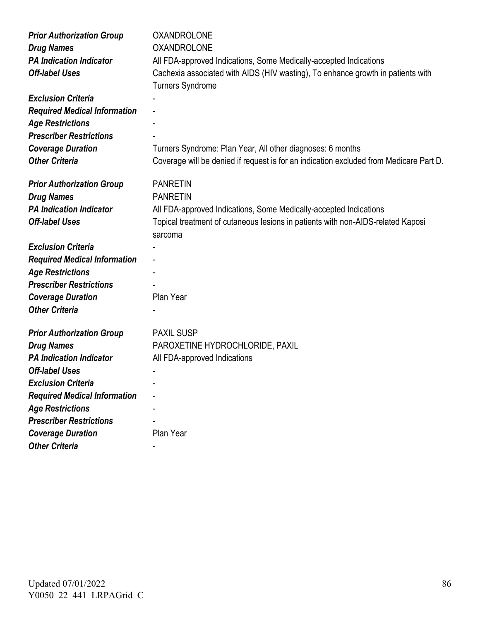| <b>Prior Authorization Group</b>    | <b>OXANDROLONE</b>                                                                     |
|-------------------------------------|----------------------------------------------------------------------------------------|
| <b>Drug Names</b>                   | <b>OXANDROLONE</b>                                                                     |
| <b>PA Indication Indicator</b>      | All FDA-approved Indications, Some Medically-accepted Indications                      |
| <b>Off-label Uses</b>               | Cachexia associated with AIDS (HIV wasting), To enhance growth in patients with        |
|                                     | <b>Turners Syndrome</b>                                                                |
| <b>Exclusion Criteria</b>           |                                                                                        |
| <b>Required Medical Information</b> |                                                                                        |
| <b>Age Restrictions</b>             |                                                                                        |
| <b>Prescriber Restrictions</b>      |                                                                                        |
| <b>Coverage Duration</b>            | Turners Syndrome: Plan Year, All other diagnoses: 6 months                             |
| <b>Other Criteria</b>               | Coverage will be denied if request is for an indication excluded from Medicare Part D. |
|                                     |                                                                                        |
| <b>Prior Authorization Group</b>    | <b>PANRETIN</b>                                                                        |
| <b>Drug Names</b>                   | <b>PANRETIN</b>                                                                        |
| <b>PA Indication Indicator</b>      | All FDA-approved Indications, Some Medically-accepted Indications                      |
| <b>Off-label Uses</b>               | Topical treatment of cutaneous lesions in patients with non-AIDS-related Kaposi        |
|                                     | sarcoma                                                                                |
| <b>Exclusion Criteria</b>           |                                                                                        |
| <b>Required Medical Information</b> |                                                                                        |
| <b>Age Restrictions</b>             |                                                                                        |
| <b>Prescriber Restrictions</b>      |                                                                                        |
| <b>Coverage Duration</b>            | Plan Year                                                                              |
| <b>Other Criteria</b>               |                                                                                        |
|                                     |                                                                                        |
| <b>Prior Authorization Group</b>    | <b>PAXIL SUSP</b>                                                                      |
| <b>Drug Names</b>                   | PAROXETINE HYDROCHLORIDE, PAXIL                                                        |
| <b>PA Indication Indicator</b>      | All FDA-approved Indications                                                           |
| <b>Off-label Uses</b>               |                                                                                        |
| <b>Exclusion Criteria</b>           |                                                                                        |
| <b>Required Medical Information</b> |                                                                                        |
| <b>Age Restrictions</b>             |                                                                                        |
| <b>Prescriber Restrictions</b>      |                                                                                        |
|                                     |                                                                                        |
| <b>Coverage Duration</b>            | Plan Year                                                                              |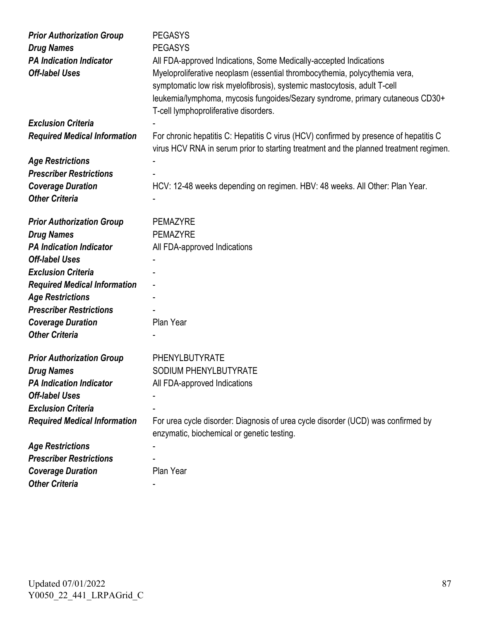| <b>Prior Authorization Group</b>    | <b>PEGASYS</b>                                                                        |
|-------------------------------------|---------------------------------------------------------------------------------------|
| <b>Drug Names</b>                   | <b>PEGASYS</b>                                                                        |
| <b>PA Indication Indicator</b>      | All FDA-approved Indications, Some Medically-accepted Indications                     |
| <b>Off-label Uses</b>               | Myeloproliferative neoplasm (essential thrombocythemia, polycythemia vera,            |
|                                     | symptomatic low risk myelofibrosis), systemic mastocytosis, adult T-cell              |
|                                     | leukemia/lymphoma, mycosis fungoides/Sezary syndrome, primary cutaneous CD30+         |
|                                     | T-cell lymphoproliferative disorders.                                                 |
| <b>Exclusion Criteria</b>           |                                                                                       |
| <b>Required Medical Information</b> | For chronic hepatitis C: Hepatitis C virus (HCV) confirmed by presence of hepatitis C |
|                                     | virus HCV RNA in serum prior to starting treatment and the planned treatment regimen. |
| <b>Age Restrictions</b>             |                                                                                       |
| <b>Prescriber Restrictions</b>      |                                                                                       |
| <b>Coverage Duration</b>            | HCV: 12-48 weeks depending on regimen. HBV: 48 weeks. All Other: Plan Year.           |
| <b>Other Criteria</b>               |                                                                                       |
|                                     |                                                                                       |
| <b>Prior Authorization Group</b>    | <b>PEMAZYRE</b>                                                                       |
| <b>Drug Names</b>                   | <b>PEMAZYRE</b>                                                                       |
| <b>PA Indication Indicator</b>      | All FDA-approved Indications                                                          |
| <b>Off-label Uses</b>               |                                                                                       |
| <b>Exclusion Criteria</b>           |                                                                                       |
| <b>Required Medical Information</b> | $\blacksquare$                                                                        |
| <b>Age Restrictions</b>             |                                                                                       |
| <b>Prescriber Restrictions</b>      |                                                                                       |
| <b>Coverage Duration</b>            | Plan Year                                                                             |
| <b>Other Criteria</b>               |                                                                                       |
| <b>Prior Authorization Group</b>    | PHENYLBUTYRATE                                                                        |
| <b>Drug Names</b>                   | SODIUM PHENYLBUTYRATE                                                                 |
| <b>PA Indication Indicator</b>      | All FDA-approved Indications                                                          |
| <b>Off-label Uses</b>               |                                                                                       |
| <b>Exclusion Criteria</b>           |                                                                                       |
| <b>Required Medical Information</b> | For urea cycle disorder: Diagnosis of urea cycle disorder (UCD) was confirmed by      |
|                                     | enzymatic, biochemical or genetic testing.                                            |
| <b>Age Restrictions</b>             |                                                                                       |
| <b>Prescriber Restrictions</b>      |                                                                                       |
| <b>Coverage Duration</b>            | Plan Year                                                                             |
| <b>Other Criteria</b>               |                                                                                       |
|                                     |                                                                                       |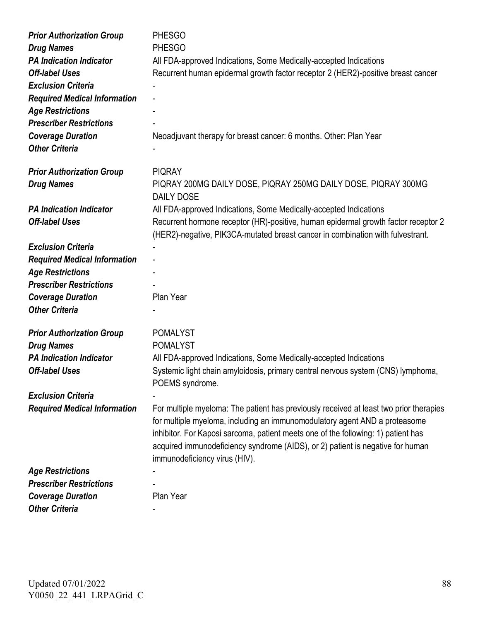| <b>Prior Authorization Group</b>    | <b>PHESGO</b>                                                                                                                                                                                                                                                                                                                                                                |
|-------------------------------------|------------------------------------------------------------------------------------------------------------------------------------------------------------------------------------------------------------------------------------------------------------------------------------------------------------------------------------------------------------------------------|
| <b>Drug Names</b>                   | <b>PHESGO</b>                                                                                                                                                                                                                                                                                                                                                                |
| <b>PA Indication Indicator</b>      | All FDA-approved Indications, Some Medically-accepted Indications                                                                                                                                                                                                                                                                                                            |
| <b>Off-label Uses</b>               | Recurrent human epidermal growth factor receptor 2 (HER2)-positive breast cancer                                                                                                                                                                                                                                                                                             |
| <b>Exclusion Criteria</b>           |                                                                                                                                                                                                                                                                                                                                                                              |
| <b>Required Medical Information</b> |                                                                                                                                                                                                                                                                                                                                                                              |
| <b>Age Restrictions</b>             |                                                                                                                                                                                                                                                                                                                                                                              |
| <b>Prescriber Restrictions</b>      |                                                                                                                                                                                                                                                                                                                                                                              |
| <b>Coverage Duration</b>            | Neoadjuvant therapy for breast cancer: 6 months. Other: Plan Year                                                                                                                                                                                                                                                                                                            |
| <b>Other Criteria</b>               |                                                                                                                                                                                                                                                                                                                                                                              |
| <b>Prior Authorization Group</b>    | <b>PIQRAY</b>                                                                                                                                                                                                                                                                                                                                                                |
| <b>Drug Names</b>                   | PIQRAY 200MG DAILY DOSE, PIQRAY 250MG DAILY DOSE, PIQRAY 300MG<br><b>DAILY DOSE</b>                                                                                                                                                                                                                                                                                          |
| <b>PA Indication Indicator</b>      | All FDA-approved Indications, Some Medically-accepted Indications                                                                                                                                                                                                                                                                                                            |
| <b>Off-label Uses</b>               | Recurrent hormone receptor (HR)-positive, human epidermal growth factor receptor 2<br>(HER2)-negative, PIK3CA-mutated breast cancer in combination with fulvestrant.                                                                                                                                                                                                         |
| <b>Exclusion Criteria</b>           |                                                                                                                                                                                                                                                                                                                                                                              |
| <b>Required Medical Information</b> |                                                                                                                                                                                                                                                                                                                                                                              |
| <b>Age Restrictions</b>             |                                                                                                                                                                                                                                                                                                                                                                              |
| <b>Prescriber Restrictions</b>      |                                                                                                                                                                                                                                                                                                                                                                              |
| <b>Coverage Duration</b>            | Plan Year                                                                                                                                                                                                                                                                                                                                                                    |
| <b>Other Criteria</b>               |                                                                                                                                                                                                                                                                                                                                                                              |
| <b>Prior Authorization Group</b>    | <b>POMALYST</b>                                                                                                                                                                                                                                                                                                                                                              |
| <b>Drug Names</b>                   | <b>POMALYST</b>                                                                                                                                                                                                                                                                                                                                                              |
| <b>PA Indication Indicator</b>      | All FDA-approved Indications, Some Medically-accepted Indications                                                                                                                                                                                                                                                                                                            |
| <b>Off-label Uses</b>               | Systemic light chain amyloidosis, primary central nervous system (CNS) lymphoma,<br>POEMS syndrome.                                                                                                                                                                                                                                                                          |
| <b>Exclusion Criteria</b>           |                                                                                                                                                                                                                                                                                                                                                                              |
| <b>Required Medical Information</b> | For multiple myeloma: The patient has previously received at least two prior therapies<br>for multiple myeloma, including an immunomodulatory agent AND a proteasome<br>inhibitor. For Kaposi sarcoma, patient meets one of the following: 1) patient has<br>acquired immunodeficiency syndrome (AIDS), or 2) patient is negative for human<br>immunodeficiency virus (HIV). |
| <b>Age Restrictions</b>             |                                                                                                                                                                                                                                                                                                                                                                              |
| <b>Prescriber Restrictions</b>      |                                                                                                                                                                                                                                                                                                                                                                              |
| <b>Coverage Duration</b>            | Plan Year                                                                                                                                                                                                                                                                                                                                                                    |
| <b>Other Criteria</b>               |                                                                                                                                                                                                                                                                                                                                                                              |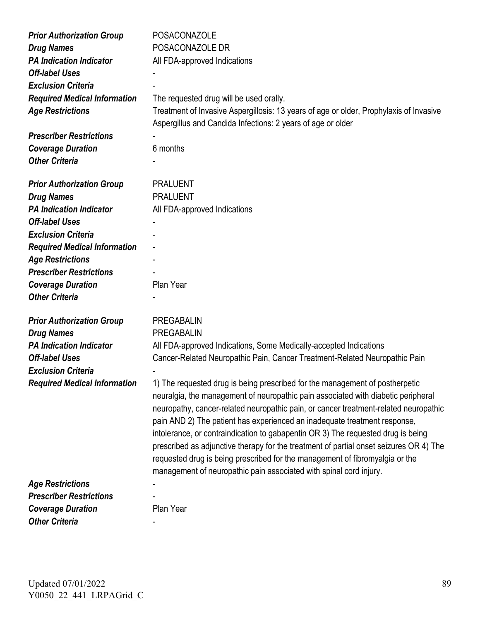| <b>Prior Authorization Group</b><br><b>Drug Names</b><br><b>PA Indication Indicator</b><br><b>Off-label Uses</b><br><b>Exclusion Criteria</b><br><b>Required Medical Information</b><br><b>Age Restrictions</b><br><b>Prescriber Restrictions</b><br><b>Coverage Duration</b><br><b>Other Criteria</b> | <b>POSACONAZOLE</b><br>POSACONAZOLE DR<br>All FDA-approved Indications<br>The requested drug will be used orally.<br>Treatment of Invasive Aspergillosis: 13 years of age or older, Prophylaxis of Invasive<br>Aspergillus and Candida Infections: 2 years of age or older<br>6 months                                                                                                                                                                                                                                                                                                                                                                                                                                                                                                                                                                                  |
|--------------------------------------------------------------------------------------------------------------------------------------------------------------------------------------------------------------------------------------------------------------------------------------------------------|-------------------------------------------------------------------------------------------------------------------------------------------------------------------------------------------------------------------------------------------------------------------------------------------------------------------------------------------------------------------------------------------------------------------------------------------------------------------------------------------------------------------------------------------------------------------------------------------------------------------------------------------------------------------------------------------------------------------------------------------------------------------------------------------------------------------------------------------------------------------------|
| <b>Prior Authorization Group</b><br><b>Drug Names</b><br><b>PA Indication Indicator</b><br><b>Off-label Uses</b><br><b>Exclusion Criteria</b><br><b>Required Medical Information</b><br><b>Age Restrictions</b><br><b>Prescriber Restrictions</b><br><b>Coverage Duration</b><br><b>Other Criteria</b> | <b>PRALUENT</b><br><b>PRALUENT</b><br>All FDA-approved Indications<br>Plan Year                                                                                                                                                                                                                                                                                                                                                                                                                                                                                                                                                                                                                                                                                                                                                                                         |
| <b>Prior Authorization Group</b><br><b>Drug Names</b><br><b>PA Indication Indicator</b><br><b>Off-label Uses</b><br><b>Exclusion Criteria</b><br><b>Required Medical Information</b>                                                                                                                   | <b>PREGABALIN</b><br><b>PREGABALIN</b><br>All FDA-approved Indications, Some Medically-accepted Indications<br>Cancer-Related Neuropathic Pain, Cancer Treatment-Related Neuropathic Pain<br>1) The requested drug is being prescribed for the management of postherpetic<br>neuralgia, the management of neuropathic pain associated with diabetic peripheral<br>neuropathy, cancer-related neuropathic pain, or cancer treatment-related neuropathic<br>pain AND 2) The patient has experienced an inadequate treatment response,<br>intolerance, or contraindication to gabapentin OR 3) The requested drug is being<br>prescribed as adjunctive therapy for the treatment of partial onset seizures OR 4) The<br>requested drug is being prescribed for the management of fibromyalgia or the<br>management of neuropathic pain associated with spinal cord injury. |
| <b>Age Restrictions</b><br><b>Prescriber Restrictions</b>                                                                                                                                                                                                                                              | Plan Year                                                                                                                                                                                                                                                                                                                                                                                                                                                                                                                                                                                                                                                                                                                                                                                                                                                               |
| <b>Coverage Duration</b><br><b>Other Criteria</b>                                                                                                                                                                                                                                                      |                                                                                                                                                                                                                                                                                                                                                                                                                                                                                                                                                                                                                                                                                                                                                                                                                                                                         |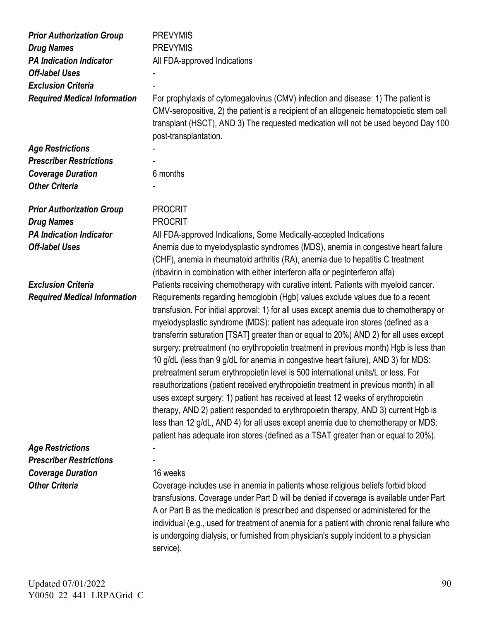| <b>Prior Authorization Group</b><br><b>Drug Names</b> | <b>PREVYMIS</b><br><b>PREVYMIS</b>                                                                                                                                                                                                                                                                                                                                                                                                                                                                                                                                                                                                                                                                                                                                                                                                                                                                                                                                                                                                                                     |
|-------------------------------------------------------|------------------------------------------------------------------------------------------------------------------------------------------------------------------------------------------------------------------------------------------------------------------------------------------------------------------------------------------------------------------------------------------------------------------------------------------------------------------------------------------------------------------------------------------------------------------------------------------------------------------------------------------------------------------------------------------------------------------------------------------------------------------------------------------------------------------------------------------------------------------------------------------------------------------------------------------------------------------------------------------------------------------------------------------------------------------------|
| <b>PA Indication Indicator</b>                        | All FDA-approved Indications                                                                                                                                                                                                                                                                                                                                                                                                                                                                                                                                                                                                                                                                                                                                                                                                                                                                                                                                                                                                                                           |
| <b>Off-label Uses</b>                                 |                                                                                                                                                                                                                                                                                                                                                                                                                                                                                                                                                                                                                                                                                                                                                                                                                                                                                                                                                                                                                                                                        |
| <b>Exclusion Criteria</b>                             |                                                                                                                                                                                                                                                                                                                                                                                                                                                                                                                                                                                                                                                                                                                                                                                                                                                                                                                                                                                                                                                                        |
| <b>Required Medical Information</b>                   | For prophylaxis of cytomegalovirus (CMV) infection and disease: 1) The patient is<br>CMV-seropositive, 2) the patient is a recipient of an allogeneic hematopoietic stem cell<br>transplant (HSCT), AND 3) The requested medication will not be used beyond Day 100<br>post-transplantation.                                                                                                                                                                                                                                                                                                                                                                                                                                                                                                                                                                                                                                                                                                                                                                           |
| <b>Age Restrictions</b>                               |                                                                                                                                                                                                                                                                                                                                                                                                                                                                                                                                                                                                                                                                                                                                                                                                                                                                                                                                                                                                                                                                        |
| <b>Prescriber Restrictions</b>                        |                                                                                                                                                                                                                                                                                                                                                                                                                                                                                                                                                                                                                                                                                                                                                                                                                                                                                                                                                                                                                                                                        |
| <b>Coverage Duration</b>                              | 6 months                                                                                                                                                                                                                                                                                                                                                                                                                                                                                                                                                                                                                                                                                                                                                                                                                                                                                                                                                                                                                                                               |
| <b>Other Criteria</b>                                 |                                                                                                                                                                                                                                                                                                                                                                                                                                                                                                                                                                                                                                                                                                                                                                                                                                                                                                                                                                                                                                                                        |
|                                                       |                                                                                                                                                                                                                                                                                                                                                                                                                                                                                                                                                                                                                                                                                                                                                                                                                                                                                                                                                                                                                                                                        |
| <b>Prior Authorization Group</b>                      | <b>PROCRIT</b>                                                                                                                                                                                                                                                                                                                                                                                                                                                                                                                                                                                                                                                                                                                                                                                                                                                                                                                                                                                                                                                         |
| <b>Drug Names</b>                                     | <b>PROCRIT</b>                                                                                                                                                                                                                                                                                                                                                                                                                                                                                                                                                                                                                                                                                                                                                                                                                                                                                                                                                                                                                                                         |
| <b>PA Indication Indicator</b>                        | All FDA-approved Indications, Some Medically-accepted Indications                                                                                                                                                                                                                                                                                                                                                                                                                                                                                                                                                                                                                                                                                                                                                                                                                                                                                                                                                                                                      |
| <b>Off-label Uses</b>                                 | Anemia due to myelodysplastic syndromes (MDS), anemia in congestive heart failure<br>(CHF), anemia in rheumatoid arthritis (RA), anemia due to hepatitis C treatment<br>(ribavirin in combination with either interferon alfa or peginterferon alfa)                                                                                                                                                                                                                                                                                                                                                                                                                                                                                                                                                                                                                                                                                                                                                                                                                   |
| <b>Exclusion Criteria</b>                             | Patients receiving chemotherapy with curative intent. Patients with myeloid cancer.                                                                                                                                                                                                                                                                                                                                                                                                                                                                                                                                                                                                                                                                                                                                                                                                                                                                                                                                                                                    |
| <b>Required Medical Information</b>                   | Requirements regarding hemoglobin (Hgb) values exclude values due to a recent<br>transfusion. For initial approval: 1) for all uses except anemia due to chemotherapy or<br>myelodysplastic syndrome (MDS): patient has adequate iron stores (defined as a<br>transferrin saturation [TSAT] greater than or equal to 20%) AND 2) for all uses except<br>surgery: pretreatment (no erythropoietin treatment in previous month) Hgb is less than<br>10 g/dL (less than 9 g/dL for anemia in congestive heart failure), AND 3) for MDS:<br>pretreatment serum erythropoietin level is 500 international units/L or less. For<br>reauthorizations (patient received erythropoietin treatment in previous month) in all<br>uses except surgery: 1) patient has received at least 12 weeks of erythropoietin<br>therapy, AND 2) patient responded to erythropoietin therapy, AND 3) current Hgb is<br>less than 12 g/dL, AND 4) for all uses except anemia due to chemotherapy or MDS:<br>patient has adequate iron stores (defined as a TSAT greater than or equal to 20%). |
| <b>Age Restrictions</b>                               |                                                                                                                                                                                                                                                                                                                                                                                                                                                                                                                                                                                                                                                                                                                                                                                                                                                                                                                                                                                                                                                                        |
| <b>Prescriber Restrictions</b>                        |                                                                                                                                                                                                                                                                                                                                                                                                                                                                                                                                                                                                                                                                                                                                                                                                                                                                                                                                                                                                                                                                        |
| <b>Coverage Duration</b>                              | 16 weeks                                                                                                                                                                                                                                                                                                                                                                                                                                                                                                                                                                                                                                                                                                                                                                                                                                                                                                                                                                                                                                                               |
| <b>Other Criteria</b>                                 | Coverage includes use in anemia in patients whose religious beliefs forbid blood<br>transfusions. Coverage under Part D will be denied if coverage is available under Part<br>A or Part B as the medication is prescribed and dispensed or administered for the<br>individual (e.g., used for treatment of anemia for a patient with chronic renal failure who<br>is undergoing dialysis, or furnished from physician's supply incident to a physician<br>service).                                                                                                                                                                                                                                                                                                                                                                                                                                                                                                                                                                                                    |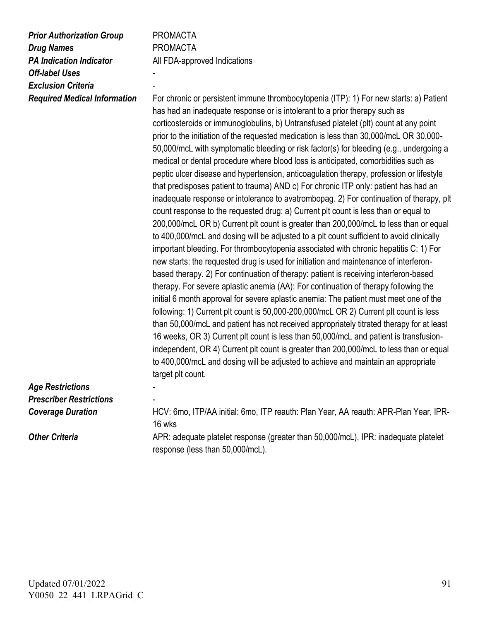| <b>Prior Authorization Group</b><br><b>Drug Names</b><br><b>PA Indication Indicator</b><br><b>Off-label Uses</b><br><b>Exclusion Criteria</b><br><b>Required Medical Information</b> | <b>PROMACTA</b><br><b>PROMACTA</b><br>All FDA-approved Indications<br>For chronic or persistent immune thrombocytopenia (ITP): 1) For new starts: a) Patient<br>has had an inadequate response or is intolerant to a prior therapy such as<br>corticosteroids or immunoglobulins, b) Untransfused platelet (plt) count at any point<br>prior to the initiation of the requested medication is less than 30,000/mcL OR 30,000-<br>50,000/mcL with symptomatic bleeding or risk factor(s) for bleeding (e.g., undergoing a<br>medical or dental procedure where blood loss is anticipated, comorbidities such as<br>peptic ulcer disease and hypertension, anticoagulation therapy, profession or lifestyle<br>that predisposes patient to trauma) AND c) For chronic ITP only: patient has had an<br>inadequate response or intolerance to avatrombopag. 2) For continuation of therapy, plt<br>count response to the requested drug: a) Current plt count is less than or equal to<br>200,000/mcL OR b) Current plt count is greater than 200,000/mcL to less than or equal<br>to 400,000/mcL and dosing will be adjusted to a plt count sufficient to avoid clinically<br>important bleeding. For thrombocytopenia associated with chronic hepatitis C: 1) For<br>new starts: the requested drug is used for initiation and maintenance of interferon-<br>based therapy. 2) For continuation of therapy: patient is receiving interferon-based |
|--------------------------------------------------------------------------------------------------------------------------------------------------------------------------------------|-------------------------------------------------------------------------------------------------------------------------------------------------------------------------------------------------------------------------------------------------------------------------------------------------------------------------------------------------------------------------------------------------------------------------------------------------------------------------------------------------------------------------------------------------------------------------------------------------------------------------------------------------------------------------------------------------------------------------------------------------------------------------------------------------------------------------------------------------------------------------------------------------------------------------------------------------------------------------------------------------------------------------------------------------------------------------------------------------------------------------------------------------------------------------------------------------------------------------------------------------------------------------------------------------------------------------------------------------------------------------------------------------------------------------------------------------|
|                                                                                                                                                                                      | therapy. For severe aplastic anemia (AA): For continuation of therapy following the<br>initial 6 month approval for severe aplastic anemia: The patient must meet one of the<br>following: 1) Current plt count is 50,000-200,000/mcL OR 2) Current plt count is less<br>than 50,000/mcL and patient has not received appropriately titrated therapy for at least<br>16 weeks, OR 3) Current plt count is less than 50,000/mcL and patient is transfusion-<br>independent, OR 4) Current plt count is greater than 200,000/mcL to less than or equal<br>to 400,000/mcL and dosing will be adjusted to achieve and maintain an appropriate<br>target plt count.                                                                                                                                                                                                                                                                                                                                                                                                                                                                                                                                                                                                                                                                                                                                                                                  |
| <b>Age Restrictions</b>                                                                                                                                                              |                                                                                                                                                                                                                                                                                                                                                                                                                                                                                                                                                                                                                                                                                                                                                                                                                                                                                                                                                                                                                                                                                                                                                                                                                                                                                                                                                                                                                                                 |
| <b>Prescriber Restrictions</b>                                                                                                                                                       |                                                                                                                                                                                                                                                                                                                                                                                                                                                                                                                                                                                                                                                                                                                                                                                                                                                                                                                                                                                                                                                                                                                                                                                                                                                                                                                                                                                                                                                 |
| <b>Coverage Duration</b>                                                                                                                                                             | HCV: 6mo, ITP/AA initial: 6mo, ITP reauth: Plan Year, AA reauth: APR-Plan Year, IPR-<br>16 wks                                                                                                                                                                                                                                                                                                                                                                                                                                                                                                                                                                                                                                                                                                                                                                                                                                                                                                                                                                                                                                                                                                                                                                                                                                                                                                                                                  |
| <b>Other Criteria</b>                                                                                                                                                                | APR: adequate platelet response (greater than 50,000/mcL), IPR: inadequate platelet<br>response (less than 50,000/mcL).                                                                                                                                                                                                                                                                                                                                                                                                                                                                                                                                                                                                                                                                                                                                                                                                                                                                                                                                                                                                                                                                                                                                                                                                                                                                                                                         |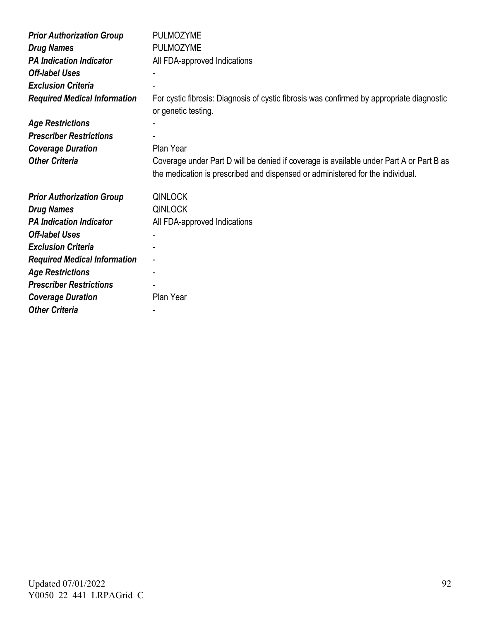| <b>Prior Authorization Group</b>    | <b>PULMOZYME</b>                                                                                                                                                          |
|-------------------------------------|---------------------------------------------------------------------------------------------------------------------------------------------------------------------------|
| <b>Drug Names</b>                   | <b>PULMOZYME</b>                                                                                                                                                          |
| <b>PA Indication Indicator</b>      | All FDA-approved Indications                                                                                                                                              |
| <b>Off-label Uses</b>               |                                                                                                                                                                           |
| <b>Exclusion Criteria</b>           |                                                                                                                                                                           |
| <b>Required Medical Information</b> | For cystic fibrosis: Diagnosis of cystic fibrosis was confirmed by appropriate diagnostic<br>or genetic testing.                                                          |
| <b>Age Restrictions</b>             |                                                                                                                                                                           |
| <b>Prescriber Restrictions</b>      |                                                                                                                                                                           |
| <b>Coverage Duration</b>            | Plan Year                                                                                                                                                                 |
| <b>Other Criteria</b>               | Coverage under Part D will be denied if coverage is available under Part A or Part B as<br>the medication is prescribed and dispensed or administered for the individual. |
|                                     |                                                                                                                                                                           |
| <b>Prior Authorization Group</b>    | <b>QINLOCK</b>                                                                                                                                                            |
| <b>Drug Names</b>                   | <b>QINLOCK</b>                                                                                                                                                            |
| <b>PA Indication Indicator</b>      | All FDA-approved Indications                                                                                                                                              |
| <b>Off-label Uses</b>               |                                                                                                                                                                           |
| <b>Exclusion Criteria</b>           | ۰                                                                                                                                                                         |
| <b>Required Medical Information</b> | $\blacksquare$                                                                                                                                                            |
| <b>Age Restrictions</b>             |                                                                                                                                                                           |
| <b>Prescriber Restrictions</b>      |                                                                                                                                                                           |
| <b>Coverage Duration</b>            | Plan Year                                                                                                                                                                 |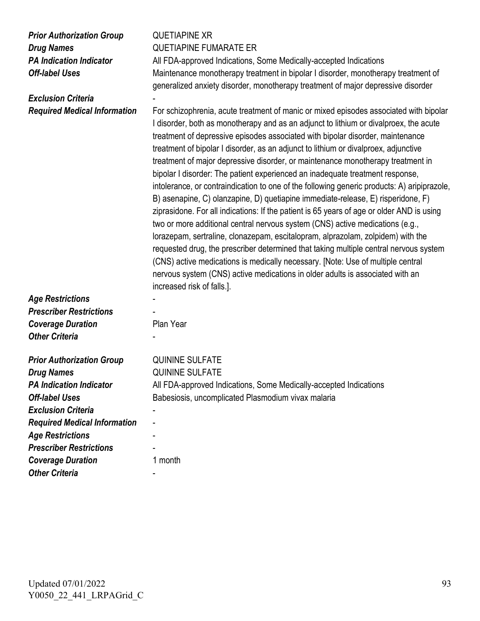| <b>Prior Authorization Group</b> |
|----------------------------------|
| <b>Drug Names</b>                |
| <b>PA Indication Indicator</b>   |
| <b>Off-label Uses</b>            |

|                                     | generalized anxiety disorder, monotherapy treatment of major depressive disorder                                                                                                                                                                                                                                                                                                                                                                                                                                                                                                                                                                                                                                                                                                                                                                                                                                                                                                                                                                                                                                                                                                                                                                                           |
|-------------------------------------|----------------------------------------------------------------------------------------------------------------------------------------------------------------------------------------------------------------------------------------------------------------------------------------------------------------------------------------------------------------------------------------------------------------------------------------------------------------------------------------------------------------------------------------------------------------------------------------------------------------------------------------------------------------------------------------------------------------------------------------------------------------------------------------------------------------------------------------------------------------------------------------------------------------------------------------------------------------------------------------------------------------------------------------------------------------------------------------------------------------------------------------------------------------------------------------------------------------------------------------------------------------------------|
| <b>Exclusion Criteria</b>           |                                                                                                                                                                                                                                                                                                                                                                                                                                                                                                                                                                                                                                                                                                                                                                                                                                                                                                                                                                                                                                                                                                                                                                                                                                                                            |
| <b>Required Medical Information</b> | For schizophrenia, acute treatment of manic or mixed episodes associated with bipolar<br>I disorder, both as monotherapy and as an adjunct to lithium or divalproex, the acute<br>treatment of depressive episodes associated with bipolar disorder, maintenance<br>treatment of bipolar I disorder, as an adjunct to lithium or divalproex, adjunctive<br>treatment of major depressive disorder, or maintenance monotherapy treatment in<br>bipolar I disorder: The patient experienced an inadequate treatment response,<br>intolerance, or contraindication to one of the following generic products: A) aripiprazole,<br>B) asenapine, C) olanzapine, D) quetiapine immediate-release, E) risperidone, F)<br>ziprasidone. For all indications: If the patient is 65 years of age or older AND is using<br>two or more additional central nervous system (CNS) active medications (e.g.,<br>lorazepam, sertraline, clonazepam, escitalopram, alprazolam, zolpidem) with the<br>requested drug, the prescriber determined that taking multiple central nervous system<br>(CNS) active medications is medically necessary. [Note: Use of multiple central<br>nervous system (CNS) active medications in older adults is associated with an<br>increased risk of falls.]. |
| <b>Age Restrictions</b>             |                                                                                                                                                                                                                                                                                                                                                                                                                                                                                                                                                                                                                                                                                                                                                                                                                                                                                                                                                                                                                                                                                                                                                                                                                                                                            |
| <b>Prescriber Restrictions</b>      |                                                                                                                                                                                                                                                                                                                                                                                                                                                                                                                                                                                                                                                                                                                                                                                                                                                                                                                                                                                                                                                                                                                                                                                                                                                                            |
| <b>Coverage Duration</b>            | Plan Year                                                                                                                                                                                                                                                                                                                                                                                                                                                                                                                                                                                                                                                                                                                                                                                                                                                                                                                                                                                                                                                                                                                                                                                                                                                                  |
| <b>Other Criteria</b>               |                                                                                                                                                                                                                                                                                                                                                                                                                                                                                                                                                                                                                                                                                                                                                                                                                                                                                                                                                                                                                                                                                                                                                                                                                                                                            |
| <b>Prior Authorization Group</b>    | <b>QUININE SULFATE</b>                                                                                                                                                                                                                                                                                                                                                                                                                                                                                                                                                                                                                                                                                                                                                                                                                                                                                                                                                                                                                                                                                                                                                                                                                                                     |
| <b>Drug Names</b>                   | <b>QUININE SULFATE</b>                                                                                                                                                                                                                                                                                                                                                                                                                                                                                                                                                                                                                                                                                                                                                                                                                                                                                                                                                                                                                                                                                                                                                                                                                                                     |
| <b>PA Indication Indicator</b>      | All FDA-approved Indications, Some Medically-accepted Indications                                                                                                                                                                                                                                                                                                                                                                                                                                                                                                                                                                                                                                                                                                                                                                                                                                                                                                                                                                                                                                                                                                                                                                                                          |
| <b>Off-label Uses</b>               | Babesiosis, uncomplicated Plasmodium vivax malaria                                                                                                                                                                                                                                                                                                                                                                                                                                                                                                                                                                                                                                                                                                                                                                                                                                                                                                                                                                                                                                                                                                                                                                                                                         |
| <b>Exclusion Criteria</b>           |                                                                                                                                                                                                                                                                                                                                                                                                                                                                                                                                                                                                                                                                                                                                                                                                                                                                                                                                                                                                                                                                                                                                                                                                                                                                            |
| <b>Required Medical Information</b> |                                                                                                                                                                                                                                                                                                                                                                                                                                                                                                                                                                                                                                                                                                                                                                                                                                                                                                                                                                                                                                                                                                                                                                                                                                                                            |
| <b>Age Restrictions</b>             |                                                                                                                                                                                                                                                                                                                                                                                                                                                                                                                                                                                                                                                                                                                                                                                                                                                                                                                                                                                                                                                                                                                                                                                                                                                                            |
| <b>Prescriber Restrictions</b>      |                                                                                                                                                                                                                                                                                                                                                                                                                                                                                                                                                                                                                                                                                                                                                                                                                                                                                                                                                                                                                                                                                                                                                                                                                                                                            |
| <b>Coverage Duration</b>            | 1 month                                                                                                                                                                                                                                                                                                                                                                                                                                                                                                                                                                                                                                                                                                                                                                                                                                                                                                                                                                                                                                                                                                                                                                                                                                                                    |
| <b>Other Criteria</b>               |                                                                                                                                                                                                                                                                                                                                                                                                                                                                                                                                                                                                                                                                                                                                                                                                                                                                                                                                                                                                                                                                                                                                                                                                                                                                            |

*Prior Authorization Group* QUETIAPINE XR

*Drug Names* QUETIAPINE FUMARATE ER

All FDA-approved Indications, Some Medically-accepted Indications

Maintenance monotherapy treatment in bipolar I disorder, monotherapy treatment of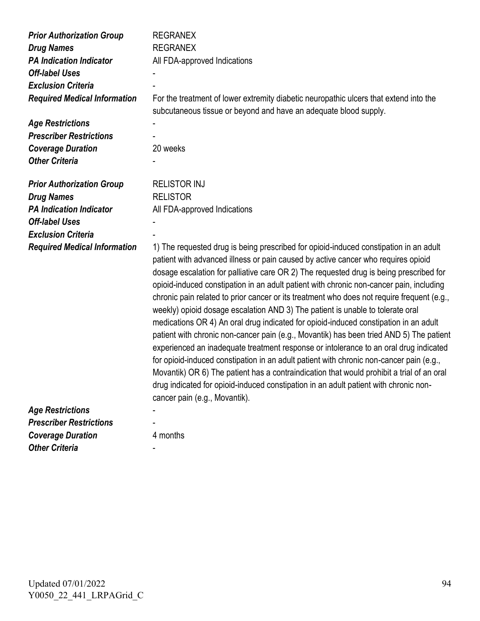| <b>Prior Authorization Group</b>    | <b>REGRANEX</b>                                                                                                                                                                                                                                                                                                                                                                                                                                                                                                                                                                                                                                                                                                                                                                                                                                                                                                                                                                                                                                                                                                                              |
|-------------------------------------|----------------------------------------------------------------------------------------------------------------------------------------------------------------------------------------------------------------------------------------------------------------------------------------------------------------------------------------------------------------------------------------------------------------------------------------------------------------------------------------------------------------------------------------------------------------------------------------------------------------------------------------------------------------------------------------------------------------------------------------------------------------------------------------------------------------------------------------------------------------------------------------------------------------------------------------------------------------------------------------------------------------------------------------------------------------------------------------------------------------------------------------------|
| <b>Drug Names</b>                   | <b>REGRANEX</b>                                                                                                                                                                                                                                                                                                                                                                                                                                                                                                                                                                                                                                                                                                                                                                                                                                                                                                                                                                                                                                                                                                                              |
| <b>PA Indication Indicator</b>      | All FDA-approved Indications                                                                                                                                                                                                                                                                                                                                                                                                                                                                                                                                                                                                                                                                                                                                                                                                                                                                                                                                                                                                                                                                                                                 |
| <b>Off-label Uses</b>               |                                                                                                                                                                                                                                                                                                                                                                                                                                                                                                                                                                                                                                                                                                                                                                                                                                                                                                                                                                                                                                                                                                                                              |
| <b>Exclusion Criteria</b>           |                                                                                                                                                                                                                                                                                                                                                                                                                                                                                                                                                                                                                                                                                                                                                                                                                                                                                                                                                                                                                                                                                                                                              |
| <b>Required Medical Information</b> | For the treatment of lower extremity diabetic neuropathic ulcers that extend into the                                                                                                                                                                                                                                                                                                                                                                                                                                                                                                                                                                                                                                                                                                                                                                                                                                                                                                                                                                                                                                                        |
|                                     | subcutaneous tissue or beyond and have an adequate blood supply.                                                                                                                                                                                                                                                                                                                                                                                                                                                                                                                                                                                                                                                                                                                                                                                                                                                                                                                                                                                                                                                                             |
| <b>Age Restrictions</b>             |                                                                                                                                                                                                                                                                                                                                                                                                                                                                                                                                                                                                                                                                                                                                                                                                                                                                                                                                                                                                                                                                                                                                              |
| <b>Prescriber Restrictions</b>      |                                                                                                                                                                                                                                                                                                                                                                                                                                                                                                                                                                                                                                                                                                                                                                                                                                                                                                                                                                                                                                                                                                                                              |
| <b>Coverage Duration</b>            | 20 weeks                                                                                                                                                                                                                                                                                                                                                                                                                                                                                                                                                                                                                                                                                                                                                                                                                                                                                                                                                                                                                                                                                                                                     |
| <b>Other Criteria</b>               |                                                                                                                                                                                                                                                                                                                                                                                                                                                                                                                                                                                                                                                                                                                                                                                                                                                                                                                                                                                                                                                                                                                                              |
|                                     |                                                                                                                                                                                                                                                                                                                                                                                                                                                                                                                                                                                                                                                                                                                                                                                                                                                                                                                                                                                                                                                                                                                                              |
| <b>Prior Authorization Group</b>    | <b>RELISTOR INJ</b>                                                                                                                                                                                                                                                                                                                                                                                                                                                                                                                                                                                                                                                                                                                                                                                                                                                                                                                                                                                                                                                                                                                          |
| <b>Drug Names</b>                   | <b>RELISTOR</b>                                                                                                                                                                                                                                                                                                                                                                                                                                                                                                                                                                                                                                                                                                                                                                                                                                                                                                                                                                                                                                                                                                                              |
| <b>PA Indication Indicator</b>      | All FDA-approved Indications                                                                                                                                                                                                                                                                                                                                                                                                                                                                                                                                                                                                                                                                                                                                                                                                                                                                                                                                                                                                                                                                                                                 |
| <b>Off-label Uses</b>               |                                                                                                                                                                                                                                                                                                                                                                                                                                                                                                                                                                                                                                                                                                                                                                                                                                                                                                                                                                                                                                                                                                                                              |
| <b>Exclusion Criteria</b>           |                                                                                                                                                                                                                                                                                                                                                                                                                                                                                                                                                                                                                                                                                                                                                                                                                                                                                                                                                                                                                                                                                                                                              |
| <b>Required Medical Information</b> | 1) The requested drug is being prescribed for opioid-induced constipation in an adult<br>patient with advanced illness or pain caused by active cancer who requires opioid<br>dosage escalation for palliative care OR 2) The requested drug is being prescribed for<br>opioid-induced constipation in an adult patient with chronic non-cancer pain, including<br>chronic pain related to prior cancer or its treatment who does not require frequent (e.g.,<br>weekly) opioid dosage escalation AND 3) The patient is unable to tolerate oral<br>medications OR 4) An oral drug indicated for opioid-induced constipation in an adult<br>patient with chronic non-cancer pain (e.g., Movantik) has been tried AND 5) The patient<br>experienced an inadequate treatment response or intolerance to an oral drug indicated<br>for opioid-induced constipation in an adult patient with chronic non-cancer pain (e.g.,<br>Movantik) OR 6) The patient has a contraindication that would prohibit a trial of an oral<br>drug indicated for opioid-induced constipation in an adult patient with chronic non-<br>cancer pain (e.g., Movantik). |
| <b>Age Restrictions</b>             |                                                                                                                                                                                                                                                                                                                                                                                                                                                                                                                                                                                                                                                                                                                                                                                                                                                                                                                                                                                                                                                                                                                                              |
| <b>Prescriber Restrictions</b>      |                                                                                                                                                                                                                                                                                                                                                                                                                                                                                                                                                                                                                                                                                                                                                                                                                                                                                                                                                                                                                                                                                                                                              |
| <b>Coverage Duration</b>            | 4 months                                                                                                                                                                                                                                                                                                                                                                                                                                                                                                                                                                                                                                                                                                                                                                                                                                                                                                                                                                                                                                                                                                                                     |
| <b>Other Criteria</b>               |                                                                                                                                                                                                                                                                                                                                                                                                                                                                                                                                                                                                                                                                                                                                                                                                                                                                                                                                                                                                                                                                                                                                              |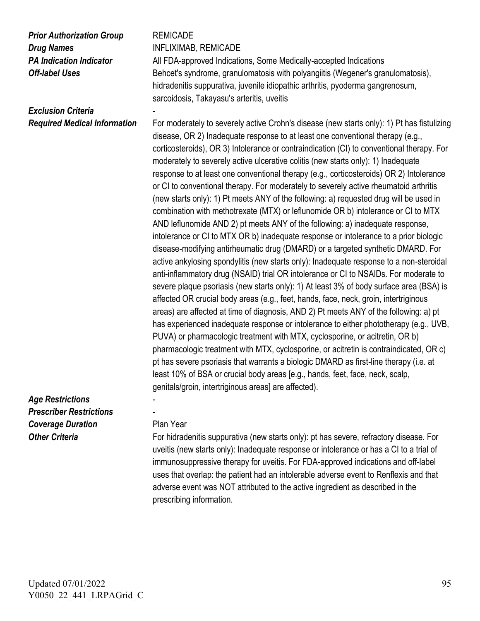# *Prior Authorization Group* REMICADE *Drug Names* **INFLIXIMAB, REMICADE**

## **Exclusion Criteria**

**PA Indication Indicator** All FDA-approved Indications, Some Medically-accepted Indications **Off-label Uses** Behcet's syndrome, granulomatosis with polyangiitis (Wegener's granulomatosis), hidradenitis suppurativa, juvenile idiopathic arthritis, pyoderma gangrenosum, sarcoidosis, Takayasu's arteritis, uveitis

*Required Medical Information* For moderately to severely active Crohn's disease (new starts only): 1) Pt has fistulizing disease, OR 2) Inadequate response to at least one conventional therapy (e.g., corticosteroids), OR 3) Intolerance or contraindication (CI) to conventional therapy. For moderately to severely active ulcerative colitis (new starts only): 1) Inadequate response to at least one conventional therapy (e.g., corticosteroids) OR 2) Intolerance or CI to conventional therapy. For moderately to severely active rheumatoid arthritis (new starts only): 1) Pt meets ANY of the following: a) requested drug will be used in combination with methotrexate (MTX) or leflunomide OR b) intolerance or CI to MTX AND leflunomide AND 2) pt meets ANY of the following: a) inadequate response, intolerance or CI to MTX OR b) inadequate response or intolerance to a prior biologic disease-modifying antirheumatic drug (DMARD) or a targeted synthetic DMARD. For active ankylosing spondylitis (new starts only): Inadequate response to a non-steroidal anti-inflammatory drug (NSAID) trial OR intolerance or CI to NSAIDs. For moderate to severe plaque psoriasis (new starts only): 1) At least 3% of body surface area (BSA) is affected OR crucial body areas (e.g., feet, hands, face, neck, groin, intertriginous areas) are affected at time of diagnosis, AND 2) Pt meets ANY of the following: a) pt has experienced inadequate response or intolerance to either phototherapy (e.g., UVB, PUVA) or pharmacologic treatment with MTX, cyclosporine, or acitretin, OR b) pharmacologic treatment with MTX, cyclosporine, or acitretin is contraindicated, OR c) pt has severe psoriasis that warrants a biologic DMARD as first-line therapy (i.e. at least 10% of BSA or crucial body areas [e.g., hands, feet, face, neck, scalp, genitals/groin, intertriginous areas] are affected).

### *Age Restrictions* - *Prescriber Restrictions* - **Coverage Duration** Plan Year

**Other Criteria** For hidradenitis suppurativa (new starts only): pt has severe, refractory disease. For uveitis (new starts only): Inadequate response or intolerance or has a CI to a trial of immunosuppressive therapy for uveitis. For FDA-approved indications and off-label uses that overlap: the patient had an intolerable adverse event to Renflexis and that adverse event was NOT attributed to the active ingredient as described in the prescribing information.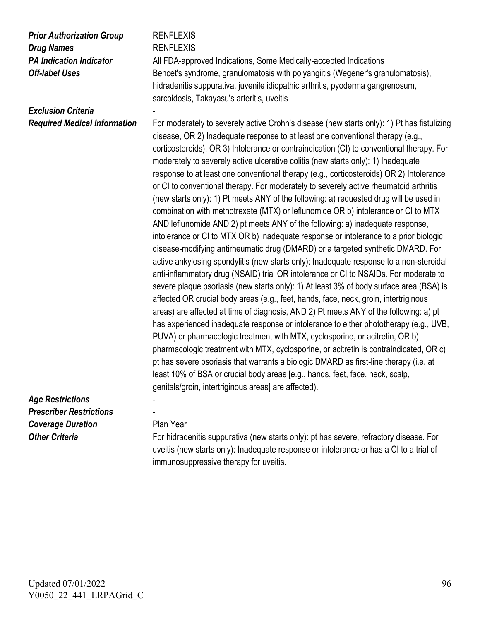| <b>Prior Authorization Group</b>    | <b>RENFLEXIS</b>                                                                                                                                                                                                                                                                                                                                                                                                                                                                                                                                                                                                                                                                                                                                                                                                                                                                                                                                                                                                                                                                                                                                                                                                                                                                                                                                                                                                                                                                                                                                                                                                                                                                                                                                                                                                                                                                                                                                                   |
|-------------------------------------|--------------------------------------------------------------------------------------------------------------------------------------------------------------------------------------------------------------------------------------------------------------------------------------------------------------------------------------------------------------------------------------------------------------------------------------------------------------------------------------------------------------------------------------------------------------------------------------------------------------------------------------------------------------------------------------------------------------------------------------------------------------------------------------------------------------------------------------------------------------------------------------------------------------------------------------------------------------------------------------------------------------------------------------------------------------------------------------------------------------------------------------------------------------------------------------------------------------------------------------------------------------------------------------------------------------------------------------------------------------------------------------------------------------------------------------------------------------------------------------------------------------------------------------------------------------------------------------------------------------------------------------------------------------------------------------------------------------------------------------------------------------------------------------------------------------------------------------------------------------------------------------------------------------------------------------------------------------------|
| <b>Drug Names</b>                   | <b>RENFLEXIS</b>                                                                                                                                                                                                                                                                                                                                                                                                                                                                                                                                                                                                                                                                                                                                                                                                                                                                                                                                                                                                                                                                                                                                                                                                                                                                                                                                                                                                                                                                                                                                                                                                                                                                                                                                                                                                                                                                                                                                                   |
| <b>PA Indication Indicator</b>      | All FDA-approved Indications, Some Medically-accepted Indications                                                                                                                                                                                                                                                                                                                                                                                                                                                                                                                                                                                                                                                                                                                                                                                                                                                                                                                                                                                                                                                                                                                                                                                                                                                                                                                                                                                                                                                                                                                                                                                                                                                                                                                                                                                                                                                                                                  |
| <b>Off-label Uses</b>               | Behcet's syndrome, granulomatosis with polyangiitis (Wegener's granulomatosis),<br>hidradenitis suppurativa, juvenile idiopathic arthritis, pyoderma gangrenosum,<br>sarcoidosis, Takayasu's arteritis, uveitis                                                                                                                                                                                                                                                                                                                                                                                                                                                                                                                                                                                                                                                                                                                                                                                                                                                                                                                                                                                                                                                                                                                                                                                                                                                                                                                                                                                                                                                                                                                                                                                                                                                                                                                                                    |
| <b>Exclusion Criteria</b>           |                                                                                                                                                                                                                                                                                                                                                                                                                                                                                                                                                                                                                                                                                                                                                                                                                                                                                                                                                                                                                                                                                                                                                                                                                                                                                                                                                                                                                                                                                                                                                                                                                                                                                                                                                                                                                                                                                                                                                                    |
| <b>Required Medical Information</b> | For moderately to severely active Crohn's disease (new starts only): 1) Pt has fistulizing<br>disease, OR 2) Inadequate response to at least one conventional therapy (e.g.,<br>corticosteroids), OR 3) Intolerance or contraindication (CI) to conventional therapy. For<br>moderately to severely active ulcerative colitis (new starts only): 1) Inadequate<br>response to at least one conventional therapy (e.g., corticosteroids) OR 2) Intolerance<br>or CI to conventional therapy. For moderately to severely active rheumatoid arthritis<br>(new starts only): 1) Pt meets ANY of the following: a) requested drug will be used in<br>combination with methotrexate (MTX) or leflunomide OR b) intolerance or CI to MTX<br>AND leflunomide AND 2) pt meets ANY of the following: a) inadequate response,<br>intolerance or CI to MTX OR b) inadequate response or intolerance to a prior biologic<br>disease-modifying antirheumatic drug (DMARD) or a targeted synthetic DMARD. For<br>active ankylosing spondylitis (new starts only): Inadequate response to a non-steroidal<br>anti-inflammatory drug (NSAID) trial OR intolerance or CI to NSAIDs. For moderate to<br>severe plaque psoriasis (new starts only): 1) At least 3% of body surface area (BSA) is<br>affected OR crucial body areas (e.g., feet, hands, face, neck, groin, intertriginous<br>areas) are affected at time of diagnosis, AND 2) Pt meets ANY of the following: a) pt<br>has experienced inadequate response or intolerance to either phototherapy (e.g., UVB,<br>PUVA) or pharmacologic treatment with MTX, cyclosporine, or acitretin, OR b)<br>pharmacologic treatment with MTX, cyclosporine, or acitretin is contraindicated, OR c)<br>pt has severe psoriasis that warrants a biologic DMARD as first-line therapy (i.e. at<br>least 10% of BSA or crucial body areas [e.g., hands, feet, face, neck, scalp,<br>genitals/groin, intertriginous areas] are affected). |
| <b>Age Restrictions</b>             |                                                                                                                                                                                                                                                                                                                                                                                                                                                                                                                                                                                                                                                                                                                                                                                                                                                                                                                                                                                                                                                                                                                                                                                                                                                                                                                                                                                                                                                                                                                                                                                                                                                                                                                                                                                                                                                                                                                                                                    |
| <b>Prescriber Restrictions</b>      |                                                                                                                                                                                                                                                                                                                                                                                                                                                                                                                                                                                                                                                                                                                                                                                                                                                                                                                                                                                                                                                                                                                                                                                                                                                                                                                                                                                                                                                                                                                                                                                                                                                                                                                                                                                                                                                                                                                                                                    |
| <b>Coverage Duration</b>            | Plan Year                                                                                                                                                                                                                                                                                                                                                                                                                                                                                                                                                                                                                                                                                                                                                                                                                                                                                                                                                                                                                                                                                                                                                                                                                                                                                                                                                                                                                                                                                                                                                                                                                                                                                                                                                                                                                                                                                                                                                          |
| <b>Other Criteria</b>               | For hidradenitis suppurativa (new starts only): pt has severe, refractory disease. For                                                                                                                                                                                                                                                                                                                                                                                                                                                                                                                                                                                                                                                                                                                                                                                                                                                                                                                                                                                                                                                                                                                                                                                                                                                                                                                                                                                                                                                                                                                                                                                                                                                                                                                                                                                                                                                                             |
|                                     | uveitis (new starts only): Inadequate response or intolerance or has a CI to a trial of                                                                                                                                                                                                                                                                                                                                                                                                                                                                                                                                                                                                                                                                                                                                                                                                                                                                                                                                                                                                                                                                                                                                                                                                                                                                                                                                                                                                                                                                                                                                                                                                                                                                                                                                                                                                                                                                            |

immunosuppressive therapy for uveitis.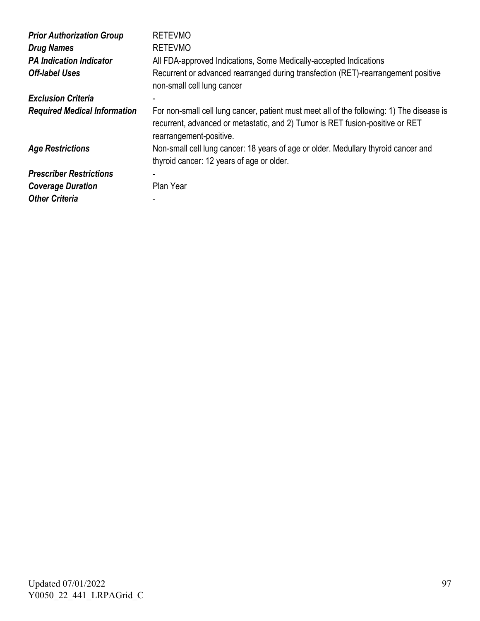| <b>Prior Authorization Group</b><br><b>Drug Names</b><br><b>PA Indication Indicator</b><br><b>Off-label Uses</b> | <b>RETEVMO</b><br><b>RETEVMO</b><br>All FDA-approved Indications, Some Medically-accepted Indications<br>Recurrent or advanced rearranged during transfection (RET)-rearrangement positive<br>non-small cell lung cancer |
|------------------------------------------------------------------------------------------------------------------|--------------------------------------------------------------------------------------------------------------------------------------------------------------------------------------------------------------------------|
| <b>Exclusion Criteria</b>                                                                                        |                                                                                                                                                                                                                          |
| <b>Required Medical Information</b>                                                                              | For non-small cell lung cancer, patient must meet all of the following: 1) The disease is<br>recurrent, advanced or metastatic, and 2) Tumor is RET fusion-positive or RET<br>rearrangement-positive.                    |
| <b>Age Restrictions</b>                                                                                          | Non-small cell lung cancer: 18 years of age or older. Medullary thyroid cancer and<br>thyroid cancer: 12 years of age or older.                                                                                          |
| <b>Prescriber Restrictions</b>                                                                                   | $\blacksquare$                                                                                                                                                                                                           |
| <b>Coverage Duration</b>                                                                                         | Plan Year                                                                                                                                                                                                                |
| <b>Other Criteria</b>                                                                                            | ۰                                                                                                                                                                                                                        |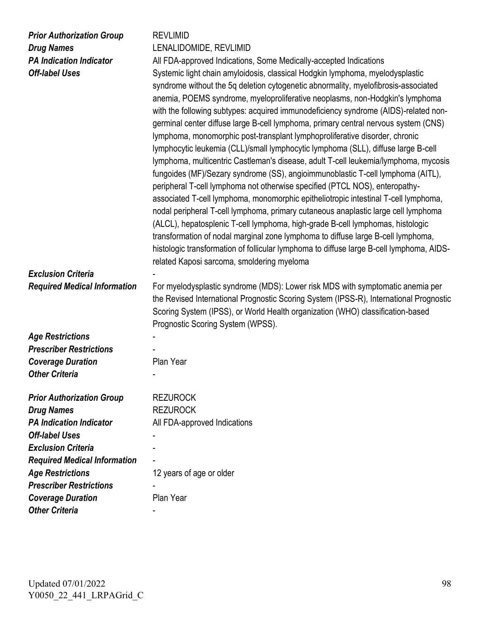| <b>Prior Authorization Group</b><br><b>Drug Names</b><br><b>PA Indication Indicator</b><br><b>Off-label Uses</b><br><b>Exclusion Criteria</b> | <b>REVLIMID</b><br>LENALIDOMIDE, REVLIMID<br>All FDA-approved Indications, Some Medically-accepted Indications<br>Systemic light chain amyloidosis, classical Hodgkin lymphoma, myelodysplastic<br>syndrome without the 5q deletion cytogenetic abnormality, myelofibrosis-associated<br>anemia, POEMS syndrome, myeloproliferative neoplasms, non-Hodgkin's lymphoma<br>with the following subtypes: acquired immunodeficiency syndrome (AIDS)-related non-<br>germinal center diffuse large B-cell lymphoma, primary central nervous system (CNS)<br>lymphoma, monomorphic post-transplant lymphoproliferative disorder, chronic<br>lymphocytic leukemia (CLL)/small lymphocytic lymphoma (SLL), diffuse large B-cell<br>lymphoma, multicentric Castleman's disease, adult T-cell leukemia/lymphoma, mycosis<br>fungoides (MF)/Sezary syndrome (SS), angioimmunoblastic T-cell lymphoma (AITL),<br>peripheral T-cell lymphoma not otherwise specified (PTCL NOS), enteropathy-<br>associated T-cell lymphoma, monomorphic epitheliotropic intestinal T-cell lymphoma,<br>nodal peripheral T-cell lymphoma, primary cutaneous anaplastic large cell lymphoma<br>(ALCL), hepatosplenic T-cell lymphoma, high-grade B-cell lymphomas, histologic<br>transformation of nodal marginal zone lymphoma to diffuse large B-cell lymphoma,<br>histologic transformation of follicular lymphoma to diffuse large B-cell lymphoma, AIDS-<br>related Kaposi sarcoma, smoldering myeloma |
|-----------------------------------------------------------------------------------------------------------------------------------------------|-------------------------------------------------------------------------------------------------------------------------------------------------------------------------------------------------------------------------------------------------------------------------------------------------------------------------------------------------------------------------------------------------------------------------------------------------------------------------------------------------------------------------------------------------------------------------------------------------------------------------------------------------------------------------------------------------------------------------------------------------------------------------------------------------------------------------------------------------------------------------------------------------------------------------------------------------------------------------------------------------------------------------------------------------------------------------------------------------------------------------------------------------------------------------------------------------------------------------------------------------------------------------------------------------------------------------------------------------------------------------------------------------------------------------------------------------------------------------------|
| <b>Required Medical Information</b>                                                                                                           | For myelodysplastic syndrome (MDS): Lower risk MDS with symptomatic anemia per<br>the Revised International Prognostic Scoring System (IPSS-R), International Prognostic<br>Scoring System (IPSS), or World Health organization (WHO) classification-based<br>Prognostic Scoring System (WPSS).                                                                                                                                                                                                                                                                                                                                                                                                                                                                                                                                                                                                                                                                                                                                                                                                                                                                                                                                                                                                                                                                                                                                                                               |
| <b>Age Restrictions</b>                                                                                                                       |                                                                                                                                                                                                                                                                                                                                                                                                                                                                                                                                                                                                                                                                                                                                                                                                                                                                                                                                                                                                                                                                                                                                                                                                                                                                                                                                                                                                                                                                               |
| <b>Prescriber Restrictions</b>                                                                                                                |                                                                                                                                                                                                                                                                                                                                                                                                                                                                                                                                                                                                                                                                                                                                                                                                                                                                                                                                                                                                                                                                                                                                                                                                                                                                                                                                                                                                                                                                               |
| <b>Coverage Duration</b>                                                                                                                      | Plan Year                                                                                                                                                                                                                                                                                                                                                                                                                                                                                                                                                                                                                                                                                                                                                                                                                                                                                                                                                                                                                                                                                                                                                                                                                                                                                                                                                                                                                                                                     |
| <b>Other Criteria</b>                                                                                                                         |                                                                                                                                                                                                                                                                                                                                                                                                                                                                                                                                                                                                                                                                                                                                                                                                                                                                                                                                                                                                                                                                                                                                                                                                                                                                                                                                                                                                                                                                               |
| <b>Prior Authorization Group</b><br><b>Drug Names</b><br><b>PA Indication Indicator</b><br><b>Off-label Uses</b><br><b>Exclusion Criteria</b> | <b>REZUROCK</b><br><b>REZUROCK</b><br>All FDA-approved Indications                                                                                                                                                                                                                                                                                                                                                                                                                                                                                                                                                                                                                                                                                                                                                                                                                                                                                                                                                                                                                                                                                                                                                                                                                                                                                                                                                                                                            |
| <b>Required Medical Information</b>                                                                                                           |                                                                                                                                                                                                                                                                                                                                                                                                                                                                                                                                                                                                                                                                                                                                                                                                                                                                                                                                                                                                                                                                                                                                                                                                                                                                                                                                                                                                                                                                               |
| <b>Age Restrictions</b>                                                                                                                       | 12 years of age or older                                                                                                                                                                                                                                                                                                                                                                                                                                                                                                                                                                                                                                                                                                                                                                                                                                                                                                                                                                                                                                                                                                                                                                                                                                                                                                                                                                                                                                                      |
| <b>Prescriber Restrictions</b>                                                                                                                |                                                                                                                                                                                                                                                                                                                                                                                                                                                                                                                                                                                                                                                                                                                                                                                                                                                                                                                                                                                                                                                                                                                                                                                                                                                                                                                                                                                                                                                                               |
| <b>Coverage Duration</b>                                                                                                                      | Plan Year                                                                                                                                                                                                                                                                                                                                                                                                                                                                                                                                                                                                                                                                                                                                                                                                                                                                                                                                                                                                                                                                                                                                                                                                                                                                                                                                                                                                                                                                     |

*Other Criteria* -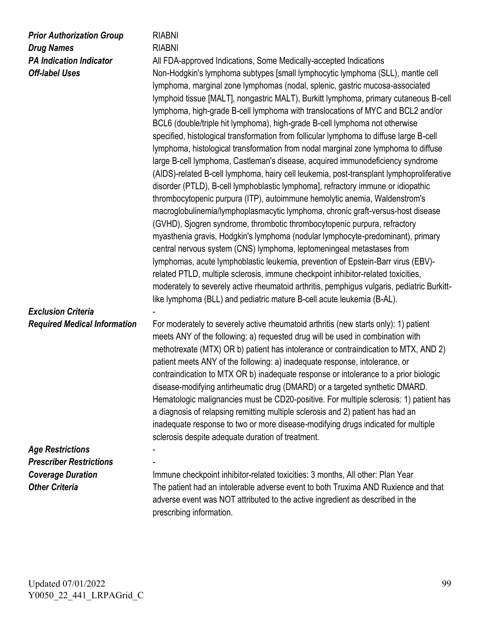| <b>Prior Authorization Group</b>                        | <b>RIABNI</b>                                                                                                                                                                                                                                                                                                                                                                                                                                                                                                                                                                                                                                                                                                                                                                                                                                                                                                                                                                                                                                                                                                                                                                                                                                                                                                                                                                                                                                                                                                                                                                                                                                                                                               |
|---------------------------------------------------------|-------------------------------------------------------------------------------------------------------------------------------------------------------------------------------------------------------------------------------------------------------------------------------------------------------------------------------------------------------------------------------------------------------------------------------------------------------------------------------------------------------------------------------------------------------------------------------------------------------------------------------------------------------------------------------------------------------------------------------------------------------------------------------------------------------------------------------------------------------------------------------------------------------------------------------------------------------------------------------------------------------------------------------------------------------------------------------------------------------------------------------------------------------------------------------------------------------------------------------------------------------------------------------------------------------------------------------------------------------------------------------------------------------------------------------------------------------------------------------------------------------------------------------------------------------------------------------------------------------------------------------------------------------------------------------------------------------------|
| <b>Drug Names</b>                                       | <b>RIABNI</b>                                                                                                                                                                                                                                                                                                                                                                                                                                                                                                                                                                                                                                                                                                                                                                                                                                                                                                                                                                                                                                                                                                                                                                                                                                                                                                                                                                                                                                                                                                                                                                                                                                                                                               |
| <b>PA Indication Indicator</b><br><b>Off-label Uses</b> | All FDA-approved Indications, Some Medically-accepted Indications<br>Non-Hodgkin's lymphoma subtypes [small lymphocytic lymphoma (SLL), mantle cell<br>lymphoma, marginal zone lymphomas (nodal, splenic, gastric mucosa-associated<br>lymphoid tissue [MALT], nongastric MALT), Burkitt lymphoma, primary cutaneous B-cell<br>lymphoma, high-grade B-cell lymphoma with translocations of MYC and BCL2 and/or<br>BCL6 (double/triple hit lymphoma), high-grade B-cell lymphoma not otherwise<br>specified, histological transformation from follicular lymphoma to diffuse large B-cell<br>lymphoma, histological transformation from nodal marginal zone lymphoma to diffuse<br>large B-cell lymphoma, Castleman's disease, acquired immunodeficiency syndrome<br>(AIDS)-related B-cell lymphoma, hairy cell leukemia, post-transplant lymphoproliferative<br>disorder (PTLD), B-cell lymphoblastic lymphoma], refractory immune or idiopathic<br>thrombocytopenic purpura (ITP), autoimmune hemolytic anemia, Waldenstrom's<br>macroglobulinemia/lymphoplasmacytic lymphoma, chronic graft-versus-host disease<br>(GVHD), Sjogren syndrome, thrombotic thrombocytopenic purpura, refractory<br>myasthenia gravis, Hodgkin's lymphoma (nodular lymphocyte-predominant), primary<br>central nervous system (CNS) lymphoma, leptomeningeal metastases from<br>lymphomas, acute lymphoblastic leukemia, prevention of Epstein-Barr virus (EBV)-<br>related PTLD, multiple sclerosis, immune checkpoint inhibitor-related toxicities,<br>moderately to severely active rheumatoid arthritis, pemphigus vulgaris, pediatric Burkitt-<br>like lymphoma (BLL) and pediatric mature B-cell acute leukemia (B-AL). |
| <b>Exclusion Criteria</b>                               |                                                                                                                                                                                                                                                                                                                                                                                                                                                                                                                                                                                                                                                                                                                                                                                                                                                                                                                                                                                                                                                                                                                                                                                                                                                                                                                                                                                                                                                                                                                                                                                                                                                                                                             |
| <b>Required Medical Information</b>                     | For moderately to severely active rheumatoid arthritis (new starts only): 1) patient<br>meets ANY of the following: a) requested drug will be used in combination with<br>methotrexate (MTX) OR b) patient has intolerance or contraindication to MTX, AND 2)<br>patient meets ANY of the following: a) inadequate response, intolerance, or<br>contraindication to MTX OR b) inadequate response or intolerance to a prior biologic<br>disease-modifying antirheumatic drug (DMARD) or a targeted synthetic DMARD.<br>Hematologic malignancies must be CD20-positive. For multiple sclerosis: 1) patient has<br>a diagnosis of relapsing remitting multiple sclerosis and 2) patient has had an<br>inadequate response to two or more disease-modifying drugs indicated for multiple                                                                                                                                                                                                                                                                                                                                                                                                                                                                                                                                                                                                                                                                                                                                                                                                                                                                                                                       |
|                                                         | sclerosis despite adequate duration of treatment.                                                                                                                                                                                                                                                                                                                                                                                                                                                                                                                                                                                                                                                                                                                                                                                                                                                                                                                                                                                                                                                                                                                                                                                                                                                                                                                                                                                                                                                                                                                                                                                                                                                           |
| <b>Age Restrictions</b>                                 |                                                                                                                                                                                                                                                                                                                                                                                                                                                                                                                                                                                                                                                                                                                                                                                                                                                                                                                                                                                                                                                                                                                                                                                                                                                                                                                                                                                                                                                                                                                                                                                                                                                                                                             |
| <b>Prescriber Restrictions</b>                          |                                                                                                                                                                                                                                                                                                                                                                                                                                                                                                                                                                                                                                                                                                                                                                                                                                                                                                                                                                                                                                                                                                                                                                                                                                                                                                                                                                                                                                                                                                                                                                                                                                                                                                             |
| <b>Coverage Duration</b>                                | Immune checkpoint inhibitor-related toxicities: 3 months, All other: Plan Year                                                                                                                                                                                                                                                                                                                                                                                                                                                                                                                                                                                                                                                                                                                                                                                                                                                                                                                                                                                                                                                                                                                                                                                                                                                                                                                                                                                                                                                                                                                                                                                                                              |
| <b>Other Criteria</b>                                   | The patient had an intolerable adverse event to both Truxima AND Ruxience and that<br>adverse event was NOT attributed to the active ingredient as described in the                                                                                                                                                                                                                                                                                                                                                                                                                                                                                                                                                                                                                                                                                                                                                                                                                                                                                                                                                                                                                                                                                                                                                                                                                                                                                                                                                                                                                                                                                                                                         |

prescribing information.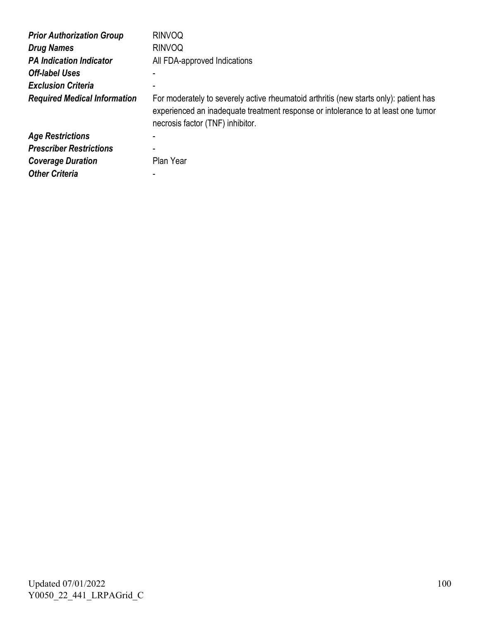| <b>Prior Authorization Group</b>    | <b>RINVOQ</b>                                                                                                                                                                                                  |
|-------------------------------------|----------------------------------------------------------------------------------------------------------------------------------------------------------------------------------------------------------------|
| <b>Drug Names</b>                   | <b>RINVOQ</b>                                                                                                                                                                                                  |
| <b>PA Indication Indicator</b>      | All FDA-approved Indications                                                                                                                                                                                   |
| <b>Off-label Uses</b>               | -                                                                                                                                                                                                              |
| <b>Exclusion Criteria</b>           |                                                                                                                                                                                                                |
| <b>Required Medical Information</b> | For moderately to severely active rheumatoid arthritis (new starts only): patient has<br>experienced an inadequate treatment response or intolerance to at least one tumor<br>necrosis factor (TNF) inhibitor. |
| <b>Age Restrictions</b>             |                                                                                                                                                                                                                |
| <b>Prescriber Restrictions</b>      |                                                                                                                                                                                                                |
| <b>Coverage Duration</b>            | Plan Year                                                                                                                                                                                                      |

*Other Criteria* -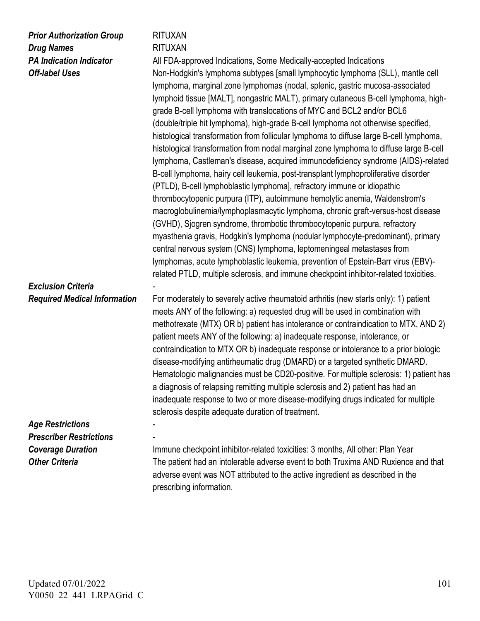#### *Prior Authorization Group Drug Names PA Indication Indicator Off-label Uses*

### RITUXAN

RITUXAN

All FDA-approved Indications, Some Medically-accepted Indications Non-Hodgkin's lymphoma subtypes [small lymphocytic lymphoma (SLL), mantle cell lymphoma, marginal zone lymphomas (nodal, splenic, gastric mucosa-associated lymphoid tissue [MALT], nongastric MALT), primary cutaneous B-cell lymphoma, highgrade B-cell lymphoma with translocations of MYC and BCL2 and/or BCL6 (double/triple hit lymphoma), high-grade B-cell lymphoma not otherwise specified, histological transformation from follicular lymphoma to diffuse large B-cell lymphoma, histological transformation from nodal marginal zone lymphoma to diffuse large B-cell lymphoma, Castleman's disease, acquired immunodeficiency syndrome (AIDS)-related B-cell lymphoma, hairy cell leukemia, post-transplant lymphoproliferative disorder (PTLD), B-cell lymphoblastic lymphoma], refractory immune or idiopathic thrombocytopenic purpura (ITP), autoimmune hemolytic anemia, Waldenstrom's macroglobulinemia/lymphoplasmacytic lymphoma, chronic graft-versus-host disease (GVHD), Sjogren syndrome, thrombotic thrombocytopenic purpura, refractory myasthenia gravis, Hodgkin's lymphoma (nodular lymphocyte-predominant), primary central nervous system (CNS) lymphoma, leptomeningeal metastases from lymphomas, acute lymphoblastic leukemia, prevention of Epstein-Barr virus (EBV) related PTLD, multiple sclerosis, and immune checkpoint inhibitor-related toxicities.

#### *Exclusion Criteria Required Medical Information*

- For moderately to severely active rheumatoid arthritis (new starts only): 1) patient meets ANY of the following: a) requested drug will be used in combination with methotrexate (MTX) OR b) patient has intolerance or contraindication to MTX, AND 2) patient meets ANY of the following: a) inadequate response, intolerance, or contraindication to MTX OR b) inadequate response or intolerance to a prior biologic disease-modifying antirheumatic drug (DMARD) or a targeted synthetic DMARD. Hematologic malignancies must be CD20-positive. For multiple sclerosis: 1) patient has a diagnosis of relapsing remitting multiple sclerosis and 2) patient has had an inadequate response to two or more disease-modifying drugs indicated for multiple sclerosis despite adequate duration of treatment.

#### *Age Restrictions Prescriber Restrictions Coverage Duration Other Criteria*

- -

Immune checkpoint inhibitor-related toxicities: 3 months, All other: Plan Year The patient had an intolerable adverse event to both Truxima AND Ruxience and that adverse event was NOT attributed to the active ingredient as described in the prescribing information.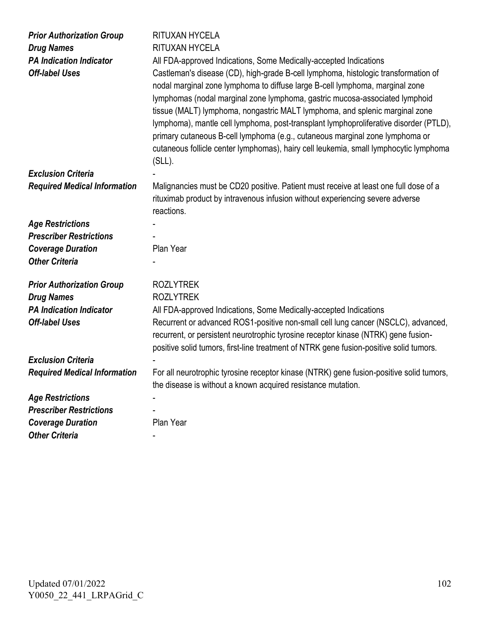| <b>Prior Authorization Group</b><br><b>Drug Names</b><br><b>PA Indication Indicator</b><br><b>Off-label Uses</b> | <b>RITUXAN HYCELA</b><br>RITUXAN HYCELA<br>All FDA-approved Indications, Some Medically-accepted Indications<br>Castleman's disease (CD), high-grade B-cell lymphoma, histologic transformation of<br>nodal marginal zone lymphoma to diffuse large B-cell lymphoma, marginal zone<br>lymphomas (nodal marginal zone lymphoma, gastric mucosa-associated lymphoid<br>tissue (MALT) lymphoma, nongastric MALT lymphoma, and splenic marginal zone<br>lymphoma), mantle cell lymphoma, post-transplant lymphoproliferative disorder (PTLD),<br>primary cutaneous B-cell lymphoma (e.g., cutaneous marginal zone lymphoma or<br>cutaneous follicle center lymphomas), hairy cell leukemia, small lymphocytic lymphoma<br>$(SLL)$ . |
|------------------------------------------------------------------------------------------------------------------|---------------------------------------------------------------------------------------------------------------------------------------------------------------------------------------------------------------------------------------------------------------------------------------------------------------------------------------------------------------------------------------------------------------------------------------------------------------------------------------------------------------------------------------------------------------------------------------------------------------------------------------------------------------------------------------------------------------------------------|
| <b>Exclusion Criteria</b>                                                                                        |                                                                                                                                                                                                                                                                                                                                                                                                                                                                                                                                                                                                                                                                                                                                 |
| <b>Required Medical Information</b>                                                                              | Malignancies must be CD20 positive. Patient must receive at least one full dose of a<br>rituximab product by intravenous infusion without experiencing severe adverse<br>reactions.                                                                                                                                                                                                                                                                                                                                                                                                                                                                                                                                             |
| <b>Age Restrictions</b>                                                                                          |                                                                                                                                                                                                                                                                                                                                                                                                                                                                                                                                                                                                                                                                                                                                 |
| <b>Prescriber Restrictions</b>                                                                                   |                                                                                                                                                                                                                                                                                                                                                                                                                                                                                                                                                                                                                                                                                                                                 |
| <b>Coverage Duration</b>                                                                                         | Plan Year                                                                                                                                                                                                                                                                                                                                                                                                                                                                                                                                                                                                                                                                                                                       |
| <b>Other Criteria</b>                                                                                            |                                                                                                                                                                                                                                                                                                                                                                                                                                                                                                                                                                                                                                                                                                                                 |
|                                                                                                                  |                                                                                                                                                                                                                                                                                                                                                                                                                                                                                                                                                                                                                                                                                                                                 |
| <b>Prior Authorization Group</b>                                                                                 | <b>ROZLYTREK</b>                                                                                                                                                                                                                                                                                                                                                                                                                                                                                                                                                                                                                                                                                                                |
| <b>Drug Names</b>                                                                                                | <b>ROZLYTREK</b>                                                                                                                                                                                                                                                                                                                                                                                                                                                                                                                                                                                                                                                                                                                |
| <b>PA Indication Indicator</b>                                                                                   | All FDA-approved Indications, Some Medically-accepted Indications                                                                                                                                                                                                                                                                                                                                                                                                                                                                                                                                                                                                                                                               |
| <b>Off-label Uses</b>                                                                                            | Recurrent or advanced ROS1-positive non-small cell lung cancer (NSCLC), advanced,<br>recurrent, or persistent neurotrophic tyrosine receptor kinase (NTRK) gene fusion-<br>positive solid tumors, first-line treatment of NTRK gene fusion-positive solid tumors.                                                                                                                                                                                                                                                                                                                                                                                                                                                               |
| <b>Exclusion Criteria</b>                                                                                        |                                                                                                                                                                                                                                                                                                                                                                                                                                                                                                                                                                                                                                                                                                                                 |
| <b>Required Medical Information</b>                                                                              | For all neurotrophic tyrosine receptor kinase (NTRK) gene fusion-positive solid tumors,                                                                                                                                                                                                                                                                                                                                                                                                                                                                                                                                                                                                                                         |
|                                                                                                                  | the disease is without a known acquired resistance mutation.                                                                                                                                                                                                                                                                                                                                                                                                                                                                                                                                                                                                                                                                    |
| <b>Age Restrictions</b>                                                                                          |                                                                                                                                                                                                                                                                                                                                                                                                                                                                                                                                                                                                                                                                                                                                 |
| <b>Prescriber Restrictions</b>                                                                                   |                                                                                                                                                                                                                                                                                                                                                                                                                                                                                                                                                                                                                                                                                                                                 |
| <b>Coverage Duration</b>                                                                                         | Plan Year                                                                                                                                                                                                                                                                                                                                                                                                                                                                                                                                                                                                                                                                                                                       |
| <b>Other Criteria</b>                                                                                            |                                                                                                                                                                                                                                                                                                                                                                                                                                                                                                                                                                                                                                                                                                                                 |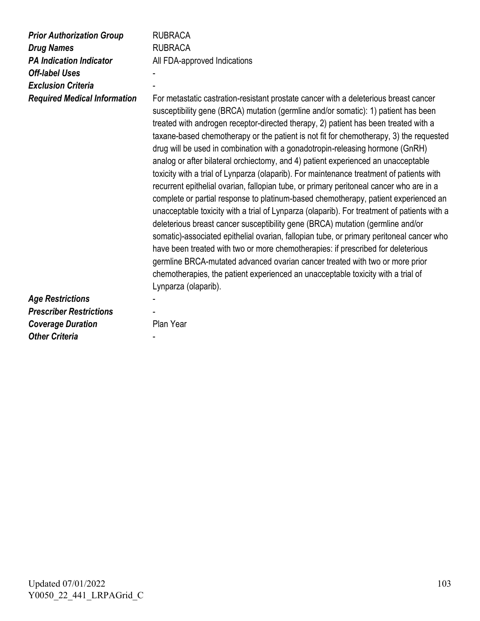| <b>Prior Authorization Group</b><br><b>Drug Names</b><br><b>PA Indication Indicator</b><br><b>Off-label Uses</b><br><b>Exclusion Criteria</b><br><b>Required Medical Information</b> | <b>RUBRACA</b><br><b>RUBRACA</b><br>All FDA-approved Indications<br>For metastatic castration-resistant prostate cancer with a deleterious breast cancer<br>susceptibility gene (BRCA) mutation (germline and/or somatic): 1) patient has been<br>treated with androgen receptor-directed therapy, 2) patient has been treated with a<br>taxane-based chemotherapy or the patient is not fit for chemotherapy, 3) the requested<br>drug will be used in combination with a gonadotropin-releasing hormone (GnRH)<br>analog or after bilateral orchiectomy, and 4) patient experienced an unacceptable<br>toxicity with a trial of Lynparza (olaparib). For maintenance treatment of patients with<br>recurrent epithelial ovarian, fallopian tube, or primary peritoneal cancer who are in a<br>complete or partial response to platinum-based chemotherapy, patient experienced an<br>unacceptable toxicity with a trial of Lynparza (olaparib). For treatment of patients with a<br>deleterious breast cancer susceptibility gene (BRCA) mutation (germline and/or<br>somatic)-associated epithelial ovarian, fallopian tube, or primary peritoneal cancer who<br>have been treated with two or more chemotherapies: if prescribed for deleterious<br>germline BRCA-mutated advanced ovarian cancer treated with two or more prior<br>chemotherapies, the patient experienced an unacceptable toxicity with a trial of |
|--------------------------------------------------------------------------------------------------------------------------------------------------------------------------------------|--------------------------------------------------------------------------------------------------------------------------------------------------------------------------------------------------------------------------------------------------------------------------------------------------------------------------------------------------------------------------------------------------------------------------------------------------------------------------------------------------------------------------------------------------------------------------------------------------------------------------------------------------------------------------------------------------------------------------------------------------------------------------------------------------------------------------------------------------------------------------------------------------------------------------------------------------------------------------------------------------------------------------------------------------------------------------------------------------------------------------------------------------------------------------------------------------------------------------------------------------------------------------------------------------------------------------------------------------------------------------------------------------------------------------|
| <b>Age Restrictions</b><br><b>Prescriber Restrictions</b><br><b>Coverage Duration</b><br><b>Other Criteria</b>                                                                       | Lynparza (olaparib).<br>Plan Year                                                                                                                                                                                                                                                                                                                                                                                                                                                                                                                                                                                                                                                                                                                                                                                                                                                                                                                                                                                                                                                                                                                                                                                                                                                                                                                                                                                        |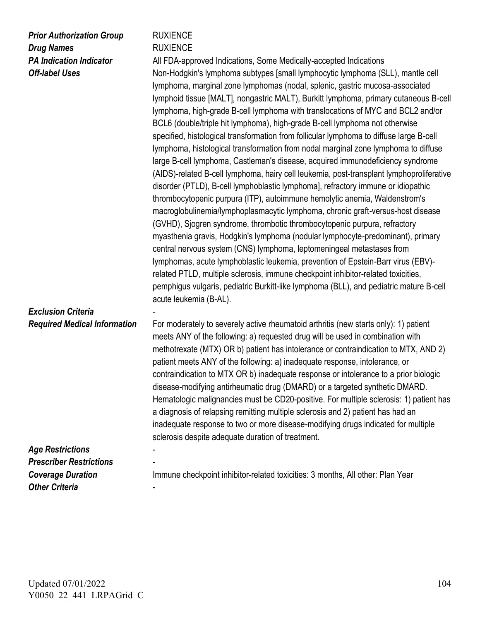| <b>Prior Authorization Group</b> |
|----------------------------------|
| <b>Drug Names</b>                |
| <b>PA Indication Indicator</b>   |
| <b>Off-label Uses</b>            |

#### **RUXIENCE RUXIENCE**

All FDA-approved Indications, Some Medically-accepted Indications Non-Hodgkin's lymphoma subtypes [small lymphocytic lymphoma (SLL), mantle cell lymphoma, marginal zone lymphomas (nodal, splenic, gastric mucosa-associated lymphoid tissue [MALT], nongastric MALT), Burkitt lymphoma, primary cutaneous B-cell lymphoma, high-grade B-cell lymphoma with translocations of MYC and BCL2 and/or BCL6 (double/triple hit lymphoma), high-grade B-cell lymphoma not otherwise specified, histological transformation from follicular lymphoma to diffuse large B-cell lymphoma, histological transformation from nodal marginal zone lymphoma to diffuse large B-cell lymphoma, Castleman's disease, acquired immunodeficiency syndrome (AIDS)-related B-cell lymphoma, hairy cell leukemia, post-transplant lymphoproliferative disorder (PTLD), B-cell lymphoblastic lymphoma], refractory immune or idiopathic thrombocytopenic purpura (ITP), autoimmune hemolytic anemia, Waldenstrom's macroglobulinemia/lymphoplasmacytic lymphoma, chronic graft-versus-host disease (GVHD), Sjogren syndrome, thrombotic thrombocytopenic purpura, refractory myasthenia gravis, Hodgkin's lymphoma (nodular lymphocyte-predominant), primary central nervous system (CNS) lymphoma, leptomeningeal metastases from lymphomas, acute lymphoblastic leukemia, prevention of Epstein-Barr virus (EBV) related PTLD, multiple sclerosis, immune checkpoint inhibitor-related toxicities, pemphigus vulgaris, pediatric Burkitt-like lymphoma (BLL), and pediatric mature B-cell acute leukemia (B-AL).

#### *Exclusion Criteria Required Medical Information*

-

- -

-

For moderately to severely active rheumatoid arthritis (new starts only): 1) patient meets ANY of the following: a) requested drug will be used in combination with methotrexate (MTX) OR b) patient has intolerance or contraindication to MTX, AND 2) patient meets ANY of the following: a) inadequate response, intolerance, or contraindication to MTX OR b) inadequate response or intolerance to a prior biologic disease-modifying antirheumatic drug (DMARD) or a targeted synthetic DMARD. Hematologic malignancies must be CD20-positive. For multiple sclerosis: 1) patient has a diagnosis of relapsing remitting multiple sclerosis and 2) patient has had an inadequate response to two or more disease-modifying drugs indicated for multiple sclerosis despite adequate duration of treatment.

#### *Age Restrictions Prescriber Restrictions Coverage Duration Other Criteria*

Immune checkpoint inhibitor-related toxicities: 3 months, All other: Plan Year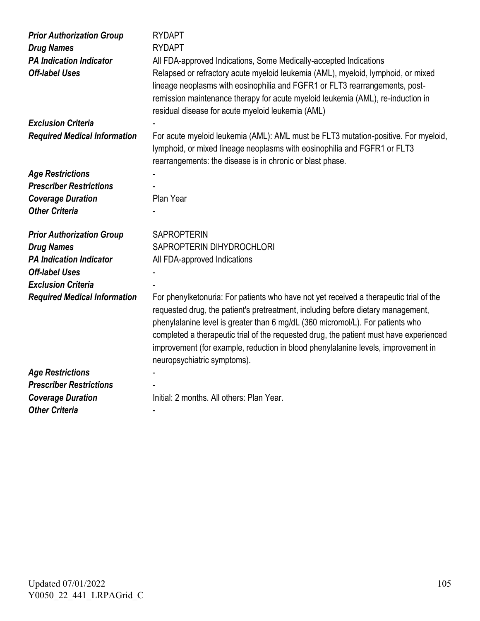| <b>Prior Authorization Group</b><br><b>Drug Names</b><br><b>PA Indication Indicator</b><br><b>Off-label Uses</b> | <b>RYDAPT</b><br><b>RYDAPT</b><br>All FDA-approved Indications, Some Medically-accepted Indications<br>Relapsed or refractory acute myeloid leukemia (AML), myeloid, lymphoid, or mixed<br>lineage neoplasms with eosinophilia and FGFR1 or FLT3 rearrangements, post-<br>remission maintenance therapy for acute myeloid leukemia (AML), re-induction in<br>residual disease for acute myeloid leukemia (AML)                                                             |
|------------------------------------------------------------------------------------------------------------------|----------------------------------------------------------------------------------------------------------------------------------------------------------------------------------------------------------------------------------------------------------------------------------------------------------------------------------------------------------------------------------------------------------------------------------------------------------------------------|
| <b>Exclusion Criteria</b>                                                                                        |                                                                                                                                                                                                                                                                                                                                                                                                                                                                            |
| <b>Required Medical Information</b>                                                                              | For acute myeloid leukemia (AML): AML must be FLT3 mutation-positive. For myeloid,<br>lymphoid, or mixed lineage neoplasms with eosinophilia and FGFR1 or FLT3<br>rearrangements: the disease is in chronic or blast phase.                                                                                                                                                                                                                                                |
| <b>Age Restrictions</b>                                                                                          |                                                                                                                                                                                                                                                                                                                                                                                                                                                                            |
| <b>Prescriber Restrictions</b>                                                                                   |                                                                                                                                                                                                                                                                                                                                                                                                                                                                            |
| <b>Coverage Duration</b>                                                                                         | Plan Year                                                                                                                                                                                                                                                                                                                                                                                                                                                                  |
| <b>Other Criteria</b>                                                                                            |                                                                                                                                                                                                                                                                                                                                                                                                                                                                            |
|                                                                                                                  |                                                                                                                                                                                                                                                                                                                                                                                                                                                                            |
| <b>Prior Authorization Group</b>                                                                                 | <b>SAPROPTERIN</b>                                                                                                                                                                                                                                                                                                                                                                                                                                                         |
| <b>Drug Names</b>                                                                                                | SAPROPTERIN DIHYDROCHLORI                                                                                                                                                                                                                                                                                                                                                                                                                                                  |
| <b>PA Indication Indicator</b>                                                                                   | All FDA-approved Indications                                                                                                                                                                                                                                                                                                                                                                                                                                               |
| <b>Off-label Uses</b>                                                                                            |                                                                                                                                                                                                                                                                                                                                                                                                                                                                            |
| <b>Exclusion Criteria</b>                                                                                        |                                                                                                                                                                                                                                                                                                                                                                                                                                                                            |
| <b>Required Medical Information</b>                                                                              | For phenylketonuria: For patients who have not yet received a therapeutic trial of the<br>requested drug, the patient's pretreatment, including before dietary management,<br>phenylalanine level is greater than 6 mg/dL (360 micromol/L). For patients who<br>completed a therapeutic trial of the requested drug, the patient must have experienced<br>improvement (for example, reduction in blood phenylalanine levels, improvement in<br>neuropsychiatric symptoms). |
| <b>Age Restrictions</b>                                                                                          |                                                                                                                                                                                                                                                                                                                                                                                                                                                                            |
| <b>Prescriber Restrictions</b>                                                                                   |                                                                                                                                                                                                                                                                                                                                                                                                                                                                            |
| <b>Coverage Duration</b>                                                                                         | Initial: 2 months. All others: Plan Year.                                                                                                                                                                                                                                                                                                                                                                                                                                  |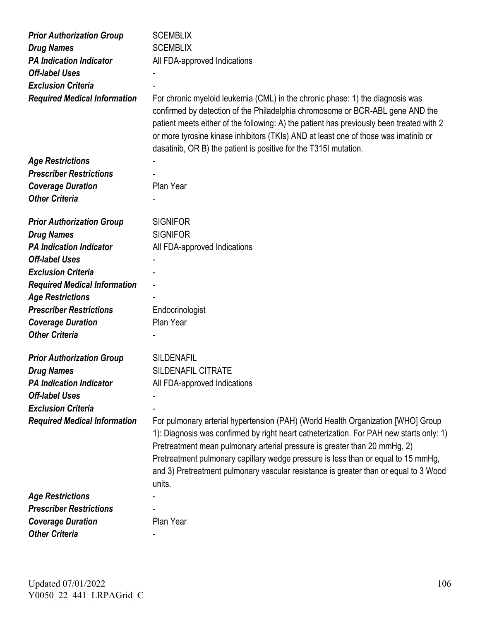| <b>Prior Authorization Group</b>                    | <b>SCEMBLIX</b>                                                                                                                                                                                                                                                                                                                                                                                                                                 |
|-----------------------------------------------------|-------------------------------------------------------------------------------------------------------------------------------------------------------------------------------------------------------------------------------------------------------------------------------------------------------------------------------------------------------------------------------------------------------------------------------------------------|
| <b>Drug Names</b>                                   | <b>SCEMBLIX</b>                                                                                                                                                                                                                                                                                                                                                                                                                                 |
| <b>PA Indication Indicator</b>                      | All FDA-approved Indications                                                                                                                                                                                                                                                                                                                                                                                                                    |
| <b>Off-label Uses</b>                               |                                                                                                                                                                                                                                                                                                                                                                                                                                                 |
| <b>Exclusion Criteria</b>                           |                                                                                                                                                                                                                                                                                                                                                                                                                                                 |
| <b>Required Medical Information</b>                 | For chronic myeloid leukemia (CML) in the chronic phase: 1) the diagnosis was<br>confirmed by detection of the Philadelphia chromosome or BCR-ABL gene AND the<br>patient meets either of the following: A) the patient has previously been treated with 2<br>or more tyrosine kinase inhibitors (TKIs) AND at least one of those was imatinib or<br>dasatinib, OR B) the patient is positive for the T315I mutation.                           |
| <b>Age Restrictions</b>                             |                                                                                                                                                                                                                                                                                                                                                                                                                                                 |
| <b>Prescriber Restrictions</b>                      |                                                                                                                                                                                                                                                                                                                                                                                                                                                 |
| <b>Coverage Duration</b>                            | Plan Year                                                                                                                                                                                                                                                                                                                                                                                                                                       |
| <b>Other Criteria</b>                               |                                                                                                                                                                                                                                                                                                                                                                                                                                                 |
| <b>Prior Authorization Group</b>                    | <b>SIGNIFOR</b>                                                                                                                                                                                                                                                                                                                                                                                                                                 |
|                                                     | <b>SIGNIFOR</b>                                                                                                                                                                                                                                                                                                                                                                                                                                 |
| <b>Drug Names</b><br><b>PA Indication Indicator</b> |                                                                                                                                                                                                                                                                                                                                                                                                                                                 |
| <b>Off-label Uses</b>                               | All FDA-approved Indications                                                                                                                                                                                                                                                                                                                                                                                                                    |
| <b>Exclusion Criteria</b>                           |                                                                                                                                                                                                                                                                                                                                                                                                                                                 |
|                                                     |                                                                                                                                                                                                                                                                                                                                                                                                                                                 |
| <b>Required Medical Information</b>                 |                                                                                                                                                                                                                                                                                                                                                                                                                                                 |
| <b>Age Restrictions</b>                             |                                                                                                                                                                                                                                                                                                                                                                                                                                                 |
| <b>Prescriber Restrictions</b>                      | Endocrinologist                                                                                                                                                                                                                                                                                                                                                                                                                                 |
| <b>Coverage Duration</b><br><b>Other Criteria</b>   | Plan Year                                                                                                                                                                                                                                                                                                                                                                                                                                       |
|                                                     |                                                                                                                                                                                                                                                                                                                                                                                                                                                 |
| <b>Prior Authorization Group</b>                    | <b>SILDENAFIL</b>                                                                                                                                                                                                                                                                                                                                                                                                                               |
| <b>Drug Names</b>                                   | <b>SILDENAFIL CITRATE</b>                                                                                                                                                                                                                                                                                                                                                                                                                       |
| <b>PA Indication Indicator</b>                      | All FDA-approved Indications                                                                                                                                                                                                                                                                                                                                                                                                                    |
| <b>Off-label Uses</b>                               |                                                                                                                                                                                                                                                                                                                                                                                                                                                 |
| <b>Exclusion Criteria</b>                           |                                                                                                                                                                                                                                                                                                                                                                                                                                                 |
| <b>Required Medical Information</b>                 | For pulmonary arterial hypertension (PAH) (World Health Organization [WHO] Group<br>1): Diagnosis was confirmed by right heart catheterization. For PAH new starts only: 1)<br>Pretreatment mean pulmonary arterial pressure is greater than 20 mmHg, 2)<br>Pretreatment pulmonary capillary wedge pressure is less than or equal to 15 mmHg,<br>and 3) Pretreatment pulmonary vascular resistance is greater than or equal to 3 Wood<br>units. |
| <b>Age Restrictions</b>                             |                                                                                                                                                                                                                                                                                                                                                                                                                                                 |
| <b>Prescriber Restrictions</b>                      |                                                                                                                                                                                                                                                                                                                                                                                                                                                 |
| <b>Coverage Duration</b>                            | Plan Year                                                                                                                                                                                                                                                                                                                                                                                                                                       |
| <b>Other Criteria</b>                               |                                                                                                                                                                                                                                                                                                                                                                                                                                                 |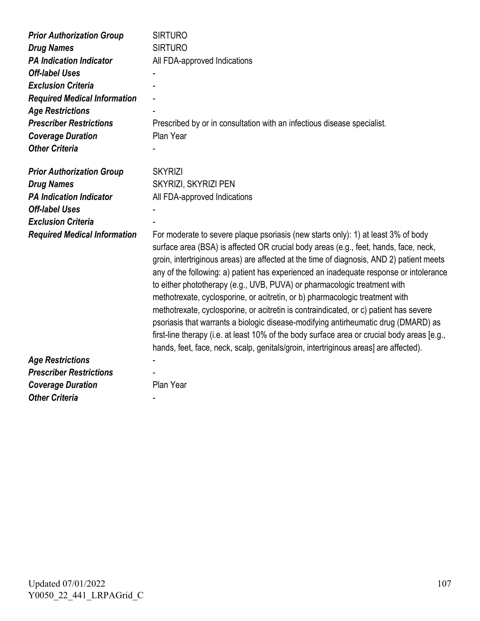| <b>Prior Authorization Group</b>    | <b>SIRTURO</b>                                                                                                                                                                                                                                                                                                                                                                                                                                                                                                                                                                                                                                                                                                                                                                                                                                                                                    |
|-------------------------------------|---------------------------------------------------------------------------------------------------------------------------------------------------------------------------------------------------------------------------------------------------------------------------------------------------------------------------------------------------------------------------------------------------------------------------------------------------------------------------------------------------------------------------------------------------------------------------------------------------------------------------------------------------------------------------------------------------------------------------------------------------------------------------------------------------------------------------------------------------------------------------------------------------|
| <b>Drug Names</b>                   | <b>SIRTURO</b>                                                                                                                                                                                                                                                                                                                                                                                                                                                                                                                                                                                                                                                                                                                                                                                                                                                                                    |
| <b>PA Indication Indicator</b>      | All FDA-approved Indications                                                                                                                                                                                                                                                                                                                                                                                                                                                                                                                                                                                                                                                                                                                                                                                                                                                                      |
| <b>Off-label Uses</b>               |                                                                                                                                                                                                                                                                                                                                                                                                                                                                                                                                                                                                                                                                                                                                                                                                                                                                                                   |
| <b>Exclusion Criteria</b>           |                                                                                                                                                                                                                                                                                                                                                                                                                                                                                                                                                                                                                                                                                                                                                                                                                                                                                                   |
| <b>Required Medical Information</b> |                                                                                                                                                                                                                                                                                                                                                                                                                                                                                                                                                                                                                                                                                                                                                                                                                                                                                                   |
| <b>Age Restrictions</b>             |                                                                                                                                                                                                                                                                                                                                                                                                                                                                                                                                                                                                                                                                                                                                                                                                                                                                                                   |
| <b>Prescriber Restrictions</b>      | Prescribed by or in consultation with an infectious disease specialist.                                                                                                                                                                                                                                                                                                                                                                                                                                                                                                                                                                                                                                                                                                                                                                                                                           |
| <b>Coverage Duration</b>            | Plan Year                                                                                                                                                                                                                                                                                                                                                                                                                                                                                                                                                                                                                                                                                                                                                                                                                                                                                         |
| <b>Other Criteria</b>               |                                                                                                                                                                                                                                                                                                                                                                                                                                                                                                                                                                                                                                                                                                                                                                                                                                                                                                   |
|                                     |                                                                                                                                                                                                                                                                                                                                                                                                                                                                                                                                                                                                                                                                                                                                                                                                                                                                                                   |
| <b>Prior Authorization Group</b>    | <b>SKYRIZI</b>                                                                                                                                                                                                                                                                                                                                                                                                                                                                                                                                                                                                                                                                                                                                                                                                                                                                                    |
| <b>Drug Names</b>                   | SKYRIZI, SKYRIZI PEN                                                                                                                                                                                                                                                                                                                                                                                                                                                                                                                                                                                                                                                                                                                                                                                                                                                                              |
| <b>PA Indication Indicator</b>      | All FDA-approved Indications                                                                                                                                                                                                                                                                                                                                                                                                                                                                                                                                                                                                                                                                                                                                                                                                                                                                      |
| <b>Off-label Uses</b>               |                                                                                                                                                                                                                                                                                                                                                                                                                                                                                                                                                                                                                                                                                                                                                                                                                                                                                                   |
| <b>Exclusion Criteria</b>           |                                                                                                                                                                                                                                                                                                                                                                                                                                                                                                                                                                                                                                                                                                                                                                                                                                                                                                   |
| <b>Required Medical Information</b> | For moderate to severe plaque psoriasis (new starts only): 1) at least 3% of body<br>surface area (BSA) is affected OR crucial body areas (e.g., feet, hands, face, neck,<br>groin, intertriginous areas) are affected at the time of diagnosis, AND 2) patient meets<br>any of the following: a) patient has experienced an inadequate response or intolerance<br>to either phototherapy (e.g., UVB, PUVA) or pharmacologic treatment with<br>methotrexate, cyclosporine, or acitretin, or b) pharmacologic treatment with<br>methotrexate, cyclosporine, or acitretin is contraindicated, or c) patient has severe<br>psoriasis that warrants a biologic disease-modifying antirheumatic drug (DMARD) as<br>first-line therapy (i.e. at least 10% of the body surface area or crucial body areas [e.g.,<br>hands, feet, face, neck, scalp, genitals/groin, intertriginous areas] are affected). |
| <b>Age Restrictions</b>             |                                                                                                                                                                                                                                                                                                                                                                                                                                                                                                                                                                                                                                                                                                                                                                                                                                                                                                   |
| <b>Prescriber Restrictions</b>      |                                                                                                                                                                                                                                                                                                                                                                                                                                                                                                                                                                                                                                                                                                                                                                                                                                                                                                   |
| <b>Coverage Duration</b>            | Plan Year                                                                                                                                                                                                                                                                                                                                                                                                                                                                                                                                                                                                                                                                                                                                                                                                                                                                                         |
| <b>Other Criteria</b>               |                                                                                                                                                                                                                                                                                                                                                                                                                                                                                                                                                                                                                                                                                                                                                                                                                                                                                                   |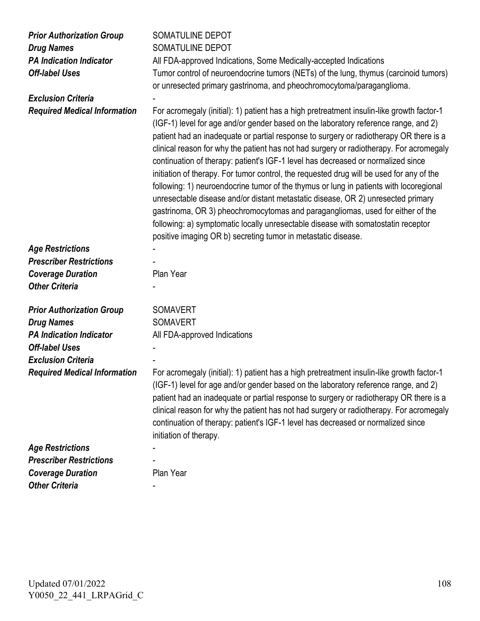| <b>Prior Authorization Group</b>    | SOMATULINE DEPOT                                                                                                                                                                                                                                                                                                                                                                                                                                                                                                                                                                                                                                                                                                                                                                                                                                                                                                                                                            |
|-------------------------------------|-----------------------------------------------------------------------------------------------------------------------------------------------------------------------------------------------------------------------------------------------------------------------------------------------------------------------------------------------------------------------------------------------------------------------------------------------------------------------------------------------------------------------------------------------------------------------------------------------------------------------------------------------------------------------------------------------------------------------------------------------------------------------------------------------------------------------------------------------------------------------------------------------------------------------------------------------------------------------------|
| <b>Drug Names</b>                   | <b>SOMATULINE DEPOT</b>                                                                                                                                                                                                                                                                                                                                                                                                                                                                                                                                                                                                                                                                                                                                                                                                                                                                                                                                                     |
| <b>PA Indication Indicator</b>      | All FDA-approved Indications, Some Medically-accepted Indications                                                                                                                                                                                                                                                                                                                                                                                                                                                                                                                                                                                                                                                                                                                                                                                                                                                                                                           |
| <b>Off-label Uses</b>               | Tumor control of neuroendocrine tumors (NETs) of the lung, thymus (carcinoid tumors)                                                                                                                                                                                                                                                                                                                                                                                                                                                                                                                                                                                                                                                                                                                                                                                                                                                                                        |
|                                     | or unresected primary gastrinoma, and pheochromocytoma/paraganglioma.                                                                                                                                                                                                                                                                                                                                                                                                                                                                                                                                                                                                                                                                                                                                                                                                                                                                                                       |
| <b>Exclusion Criteria</b>           |                                                                                                                                                                                                                                                                                                                                                                                                                                                                                                                                                                                                                                                                                                                                                                                                                                                                                                                                                                             |
| <b>Required Medical Information</b> | For acromegaly (initial): 1) patient has a high pretreatment insulin-like growth factor-1<br>(IGF-1) level for age and/or gender based on the laboratory reference range, and 2)<br>patient had an inadequate or partial response to surgery or radiotherapy OR there is a<br>clinical reason for why the patient has not had surgery or radiotherapy. For acromegaly<br>continuation of therapy: patient's IGF-1 level has decreased or normalized since<br>initiation of therapy. For tumor control, the requested drug will be used for any of the<br>following: 1) neuroendocrine tumor of the thymus or lung in patients with locoregional<br>unresectable disease and/or distant metastatic disease, OR 2) unresected primary<br>gastrinoma, OR 3) pheochromocytomas and paragangliomas, used for either of the<br>following: a) symptomatic locally unresectable disease with somatostatin receptor<br>positive imaging OR b) secreting tumor in metastatic disease. |
| <b>Age Restrictions</b>             |                                                                                                                                                                                                                                                                                                                                                                                                                                                                                                                                                                                                                                                                                                                                                                                                                                                                                                                                                                             |
| <b>Prescriber Restrictions</b>      |                                                                                                                                                                                                                                                                                                                                                                                                                                                                                                                                                                                                                                                                                                                                                                                                                                                                                                                                                                             |
| <b>Coverage Duration</b>            | Plan Year                                                                                                                                                                                                                                                                                                                                                                                                                                                                                                                                                                                                                                                                                                                                                                                                                                                                                                                                                                   |
| <b>Other Criteria</b>               |                                                                                                                                                                                                                                                                                                                                                                                                                                                                                                                                                                                                                                                                                                                                                                                                                                                                                                                                                                             |
|                                     |                                                                                                                                                                                                                                                                                                                                                                                                                                                                                                                                                                                                                                                                                                                                                                                                                                                                                                                                                                             |
| <b>Prior Authorization Group</b>    | <b>SOMAVERT</b>                                                                                                                                                                                                                                                                                                                                                                                                                                                                                                                                                                                                                                                                                                                                                                                                                                                                                                                                                             |
| <b>Drug Names</b>                   | <b>SOMAVERT</b>                                                                                                                                                                                                                                                                                                                                                                                                                                                                                                                                                                                                                                                                                                                                                                                                                                                                                                                                                             |
| <b>PA Indication Indicator</b>      | All FDA-approved Indications                                                                                                                                                                                                                                                                                                                                                                                                                                                                                                                                                                                                                                                                                                                                                                                                                                                                                                                                                |
| <b>Off-label Uses</b>               |                                                                                                                                                                                                                                                                                                                                                                                                                                                                                                                                                                                                                                                                                                                                                                                                                                                                                                                                                                             |
| <b>Exclusion Criteria</b>           |                                                                                                                                                                                                                                                                                                                                                                                                                                                                                                                                                                                                                                                                                                                                                                                                                                                                                                                                                                             |
| <b>Required Medical Information</b> | For acromegaly (initial): 1) patient has a high pretreatment insulin-like growth factor-1<br>(IGF-1) level for age and/or gender based on the laboratory reference range, and 2)<br>patient had an inadequate or partial response to surgery or radiotherapy OR there is a<br>clinical reason for why the patient has not had surgery or radiotherapy. For acromegaly<br>continuation of therapy: patient's IGF-1 level has decreased or normalized since<br>initiation of therapy.                                                                                                                                                                                                                                                                                                                                                                                                                                                                                         |
| <b>Age Restrictions</b>             |                                                                                                                                                                                                                                                                                                                                                                                                                                                                                                                                                                                                                                                                                                                                                                                                                                                                                                                                                                             |
| <b>Prescriber Restrictions</b>      |                                                                                                                                                                                                                                                                                                                                                                                                                                                                                                                                                                                                                                                                                                                                                                                                                                                                                                                                                                             |
| <b>Coverage Duration</b>            | Plan Year                                                                                                                                                                                                                                                                                                                                                                                                                                                                                                                                                                                                                                                                                                                                                                                                                                                                                                                                                                   |
| <b>Other Criteria</b>               |                                                                                                                                                                                                                                                                                                                                                                                                                                                                                                                                                                                                                                                                                                                                                                                                                                                                                                                                                                             |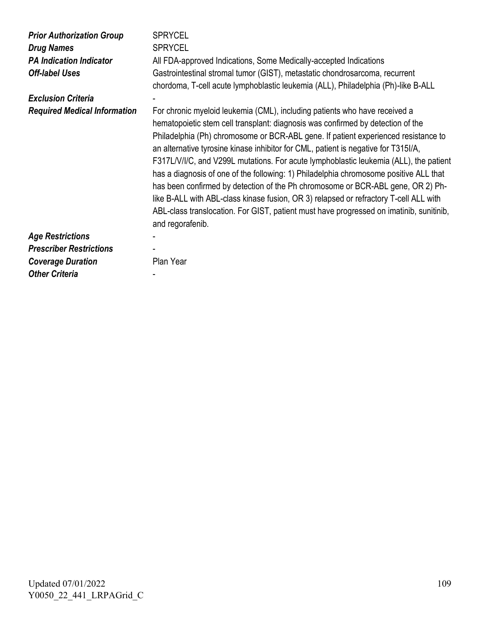| <b>Prior Authorization Group</b><br><b>Drug Names</b><br><b>PA Indication Indicator</b><br><b>Off-label Uses</b> | <b>SPRYCEL</b><br><b>SPRYCEL</b><br>All FDA-approved Indications, Some Medically-accepted Indications<br>Gastrointestinal stromal tumor (GIST), metastatic chondrosarcoma, recurrent<br>chordoma, T-cell acute lymphoblastic leukemia (ALL), Philadelphia (Ph)-like B-ALL                                                                                                                                                                                                                                                                                                                                                                                                                                                                                                                                              |
|------------------------------------------------------------------------------------------------------------------|------------------------------------------------------------------------------------------------------------------------------------------------------------------------------------------------------------------------------------------------------------------------------------------------------------------------------------------------------------------------------------------------------------------------------------------------------------------------------------------------------------------------------------------------------------------------------------------------------------------------------------------------------------------------------------------------------------------------------------------------------------------------------------------------------------------------|
| <b>Exclusion Criteria</b>                                                                                        |                                                                                                                                                                                                                                                                                                                                                                                                                                                                                                                                                                                                                                                                                                                                                                                                                        |
| <b>Required Medical Information</b>                                                                              | For chronic myeloid leukemia (CML), including patients who have received a<br>hematopoietic stem cell transplant: diagnosis was confirmed by detection of the<br>Philadelphia (Ph) chromosome or BCR-ABL gene. If patient experienced resistance to<br>an alternative tyrosine kinase inhibitor for CML, patient is negative for T315I/A,<br>F317L/V/I/C, and V299L mutations. For acute lymphoblastic leukemia (ALL), the patient<br>has a diagnosis of one of the following: 1) Philadelphia chromosome positive ALL that<br>has been confirmed by detection of the Ph chromosome or BCR-ABL gene, OR 2) Ph-<br>like B-ALL with ABL-class kinase fusion, OR 3) relapsed or refractory T-cell ALL with<br>ABL-class translocation. For GIST, patient must have progressed on imatinib, sunitinib,<br>and regorafenib. |
| <b>Age Restrictions</b>                                                                                          |                                                                                                                                                                                                                                                                                                                                                                                                                                                                                                                                                                                                                                                                                                                                                                                                                        |
| <b>Prescriber Restrictions</b>                                                                                   |                                                                                                                                                                                                                                                                                                                                                                                                                                                                                                                                                                                                                                                                                                                                                                                                                        |
| <b>Coverage Duration</b>                                                                                         | Plan Year                                                                                                                                                                                                                                                                                                                                                                                                                                                                                                                                                                                                                                                                                                                                                                                                              |
| <b>Other Criteria</b>                                                                                            |                                                                                                                                                                                                                                                                                                                                                                                                                                                                                                                                                                                                                                                                                                                                                                                                                        |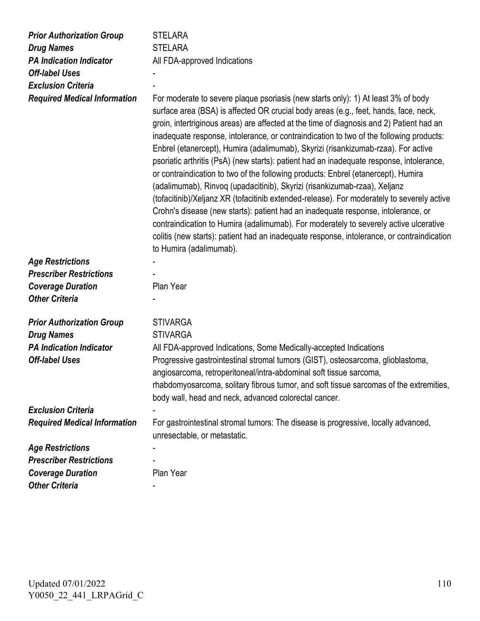| <b>Prior Authorization Group</b>                    | <b>STELARA</b>                                                                                                                                                                                                                                                                                                                                                                                                                                                                                                                                                                                                                                                                                                                                                                                                                                                                                                                                                                                                                                                                                                           |
|-----------------------------------------------------|--------------------------------------------------------------------------------------------------------------------------------------------------------------------------------------------------------------------------------------------------------------------------------------------------------------------------------------------------------------------------------------------------------------------------------------------------------------------------------------------------------------------------------------------------------------------------------------------------------------------------------------------------------------------------------------------------------------------------------------------------------------------------------------------------------------------------------------------------------------------------------------------------------------------------------------------------------------------------------------------------------------------------------------------------------------------------------------------------------------------------|
| <b>Drug Names</b>                                   | <b>STELARA</b>                                                                                                                                                                                                                                                                                                                                                                                                                                                                                                                                                                                                                                                                                                                                                                                                                                                                                                                                                                                                                                                                                                           |
| <b>PA Indication Indicator</b>                      | All FDA-approved Indications                                                                                                                                                                                                                                                                                                                                                                                                                                                                                                                                                                                                                                                                                                                                                                                                                                                                                                                                                                                                                                                                                             |
| <b>Off-label Uses</b>                               |                                                                                                                                                                                                                                                                                                                                                                                                                                                                                                                                                                                                                                                                                                                                                                                                                                                                                                                                                                                                                                                                                                                          |
| <b>Exclusion Criteria</b>                           |                                                                                                                                                                                                                                                                                                                                                                                                                                                                                                                                                                                                                                                                                                                                                                                                                                                                                                                                                                                                                                                                                                                          |
| <b>Required Medical Information</b>                 | For moderate to severe plaque psoriasis (new starts only): 1) At least 3% of body<br>surface area (BSA) is affected OR crucial body areas (e.g., feet, hands, face, neck,<br>groin, intertriginous areas) are affected at the time of diagnosis and 2) Patient had an<br>inadequate response, intolerance, or contraindication to two of the following products:<br>Enbrel (etanercept), Humira (adalimumab), Skyrizi (risankizumab-rzaa). For active<br>psoriatic arthritis (PsA) (new starts): patient had an inadequate response, intolerance,<br>or contraindication to two of the following products: Enbrel (etanercept), Humira<br>(adalimumab), Rinvoq (upadacitinib), Skyrizi (risankizumab-rzaa), Xeljanz<br>(tofacitinib)/Xeljanz XR (tofacitinib extended-release). For moderately to severely active<br>Crohn's disease (new starts): patient had an inadequate response, intolerance, or<br>contraindication to Humira (adalimumab). For moderately to severely active ulcerative<br>colitis (new starts): patient had an inadequate response, intolerance, or contraindication<br>to Humira (adalimumab). |
| <b>Age Restrictions</b>                             |                                                                                                                                                                                                                                                                                                                                                                                                                                                                                                                                                                                                                                                                                                                                                                                                                                                                                                                                                                                                                                                                                                                          |
| <b>Prescriber Restrictions</b>                      |                                                                                                                                                                                                                                                                                                                                                                                                                                                                                                                                                                                                                                                                                                                                                                                                                                                                                                                                                                                                                                                                                                                          |
| <b>Coverage Duration</b>                            | Plan Year                                                                                                                                                                                                                                                                                                                                                                                                                                                                                                                                                                                                                                                                                                                                                                                                                                                                                                                                                                                                                                                                                                                |
| <b>Other Criteria</b>                               |                                                                                                                                                                                                                                                                                                                                                                                                                                                                                                                                                                                                                                                                                                                                                                                                                                                                                                                                                                                                                                                                                                                          |
|                                                     |                                                                                                                                                                                                                                                                                                                                                                                                                                                                                                                                                                                                                                                                                                                                                                                                                                                                                                                                                                                                                                                                                                                          |
| <b>Prior Authorization Group</b>                    | <b>STIVARGA</b><br><b>STIVARGA</b>                                                                                                                                                                                                                                                                                                                                                                                                                                                                                                                                                                                                                                                                                                                                                                                                                                                                                                                                                                                                                                                                                       |
| <b>Drug Names</b><br><b>PA Indication Indicator</b> | All FDA-approved Indications, Some Medically-accepted Indications                                                                                                                                                                                                                                                                                                                                                                                                                                                                                                                                                                                                                                                                                                                                                                                                                                                                                                                                                                                                                                                        |
| <b>Off-label Uses</b>                               | Progressive gastrointestinal stromal tumors (GIST), osteosarcoma, glioblastoma,<br>angiosarcoma, retroperitoneal/intra-abdominal soft tissue sarcoma,<br>rhabdomyosarcoma, solitary fibrous tumor, and soft tissue sarcomas of the extremities,<br>body wall, head and neck, advanced colorectal cancer.                                                                                                                                                                                                                                                                                                                                                                                                                                                                                                                                                                                                                                                                                                                                                                                                                 |
| <b>Exclusion Criteria</b>                           |                                                                                                                                                                                                                                                                                                                                                                                                                                                                                                                                                                                                                                                                                                                                                                                                                                                                                                                                                                                                                                                                                                                          |
| <b>Required Medical Information</b>                 | For gastrointestinal stromal tumors: The disease is progressive, locally advanced,<br>unresectable, or metastatic.                                                                                                                                                                                                                                                                                                                                                                                                                                                                                                                                                                                                                                                                                                                                                                                                                                                                                                                                                                                                       |
| <b>Age Restrictions</b>                             |                                                                                                                                                                                                                                                                                                                                                                                                                                                                                                                                                                                                                                                                                                                                                                                                                                                                                                                                                                                                                                                                                                                          |
| <b>Prescriber Restrictions</b>                      |                                                                                                                                                                                                                                                                                                                                                                                                                                                                                                                                                                                                                                                                                                                                                                                                                                                                                                                                                                                                                                                                                                                          |
| <b>Coverage Duration</b>                            | Plan Year                                                                                                                                                                                                                                                                                                                                                                                                                                                                                                                                                                                                                                                                                                                                                                                                                                                                                                                                                                                                                                                                                                                |
| <b>Other Criteria</b>                               |                                                                                                                                                                                                                                                                                                                                                                                                                                                                                                                                                                                                                                                                                                                                                                                                                                                                                                                                                                                                                                                                                                                          |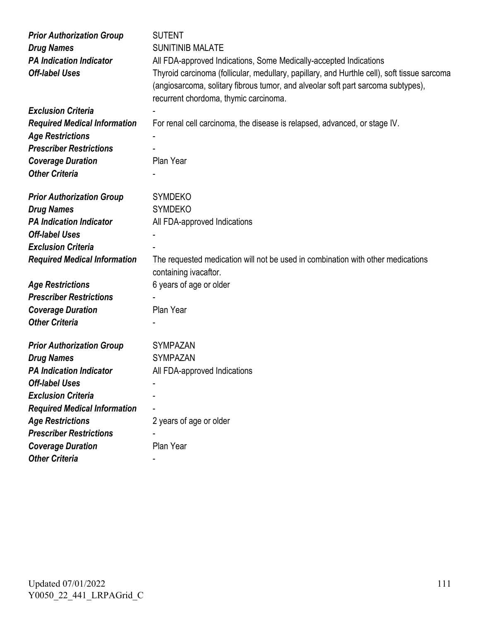| <b>Prior Authorization Group</b>    | <b>SUTENT</b>                                                                                                                                                                                                            |
|-------------------------------------|--------------------------------------------------------------------------------------------------------------------------------------------------------------------------------------------------------------------------|
| <b>Drug Names</b>                   | <b>SUNITINIB MALATE</b>                                                                                                                                                                                                  |
| <b>PA Indication Indicator</b>      | All FDA-approved Indications, Some Medically-accepted Indications                                                                                                                                                        |
| <b>Off-label Uses</b>               | Thyroid carcinoma (follicular, medullary, papillary, and Hurthle cell), soft tissue sarcoma<br>(angiosarcoma, solitary fibrous tumor, and alveolar soft part sarcoma subtypes),<br>recurrent chordoma, thymic carcinoma. |
| <b>Exclusion Criteria</b>           |                                                                                                                                                                                                                          |
| <b>Required Medical Information</b> | For renal cell carcinoma, the disease is relapsed, advanced, or stage IV.                                                                                                                                                |
| <b>Age Restrictions</b>             |                                                                                                                                                                                                                          |
| <b>Prescriber Restrictions</b>      |                                                                                                                                                                                                                          |
| <b>Coverage Duration</b>            | Plan Year                                                                                                                                                                                                                |
| <b>Other Criteria</b>               |                                                                                                                                                                                                                          |
|                                     |                                                                                                                                                                                                                          |
| <b>Prior Authorization Group</b>    | <b>SYMDEKO</b>                                                                                                                                                                                                           |
| <b>Drug Names</b>                   | <b>SYMDEKO</b>                                                                                                                                                                                                           |
| <b>PA Indication Indicator</b>      | All FDA-approved Indications                                                                                                                                                                                             |
| <b>Off-label Uses</b>               |                                                                                                                                                                                                                          |
| <b>Exclusion Criteria</b>           |                                                                                                                                                                                                                          |
| <b>Required Medical Information</b> | The requested medication will not be used in combination with other medications                                                                                                                                          |
|                                     | containing ivacaftor.                                                                                                                                                                                                    |
| <b>Age Restrictions</b>             | 6 years of age or older                                                                                                                                                                                                  |
| <b>Prescriber Restrictions</b>      |                                                                                                                                                                                                                          |
| <b>Coverage Duration</b>            | Plan Year                                                                                                                                                                                                                |
| <b>Other Criteria</b>               |                                                                                                                                                                                                                          |
|                                     |                                                                                                                                                                                                                          |
| <b>Prior Authorization Group</b>    | <b>SYMPAZAN</b>                                                                                                                                                                                                          |
| <b>Drug Names</b>                   | <b>SYMPAZAN</b>                                                                                                                                                                                                          |
| <b>PA Indication Indicator</b>      | All FDA-approved Indications                                                                                                                                                                                             |
| <b>Off-label Uses</b>               |                                                                                                                                                                                                                          |
| <b>Exclusion Criteria</b>           |                                                                                                                                                                                                                          |
| <b>Required Medical Information</b> |                                                                                                                                                                                                                          |
| <b>Age Restrictions</b>             | 2 years of age or older                                                                                                                                                                                                  |
| <b>Prescriber Restrictions</b>      |                                                                                                                                                                                                                          |
| <b>Coverage Duration</b>            | Plan Year                                                                                                                                                                                                                |
| <b>Other Criteria</b>               |                                                                                                                                                                                                                          |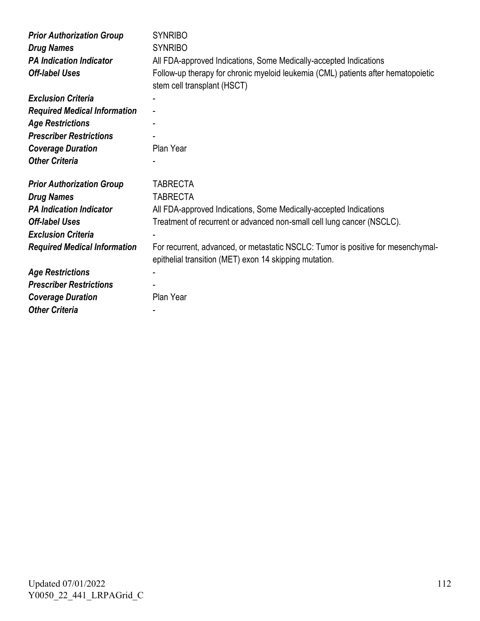| <b>Prior Authorization Group</b>    | <b>SYNRIBO</b>                                                                                                                             |
|-------------------------------------|--------------------------------------------------------------------------------------------------------------------------------------------|
| <b>Drug Names</b>                   | <b>SYNRIBO</b>                                                                                                                             |
| <b>PA Indication Indicator</b>      | All FDA-approved Indications, Some Medically-accepted Indications                                                                          |
| <b>Off-label Uses</b>               | Follow-up therapy for chronic myeloid leukemia (CML) patients after hematopoietic<br>stem cell transplant (HSCT)                           |
| <b>Exclusion Criteria</b>           |                                                                                                                                            |
| <b>Required Medical Information</b> |                                                                                                                                            |
| <b>Age Restrictions</b>             |                                                                                                                                            |
| <b>Prescriber Restrictions</b>      |                                                                                                                                            |
| <b>Coverage Duration</b>            | Plan Year                                                                                                                                  |
| <b>Other Criteria</b>               |                                                                                                                                            |
|                                     |                                                                                                                                            |
| <b>Prior Authorization Group</b>    | <b>TABRECTA</b>                                                                                                                            |
| <b>Drug Names</b>                   | <b>TABRECTA</b>                                                                                                                            |
| <b>PA Indication Indicator</b>      | All FDA-approved Indications, Some Medically-accepted Indications                                                                          |
| <b>Off-label Uses</b>               | Treatment of recurrent or advanced non-small cell lung cancer (NSCLC).                                                                     |
| <b>Exclusion Criteria</b>           |                                                                                                                                            |
| <b>Required Medical Information</b> | For recurrent, advanced, or metastatic NSCLC: Tumor is positive for mesenchymal-<br>epithelial transition (MET) exon 14 skipping mutation. |
| <b>Age Restrictions</b>             |                                                                                                                                            |
| <b>Prescriber Restrictions</b>      |                                                                                                                                            |
| <b>Coverage Duration</b>            | Plan Year                                                                                                                                  |
| <b>Other Criteria</b>               |                                                                                                                                            |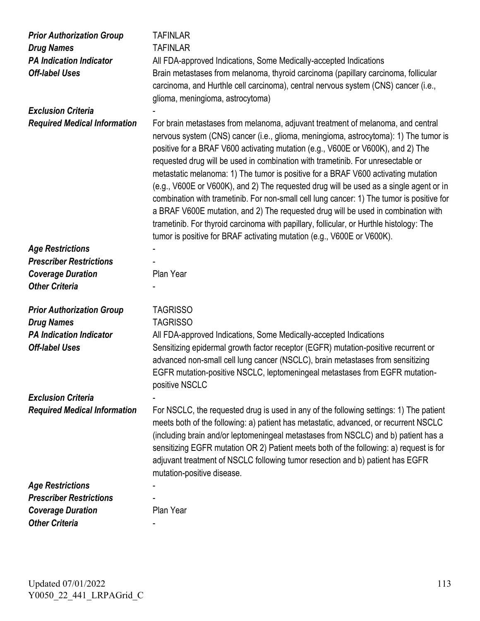| <b>Prior Authorization Group</b><br><b>Drug Names</b><br><b>PA Indication Indicator</b><br><b>Off-label Uses</b> | <b>TAFINLAR</b><br><b>TAFINLAR</b><br>All FDA-approved Indications, Some Medically-accepted Indications<br>Brain metastases from melanoma, thyroid carcinoma (papillary carcinoma, follicular<br>carcinoma, and Hurthle cell carcinoma), central nervous system (CNS) cancer (i.e.,<br>glioma, meningioma, astrocytoma)                                                                                                                                                                                                                                                                                                                                                                                                                                                                                                                                                             |
|------------------------------------------------------------------------------------------------------------------|-------------------------------------------------------------------------------------------------------------------------------------------------------------------------------------------------------------------------------------------------------------------------------------------------------------------------------------------------------------------------------------------------------------------------------------------------------------------------------------------------------------------------------------------------------------------------------------------------------------------------------------------------------------------------------------------------------------------------------------------------------------------------------------------------------------------------------------------------------------------------------------|
| <b>Exclusion Criteria</b>                                                                                        |                                                                                                                                                                                                                                                                                                                                                                                                                                                                                                                                                                                                                                                                                                                                                                                                                                                                                     |
| <b>Required Medical Information</b>                                                                              | For brain metastases from melanoma, adjuvant treatment of melanoma, and central<br>nervous system (CNS) cancer (i.e., glioma, meningioma, astrocytoma): 1) The tumor is<br>positive for a BRAF V600 activating mutation (e.g., V600E or V600K), and 2) The<br>requested drug will be used in combination with trametinib. For unresectable or<br>metastatic melanoma: 1) The tumor is positive for a BRAF V600 activating mutation<br>(e.g., V600E or V600K), and 2) The requested drug will be used as a single agent or in<br>combination with trametinib. For non-small cell lung cancer: 1) The tumor is positive for<br>a BRAF V600E mutation, and 2) The requested drug will be used in combination with<br>trametinib. For thyroid carcinoma with papillary, follicular, or Hurthle histology: The<br>tumor is positive for BRAF activating mutation (e.g., V600E or V600K). |
| <b>Age Restrictions</b>                                                                                          |                                                                                                                                                                                                                                                                                                                                                                                                                                                                                                                                                                                                                                                                                                                                                                                                                                                                                     |
| <b>Prescriber Restrictions</b>                                                                                   |                                                                                                                                                                                                                                                                                                                                                                                                                                                                                                                                                                                                                                                                                                                                                                                                                                                                                     |
| <b>Coverage Duration</b>                                                                                         | Plan Year                                                                                                                                                                                                                                                                                                                                                                                                                                                                                                                                                                                                                                                                                                                                                                                                                                                                           |
| <b>Other Criteria</b>                                                                                            |                                                                                                                                                                                                                                                                                                                                                                                                                                                                                                                                                                                                                                                                                                                                                                                                                                                                                     |
| <b>Prior Authorization Group</b><br><b>Drug Names</b><br><b>PA Indication Indicator</b><br><b>Off-label Uses</b> | <b>TAGRISSO</b><br><b>TAGRISSO</b><br>All FDA-approved Indications, Some Medically-accepted Indications<br>Sensitizing epidermal growth factor receptor (EGFR) mutation-positive recurrent or<br>advanced non-small cell lung cancer (NSCLC), brain metastases from sensitizing<br>EGFR mutation-positive NSCLC, leptomeningeal metastases from EGFR mutation-<br>positive NSCLC                                                                                                                                                                                                                                                                                                                                                                                                                                                                                                    |
| <b>Exclusion Criteria</b>                                                                                        |                                                                                                                                                                                                                                                                                                                                                                                                                                                                                                                                                                                                                                                                                                                                                                                                                                                                                     |
| <b>Required Medical Information</b>                                                                              | For NSCLC, the requested drug is used in any of the following settings: 1) The patient<br>meets both of the following: a) patient has metastatic, advanced, or recurrent NSCLC<br>(including brain and/or leptomeningeal metastases from NSCLC) and b) patient has a<br>sensitizing EGFR mutation OR 2) Patient meets both of the following: a) request is for<br>adjuvant treatment of NSCLC following tumor resection and b) patient has EGFR<br>mutation-positive disease.                                                                                                                                                                                                                                                                                                                                                                                                       |
| <b>Age Restrictions</b>                                                                                          |                                                                                                                                                                                                                                                                                                                                                                                                                                                                                                                                                                                                                                                                                                                                                                                                                                                                                     |
| <b>Prescriber Restrictions</b>                                                                                   |                                                                                                                                                                                                                                                                                                                                                                                                                                                                                                                                                                                                                                                                                                                                                                                                                                                                                     |
| <b>Coverage Duration</b>                                                                                         | Plan Year                                                                                                                                                                                                                                                                                                                                                                                                                                                                                                                                                                                                                                                                                                                                                                                                                                                                           |
| <b>Other Criteria</b>                                                                                            |                                                                                                                                                                                                                                                                                                                                                                                                                                                                                                                                                                                                                                                                                                                                                                                                                                                                                     |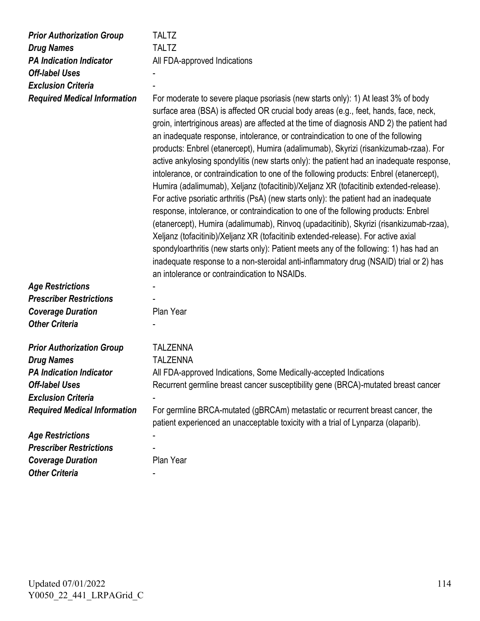| <b>Prior Authorization Group</b>    | <b>TALTZ</b>                                                                                                                                                                                                                                                                                                                                                                                                                                                                                                                                                                                                                                                                                                                                                                                                                                                                                                                                                                                                                                                                                                                                                                                                                                                                                                                          |
|-------------------------------------|---------------------------------------------------------------------------------------------------------------------------------------------------------------------------------------------------------------------------------------------------------------------------------------------------------------------------------------------------------------------------------------------------------------------------------------------------------------------------------------------------------------------------------------------------------------------------------------------------------------------------------------------------------------------------------------------------------------------------------------------------------------------------------------------------------------------------------------------------------------------------------------------------------------------------------------------------------------------------------------------------------------------------------------------------------------------------------------------------------------------------------------------------------------------------------------------------------------------------------------------------------------------------------------------------------------------------------------|
| <b>Drug Names</b>                   | <b>TALTZ</b>                                                                                                                                                                                                                                                                                                                                                                                                                                                                                                                                                                                                                                                                                                                                                                                                                                                                                                                                                                                                                                                                                                                                                                                                                                                                                                                          |
| <b>PA Indication Indicator</b>      | All FDA-approved Indications                                                                                                                                                                                                                                                                                                                                                                                                                                                                                                                                                                                                                                                                                                                                                                                                                                                                                                                                                                                                                                                                                                                                                                                                                                                                                                          |
| <b>Off-label Uses</b>               |                                                                                                                                                                                                                                                                                                                                                                                                                                                                                                                                                                                                                                                                                                                                                                                                                                                                                                                                                                                                                                                                                                                                                                                                                                                                                                                                       |
| <b>Exclusion Criteria</b>           |                                                                                                                                                                                                                                                                                                                                                                                                                                                                                                                                                                                                                                                                                                                                                                                                                                                                                                                                                                                                                                                                                                                                                                                                                                                                                                                                       |
| <b>Required Medical Information</b> | For moderate to severe plaque psoriasis (new starts only): 1) At least 3% of body<br>surface area (BSA) is affected OR crucial body areas (e.g., feet, hands, face, neck,<br>groin, intertriginous areas) are affected at the time of diagnosis AND 2) the patient had<br>an inadequate response, intolerance, or contraindication to one of the following<br>products: Enbrel (etanercept), Humira (adalimumab), Skyrizi (risankizumab-rzaa). For<br>active ankylosing spondylitis (new starts only): the patient had an inadequate response,<br>intolerance, or contraindication to one of the following products: Enbrel (etanercept),<br>Humira (adalimumab), Xeljanz (tofacitinib)/Xeljanz XR (tofacitinib extended-release).<br>For active psoriatic arthritis (PsA) (new starts only): the patient had an inadequate<br>response, intolerance, or contraindication to one of the following products: Enbrel<br>(etanercept), Humira (adalimumab), Rinvoq (upadacitinib), Skyrizi (risankizumab-rzaa),<br>Xeljanz (tofacitinib)/Xeljanz XR (tofacitinib extended-release). For active axial<br>spondyloarthritis (new starts only): Patient meets any of the following: 1) has had an<br>inadequate response to a non-steroidal anti-inflammatory drug (NSAID) trial or 2) has<br>an intolerance or contraindication to NSAIDs. |
| <b>Age Restrictions</b>             |                                                                                                                                                                                                                                                                                                                                                                                                                                                                                                                                                                                                                                                                                                                                                                                                                                                                                                                                                                                                                                                                                                                                                                                                                                                                                                                                       |
| <b>Prescriber Restrictions</b>      |                                                                                                                                                                                                                                                                                                                                                                                                                                                                                                                                                                                                                                                                                                                                                                                                                                                                                                                                                                                                                                                                                                                                                                                                                                                                                                                                       |
| <b>Coverage Duration</b>            | Plan Year                                                                                                                                                                                                                                                                                                                                                                                                                                                                                                                                                                                                                                                                                                                                                                                                                                                                                                                                                                                                                                                                                                                                                                                                                                                                                                                             |
| <b>Other Criteria</b>               |                                                                                                                                                                                                                                                                                                                                                                                                                                                                                                                                                                                                                                                                                                                                                                                                                                                                                                                                                                                                                                                                                                                                                                                                                                                                                                                                       |
| <b>Prior Authorization Group</b>    | <b>TALZENNA</b>                                                                                                                                                                                                                                                                                                                                                                                                                                                                                                                                                                                                                                                                                                                                                                                                                                                                                                                                                                                                                                                                                                                                                                                                                                                                                                                       |
| <b>Drug Names</b>                   | <b>TALZENNA</b>                                                                                                                                                                                                                                                                                                                                                                                                                                                                                                                                                                                                                                                                                                                                                                                                                                                                                                                                                                                                                                                                                                                                                                                                                                                                                                                       |
| <b>PA Indication Indicator</b>      | All FDA-approved Indications, Some Medically-accepted Indications                                                                                                                                                                                                                                                                                                                                                                                                                                                                                                                                                                                                                                                                                                                                                                                                                                                                                                                                                                                                                                                                                                                                                                                                                                                                     |
| <b>Off-label Uses</b>               | Recurrent germline breast cancer susceptibility gene (BRCA)-mutated breast cancer                                                                                                                                                                                                                                                                                                                                                                                                                                                                                                                                                                                                                                                                                                                                                                                                                                                                                                                                                                                                                                                                                                                                                                                                                                                     |
| <b>Exclusion Criteria</b>           |                                                                                                                                                                                                                                                                                                                                                                                                                                                                                                                                                                                                                                                                                                                                                                                                                                                                                                                                                                                                                                                                                                                                                                                                                                                                                                                                       |
| <b>Required Medical Information</b> | For germline BRCA-mutated (gBRCAm) metastatic or recurrent breast cancer, the<br>patient experienced an unacceptable toxicity with a trial of Lynparza (olaparib).                                                                                                                                                                                                                                                                                                                                                                                                                                                                                                                                                                                                                                                                                                                                                                                                                                                                                                                                                                                                                                                                                                                                                                    |
| <b>Age Restrictions</b>             |                                                                                                                                                                                                                                                                                                                                                                                                                                                                                                                                                                                                                                                                                                                                                                                                                                                                                                                                                                                                                                                                                                                                                                                                                                                                                                                                       |
| <b>Prescriber Restrictions</b>      |                                                                                                                                                                                                                                                                                                                                                                                                                                                                                                                                                                                                                                                                                                                                                                                                                                                                                                                                                                                                                                                                                                                                                                                                                                                                                                                                       |
| <b>Coverage Duration</b>            | Plan Year                                                                                                                                                                                                                                                                                                                                                                                                                                                                                                                                                                                                                                                                                                                                                                                                                                                                                                                                                                                                                                                                                                                                                                                                                                                                                                                             |
| <b>Other Criteria</b>               |                                                                                                                                                                                                                                                                                                                                                                                                                                                                                                                                                                                                                                                                                                                                                                                                                                                                                                                                                                                                                                                                                                                                                                                                                                                                                                                                       |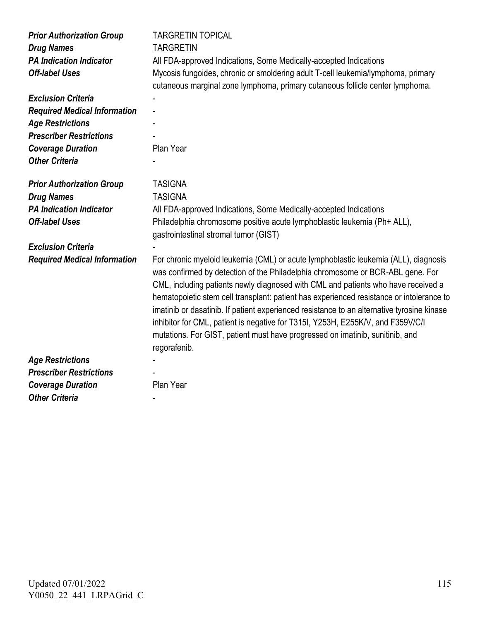| <b>Prior Authorization Group</b><br><b>Drug Names</b><br><b>PA Indication Indicator</b><br><b>Off-label Uses</b> | <b>TARGRETIN TOPICAL</b><br><b>TARGRETIN</b><br>All FDA-approved Indications, Some Medically-accepted Indications<br>Mycosis fungoides, chronic or smoldering adult T-cell leukemia/lymphoma, primary<br>cutaneous marginal zone lymphoma, primary cutaneous follicle center lymphoma.                                                                                                                                                                                                                                                                                                                                                   |
|------------------------------------------------------------------------------------------------------------------|------------------------------------------------------------------------------------------------------------------------------------------------------------------------------------------------------------------------------------------------------------------------------------------------------------------------------------------------------------------------------------------------------------------------------------------------------------------------------------------------------------------------------------------------------------------------------------------------------------------------------------------|
| <b>Exclusion Criteria</b>                                                                                        |                                                                                                                                                                                                                                                                                                                                                                                                                                                                                                                                                                                                                                          |
| <b>Required Medical Information</b>                                                                              |                                                                                                                                                                                                                                                                                                                                                                                                                                                                                                                                                                                                                                          |
| <b>Age Restrictions</b>                                                                                          |                                                                                                                                                                                                                                                                                                                                                                                                                                                                                                                                                                                                                                          |
| <b>Prescriber Restrictions</b>                                                                                   |                                                                                                                                                                                                                                                                                                                                                                                                                                                                                                                                                                                                                                          |
| <b>Coverage Duration</b>                                                                                         | Plan Year                                                                                                                                                                                                                                                                                                                                                                                                                                                                                                                                                                                                                                |
| <b>Other Criteria</b>                                                                                            |                                                                                                                                                                                                                                                                                                                                                                                                                                                                                                                                                                                                                                          |
| <b>Prior Authorization Group</b>                                                                                 | <b>TASIGNA</b>                                                                                                                                                                                                                                                                                                                                                                                                                                                                                                                                                                                                                           |
| <b>Drug Names</b>                                                                                                | <b>TASIGNA</b>                                                                                                                                                                                                                                                                                                                                                                                                                                                                                                                                                                                                                           |
| <b>PA Indication Indicator</b>                                                                                   | All FDA-approved Indications, Some Medically-accepted Indications                                                                                                                                                                                                                                                                                                                                                                                                                                                                                                                                                                        |
| <b>Off-label Uses</b>                                                                                            | Philadelphia chromosome positive acute lymphoblastic leukemia (Ph+ ALL),<br>gastrointestinal stromal tumor (GIST)                                                                                                                                                                                                                                                                                                                                                                                                                                                                                                                        |
| <b>Exclusion Criteria</b>                                                                                        |                                                                                                                                                                                                                                                                                                                                                                                                                                                                                                                                                                                                                                          |
| <b>Required Medical Information</b>                                                                              | For chronic myeloid leukemia (CML) or acute lymphoblastic leukemia (ALL), diagnosis<br>was confirmed by detection of the Philadelphia chromosome or BCR-ABL gene. For<br>CML, including patients newly diagnosed with CML and patients who have received a<br>hematopoietic stem cell transplant: patient has experienced resistance or intolerance to<br>imatinib or dasatinib. If patient experienced resistance to an alternative tyrosine kinase<br>inhibitor for CML, patient is negative for T315I, Y253H, E255K/V, and F359V/C/I<br>mutations. For GIST, patient must have progressed on imatinib, sunitinib, and<br>regorafenib. |
| <b>Age Restrictions</b>                                                                                          |                                                                                                                                                                                                                                                                                                                                                                                                                                                                                                                                                                                                                                          |
| <b>Prescriber Restrictions</b>                                                                                   |                                                                                                                                                                                                                                                                                                                                                                                                                                                                                                                                                                                                                                          |
| <b>Coverage Duration</b>                                                                                         | Plan Year                                                                                                                                                                                                                                                                                                                                                                                                                                                                                                                                                                                                                                |
| <b>Other Criteria</b>                                                                                            |                                                                                                                                                                                                                                                                                                                                                                                                                                                                                                                                                                                                                                          |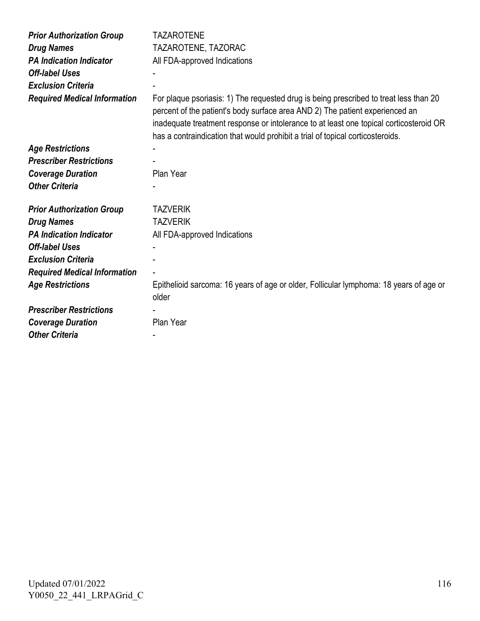| <b>Prior Authorization Group</b>    | <b>TAZAROTENE</b>                                                                                                                                                                                                                                                                                                                                 |
|-------------------------------------|---------------------------------------------------------------------------------------------------------------------------------------------------------------------------------------------------------------------------------------------------------------------------------------------------------------------------------------------------|
| <b>Drug Names</b>                   | TAZAROTENE, TAZORAC                                                                                                                                                                                                                                                                                                                               |
| <b>PA Indication Indicator</b>      | All FDA-approved Indications                                                                                                                                                                                                                                                                                                                      |
| <b>Off-label Uses</b>               |                                                                                                                                                                                                                                                                                                                                                   |
| <b>Exclusion Criteria</b>           |                                                                                                                                                                                                                                                                                                                                                   |
| <b>Required Medical Information</b> | For plaque psoriasis: 1) The requested drug is being prescribed to treat less than 20<br>percent of the patient's body surface area AND 2) The patient experienced an<br>inadequate treatment response or intolerance to at least one topical corticosteroid OR<br>has a contraindication that would prohibit a trial of topical corticosteroids. |
| <b>Age Restrictions</b>             |                                                                                                                                                                                                                                                                                                                                                   |
| <b>Prescriber Restrictions</b>      |                                                                                                                                                                                                                                                                                                                                                   |
| <b>Coverage Duration</b>            | Plan Year                                                                                                                                                                                                                                                                                                                                         |
| <b>Other Criteria</b>               |                                                                                                                                                                                                                                                                                                                                                   |
| <b>Prior Authorization Group</b>    | <b>TAZVERIK</b>                                                                                                                                                                                                                                                                                                                                   |
| <b>Drug Names</b>                   | <b>TAZVERIK</b>                                                                                                                                                                                                                                                                                                                                   |
| <b>PA Indication Indicator</b>      | All FDA-approved Indications                                                                                                                                                                                                                                                                                                                      |
| <b>Off-label Uses</b>               |                                                                                                                                                                                                                                                                                                                                                   |
| <b>Exclusion Criteria</b>           |                                                                                                                                                                                                                                                                                                                                                   |
| <b>Required Medical Information</b> |                                                                                                                                                                                                                                                                                                                                                   |
| <b>Age Restrictions</b>             | Epithelioid sarcoma: 16 years of age or older, Follicular lymphoma: 18 years of age or<br>older                                                                                                                                                                                                                                                   |
| <b>Prescriber Restrictions</b>      |                                                                                                                                                                                                                                                                                                                                                   |
| <b>Coverage Duration</b>            |                                                                                                                                                                                                                                                                                                                                                   |
|                                     | Plan Year                                                                                                                                                                                                                                                                                                                                         |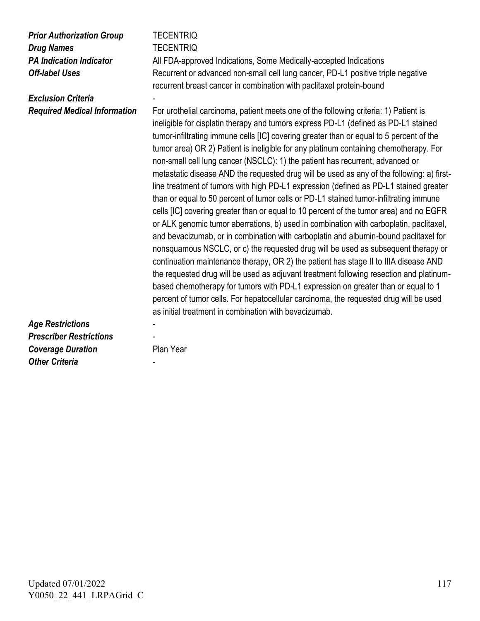| <b>Prior Authorization Group</b><br><b>Drug Names</b><br><b>PA Indication Indicator</b><br><b>Off-label Uses</b> | <b>TECENTRIQ</b><br><b>TECENTRIQ</b><br>All FDA-approved Indications, Some Medically-accepted Indications<br>Recurrent or advanced non-small cell lung cancer, PD-L1 positive triple negative<br>recurrent breast cancer in combination with paclitaxel protein-bound                                                                                                                                                                                                                                                                                                                                                                                                                                                                                                                                                                                                                                                                                                                                                                                                                                                                                                                                                                                                                                                                                                                                                                                                                                                      |
|------------------------------------------------------------------------------------------------------------------|----------------------------------------------------------------------------------------------------------------------------------------------------------------------------------------------------------------------------------------------------------------------------------------------------------------------------------------------------------------------------------------------------------------------------------------------------------------------------------------------------------------------------------------------------------------------------------------------------------------------------------------------------------------------------------------------------------------------------------------------------------------------------------------------------------------------------------------------------------------------------------------------------------------------------------------------------------------------------------------------------------------------------------------------------------------------------------------------------------------------------------------------------------------------------------------------------------------------------------------------------------------------------------------------------------------------------------------------------------------------------------------------------------------------------------------------------------------------------------------------------------------------------|
| <b>Exclusion Criteria</b>                                                                                        |                                                                                                                                                                                                                                                                                                                                                                                                                                                                                                                                                                                                                                                                                                                                                                                                                                                                                                                                                                                                                                                                                                                                                                                                                                                                                                                                                                                                                                                                                                                            |
| <b>Required Medical Information</b>                                                                              | For urothelial carcinoma, patient meets one of the following criteria: 1) Patient is<br>ineligible for cisplatin therapy and tumors express PD-L1 (defined as PD-L1 stained<br>tumor-infiltrating immune cells [IC] covering greater than or equal to 5 percent of the<br>tumor area) OR 2) Patient is ineligible for any platinum containing chemotherapy. For<br>non-small cell lung cancer (NSCLC): 1) the patient has recurrent, advanced or<br>metastatic disease AND the requested drug will be used as any of the following: a) first-<br>line treatment of tumors with high PD-L1 expression (defined as PD-L1 stained greater<br>than or equal to 50 percent of tumor cells or PD-L1 stained tumor-infiltrating immune<br>cells [IC] covering greater than or equal to 10 percent of the tumor area) and no EGFR<br>or ALK genomic tumor aberrations, b) used in combination with carboplatin, paclitaxel,<br>and bevacizumab, or in combination with carboplatin and albumin-bound paclitaxel for<br>nonsquamous NSCLC, or c) the requested drug will be used as subsequent therapy or<br>continuation maintenance therapy, OR 2) the patient has stage II to IIIA disease AND<br>the requested drug will be used as adjuvant treatment following resection and platinum-<br>based chemotherapy for tumors with PD-L1 expression on greater than or equal to 1<br>percent of tumor cells. For hepatocellular carcinoma, the requested drug will be used<br>as initial treatment in combination with bevacizumab. |
| <b>Age Restrictions</b>                                                                                          |                                                                                                                                                                                                                                                                                                                                                                                                                                                                                                                                                                                                                                                                                                                                                                                                                                                                                                                                                                                                                                                                                                                                                                                                                                                                                                                                                                                                                                                                                                                            |
| <b>Prescriber Restrictions</b>                                                                                   |                                                                                                                                                                                                                                                                                                                                                                                                                                                                                                                                                                                                                                                                                                                                                                                                                                                                                                                                                                                                                                                                                                                                                                                                                                                                                                                                                                                                                                                                                                                            |
| <b>Coverage Duration</b><br><b>Other Criteria</b>                                                                | Plan Year                                                                                                                                                                                                                                                                                                                                                                                                                                                                                                                                                                                                                                                                                                                                                                                                                                                                                                                                                                                                                                                                                                                                                                                                                                                                                                                                                                                                                                                                                                                  |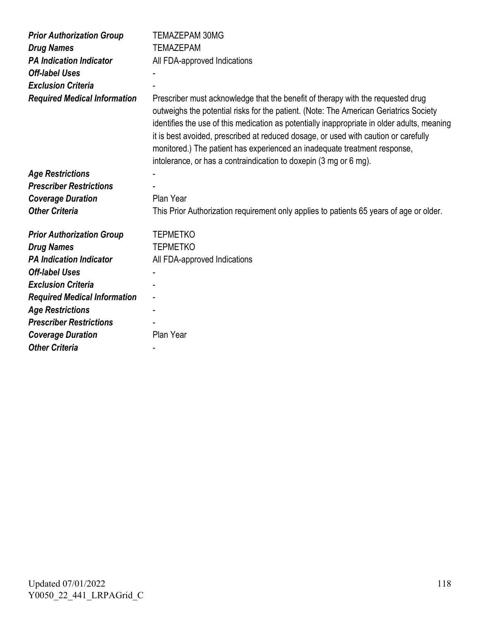| <b>Prior Authorization Group</b>    | <b>TEMAZEPAM 30MG</b>                                                                                                                                                                                                                                                                                                                                                                                                                                                                                            |
|-------------------------------------|------------------------------------------------------------------------------------------------------------------------------------------------------------------------------------------------------------------------------------------------------------------------------------------------------------------------------------------------------------------------------------------------------------------------------------------------------------------------------------------------------------------|
| <b>Drug Names</b>                   | <b>TEMAZEPAM</b>                                                                                                                                                                                                                                                                                                                                                                                                                                                                                                 |
| <b>PA Indication Indicator</b>      | All FDA-approved Indications                                                                                                                                                                                                                                                                                                                                                                                                                                                                                     |
| <b>Off-label Uses</b>               |                                                                                                                                                                                                                                                                                                                                                                                                                                                                                                                  |
| <b>Exclusion Criteria</b>           |                                                                                                                                                                                                                                                                                                                                                                                                                                                                                                                  |
| <b>Required Medical Information</b> | Prescriber must acknowledge that the benefit of therapy with the requested drug<br>outweighs the potential risks for the patient. (Note: The American Geriatrics Society<br>identifies the use of this medication as potentially inappropriate in older adults, meaning<br>it is best avoided, prescribed at reduced dosage, or used with caution or carefully<br>monitored.) The patient has experienced an inadequate treatment response,<br>intolerance, or has a contraindication to doxepin (3 mg or 6 mg). |
| <b>Age Restrictions</b>             |                                                                                                                                                                                                                                                                                                                                                                                                                                                                                                                  |
| <b>Prescriber Restrictions</b>      |                                                                                                                                                                                                                                                                                                                                                                                                                                                                                                                  |
| <b>Coverage Duration</b>            | Plan Year                                                                                                                                                                                                                                                                                                                                                                                                                                                                                                        |
| <b>Other Criteria</b>               | This Prior Authorization requirement only applies to patients 65 years of age or older.                                                                                                                                                                                                                                                                                                                                                                                                                          |
| <b>Prior Authorization Group</b>    | <b>TEPMETKO</b>                                                                                                                                                                                                                                                                                                                                                                                                                                                                                                  |
| <b>Drug Names</b>                   | <b>TEPMETKO</b>                                                                                                                                                                                                                                                                                                                                                                                                                                                                                                  |
| <b>PA Indication Indicator</b>      | All FDA-approved Indications                                                                                                                                                                                                                                                                                                                                                                                                                                                                                     |
| <b>Off-label Uses</b>               |                                                                                                                                                                                                                                                                                                                                                                                                                                                                                                                  |
| <b>Exclusion Criteria</b>           |                                                                                                                                                                                                                                                                                                                                                                                                                                                                                                                  |
| <b>Required Medical Information</b> |                                                                                                                                                                                                                                                                                                                                                                                                                                                                                                                  |
| <b>Age Restrictions</b>             |                                                                                                                                                                                                                                                                                                                                                                                                                                                                                                                  |
| <b>Prescriber Restrictions</b>      |                                                                                                                                                                                                                                                                                                                                                                                                                                                                                                                  |
| <b>Coverage Duration</b>            | Plan Year                                                                                                                                                                                                                                                                                                                                                                                                                                                                                                        |
| <b>Other Criteria</b>               |                                                                                                                                                                                                                                                                                                                                                                                                                                                                                                                  |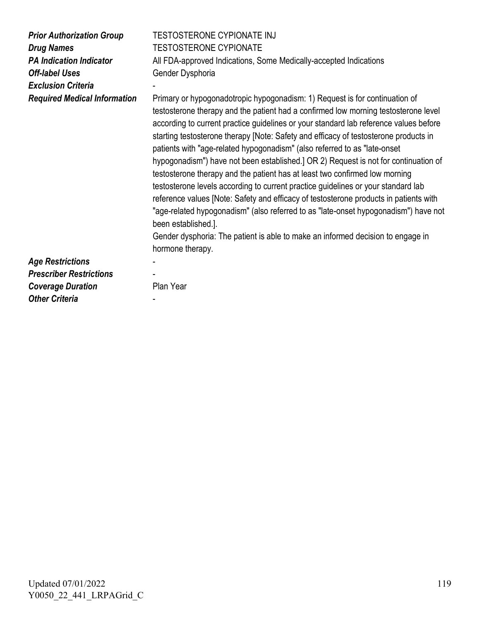| <b>Prior Authorization Group</b><br><b>Drug Names</b><br><b>PA Indication Indicator</b><br><b>Off-label Uses</b><br><b>Exclusion Criteria</b><br><b>Required Medical Information</b> | TESTOSTERONE CYPIONATE INJ<br><b>TESTOSTERONE CYPIONATE</b><br>All FDA-approved Indications, Some Medically-accepted Indications<br>Gender Dysphoria<br>Primary or hypogonadotropic hypogonadism: 1) Request is for continuation of<br>testosterone therapy and the patient had a confirmed low morning testosterone level<br>according to current practice guidelines or your standard lab reference values before<br>starting testosterone therapy [Note: Safety and efficacy of testosterone products in<br>patients with "age-related hypogonadism" (also referred to as "late-onset<br>hypogonadism") have not been established.] OR 2) Request is not for continuation of<br>testosterone therapy and the patient has at least two confirmed low morning<br>testosterone levels according to current practice guidelines or your standard lab<br>reference values [Note: Safety and efficacy of testosterone products in patients with<br>"age-related hypogonadism" (also referred to as "late-onset hypogonadism") have not<br>been established.]. |
|--------------------------------------------------------------------------------------------------------------------------------------------------------------------------------------|------------------------------------------------------------------------------------------------------------------------------------------------------------------------------------------------------------------------------------------------------------------------------------------------------------------------------------------------------------------------------------------------------------------------------------------------------------------------------------------------------------------------------------------------------------------------------------------------------------------------------------------------------------------------------------------------------------------------------------------------------------------------------------------------------------------------------------------------------------------------------------------------------------------------------------------------------------------------------------------------------------------------------------------------------------|
|                                                                                                                                                                                      | Gender dysphoria: The patient is able to make an informed decision to engage in<br>hormone therapy.                                                                                                                                                                                                                                                                                                                                                                                                                                                                                                                                                                                                                                                                                                                                                                                                                                                                                                                                                        |
| <b>Age Restrictions</b>                                                                                                                                                              |                                                                                                                                                                                                                                                                                                                                                                                                                                                                                                                                                                                                                                                                                                                                                                                                                                                                                                                                                                                                                                                            |
| <b>Prescriber Restrictions</b>                                                                                                                                                       |                                                                                                                                                                                                                                                                                                                                                                                                                                                                                                                                                                                                                                                                                                                                                                                                                                                                                                                                                                                                                                                            |
| <b>Coverage Duration</b>                                                                                                                                                             | Plan Year                                                                                                                                                                                                                                                                                                                                                                                                                                                                                                                                                                                                                                                                                                                                                                                                                                                                                                                                                                                                                                                  |
| <b>Other Criteria</b>                                                                                                                                                                |                                                                                                                                                                                                                                                                                                                                                                                                                                                                                                                                                                                                                                                                                                                                                                                                                                                                                                                                                                                                                                                            |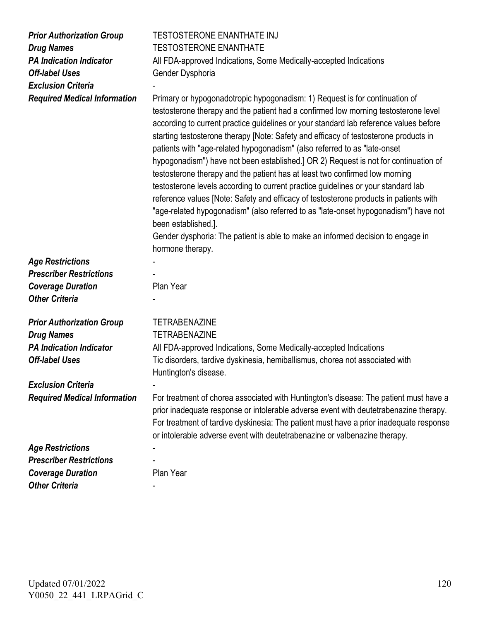| <b>Prior Authorization Group</b><br><b>Drug Names</b><br><b>PA Indication Indicator</b><br><b>Off-label Uses</b><br><b>Exclusion Criteria</b><br><b>Required Medical Information</b> | <b>TESTOSTERONE ENANTHATE INJ</b><br><b>TESTOSTERONE ENANTHATE</b><br>All FDA-approved Indications, Some Medically-accepted Indications<br>Gender Dysphoria<br>Primary or hypogonadotropic hypogonadism: 1) Request is for continuation of<br>testosterone therapy and the patient had a confirmed low morning testosterone level<br>according to current practice guidelines or your standard lab reference values before<br>starting testosterone therapy [Note: Safety and efficacy of testosterone products in<br>patients with "age-related hypogonadism" (also referred to as "late-onset<br>hypogonadism") have not been established.] OR 2) Request is not for continuation of<br>testosterone therapy and the patient has at least two confirmed low morning<br>testosterone levels according to current practice guidelines or your standard lab<br>reference values [Note: Safety and efficacy of testosterone products in patients with<br>"age-related hypogonadism" (also referred to as "late-onset hypogonadism") have not<br>been established.].<br>Gender dysphoria: The patient is able to make an informed decision to engage in |
|--------------------------------------------------------------------------------------------------------------------------------------------------------------------------------------|------------------------------------------------------------------------------------------------------------------------------------------------------------------------------------------------------------------------------------------------------------------------------------------------------------------------------------------------------------------------------------------------------------------------------------------------------------------------------------------------------------------------------------------------------------------------------------------------------------------------------------------------------------------------------------------------------------------------------------------------------------------------------------------------------------------------------------------------------------------------------------------------------------------------------------------------------------------------------------------------------------------------------------------------------------------------------------------------------------------------------------------------------|
|                                                                                                                                                                                      | hormone therapy.                                                                                                                                                                                                                                                                                                                                                                                                                                                                                                                                                                                                                                                                                                                                                                                                                                                                                                                                                                                                                                                                                                                                     |
| <b>Age Restrictions</b>                                                                                                                                                              |                                                                                                                                                                                                                                                                                                                                                                                                                                                                                                                                                                                                                                                                                                                                                                                                                                                                                                                                                                                                                                                                                                                                                      |
| <b>Prescriber Restrictions</b>                                                                                                                                                       |                                                                                                                                                                                                                                                                                                                                                                                                                                                                                                                                                                                                                                                                                                                                                                                                                                                                                                                                                                                                                                                                                                                                                      |
| <b>Coverage Duration</b>                                                                                                                                                             | Plan Year                                                                                                                                                                                                                                                                                                                                                                                                                                                                                                                                                                                                                                                                                                                                                                                                                                                                                                                                                                                                                                                                                                                                            |
| <b>Other Criteria</b>                                                                                                                                                                |                                                                                                                                                                                                                                                                                                                                                                                                                                                                                                                                                                                                                                                                                                                                                                                                                                                                                                                                                                                                                                                                                                                                                      |
| <b>Prior Authorization Group</b>                                                                                                                                                     | <b>TETRABENAZINE</b>                                                                                                                                                                                                                                                                                                                                                                                                                                                                                                                                                                                                                                                                                                                                                                                                                                                                                                                                                                                                                                                                                                                                 |
| <b>Drug Names</b>                                                                                                                                                                    | <b>TETRABENAZINE</b>                                                                                                                                                                                                                                                                                                                                                                                                                                                                                                                                                                                                                                                                                                                                                                                                                                                                                                                                                                                                                                                                                                                                 |
| <b>PA Indication Indicator</b>                                                                                                                                                       | All FDA-approved Indications, Some Medically-accepted Indications                                                                                                                                                                                                                                                                                                                                                                                                                                                                                                                                                                                                                                                                                                                                                                                                                                                                                                                                                                                                                                                                                    |
| <b>Off-label Uses</b>                                                                                                                                                                |                                                                                                                                                                                                                                                                                                                                                                                                                                                                                                                                                                                                                                                                                                                                                                                                                                                                                                                                                                                                                                                                                                                                                      |
|                                                                                                                                                                                      | Tic disorders, tardive dyskinesia, hemiballismus, chorea not associated with<br>Huntington's disease.                                                                                                                                                                                                                                                                                                                                                                                                                                                                                                                                                                                                                                                                                                                                                                                                                                                                                                                                                                                                                                                |
| <b>Exclusion Criteria</b>                                                                                                                                                            |                                                                                                                                                                                                                                                                                                                                                                                                                                                                                                                                                                                                                                                                                                                                                                                                                                                                                                                                                                                                                                                                                                                                                      |
| <b>Required Medical Information</b>                                                                                                                                                  | For treatment of chorea associated with Huntington's disease: The patient must have a                                                                                                                                                                                                                                                                                                                                                                                                                                                                                                                                                                                                                                                                                                                                                                                                                                                                                                                                                                                                                                                                |
|                                                                                                                                                                                      | prior inadequate response or intolerable adverse event with deutetrabenazine therapy.<br>For treatment of tardive dyskinesia: The patient must have a prior inadequate response<br>or intolerable adverse event with deutetrabenazine or valbenazine therapy.                                                                                                                                                                                                                                                                                                                                                                                                                                                                                                                                                                                                                                                                                                                                                                                                                                                                                        |
| <b>Age Restrictions</b>                                                                                                                                                              |                                                                                                                                                                                                                                                                                                                                                                                                                                                                                                                                                                                                                                                                                                                                                                                                                                                                                                                                                                                                                                                                                                                                                      |
| <b>Prescriber Restrictions</b>                                                                                                                                                       |                                                                                                                                                                                                                                                                                                                                                                                                                                                                                                                                                                                                                                                                                                                                                                                                                                                                                                                                                                                                                                                                                                                                                      |
| <b>Coverage Duration</b>                                                                                                                                                             | Plan Year                                                                                                                                                                                                                                                                                                                                                                                                                                                                                                                                                                                                                                                                                                                                                                                                                                                                                                                                                                                                                                                                                                                                            |
| <b>Other Criteria</b>                                                                                                                                                                |                                                                                                                                                                                                                                                                                                                                                                                                                                                                                                                                                                                                                                                                                                                                                                                                                                                                                                                                                                                                                                                                                                                                                      |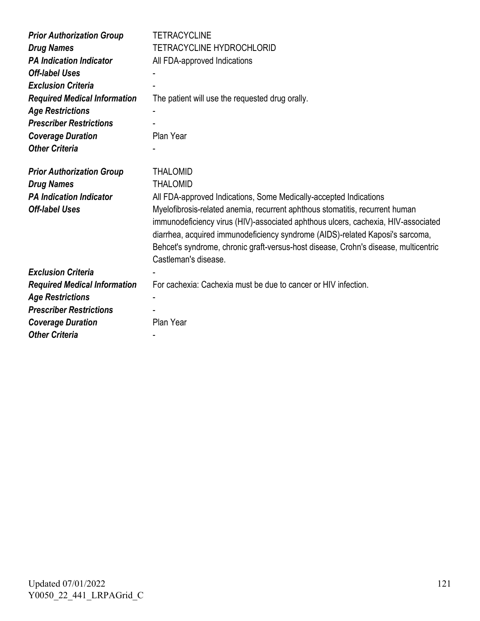| <b>Prior Authorization Group</b>    | <b>TETRACYCLINE</b>                                                                                                                                                                                                                                                                                                                                               |
|-------------------------------------|-------------------------------------------------------------------------------------------------------------------------------------------------------------------------------------------------------------------------------------------------------------------------------------------------------------------------------------------------------------------|
| <b>Drug Names</b>                   | <b>TETRACYCLINE HYDROCHLORID</b>                                                                                                                                                                                                                                                                                                                                  |
| <b>PA Indication Indicator</b>      | All FDA-approved Indications                                                                                                                                                                                                                                                                                                                                      |
| <b>Off-label Uses</b>               |                                                                                                                                                                                                                                                                                                                                                                   |
| <b>Exclusion Criteria</b>           |                                                                                                                                                                                                                                                                                                                                                                   |
| <b>Required Medical Information</b> | The patient will use the requested drug orally.                                                                                                                                                                                                                                                                                                                   |
| <b>Age Restrictions</b>             |                                                                                                                                                                                                                                                                                                                                                                   |
| <b>Prescriber Restrictions</b>      |                                                                                                                                                                                                                                                                                                                                                                   |
| <b>Coverage Duration</b>            | Plan Year                                                                                                                                                                                                                                                                                                                                                         |
| <b>Other Criteria</b>               |                                                                                                                                                                                                                                                                                                                                                                   |
|                                     |                                                                                                                                                                                                                                                                                                                                                                   |
| <b>Prior Authorization Group</b>    | <b>THALOMID</b>                                                                                                                                                                                                                                                                                                                                                   |
| <b>Drug Names</b>                   | <b>THALOMID</b>                                                                                                                                                                                                                                                                                                                                                   |
| <b>PA Indication Indicator</b>      | All FDA-approved Indications, Some Medically-accepted Indications                                                                                                                                                                                                                                                                                                 |
| <b>Off-label Uses</b>               | Myelofibrosis-related anemia, recurrent aphthous stomatitis, recurrent human<br>immunodeficiency virus (HIV)-associated aphthous ulcers, cachexia, HIV-associated<br>diarrhea, acquired immunodeficiency syndrome (AIDS)-related Kaposi's sarcoma,<br>Behcet's syndrome, chronic graft-versus-host disease, Crohn's disease, multicentric<br>Castleman's disease. |
| <b>Exclusion Criteria</b>           |                                                                                                                                                                                                                                                                                                                                                                   |
| <b>Required Medical Information</b> | For cachexia: Cachexia must be due to cancer or HIV infection.                                                                                                                                                                                                                                                                                                    |
| <b>Age Restrictions</b>             |                                                                                                                                                                                                                                                                                                                                                                   |
| <b>Prescriber Restrictions</b>      |                                                                                                                                                                                                                                                                                                                                                                   |
| <b>Coverage Duration</b>            | Plan Year                                                                                                                                                                                                                                                                                                                                                         |
| <b>Other Criteria</b>               |                                                                                                                                                                                                                                                                                                                                                                   |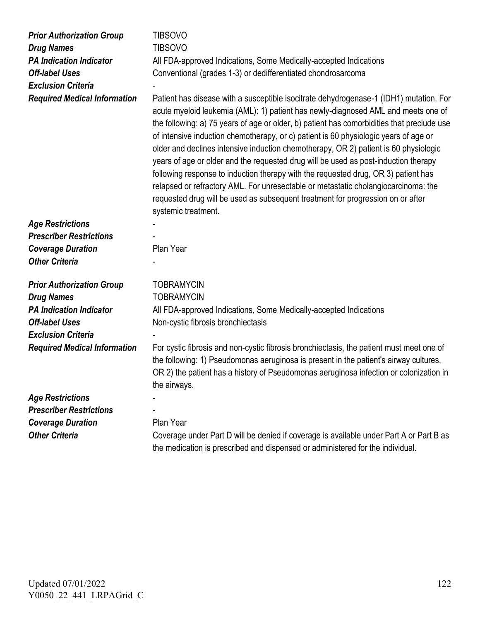| <b>Prior Authorization Group</b>    | <b>TIBSOVO</b>                                                                                                                                                                                                                                                                                                                                                                                                                                                                                                                                                                                                                                                                                                                                                                                                                         |
|-------------------------------------|----------------------------------------------------------------------------------------------------------------------------------------------------------------------------------------------------------------------------------------------------------------------------------------------------------------------------------------------------------------------------------------------------------------------------------------------------------------------------------------------------------------------------------------------------------------------------------------------------------------------------------------------------------------------------------------------------------------------------------------------------------------------------------------------------------------------------------------|
| <b>Drug Names</b>                   | <b>TIBSOVO</b>                                                                                                                                                                                                                                                                                                                                                                                                                                                                                                                                                                                                                                                                                                                                                                                                                         |
| <b>PA Indication Indicator</b>      | All FDA-approved Indications, Some Medically-accepted Indications                                                                                                                                                                                                                                                                                                                                                                                                                                                                                                                                                                                                                                                                                                                                                                      |
| <b>Off-label Uses</b>               | Conventional (grades 1-3) or dedifferentiated chondrosarcoma                                                                                                                                                                                                                                                                                                                                                                                                                                                                                                                                                                                                                                                                                                                                                                           |
| <b>Exclusion Criteria</b>           |                                                                                                                                                                                                                                                                                                                                                                                                                                                                                                                                                                                                                                                                                                                                                                                                                                        |
| <b>Required Medical Information</b> | Patient has disease with a susceptible isocitrate dehydrogenase-1 (IDH1) mutation. For<br>acute myeloid leukemia (AML): 1) patient has newly-diagnosed AML and meets one of<br>the following: a) 75 years of age or older, b) patient has comorbidities that preclude use<br>of intensive induction chemotherapy, or c) patient is 60 physiologic years of age or<br>older and declines intensive induction chemotherapy, OR 2) patient is 60 physiologic<br>years of age or older and the requested drug will be used as post-induction therapy<br>following response to induction therapy with the requested drug, OR 3) patient has<br>relapsed or refractory AML. For unresectable or metastatic cholangiocarcinoma: the<br>requested drug will be used as subsequent treatment for progression on or after<br>systemic treatment. |
| <b>Age Restrictions</b>             |                                                                                                                                                                                                                                                                                                                                                                                                                                                                                                                                                                                                                                                                                                                                                                                                                                        |
| <b>Prescriber Restrictions</b>      |                                                                                                                                                                                                                                                                                                                                                                                                                                                                                                                                                                                                                                                                                                                                                                                                                                        |
| <b>Coverage Duration</b>            | Plan Year                                                                                                                                                                                                                                                                                                                                                                                                                                                                                                                                                                                                                                                                                                                                                                                                                              |
| <b>Other Criteria</b>               |                                                                                                                                                                                                                                                                                                                                                                                                                                                                                                                                                                                                                                                                                                                                                                                                                                        |
| <b>Prior Authorization Group</b>    | <b>TOBRAMYCIN</b>                                                                                                                                                                                                                                                                                                                                                                                                                                                                                                                                                                                                                                                                                                                                                                                                                      |
| <b>Drug Names</b>                   | <b>TOBRAMYCIN</b>                                                                                                                                                                                                                                                                                                                                                                                                                                                                                                                                                                                                                                                                                                                                                                                                                      |
| <b>PA Indication Indicator</b>      | All FDA-approved Indications, Some Medically-accepted Indications                                                                                                                                                                                                                                                                                                                                                                                                                                                                                                                                                                                                                                                                                                                                                                      |
| <b>Off-label Uses</b>               | Non-cystic fibrosis bronchiectasis                                                                                                                                                                                                                                                                                                                                                                                                                                                                                                                                                                                                                                                                                                                                                                                                     |
| <b>Exclusion Criteria</b>           |                                                                                                                                                                                                                                                                                                                                                                                                                                                                                                                                                                                                                                                                                                                                                                                                                                        |
| <b>Required Medical Information</b> | For cystic fibrosis and non-cystic fibrosis bronchiectasis, the patient must meet one of<br>the following: 1) Pseudomonas aeruginosa is present in the patient's airway cultures,<br>OR 2) the patient has a history of Pseudomonas aeruginosa infection or colonization in<br>the airways.                                                                                                                                                                                                                                                                                                                                                                                                                                                                                                                                            |
| <b>Age Restrictions</b>             |                                                                                                                                                                                                                                                                                                                                                                                                                                                                                                                                                                                                                                                                                                                                                                                                                                        |
| <b>Prescriber Restrictions</b>      |                                                                                                                                                                                                                                                                                                                                                                                                                                                                                                                                                                                                                                                                                                                                                                                                                                        |
| <b>Coverage Duration</b>            | Plan Year                                                                                                                                                                                                                                                                                                                                                                                                                                                                                                                                                                                                                                                                                                                                                                                                                              |
| <b>Other Criteria</b>               | Coverage under Part D will be denied if coverage is available under Part A or Part B as<br>the medication is prescribed and dispensed or administered for the individual.                                                                                                                                                                                                                                                                                                                                                                                                                                                                                                                                                                                                                                                              |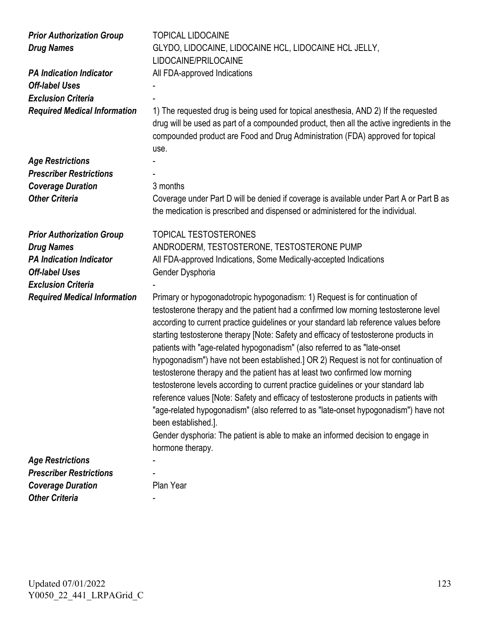| <b>Prior Authorization Group</b><br><b>Drug Names</b><br><b>PA Indication Indicator</b> | <b>TOPICAL LIDOCAINE</b><br>GLYDO, LIDOCAINE, LIDOCAINE HCL, LIDOCAINE HCL JELLY,<br>LIDOCAINE/PRILOCAINE<br>All FDA-approved Indications                                                                                                                                                                                                                                                                                                                                                                                                                                                                                                                                                                                                                                                                                                                                                                                                                                                                 |
|-----------------------------------------------------------------------------------------|-----------------------------------------------------------------------------------------------------------------------------------------------------------------------------------------------------------------------------------------------------------------------------------------------------------------------------------------------------------------------------------------------------------------------------------------------------------------------------------------------------------------------------------------------------------------------------------------------------------------------------------------------------------------------------------------------------------------------------------------------------------------------------------------------------------------------------------------------------------------------------------------------------------------------------------------------------------------------------------------------------------|
| <b>Off-label Uses</b>                                                                   |                                                                                                                                                                                                                                                                                                                                                                                                                                                                                                                                                                                                                                                                                                                                                                                                                                                                                                                                                                                                           |
| <b>Exclusion Criteria</b>                                                               |                                                                                                                                                                                                                                                                                                                                                                                                                                                                                                                                                                                                                                                                                                                                                                                                                                                                                                                                                                                                           |
| <b>Required Medical Information</b>                                                     | 1) The requested drug is being used for topical anesthesia, AND 2) If the requested<br>drug will be used as part of a compounded product, then all the active ingredients in the<br>compounded product are Food and Drug Administration (FDA) approved for topical<br>use.                                                                                                                                                                                                                                                                                                                                                                                                                                                                                                                                                                                                                                                                                                                                |
| <b>Age Restrictions</b>                                                                 |                                                                                                                                                                                                                                                                                                                                                                                                                                                                                                                                                                                                                                                                                                                                                                                                                                                                                                                                                                                                           |
| <b>Prescriber Restrictions</b>                                                          |                                                                                                                                                                                                                                                                                                                                                                                                                                                                                                                                                                                                                                                                                                                                                                                                                                                                                                                                                                                                           |
| <b>Coverage Duration</b>                                                                | 3 months                                                                                                                                                                                                                                                                                                                                                                                                                                                                                                                                                                                                                                                                                                                                                                                                                                                                                                                                                                                                  |
| <b>Other Criteria</b>                                                                   | Coverage under Part D will be denied if coverage is available under Part A or Part B as<br>the medication is prescribed and dispensed or administered for the individual.                                                                                                                                                                                                                                                                                                                                                                                                                                                                                                                                                                                                                                                                                                                                                                                                                                 |
| <b>Prior Authorization Group</b>                                                        | TOPICAL TESTOSTERONES                                                                                                                                                                                                                                                                                                                                                                                                                                                                                                                                                                                                                                                                                                                                                                                                                                                                                                                                                                                     |
| <b>Drug Names</b>                                                                       | ANDRODERM, TESTOSTERONE, TESTOSTERONE PUMP                                                                                                                                                                                                                                                                                                                                                                                                                                                                                                                                                                                                                                                                                                                                                                                                                                                                                                                                                                |
| <b>PA Indication Indicator</b>                                                          | All FDA-approved Indications, Some Medically-accepted Indications                                                                                                                                                                                                                                                                                                                                                                                                                                                                                                                                                                                                                                                                                                                                                                                                                                                                                                                                         |
| <b>Off-label Uses</b>                                                                   | Gender Dysphoria                                                                                                                                                                                                                                                                                                                                                                                                                                                                                                                                                                                                                                                                                                                                                                                                                                                                                                                                                                                          |
| <b>Exclusion Criteria</b>                                                               |                                                                                                                                                                                                                                                                                                                                                                                                                                                                                                                                                                                                                                                                                                                                                                                                                                                                                                                                                                                                           |
| <b>Required Medical Information</b>                                                     | Primary or hypogonadotropic hypogonadism: 1) Request is for continuation of<br>testosterone therapy and the patient had a confirmed low morning testosterone level<br>according to current practice guidelines or your standard lab reference values before<br>starting testosterone therapy [Note: Safety and efficacy of testosterone products in<br>patients with "age-related hypogonadism" (also referred to as "late-onset<br>hypogonadism") have not been established.] OR 2) Request is not for continuation of<br>testosterone therapy and the patient has at least two confirmed low morning<br>testosterone levels according to current practice guidelines or your standard lab<br>reference values [Note: Safety and efficacy of testosterone products in patients with<br>"age-related hypogonadism" (also referred to as "late-onset hypogonadism") have not<br>been established.].<br>Gender dysphoria: The patient is able to make an informed decision to engage in<br>hormone therapy. |
| <b>Age Restrictions</b>                                                                 |                                                                                                                                                                                                                                                                                                                                                                                                                                                                                                                                                                                                                                                                                                                                                                                                                                                                                                                                                                                                           |
| <b>Prescriber Restrictions</b>                                                          |                                                                                                                                                                                                                                                                                                                                                                                                                                                                                                                                                                                                                                                                                                                                                                                                                                                                                                                                                                                                           |
| <b>Coverage Duration</b>                                                                | Plan Year                                                                                                                                                                                                                                                                                                                                                                                                                                                                                                                                                                                                                                                                                                                                                                                                                                                                                                                                                                                                 |
| <b>Other Criteria</b>                                                                   |                                                                                                                                                                                                                                                                                                                                                                                                                                                                                                                                                                                                                                                                                                                                                                                                                                                                                                                                                                                                           |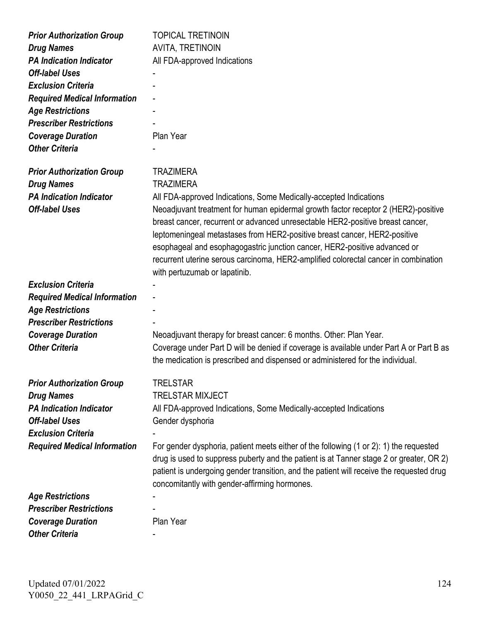| <b>Prior Authorization Group</b>    | <b>TOPICAL TRETINOIN</b>                                                                                                                                                                                                                                                                                                                                                                                                                               |
|-------------------------------------|--------------------------------------------------------------------------------------------------------------------------------------------------------------------------------------------------------------------------------------------------------------------------------------------------------------------------------------------------------------------------------------------------------------------------------------------------------|
| <b>Drug Names</b>                   | <b>AVITA, TRETINOIN</b>                                                                                                                                                                                                                                                                                                                                                                                                                                |
| <b>PA Indication Indicator</b>      | All FDA-approved Indications                                                                                                                                                                                                                                                                                                                                                                                                                           |
| <b>Off-label Uses</b>               |                                                                                                                                                                                                                                                                                                                                                                                                                                                        |
| <b>Exclusion Criteria</b>           |                                                                                                                                                                                                                                                                                                                                                                                                                                                        |
| <b>Required Medical Information</b> |                                                                                                                                                                                                                                                                                                                                                                                                                                                        |
| <b>Age Restrictions</b>             |                                                                                                                                                                                                                                                                                                                                                                                                                                                        |
| <b>Prescriber Restrictions</b>      |                                                                                                                                                                                                                                                                                                                                                                                                                                                        |
| <b>Coverage Duration</b>            | Plan Year                                                                                                                                                                                                                                                                                                                                                                                                                                              |
| <b>Other Criteria</b>               |                                                                                                                                                                                                                                                                                                                                                                                                                                                        |
| <b>Prior Authorization Group</b>    | <b>TRAZIMERA</b>                                                                                                                                                                                                                                                                                                                                                                                                                                       |
| <b>Drug Names</b>                   | <b>TRAZIMERA</b>                                                                                                                                                                                                                                                                                                                                                                                                                                       |
| <b>PA Indication Indicator</b>      | All FDA-approved Indications, Some Medically-accepted Indications                                                                                                                                                                                                                                                                                                                                                                                      |
| <b>Off-label Uses</b>               | Neoadjuvant treatment for human epidermal growth factor receptor 2 (HER2)-positive<br>breast cancer, recurrent or advanced unresectable HER2-positive breast cancer,<br>leptomeningeal metastases from HER2-positive breast cancer, HER2-positive<br>esophageal and esophagogastric junction cancer, HER2-positive advanced or<br>recurrent uterine serous carcinoma, HER2-amplified colorectal cancer in combination<br>with pertuzumab or lapatinib. |
| <b>Exclusion Criteria</b>           |                                                                                                                                                                                                                                                                                                                                                                                                                                                        |
| <b>Required Medical Information</b> |                                                                                                                                                                                                                                                                                                                                                                                                                                                        |
| <b>Age Restrictions</b>             |                                                                                                                                                                                                                                                                                                                                                                                                                                                        |
| <b>Prescriber Restrictions</b>      |                                                                                                                                                                                                                                                                                                                                                                                                                                                        |
| <b>Coverage Duration</b>            | Neoadjuvant therapy for breast cancer: 6 months. Other: Plan Year.                                                                                                                                                                                                                                                                                                                                                                                     |
| <b>Other Criteria</b>               | Coverage under Part D will be denied if coverage is available under Part A or Part B as<br>the medication is prescribed and dispensed or administered for the individual.                                                                                                                                                                                                                                                                              |
| <b>Prior Authorization Group</b>    | TRELSTAR                                                                                                                                                                                                                                                                                                                                                                                                                                               |
| <b>Drug Names</b>                   | <b>TRELSTAR MIXJECT</b>                                                                                                                                                                                                                                                                                                                                                                                                                                |
| <b>PA Indication Indicator</b>      | All FDA-approved Indications, Some Medically-accepted Indications                                                                                                                                                                                                                                                                                                                                                                                      |
| <b>Off-label Uses</b>               | Gender dysphoria                                                                                                                                                                                                                                                                                                                                                                                                                                       |
| <b>Exclusion Criteria</b>           |                                                                                                                                                                                                                                                                                                                                                                                                                                                        |
| <b>Required Medical Information</b> | For gender dysphoria, patient meets either of the following (1 or 2): 1) the requested                                                                                                                                                                                                                                                                                                                                                                 |
|                                     | drug is used to suppress puberty and the patient is at Tanner stage 2 or greater, OR 2)<br>patient is undergoing gender transition, and the patient will receive the requested drug<br>concomitantly with gender-affirming hormones.                                                                                                                                                                                                                   |
| <b>Age Restrictions</b>             |                                                                                                                                                                                                                                                                                                                                                                                                                                                        |
| <b>Prescriber Restrictions</b>      |                                                                                                                                                                                                                                                                                                                                                                                                                                                        |
| <b>Coverage Duration</b>            | Plan Year                                                                                                                                                                                                                                                                                                                                                                                                                                              |
| <b>Other Criteria</b>               |                                                                                                                                                                                                                                                                                                                                                                                                                                                        |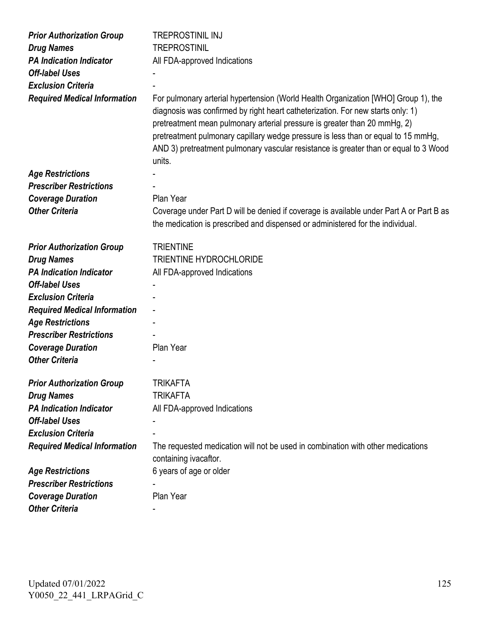| <b>Prior Authorization Group</b>    | <b>TREPROSTINIL INJ</b>                                                                                                                                                                                                                                                                                                                                                                                                                   |
|-------------------------------------|-------------------------------------------------------------------------------------------------------------------------------------------------------------------------------------------------------------------------------------------------------------------------------------------------------------------------------------------------------------------------------------------------------------------------------------------|
| <b>Drug Names</b>                   | <b>TREPROSTINIL</b>                                                                                                                                                                                                                                                                                                                                                                                                                       |
| <b>PA Indication Indicator</b>      | All FDA-approved Indications                                                                                                                                                                                                                                                                                                                                                                                                              |
| <b>Off-label Uses</b>               |                                                                                                                                                                                                                                                                                                                                                                                                                                           |
| <b>Exclusion Criteria</b>           |                                                                                                                                                                                                                                                                                                                                                                                                                                           |
| <b>Required Medical Information</b> | For pulmonary arterial hypertension (World Health Organization [WHO] Group 1), the<br>diagnosis was confirmed by right heart catheterization. For new starts only: 1)<br>pretreatment mean pulmonary arterial pressure is greater than 20 mmHg, 2)<br>pretreatment pulmonary capillary wedge pressure is less than or equal to 15 mmHg,<br>AND 3) pretreatment pulmonary vascular resistance is greater than or equal to 3 Wood<br>units. |
| <b>Age Restrictions</b>             |                                                                                                                                                                                                                                                                                                                                                                                                                                           |
| <b>Prescriber Restrictions</b>      |                                                                                                                                                                                                                                                                                                                                                                                                                                           |
| <b>Coverage Duration</b>            | Plan Year                                                                                                                                                                                                                                                                                                                                                                                                                                 |
| <b>Other Criteria</b>               | Coverage under Part D will be denied if coverage is available under Part A or Part B as<br>the medication is prescribed and dispensed or administered for the individual.                                                                                                                                                                                                                                                                 |
| <b>Prior Authorization Group</b>    | <b>TRIENTINE</b>                                                                                                                                                                                                                                                                                                                                                                                                                          |
| <b>Drug Names</b>                   | <b>TRIENTINE HYDROCHLORIDE</b>                                                                                                                                                                                                                                                                                                                                                                                                            |
| <b>PA Indication Indicator</b>      | All FDA-approved Indications                                                                                                                                                                                                                                                                                                                                                                                                              |
| <b>Off-label Uses</b>               |                                                                                                                                                                                                                                                                                                                                                                                                                                           |
| <b>Exclusion Criteria</b>           |                                                                                                                                                                                                                                                                                                                                                                                                                                           |
| <b>Required Medical Information</b> |                                                                                                                                                                                                                                                                                                                                                                                                                                           |
| <b>Age Restrictions</b>             |                                                                                                                                                                                                                                                                                                                                                                                                                                           |
| <b>Prescriber Restrictions</b>      |                                                                                                                                                                                                                                                                                                                                                                                                                                           |
| <b>Coverage Duration</b>            | Plan Year                                                                                                                                                                                                                                                                                                                                                                                                                                 |
| <b>Other Criteria</b>               |                                                                                                                                                                                                                                                                                                                                                                                                                                           |
| <b>Prior Authorization Group</b>    | TRIKAFTA                                                                                                                                                                                                                                                                                                                                                                                                                                  |
| <b>Drug Names</b>                   | <b>TRIKAFTA</b>                                                                                                                                                                                                                                                                                                                                                                                                                           |
| <b>PA Indication Indicator</b>      | All FDA-approved Indications                                                                                                                                                                                                                                                                                                                                                                                                              |
| <b>Off-label Uses</b>               |                                                                                                                                                                                                                                                                                                                                                                                                                                           |
| <b>Exclusion Criteria</b>           |                                                                                                                                                                                                                                                                                                                                                                                                                                           |
| <b>Required Medical Information</b> | The requested medication will not be used in combination with other medications<br>containing ivacaftor.                                                                                                                                                                                                                                                                                                                                  |
| <b>Age Restrictions</b>             | 6 years of age or older                                                                                                                                                                                                                                                                                                                                                                                                                   |
| <b>Prescriber Restrictions</b>      |                                                                                                                                                                                                                                                                                                                                                                                                                                           |
| <b>Coverage Duration</b>            | Plan Year                                                                                                                                                                                                                                                                                                                                                                                                                                 |
| <b>Other Criteria</b>               |                                                                                                                                                                                                                                                                                                                                                                                                                                           |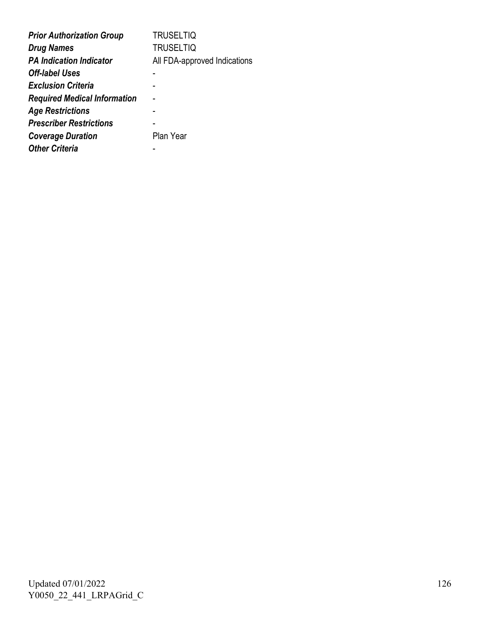| <b>Prior Authorization Group</b>    | <b>TRUSELTIQ</b>             |
|-------------------------------------|------------------------------|
| <b>Drug Names</b>                   | <b>TRUSELTIQ</b>             |
| <b>PA Indication Indicator</b>      | All FDA-approved Indications |
| <b>Off-label Uses</b>               |                              |
| <b>Exclusion Criteria</b>           |                              |
| <b>Required Medical Information</b> |                              |
| <b>Age Restrictions</b>             |                              |
| <b>Prescriber Restrictions</b>      |                              |
| <b>Coverage Duration</b>            | Plan Year                    |
| <b>Other Criteria</b>               |                              |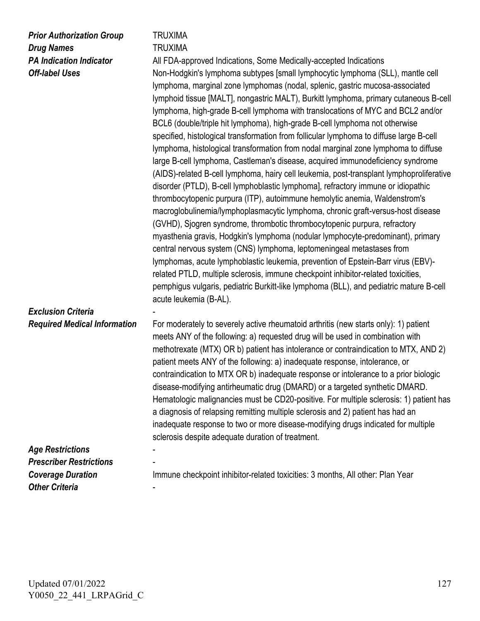| <b>Prior Authorization Group</b><br><b>Drug Names</b><br><b>PA Indication Indicator</b><br><b>Off-label Uses</b> | TRUXIMA<br><b>TRUXIMA</b><br>All FDA-approved Indications, Some Medically-accepted Indications<br>Non-Hodgkin's lymphoma subtypes [small lymphocytic lymphoma (SLL), mantle cell<br>lymphoma, marginal zone lymphomas (nodal, splenic, gastric mucosa-associated<br>lymphoid tissue [MALT], nongastric MALT), Burkitt lymphoma, primary cutaneous B-cell<br>lymphoma, high-grade B-cell lymphoma with translocations of MYC and BCL2 and/or<br>BCL6 (double/triple hit lymphoma), high-grade B-cell lymphoma not otherwise<br>specified, histological transformation from follicular lymphoma to diffuse large B-cell<br>lymphoma, histological transformation from nodal marginal zone lymphoma to diffuse<br>large B-cell lymphoma, Castleman's disease, acquired immunodeficiency syndrome<br>(AIDS)-related B-cell lymphoma, hairy cell leukemia, post-transplant lymphoproliferative<br>disorder (PTLD), B-cell lymphoblastic lymphoma], refractory immune or idiopathic<br>thrombocytopenic purpura (ITP), autoimmune hemolytic anemia, Waldenstrom's<br>macroglobulinemia/lymphoplasmacytic lymphoma, chronic graft-versus-host disease<br>(GVHD), Sjogren syndrome, thrombotic thrombocytopenic purpura, refractory<br>myasthenia gravis, Hodgkin's lymphoma (nodular lymphocyte-predominant), primary<br>central nervous system (CNS) lymphoma, leptomeningeal metastases from<br>lymphomas, acute lymphoblastic leukemia, prevention of Epstein-Barr virus (EBV)-<br>related PTLD, multiple sclerosis, immune checkpoint inhibitor-related toxicities,<br>pemphigus vulgaris, pediatric Burkitt-like lymphoma (BLL), and pediatric mature B-cell<br>acute leukemia (B-AL). |
|------------------------------------------------------------------------------------------------------------------|--------------------------------------------------------------------------------------------------------------------------------------------------------------------------------------------------------------------------------------------------------------------------------------------------------------------------------------------------------------------------------------------------------------------------------------------------------------------------------------------------------------------------------------------------------------------------------------------------------------------------------------------------------------------------------------------------------------------------------------------------------------------------------------------------------------------------------------------------------------------------------------------------------------------------------------------------------------------------------------------------------------------------------------------------------------------------------------------------------------------------------------------------------------------------------------------------------------------------------------------------------------------------------------------------------------------------------------------------------------------------------------------------------------------------------------------------------------------------------------------------------------------------------------------------------------------------------------------------------------------------------------------------------------------------------------|
| <b>Exclusion Criteria</b><br><b>Required Medical Information</b>                                                 | For moderately to severely active rheumatoid arthritis (new starts only): 1) patient<br>meets ANY of the following: a) requested drug will be used in combination with<br>methotrexate (MTX) OR b) patient has intolerance or contraindication to MTX, AND 2)<br>patient meets ANY of the following: a) inadequate response, intolerance, or<br>contraindication to MTX OR b) inadequate response or intolerance to a prior biologic<br>disease-modifying antirheumatic drug (DMARD) or a targeted synthetic DMARD.<br>Hematologic malignancies must be CD20-positive. For multiple sclerosis: 1) patient has<br>a diagnosis of relapsing remitting multiple sclerosis and 2) patient has had an<br>inadequate response to two or more disease-modifying drugs indicated for multiple<br>sclerosis despite adequate duration of treatment.                                                                                                                                                                                                                                                                                                                                                                                                                                                                                                                                                                                                                                                                                                                                                                                                                                           |
| <b>Age Restrictions</b>                                                                                          |                                                                                                                                                                                                                                                                                                                                                                                                                                                                                                                                                                                                                                                                                                                                                                                                                                                                                                                                                                                                                                                                                                                                                                                                                                                                                                                                                                                                                                                                                                                                                                                                                                                                                      |
| <b>Prescriber Restrictions</b>                                                                                   |                                                                                                                                                                                                                                                                                                                                                                                                                                                                                                                                                                                                                                                                                                                                                                                                                                                                                                                                                                                                                                                                                                                                                                                                                                                                                                                                                                                                                                                                                                                                                                                                                                                                                      |
| <b>Coverage Duration</b>                                                                                         | Immune checkpoint inhibitor-related toxicities: 3 months, All other: Plan Year                                                                                                                                                                                                                                                                                                                                                                                                                                                                                                                                                                                                                                                                                                                                                                                                                                                                                                                                                                                                                                                                                                                                                                                                                                                                                                                                                                                                                                                                                                                                                                                                       |
| <b>Other Criteria</b>                                                                                            |                                                                                                                                                                                                                                                                                                                                                                                                                                                                                                                                                                                                                                                                                                                                                                                                                                                                                                                                                                                                                                                                                                                                                                                                                                                                                                                                                                                                                                                                                                                                                                                                                                                                                      |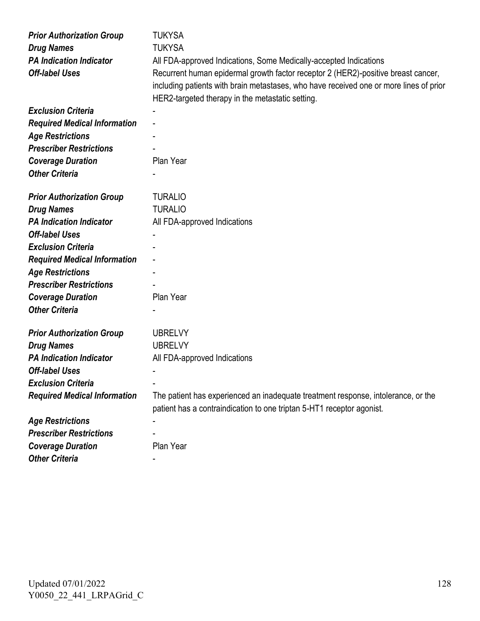| <b>Prior Authorization Group</b>    | <b>TUKYSA</b>                                                                          |
|-------------------------------------|----------------------------------------------------------------------------------------|
| <b>Drug Names</b>                   | <b>TUKYSA</b>                                                                          |
| <b>PA Indication Indicator</b>      | All FDA-approved Indications, Some Medically-accepted Indications                      |
| <b>Off-label Uses</b>               | Recurrent human epidermal growth factor receptor 2 (HER2)-positive breast cancer,      |
|                                     | including patients with brain metastases, who have received one or more lines of prior |
|                                     | HER2-targeted therapy in the metastatic setting.                                       |
| <b>Exclusion Criteria</b>           |                                                                                        |
| <b>Required Medical Information</b> |                                                                                        |
| <b>Age Restrictions</b>             |                                                                                        |
| <b>Prescriber Restrictions</b>      |                                                                                        |
| <b>Coverage Duration</b>            | Plan Year                                                                              |
| <b>Other Criteria</b>               |                                                                                        |
|                                     |                                                                                        |
| <b>Prior Authorization Group</b>    | <b>TURALIO</b>                                                                         |
| <b>Drug Names</b>                   | <b>TURALIO</b>                                                                         |
| <b>PA Indication Indicator</b>      | All FDA-approved Indications                                                           |
| <b>Off-label Uses</b>               |                                                                                        |
| <b>Exclusion Criteria</b>           |                                                                                        |
| <b>Required Medical Information</b> |                                                                                        |
| <b>Age Restrictions</b>             |                                                                                        |
| <b>Prescriber Restrictions</b>      |                                                                                        |
| <b>Coverage Duration</b>            | Plan Year                                                                              |
| <b>Other Criteria</b>               |                                                                                        |
|                                     |                                                                                        |
| <b>Prior Authorization Group</b>    | <b>UBRELVY</b>                                                                         |
| <b>Drug Names</b>                   | <b>UBRELVY</b>                                                                         |
| <b>PA Indication Indicator</b>      | All FDA-approved Indications                                                           |
| <b>Off-label Uses</b>               |                                                                                        |
| <b>Exclusion Criteria</b>           |                                                                                        |
| <b>Required Medical Information</b> | The patient has experienced an inadequate treatment response, intolerance, or the      |
|                                     | patient has a contraindication to one triptan 5-HT1 receptor agonist.                  |
| <b>Age Restrictions</b>             |                                                                                        |
| <b>Prescriber Restrictions</b>      |                                                                                        |
| <b>Coverage Duration</b>            | Plan Year                                                                              |
| <b>Other Criteria</b>               |                                                                                        |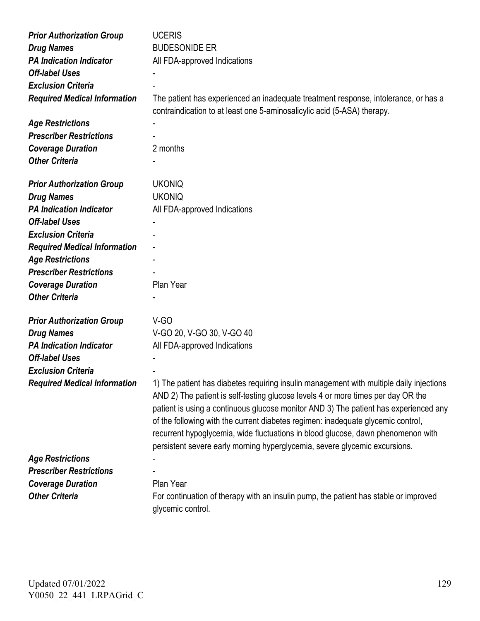| <b>Prior Authorization Group</b>    | <b>UCERIS</b>                                                                                                                                                                                                                                                                                                                                                                                                                                                                                                             |
|-------------------------------------|---------------------------------------------------------------------------------------------------------------------------------------------------------------------------------------------------------------------------------------------------------------------------------------------------------------------------------------------------------------------------------------------------------------------------------------------------------------------------------------------------------------------------|
| <b>Drug Names</b>                   | <b>BUDESONIDE ER</b>                                                                                                                                                                                                                                                                                                                                                                                                                                                                                                      |
| <b>PA Indication Indicator</b>      | All FDA-approved Indications                                                                                                                                                                                                                                                                                                                                                                                                                                                                                              |
| <b>Off-label Uses</b>               |                                                                                                                                                                                                                                                                                                                                                                                                                                                                                                                           |
| <b>Exclusion Criteria</b>           |                                                                                                                                                                                                                                                                                                                                                                                                                                                                                                                           |
| <b>Required Medical Information</b> | The patient has experienced an inadequate treatment response, intolerance, or has a<br>contraindication to at least one 5-aminosalicylic acid (5-ASA) therapy.                                                                                                                                                                                                                                                                                                                                                            |
| <b>Age Restrictions</b>             |                                                                                                                                                                                                                                                                                                                                                                                                                                                                                                                           |
| <b>Prescriber Restrictions</b>      |                                                                                                                                                                                                                                                                                                                                                                                                                                                                                                                           |
| <b>Coverage Duration</b>            | 2 months                                                                                                                                                                                                                                                                                                                                                                                                                                                                                                                  |
| <b>Other Criteria</b>               |                                                                                                                                                                                                                                                                                                                                                                                                                                                                                                                           |
| <b>Prior Authorization Group</b>    | <b>UKONIQ</b>                                                                                                                                                                                                                                                                                                                                                                                                                                                                                                             |
| <b>Drug Names</b>                   | <b>UKONIQ</b>                                                                                                                                                                                                                                                                                                                                                                                                                                                                                                             |
| <b>PA Indication Indicator</b>      | All FDA-approved Indications                                                                                                                                                                                                                                                                                                                                                                                                                                                                                              |
| <b>Off-label Uses</b>               |                                                                                                                                                                                                                                                                                                                                                                                                                                                                                                                           |
| <b>Exclusion Criteria</b>           |                                                                                                                                                                                                                                                                                                                                                                                                                                                                                                                           |
| <b>Required Medical Information</b> |                                                                                                                                                                                                                                                                                                                                                                                                                                                                                                                           |
| <b>Age Restrictions</b>             |                                                                                                                                                                                                                                                                                                                                                                                                                                                                                                                           |
| <b>Prescriber Restrictions</b>      |                                                                                                                                                                                                                                                                                                                                                                                                                                                                                                                           |
| <b>Coverage Duration</b>            | Plan Year                                                                                                                                                                                                                                                                                                                                                                                                                                                                                                                 |
| <b>Other Criteria</b>               |                                                                                                                                                                                                                                                                                                                                                                                                                                                                                                                           |
| <b>Prior Authorization Group</b>    | V-GO                                                                                                                                                                                                                                                                                                                                                                                                                                                                                                                      |
| <b>Drug Names</b>                   | V-GO 20, V-GO 30, V-GO 40                                                                                                                                                                                                                                                                                                                                                                                                                                                                                                 |
| <b>PA Indication Indicator</b>      | All FDA-approved Indications                                                                                                                                                                                                                                                                                                                                                                                                                                                                                              |
| <b>Off-label Uses</b>               |                                                                                                                                                                                                                                                                                                                                                                                                                                                                                                                           |
| <b>Exclusion Criteria</b>           |                                                                                                                                                                                                                                                                                                                                                                                                                                                                                                                           |
| <b>Required Medical Information</b> | 1) The patient has diabetes requiring insulin management with multiple daily injections<br>AND 2) The patient is self-testing glucose levels 4 or more times per day OR the<br>patient is using a continuous glucose monitor AND 3) The patient has experienced any<br>of the following with the current diabetes regimen: inadequate glycemic control,<br>recurrent hypoglycemia, wide fluctuations in blood glucose, dawn phenomenon with<br>persistent severe early morning hyperglycemia, severe glycemic excursions. |
| <b>Age Restrictions</b>             |                                                                                                                                                                                                                                                                                                                                                                                                                                                                                                                           |
| <b>Prescriber Restrictions</b>      |                                                                                                                                                                                                                                                                                                                                                                                                                                                                                                                           |
| <b>Coverage Duration</b>            | Plan Year                                                                                                                                                                                                                                                                                                                                                                                                                                                                                                                 |
| <b>Other Criteria</b>               | For continuation of therapy with an insulin pump, the patient has stable or improved<br>glycemic control.                                                                                                                                                                                                                                                                                                                                                                                                                 |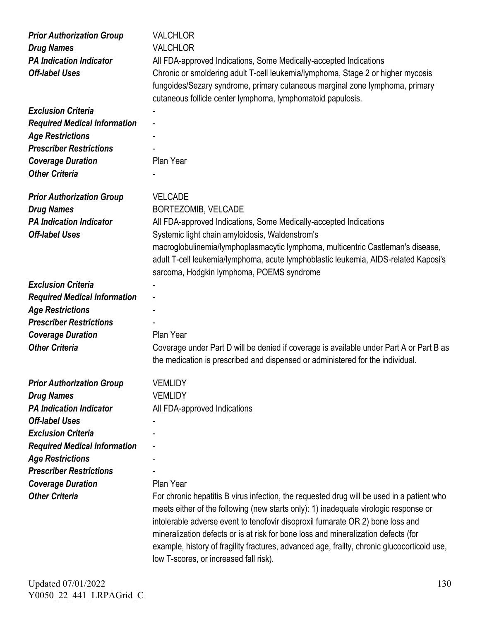| <b>Prior Authorization Group</b><br><b>Drug Names</b><br><b>PA Indication Indicator</b><br><b>Off-label Uses</b> | <b>VALCHLOR</b><br><b>VALCHLOR</b><br>All FDA-approved Indications, Some Medically-accepted Indications<br>Chronic or smoldering adult T-cell leukemia/lymphoma, Stage 2 or higher mycosis<br>fungoides/Sezary syndrome, primary cutaneous marginal zone lymphoma, primary                                                                                                                            |
|------------------------------------------------------------------------------------------------------------------|-------------------------------------------------------------------------------------------------------------------------------------------------------------------------------------------------------------------------------------------------------------------------------------------------------------------------------------------------------------------------------------------------------|
|                                                                                                                  | cutaneous follicle center lymphoma, lymphomatoid papulosis.                                                                                                                                                                                                                                                                                                                                           |
| <b>Exclusion Criteria</b>                                                                                        |                                                                                                                                                                                                                                                                                                                                                                                                       |
| <b>Required Medical Information</b>                                                                              |                                                                                                                                                                                                                                                                                                                                                                                                       |
| <b>Age Restrictions</b>                                                                                          |                                                                                                                                                                                                                                                                                                                                                                                                       |
| <b>Prescriber Restrictions</b>                                                                                   |                                                                                                                                                                                                                                                                                                                                                                                                       |
| <b>Coverage Duration</b>                                                                                         | Plan Year                                                                                                                                                                                                                                                                                                                                                                                             |
| <b>Other Criteria</b>                                                                                            |                                                                                                                                                                                                                                                                                                                                                                                                       |
| <b>Prior Authorization Group</b>                                                                                 | <b>VELCADE</b>                                                                                                                                                                                                                                                                                                                                                                                        |
| <b>Drug Names</b>                                                                                                | BORTEZOMIB, VELCADE                                                                                                                                                                                                                                                                                                                                                                                   |
| <b>PA Indication Indicator</b>                                                                                   | All FDA-approved Indications, Some Medically-accepted Indications                                                                                                                                                                                                                                                                                                                                     |
| <b>Off-label Uses</b>                                                                                            | Systemic light chain amyloidosis, Waldenstrom's                                                                                                                                                                                                                                                                                                                                                       |
|                                                                                                                  | macroglobulinemia/lymphoplasmacytic lymphoma, multicentric Castleman's disease,<br>adult T-cell leukemia/lymphoma, acute lymphoblastic leukemia, AIDS-related Kaposi's<br>sarcoma, Hodgkin lymphoma, POEMS syndrome                                                                                                                                                                                   |
| <b>Exclusion Criteria</b>                                                                                        |                                                                                                                                                                                                                                                                                                                                                                                                       |
| <b>Required Medical Information</b>                                                                              |                                                                                                                                                                                                                                                                                                                                                                                                       |
| <b>Age Restrictions</b>                                                                                          |                                                                                                                                                                                                                                                                                                                                                                                                       |
| <b>Prescriber Restrictions</b>                                                                                   |                                                                                                                                                                                                                                                                                                                                                                                                       |
| <b>Coverage Duration</b>                                                                                         | Plan Year                                                                                                                                                                                                                                                                                                                                                                                             |
| <b>Other Criteria</b>                                                                                            | Coverage under Part D will be denied if coverage is available under Part A or Part B as<br>the medication is prescribed and dispensed or administered for the individual.                                                                                                                                                                                                                             |
|                                                                                                                  | <b>VEMLIDY</b>                                                                                                                                                                                                                                                                                                                                                                                        |
| <b>Prior Authorization Group</b>                                                                                 | <b>VEMLIDY</b>                                                                                                                                                                                                                                                                                                                                                                                        |
| <b>Drug Names</b><br><b>PA Indication Indicator</b>                                                              | All FDA-approved Indications                                                                                                                                                                                                                                                                                                                                                                          |
| <b>Off-label Uses</b>                                                                                            |                                                                                                                                                                                                                                                                                                                                                                                                       |
| <b>Exclusion Criteria</b>                                                                                        |                                                                                                                                                                                                                                                                                                                                                                                                       |
| <b>Required Medical Information</b>                                                                              |                                                                                                                                                                                                                                                                                                                                                                                                       |
| <b>Age Restrictions</b>                                                                                          |                                                                                                                                                                                                                                                                                                                                                                                                       |
| <b>Prescriber Restrictions</b>                                                                                   |                                                                                                                                                                                                                                                                                                                                                                                                       |
| <b>Coverage Duration</b>                                                                                         | Plan Year                                                                                                                                                                                                                                                                                                                                                                                             |
| <b>Other Criteria</b>                                                                                            | For chronic hepatitis B virus infection, the requested drug will be used in a patient who                                                                                                                                                                                                                                                                                                             |
|                                                                                                                  | meets either of the following (new starts only): 1) inadequate virologic response or<br>intolerable adverse event to tenofovir disoproxil fumarate OR 2) bone loss and<br>mineralization defects or is at risk for bone loss and mineralization defects (for<br>example, history of fragility fractures, advanced age, frailty, chronic glucocorticoid use,<br>low T-scores, or increased fall risk). |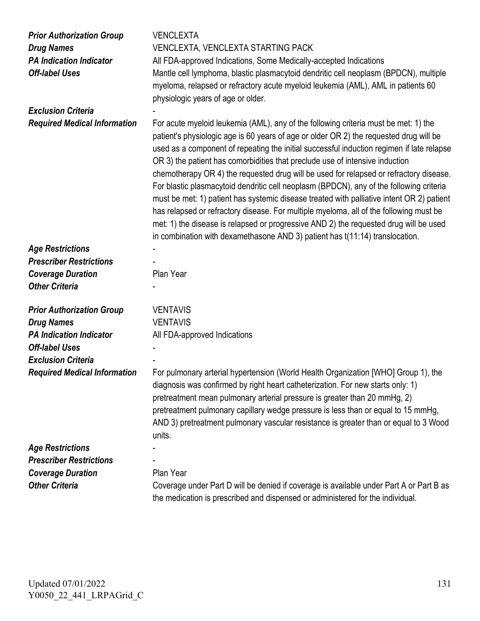| <b>Prior Authorization Group</b><br><b>Drug Names</b><br><b>PA Indication Indicator</b><br><b>Off-label Uses</b> | <b>VENCLEXTA</b><br>VENCLEXTA, VENCLEXTA STARTING PACK<br>All FDA-approved Indications, Some Medically-accepted Indications<br>Mantle cell lymphoma, blastic plasmacytoid dendritic cell neoplasm (BPDCN), multiple<br>myeloma, relapsed or refractory acute myeloid leukemia (AML), AML in patients 60<br>physiologic years of age or older.                                                                                                                                                                                                                                                                                                                                                                                                                                                                                                                                                                   |
|------------------------------------------------------------------------------------------------------------------|-----------------------------------------------------------------------------------------------------------------------------------------------------------------------------------------------------------------------------------------------------------------------------------------------------------------------------------------------------------------------------------------------------------------------------------------------------------------------------------------------------------------------------------------------------------------------------------------------------------------------------------------------------------------------------------------------------------------------------------------------------------------------------------------------------------------------------------------------------------------------------------------------------------------|
| <b>Exclusion Criteria</b>                                                                                        |                                                                                                                                                                                                                                                                                                                                                                                                                                                                                                                                                                                                                                                                                                                                                                                                                                                                                                                 |
| <b>Required Medical Information</b>                                                                              | For acute myeloid leukemia (AML), any of the following criteria must be met: 1) the<br>patient's physiologic age is 60 years of age or older OR 2) the requested drug will be<br>used as a component of repeating the initial successful induction regimen if late relapse<br>OR 3) the patient has comorbidities that preclude use of intensive induction<br>chemotherapy OR 4) the requested drug will be used for relapsed or refractory disease.<br>For blastic plasmacytoid dendritic cell neoplasm (BPDCN), any of the following criteria<br>must be met: 1) patient has systemic disease treated with palliative intent OR 2) patient<br>has relapsed or refractory disease. For multiple myeloma, all of the following must be<br>met: 1) the disease is relapsed or progressive AND 2) the requested drug will be used<br>in combination with dexamethasone AND 3) patient has t(11:14) translocation. |
| <b>Age Restrictions</b>                                                                                          |                                                                                                                                                                                                                                                                                                                                                                                                                                                                                                                                                                                                                                                                                                                                                                                                                                                                                                                 |
| <b>Prescriber Restrictions</b>                                                                                   |                                                                                                                                                                                                                                                                                                                                                                                                                                                                                                                                                                                                                                                                                                                                                                                                                                                                                                                 |
| <b>Coverage Duration</b>                                                                                         | Plan Year                                                                                                                                                                                                                                                                                                                                                                                                                                                                                                                                                                                                                                                                                                                                                                                                                                                                                                       |
| <b>Other Criteria</b>                                                                                            |                                                                                                                                                                                                                                                                                                                                                                                                                                                                                                                                                                                                                                                                                                                                                                                                                                                                                                                 |
| <b>Prior Authorization Group</b>                                                                                 | <b>VENTAVIS</b>                                                                                                                                                                                                                                                                                                                                                                                                                                                                                                                                                                                                                                                                                                                                                                                                                                                                                                 |
| <b>Drug Names</b>                                                                                                | <b>VENTAVIS</b>                                                                                                                                                                                                                                                                                                                                                                                                                                                                                                                                                                                                                                                                                                                                                                                                                                                                                                 |
| <b>PA Indication Indicator</b>                                                                                   | All FDA-approved Indications                                                                                                                                                                                                                                                                                                                                                                                                                                                                                                                                                                                                                                                                                                                                                                                                                                                                                    |
| <b>Off-label Uses</b>                                                                                            |                                                                                                                                                                                                                                                                                                                                                                                                                                                                                                                                                                                                                                                                                                                                                                                                                                                                                                                 |
| <b>Exclusion Criteria</b>                                                                                        |                                                                                                                                                                                                                                                                                                                                                                                                                                                                                                                                                                                                                                                                                                                                                                                                                                                                                                                 |
| <b>Required Medical Information</b>                                                                              | For pulmonary arterial hypertension (World Health Organization [WHO] Group 1), the<br>diagnosis was confirmed by right heart catheterization. For new starts only: 1)<br>pretreatment mean pulmonary arterial pressure is greater than 20 mmHg, 2)<br>pretreatment pulmonary capillary wedge pressure is less than or equal to 15 mmHg,<br>AND 3) pretreatment pulmonary vascular resistance is greater than or equal to 3 Wood<br>units.                                                                                                                                                                                                                                                                                                                                                                                                                                                                       |
| <b>Age Restrictions</b>                                                                                          |                                                                                                                                                                                                                                                                                                                                                                                                                                                                                                                                                                                                                                                                                                                                                                                                                                                                                                                 |
| <b>Prescriber Restrictions</b>                                                                                   |                                                                                                                                                                                                                                                                                                                                                                                                                                                                                                                                                                                                                                                                                                                                                                                                                                                                                                                 |
| <b>Coverage Duration</b>                                                                                         | Plan Year                                                                                                                                                                                                                                                                                                                                                                                                                                                                                                                                                                                                                                                                                                                                                                                                                                                                                                       |
| <b>Other Criteria</b>                                                                                            | Coverage under Part D will be denied if coverage is available under Part A or Part B as<br>the medication is prescribed and dispensed or administered for the individual.                                                                                                                                                                                                                                                                                                                                                                                                                                                                                                                                                                                                                                                                                                                                       |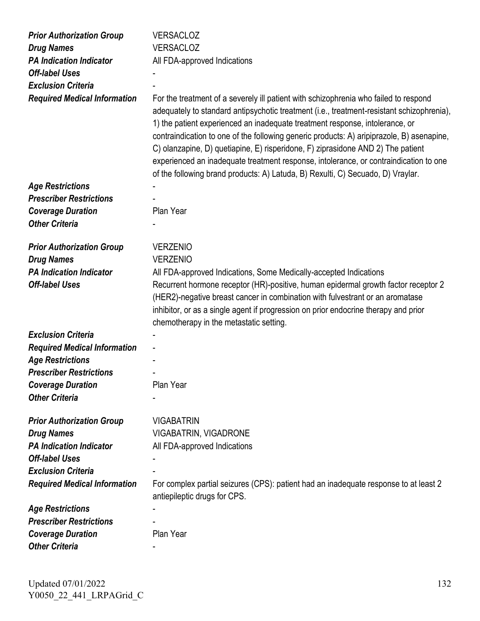| <b>Prior Authorization Group</b>    | <b>VERSACLOZ</b>                                                                                                                                                                                                                                                                                                                                                                                                                                                                                                                                                                                                              |
|-------------------------------------|-------------------------------------------------------------------------------------------------------------------------------------------------------------------------------------------------------------------------------------------------------------------------------------------------------------------------------------------------------------------------------------------------------------------------------------------------------------------------------------------------------------------------------------------------------------------------------------------------------------------------------|
| <b>Drug Names</b>                   | <b>VERSACLOZ</b>                                                                                                                                                                                                                                                                                                                                                                                                                                                                                                                                                                                                              |
| <b>PA Indication Indicator</b>      | All FDA-approved Indications                                                                                                                                                                                                                                                                                                                                                                                                                                                                                                                                                                                                  |
| <b>Off-label Uses</b>               |                                                                                                                                                                                                                                                                                                                                                                                                                                                                                                                                                                                                                               |
| <b>Exclusion Criteria</b>           |                                                                                                                                                                                                                                                                                                                                                                                                                                                                                                                                                                                                                               |
| <b>Required Medical Information</b> | For the treatment of a severely ill patient with schizophrenia who failed to respond<br>adequately to standard antipsychotic treatment (i.e., treatment-resistant schizophrenia),<br>1) the patient experienced an inadequate treatment response, intolerance, or<br>contraindication to one of the following generic products: A) aripiprazole, B) asenapine,<br>C) olanzapine, D) quetiapine, E) risperidone, F) ziprasidone AND 2) The patient<br>experienced an inadequate treatment response, intolerance, or contraindication to one<br>of the following brand products: A) Latuda, B) Rexulti, C) Secuado, D) Vraylar. |
| <b>Age Restrictions</b>             |                                                                                                                                                                                                                                                                                                                                                                                                                                                                                                                                                                                                                               |
| <b>Prescriber Restrictions</b>      |                                                                                                                                                                                                                                                                                                                                                                                                                                                                                                                                                                                                                               |
| <b>Coverage Duration</b>            | Plan Year                                                                                                                                                                                                                                                                                                                                                                                                                                                                                                                                                                                                                     |
| <b>Other Criteria</b>               |                                                                                                                                                                                                                                                                                                                                                                                                                                                                                                                                                                                                                               |
| <b>Prior Authorization Group</b>    | <b>VERZENIO</b>                                                                                                                                                                                                                                                                                                                                                                                                                                                                                                                                                                                                               |
| <b>Drug Names</b>                   | <b>VERZENIO</b>                                                                                                                                                                                                                                                                                                                                                                                                                                                                                                                                                                                                               |
| <b>PA Indication Indicator</b>      | All FDA-approved Indications, Some Medically-accepted Indications                                                                                                                                                                                                                                                                                                                                                                                                                                                                                                                                                             |
| <b>Off-label Uses</b>               | Recurrent hormone receptor (HR)-positive, human epidermal growth factor receptor 2                                                                                                                                                                                                                                                                                                                                                                                                                                                                                                                                            |
|                                     | (HER2)-negative breast cancer in combination with fulvestrant or an aromatase<br>inhibitor, or as a single agent if progression on prior endocrine therapy and prior<br>chemotherapy in the metastatic setting.                                                                                                                                                                                                                                                                                                                                                                                                               |
| <b>Exclusion Criteria</b>           |                                                                                                                                                                                                                                                                                                                                                                                                                                                                                                                                                                                                                               |
| <b>Required Medical Information</b> |                                                                                                                                                                                                                                                                                                                                                                                                                                                                                                                                                                                                                               |
| <b>Age Restrictions</b>             |                                                                                                                                                                                                                                                                                                                                                                                                                                                                                                                                                                                                                               |
| <b>Prescriber Restrictions</b>      |                                                                                                                                                                                                                                                                                                                                                                                                                                                                                                                                                                                                                               |
| <b>Coverage Duration</b>            | Plan Year                                                                                                                                                                                                                                                                                                                                                                                                                                                                                                                                                                                                                     |
| <b>Other Criteria</b>               |                                                                                                                                                                                                                                                                                                                                                                                                                                                                                                                                                                                                                               |
| <b>Prior Authorization Group</b>    | <b>VIGABATRIN</b>                                                                                                                                                                                                                                                                                                                                                                                                                                                                                                                                                                                                             |
| <b>Drug Names</b>                   | VIGABATRIN, VIGADRONE                                                                                                                                                                                                                                                                                                                                                                                                                                                                                                                                                                                                         |
| <b>PA Indication Indicator</b>      | All FDA-approved Indications                                                                                                                                                                                                                                                                                                                                                                                                                                                                                                                                                                                                  |
| <b>Off-label Uses</b>               |                                                                                                                                                                                                                                                                                                                                                                                                                                                                                                                                                                                                                               |
| <b>Exclusion Criteria</b>           |                                                                                                                                                                                                                                                                                                                                                                                                                                                                                                                                                                                                                               |
| <b>Required Medical Information</b> | For complex partial seizures (CPS): patient had an inadequate response to at least 2<br>antiepileptic drugs for CPS.                                                                                                                                                                                                                                                                                                                                                                                                                                                                                                          |
| <b>Age Restrictions</b>             |                                                                                                                                                                                                                                                                                                                                                                                                                                                                                                                                                                                                                               |
| <b>Prescriber Restrictions</b>      |                                                                                                                                                                                                                                                                                                                                                                                                                                                                                                                                                                                                                               |
| <b>Coverage Duration</b>            | Plan Year                                                                                                                                                                                                                                                                                                                                                                                                                                                                                                                                                                                                                     |
| <b>Other Criteria</b>               |                                                                                                                                                                                                                                                                                                                                                                                                                                                                                                                                                                                                                               |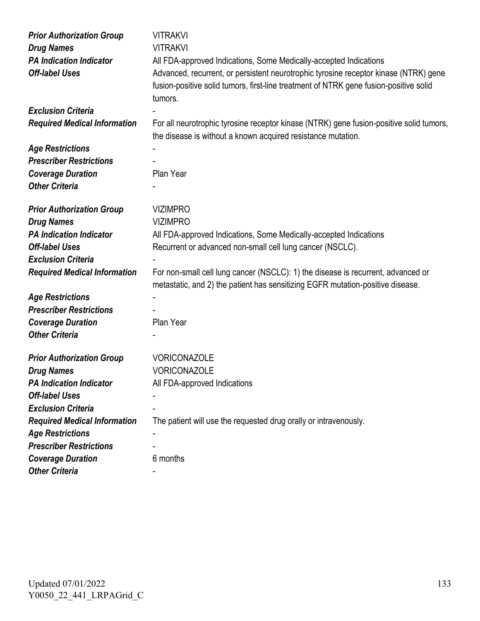| <b>Prior Authorization Group</b>    | <b>VITRAKVI</b>                                                                         |
|-------------------------------------|-----------------------------------------------------------------------------------------|
| <b>Drug Names</b>                   | <b>VITRAKVI</b>                                                                         |
| <b>PA Indication Indicator</b>      | All FDA-approved Indications, Some Medically-accepted Indications                       |
| <b>Off-label Uses</b>               | Advanced, recurrent, or persistent neurotrophic tyrosine receptor kinase (NTRK) gene    |
|                                     | fusion-positive solid tumors, first-line treatment of NTRK gene fusion-positive solid   |
|                                     | tumors.                                                                                 |
| <b>Exclusion Criteria</b>           |                                                                                         |
| <b>Required Medical Information</b> | For all neurotrophic tyrosine receptor kinase (NTRK) gene fusion-positive solid tumors, |
|                                     | the disease is without a known acquired resistance mutation.                            |
| <b>Age Restrictions</b>             |                                                                                         |
| <b>Prescriber Restrictions</b>      |                                                                                         |
| <b>Coverage Duration</b>            | Plan Year                                                                               |
| <b>Other Criteria</b>               |                                                                                         |
|                                     |                                                                                         |
| <b>Prior Authorization Group</b>    | <b>VIZIMPRO</b>                                                                         |
| <b>Drug Names</b>                   | <b>VIZIMPRO</b>                                                                         |
| <b>PA Indication Indicator</b>      | All FDA-approved Indications, Some Medically-accepted Indications                       |
| <b>Off-label Uses</b>               | Recurrent or advanced non-small cell lung cancer (NSCLC).                               |
| <b>Exclusion Criteria</b>           |                                                                                         |
| <b>Required Medical Information</b> | For non-small cell lung cancer (NSCLC): 1) the disease is recurrent, advanced or        |
|                                     | metastatic, and 2) the patient has sensitizing EGFR mutation-positive disease.          |
| <b>Age Restrictions</b>             |                                                                                         |
| <b>Prescriber Restrictions</b>      |                                                                                         |
| <b>Coverage Duration</b>            | Plan Year                                                                               |
| <b>Other Criteria</b>               |                                                                                         |
|                                     |                                                                                         |
| <b>Prior Authorization Group</b>    | VORICONAZOLE                                                                            |
| <b>Drug Names</b>                   | <b>VORICONAZOLE</b>                                                                     |
| <b>PA Indication Indicator</b>      | All FDA-approved Indications                                                            |
| <b>Off-label Uses</b>               |                                                                                         |
| <b>Exclusion Criteria</b>           |                                                                                         |
| <b>Required Medical Information</b> | The patient will use the requested drug orally or intravenously.                        |
| <b>Age Restrictions</b>             |                                                                                         |
| <b>Prescriber Restrictions</b>      |                                                                                         |
| <b>Coverage Duration</b>            | 6 months                                                                                |
| <b>Other Criteria</b>               |                                                                                         |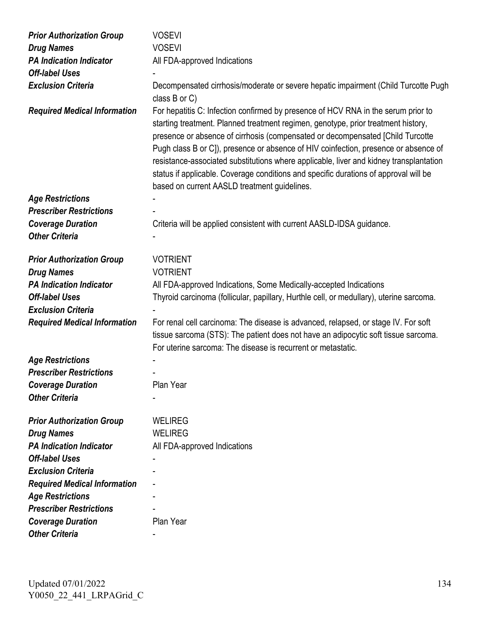| <b>Prior Authorization Group</b>    | <b>VOSEVI</b>                                                                                                                                                                                                                                                                                                                                                                                                                                                                                                                                                                     |
|-------------------------------------|-----------------------------------------------------------------------------------------------------------------------------------------------------------------------------------------------------------------------------------------------------------------------------------------------------------------------------------------------------------------------------------------------------------------------------------------------------------------------------------------------------------------------------------------------------------------------------------|
| <b>Drug Names</b>                   | <b>VOSEVI</b>                                                                                                                                                                                                                                                                                                                                                                                                                                                                                                                                                                     |
| <b>PA Indication Indicator</b>      | All FDA-approved Indications                                                                                                                                                                                                                                                                                                                                                                                                                                                                                                                                                      |
| <b>Off-label Uses</b>               |                                                                                                                                                                                                                                                                                                                                                                                                                                                                                                                                                                                   |
| <b>Exclusion Criteria</b>           | Decompensated cirrhosis/moderate or severe hepatic impairment (Child Turcotte Pugh<br>class $B$ or $C$ )                                                                                                                                                                                                                                                                                                                                                                                                                                                                          |
| <b>Required Medical Information</b> | For hepatitis C: Infection confirmed by presence of HCV RNA in the serum prior to<br>starting treatment. Planned treatment regimen, genotype, prior treatment history,<br>presence or absence of cirrhosis (compensated or decompensated [Child Turcotte<br>Pugh class B or C]), presence or absence of HIV coinfection, presence or absence of<br>resistance-associated substitutions where applicable, liver and kidney transplantation<br>status if applicable. Coverage conditions and specific durations of approval will be<br>based on current AASLD treatment guidelines. |
| <b>Age Restrictions</b>             |                                                                                                                                                                                                                                                                                                                                                                                                                                                                                                                                                                                   |
| <b>Prescriber Restrictions</b>      |                                                                                                                                                                                                                                                                                                                                                                                                                                                                                                                                                                                   |
| <b>Coverage Duration</b>            | Criteria will be applied consistent with current AASLD-IDSA guidance.                                                                                                                                                                                                                                                                                                                                                                                                                                                                                                             |
| <b>Other Criteria</b>               |                                                                                                                                                                                                                                                                                                                                                                                                                                                                                                                                                                                   |
| <b>Prior Authorization Group</b>    | <b>VOTRIENT</b>                                                                                                                                                                                                                                                                                                                                                                                                                                                                                                                                                                   |
| <b>Drug Names</b>                   | <b>VOTRIENT</b>                                                                                                                                                                                                                                                                                                                                                                                                                                                                                                                                                                   |
| <b>PA Indication Indicator</b>      | All FDA-approved Indications, Some Medically-accepted Indications                                                                                                                                                                                                                                                                                                                                                                                                                                                                                                                 |
| <b>Off-label Uses</b>               | Thyroid carcinoma (follicular, papillary, Hurthle cell, or medullary), uterine sarcoma.                                                                                                                                                                                                                                                                                                                                                                                                                                                                                           |
| <b>Exclusion Criteria</b>           |                                                                                                                                                                                                                                                                                                                                                                                                                                                                                                                                                                                   |
| <b>Required Medical Information</b> | For renal cell carcinoma: The disease is advanced, relapsed, or stage IV. For soft<br>tissue sarcoma (STS): The patient does not have an adipocytic soft tissue sarcoma.<br>For uterine sarcoma: The disease is recurrent or metastatic.                                                                                                                                                                                                                                                                                                                                          |
| <b>Age Restrictions</b>             |                                                                                                                                                                                                                                                                                                                                                                                                                                                                                                                                                                                   |
| <b>Prescriber Restrictions</b>      |                                                                                                                                                                                                                                                                                                                                                                                                                                                                                                                                                                                   |
| <b>Coverage Duration</b>            | Plan Year                                                                                                                                                                                                                                                                                                                                                                                                                                                                                                                                                                         |
| <b>Other Criteria</b>               |                                                                                                                                                                                                                                                                                                                                                                                                                                                                                                                                                                                   |
| <b>Prior Authorization Group</b>    | <b>WELIREG</b>                                                                                                                                                                                                                                                                                                                                                                                                                                                                                                                                                                    |
| <b>Drug Names</b>                   | <b>WELIREG</b>                                                                                                                                                                                                                                                                                                                                                                                                                                                                                                                                                                    |
| <b>PA Indication Indicator</b>      | All FDA-approved Indications                                                                                                                                                                                                                                                                                                                                                                                                                                                                                                                                                      |
| <b>Off-label Uses</b>               |                                                                                                                                                                                                                                                                                                                                                                                                                                                                                                                                                                                   |
| <b>Exclusion Criteria</b>           |                                                                                                                                                                                                                                                                                                                                                                                                                                                                                                                                                                                   |
| <b>Required Medical Information</b> |                                                                                                                                                                                                                                                                                                                                                                                                                                                                                                                                                                                   |
| <b>Age Restrictions</b>             |                                                                                                                                                                                                                                                                                                                                                                                                                                                                                                                                                                                   |
| <b>Prescriber Restrictions</b>      |                                                                                                                                                                                                                                                                                                                                                                                                                                                                                                                                                                                   |
| <b>Coverage Duration</b>            | Plan Year                                                                                                                                                                                                                                                                                                                                                                                                                                                                                                                                                                         |
| <b>Other Criteria</b>               |                                                                                                                                                                                                                                                                                                                                                                                                                                                                                                                                                                                   |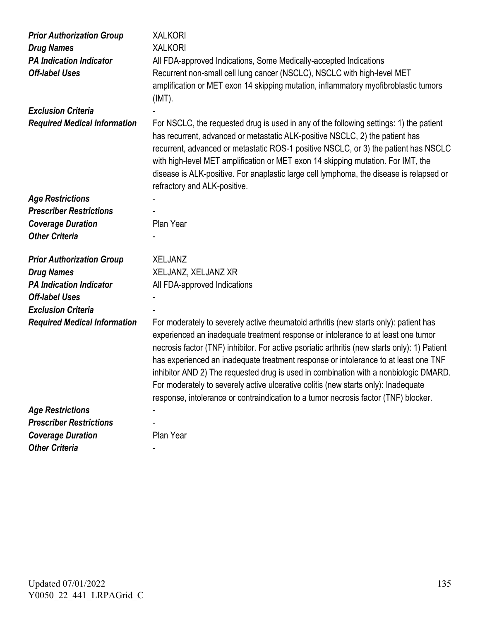| <b>Prior Authorization Group</b><br><b>Drug Names</b><br><b>PA Indication Indicator</b><br><b>Off-label Uses</b> | <b>XALKORI</b><br><b>XALKORI</b><br>All FDA-approved Indications, Some Medically-accepted Indications<br>Recurrent non-small cell lung cancer (NSCLC), NSCLC with high-level MET                                                                                                                                                                                                                                                                                                                                                                                                                                                        |
|------------------------------------------------------------------------------------------------------------------|-----------------------------------------------------------------------------------------------------------------------------------------------------------------------------------------------------------------------------------------------------------------------------------------------------------------------------------------------------------------------------------------------------------------------------------------------------------------------------------------------------------------------------------------------------------------------------------------------------------------------------------------|
|                                                                                                                  | amplification or MET exon 14 skipping mutation, inflammatory myofibroblastic tumors<br>$(IMT)$ .                                                                                                                                                                                                                                                                                                                                                                                                                                                                                                                                        |
| <b>Exclusion Criteria</b>                                                                                        |                                                                                                                                                                                                                                                                                                                                                                                                                                                                                                                                                                                                                                         |
| <b>Required Medical Information</b>                                                                              | For NSCLC, the requested drug is used in any of the following settings: 1) the patient<br>has recurrent, advanced or metastatic ALK-positive NSCLC, 2) the patient has<br>recurrent, advanced or metastatic ROS-1 positive NSCLC, or 3) the patient has NSCLC<br>with high-level MET amplification or MET exon 14 skipping mutation. For IMT, the<br>disease is ALK-positive. For anaplastic large cell lymphoma, the disease is relapsed or<br>refractory and ALK-positive.                                                                                                                                                            |
| <b>Age Restrictions</b>                                                                                          |                                                                                                                                                                                                                                                                                                                                                                                                                                                                                                                                                                                                                                         |
| <b>Prescriber Restrictions</b>                                                                                   |                                                                                                                                                                                                                                                                                                                                                                                                                                                                                                                                                                                                                                         |
| <b>Coverage Duration</b>                                                                                         | Plan Year                                                                                                                                                                                                                                                                                                                                                                                                                                                                                                                                                                                                                               |
| <b>Other Criteria</b>                                                                                            |                                                                                                                                                                                                                                                                                                                                                                                                                                                                                                                                                                                                                                         |
| <b>Prior Authorization Group</b>                                                                                 | <b>XELJANZ</b>                                                                                                                                                                                                                                                                                                                                                                                                                                                                                                                                                                                                                          |
| <b>Drug Names</b>                                                                                                | XELJANZ, XELJANZ XR                                                                                                                                                                                                                                                                                                                                                                                                                                                                                                                                                                                                                     |
| <b>PA Indication Indicator</b>                                                                                   | All FDA-approved Indications                                                                                                                                                                                                                                                                                                                                                                                                                                                                                                                                                                                                            |
| <b>Off-label Uses</b>                                                                                            |                                                                                                                                                                                                                                                                                                                                                                                                                                                                                                                                                                                                                                         |
| <b>Exclusion Criteria</b>                                                                                        |                                                                                                                                                                                                                                                                                                                                                                                                                                                                                                                                                                                                                                         |
| <b>Required Medical Information</b>                                                                              | For moderately to severely active rheumatoid arthritis (new starts only): patient has<br>experienced an inadequate treatment response or intolerance to at least one tumor<br>necrosis factor (TNF) inhibitor. For active psoriatic arthritis (new starts only): 1) Patient<br>has experienced an inadequate treatment response or intolerance to at least one TNF<br>inhibitor AND 2) The requested drug is used in combination with a nonbiologic DMARD.<br>For moderately to severely active ulcerative colitis (new starts only): Inadequate<br>response, intolerance or contraindication to a tumor necrosis factor (TNF) blocker. |
| <b>Age Restrictions</b>                                                                                          |                                                                                                                                                                                                                                                                                                                                                                                                                                                                                                                                                                                                                                         |
| <b>Prescriber Restrictions</b>                                                                                   |                                                                                                                                                                                                                                                                                                                                                                                                                                                                                                                                                                                                                                         |
| <b>Coverage Duration</b>                                                                                         | Plan Year                                                                                                                                                                                                                                                                                                                                                                                                                                                                                                                                                                                                                               |
|                                                                                                                  |                                                                                                                                                                                                                                                                                                                                                                                                                                                                                                                                                                                                                                         |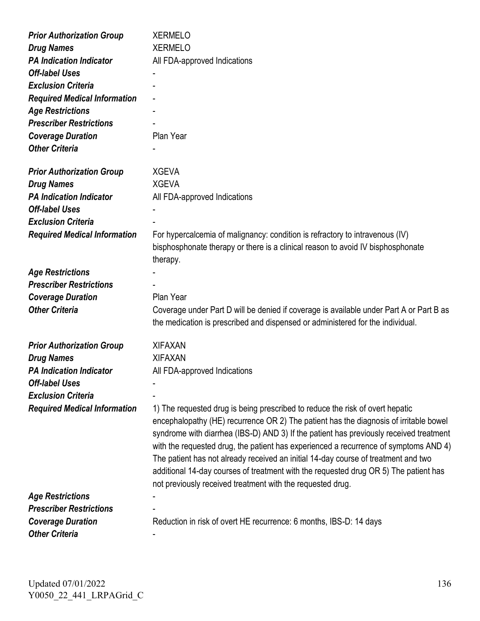| <b>Prior Authorization Group</b>    | <b>XERMELO</b>                                                                          |
|-------------------------------------|-----------------------------------------------------------------------------------------|
| <b>Drug Names</b>                   | <b>XERMELO</b>                                                                          |
| <b>PA Indication Indicator</b>      | All FDA-approved Indications                                                            |
| <b>Off-label Uses</b>               |                                                                                         |
| <b>Exclusion Criteria</b>           |                                                                                         |
| <b>Required Medical Information</b> |                                                                                         |
| <b>Age Restrictions</b>             |                                                                                         |
| <b>Prescriber Restrictions</b>      |                                                                                         |
| <b>Coverage Duration</b>            | Plan Year                                                                               |
| <b>Other Criteria</b>               |                                                                                         |
|                                     |                                                                                         |
| <b>Prior Authorization Group</b>    | <b>XGEVA</b>                                                                            |
| <b>Drug Names</b>                   | <b>XGEVA</b>                                                                            |
| <b>PA Indication Indicator</b>      | All FDA-approved Indications                                                            |
| <b>Off-label Uses</b>               |                                                                                         |
| <b>Exclusion Criteria</b>           |                                                                                         |
| <b>Required Medical Information</b> | For hypercalcemia of malignancy: condition is refractory to intravenous (IV)            |
|                                     | bisphosphonate therapy or there is a clinical reason to avoid IV bisphosphonate         |
|                                     | therapy.                                                                                |
| <b>Age Restrictions</b>             |                                                                                         |
| <b>Prescriber Restrictions</b>      |                                                                                         |
| <b>Coverage Duration</b>            | Plan Year                                                                               |
| <b>Other Criteria</b>               | Coverage under Part D will be denied if coverage is available under Part A or Part B as |
|                                     | the medication is prescribed and dispensed or administered for the individual.          |
| <b>Prior Authorization Group</b>    | <b>XIFAXAN</b>                                                                          |
| <b>Drug Names</b>                   | <b>XIFAXAN</b>                                                                          |
| <b>PA Indication Indicator</b>      | All FDA-approved Indications                                                            |
| <b>Off-label Uses</b>               |                                                                                         |
| <b>Exclusion Criteria</b>           |                                                                                         |
| <b>Required Medical Information</b> | 1) The requested drug is being prescribed to reduce the risk of overt hepatic           |
|                                     | encephalopathy (HE) recurrence OR 2) The patient has the diagnosis of irritable bowel   |
|                                     | syndrome with diarrhea (IBS-D) AND 3) If the patient has previously received treatment  |
|                                     | with the requested drug, the patient has experienced a recurrence of symptoms AND 4)    |
|                                     | The patient has not already received an initial 14-day course of treatment and two      |
|                                     | additional 14-day courses of treatment with the requested drug OR 5) The patient has    |
|                                     | not previously received treatment with the requested drug.                              |
| <b>Age Restrictions</b>             |                                                                                         |
| <b>Prescriber Restrictions</b>      |                                                                                         |
| <b>Coverage Duration</b>            | Reduction in risk of overt HE recurrence: 6 months, IBS-D: 14 days                      |
| <b>Other Criteria</b>               |                                                                                         |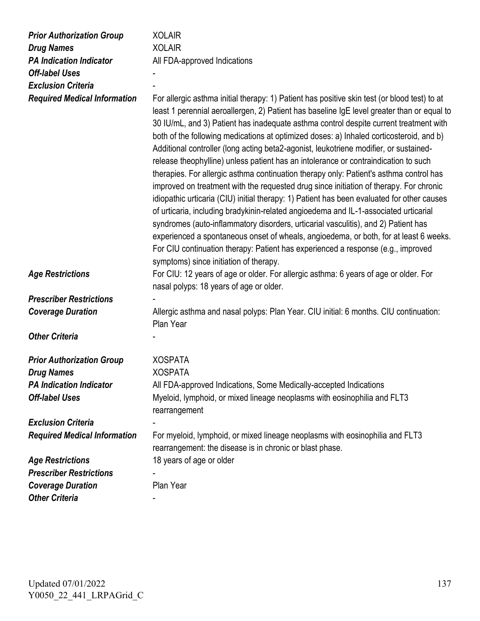| <b>Prior Authorization Group</b>    | <b>XOLAIR</b>                                                                                                                                                                                                                                                                                                                                                                                                                                                                                                                                                                                                                                                                                                                                                                                                                                                                                                                                                                                                                                                                                                                                                                                                                                         |
|-------------------------------------|-------------------------------------------------------------------------------------------------------------------------------------------------------------------------------------------------------------------------------------------------------------------------------------------------------------------------------------------------------------------------------------------------------------------------------------------------------------------------------------------------------------------------------------------------------------------------------------------------------------------------------------------------------------------------------------------------------------------------------------------------------------------------------------------------------------------------------------------------------------------------------------------------------------------------------------------------------------------------------------------------------------------------------------------------------------------------------------------------------------------------------------------------------------------------------------------------------------------------------------------------------|
| <b>Drug Names</b>                   | <b>XOLAIR</b>                                                                                                                                                                                                                                                                                                                                                                                                                                                                                                                                                                                                                                                                                                                                                                                                                                                                                                                                                                                                                                                                                                                                                                                                                                         |
| <b>PA Indication Indicator</b>      | All FDA-approved Indications                                                                                                                                                                                                                                                                                                                                                                                                                                                                                                                                                                                                                                                                                                                                                                                                                                                                                                                                                                                                                                                                                                                                                                                                                          |
| <b>Off-label Uses</b>               |                                                                                                                                                                                                                                                                                                                                                                                                                                                                                                                                                                                                                                                                                                                                                                                                                                                                                                                                                                                                                                                                                                                                                                                                                                                       |
| <b>Exclusion Criteria</b>           |                                                                                                                                                                                                                                                                                                                                                                                                                                                                                                                                                                                                                                                                                                                                                                                                                                                                                                                                                                                                                                                                                                                                                                                                                                                       |
| <b>Required Medical Information</b> | For allergic asthma initial therapy: 1) Patient has positive skin test (or blood test) to at<br>least 1 perennial aeroallergen, 2) Patient has baseline IgE level greater than or equal to<br>30 IU/mL, and 3) Patient has inadequate asthma control despite current treatment with<br>both of the following medications at optimized doses: a) Inhaled corticosteroid, and b)<br>Additional controller (long acting beta2-agonist, leukotriene modifier, or sustained-<br>release theophylline) unless patient has an intolerance or contraindication to such<br>therapies. For allergic asthma continuation therapy only: Patient's asthma control has<br>improved on treatment with the requested drug since initiation of therapy. For chronic<br>idiopathic urticaria (CIU) initial therapy: 1) Patient has been evaluated for other causes<br>of urticaria, including bradykinin-related angioedema and IL-1-associated urticarial<br>syndromes (auto-inflammatory disorders, urticarial vasculitis), and 2) Patient has<br>experienced a spontaneous onset of wheals, angioedema, or both, for at least 6 weeks.<br>For CIU continuation therapy: Patient has experienced a response (e.g., improved<br>symptoms) since initiation of therapy. |
| <b>Age Restrictions</b>             | For CIU: 12 years of age or older. For allergic asthma: 6 years of age or older. For<br>nasal polyps: 18 years of age or older.                                                                                                                                                                                                                                                                                                                                                                                                                                                                                                                                                                                                                                                                                                                                                                                                                                                                                                                                                                                                                                                                                                                       |
| <b>Prescriber Restrictions</b>      |                                                                                                                                                                                                                                                                                                                                                                                                                                                                                                                                                                                                                                                                                                                                                                                                                                                                                                                                                                                                                                                                                                                                                                                                                                                       |
| <b>Coverage Duration</b>            | Allergic asthma and nasal polyps: Plan Year. CIU initial: 6 months. CIU continuation:<br>Plan Year                                                                                                                                                                                                                                                                                                                                                                                                                                                                                                                                                                                                                                                                                                                                                                                                                                                                                                                                                                                                                                                                                                                                                    |
| <b>Other Criteria</b>               |                                                                                                                                                                                                                                                                                                                                                                                                                                                                                                                                                                                                                                                                                                                                                                                                                                                                                                                                                                                                                                                                                                                                                                                                                                                       |
| <b>Prior Authorization Group</b>    | <b>XOSPATA</b>                                                                                                                                                                                                                                                                                                                                                                                                                                                                                                                                                                                                                                                                                                                                                                                                                                                                                                                                                                                                                                                                                                                                                                                                                                        |
| <b>Drug Names</b>                   | <b>XOSPATA</b>                                                                                                                                                                                                                                                                                                                                                                                                                                                                                                                                                                                                                                                                                                                                                                                                                                                                                                                                                                                                                                                                                                                                                                                                                                        |
| <b>PA Indication Indicator</b>      | All FDA-approved Indications, Some Medically-accepted Indications                                                                                                                                                                                                                                                                                                                                                                                                                                                                                                                                                                                                                                                                                                                                                                                                                                                                                                                                                                                                                                                                                                                                                                                     |
| <b>Off-label Uses</b>               | Myeloid, lymphoid, or mixed lineage neoplasms with eosinophilia and FLT3<br>rearrangement                                                                                                                                                                                                                                                                                                                                                                                                                                                                                                                                                                                                                                                                                                                                                                                                                                                                                                                                                                                                                                                                                                                                                             |
| <b>Exclusion Criteria</b>           |                                                                                                                                                                                                                                                                                                                                                                                                                                                                                                                                                                                                                                                                                                                                                                                                                                                                                                                                                                                                                                                                                                                                                                                                                                                       |
| <b>Required Medical Information</b> | For myeloid, lymphoid, or mixed lineage neoplasms with eosinophilia and FLT3<br>rearrangement: the disease is in chronic or blast phase.                                                                                                                                                                                                                                                                                                                                                                                                                                                                                                                                                                                                                                                                                                                                                                                                                                                                                                                                                                                                                                                                                                              |
| <b>Age Restrictions</b>             | 18 years of age or older                                                                                                                                                                                                                                                                                                                                                                                                                                                                                                                                                                                                                                                                                                                                                                                                                                                                                                                                                                                                                                                                                                                                                                                                                              |
| <b>Prescriber Restrictions</b>      |                                                                                                                                                                                                                                                                                                                                                                                                                                                                                                                                                                                                                                                                                                                                                                                                                                                                                                                                                                                                                                                                                                                                                                                                                                                       |
| <b>Coverage Duration</b>            | Plan Year                                                                                                                                                                                                                                                                                                                                                                                                                                                                                                                                                                                                                                                                                                                                                                                                                                                                                                                                                                                                                                                                                                                                                                                                                                             |
| <b>Other Criteria</b>               |                                                                                                                                                                                                                                                                                                                                                                                                                                                                                                                                                                                                                                                                                                                                                                                                                                                                                                                                                                                                                                                                                                                                                                                                                                                       |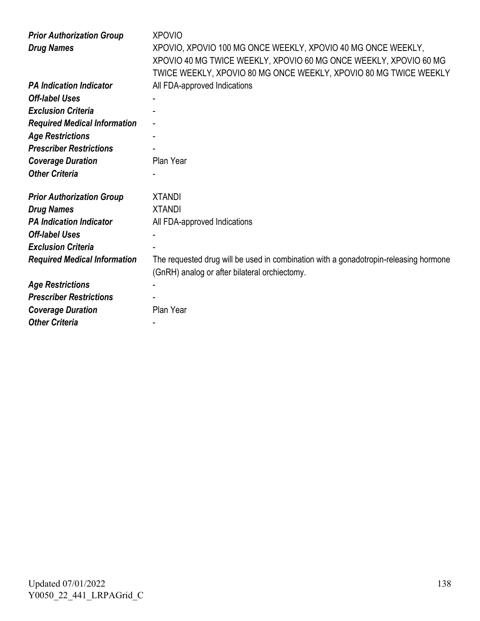| <b>Prior Authorization Group</b><br><b>Drug Names</b> | <b>XPOVIO</b><br>XPOVIO, XPOVIO 100 MG ONCE WEEKLY, XPOVIO 40 MG ONCE WEEKLY,<br>XPOVIO 40 MG TWICE WEEKLY, XPOVIO 60 MG ONCE WEEKLY, XPOVIO 60 MG<br>TWICE WEEKLY, XPOVIO 80 MG ONCE WEEKLY, XPOVIO 80 MG TWICE WEEKLY |
|-------------------------------------------------------|-------------------------------------------------------------------------------------------------------------------------------------------------------------------------------------------------------------------------|
| <b>PA Indication Indicator</b>                        | All FDA-approved Indications                                                                                                                                                                                            |
| <b>Off-label Uses</b>                                 |                                                                                                                                                                                                                         |
| <b>Exclusion Criteria</b>                             |                                                                                                                                                                                                                         |
| <b>Required Medical Information</b>                   |                                                                                                                                                                                                                         |
| <b>Age Restrictions</b>                               |                                                                                                                                                                                                                         |
| <b>Prescriber Restrictions</b>                        |                                                                                                                                                                                                                         |
| <b>Coverage Duration</b>                              | Plan Year                                                                                                                                                                                                               |
| <b>Other Criteria</b>                                 |                                                                                                                                                                                                                         |
| <b>Prior Authorization Group</b>                      | <b>XTANDI</b>                                                                                                                                                                                                           |
| <b>Drug Names</b>                                     | <b>XTANDI</b>                                                                                                                                                                                                           |
| <b>PA Indication Indicator</b>                        | All FDA-approved Indications                                                                                                                                                                                            |
| <b>Off-label Uses</b>                                 |                                                                                                                                                                                                                         |
| <b>Exclusion Criteria</b>                             |                                                                                                                                                                                                                         |
| <b>Required Medical Information</b>                   | The requested drug will be used in combination with a gonadotropin-releasing hormone                                                                                                                                    |
|                                                       | (GnRH) analog or after bilateral orchiectomy.                                                                                                                                                                           |
| <b>Age Restrictions</b>                               |                                                                                                                                                                                                                         |
| <b>Prescriber Restrictions</b>                        |                                                                                                                                                                                                                         |
| <b>Coverage Duration</b>                              | Plan Year                                                                                                                                                                                                               |
| <b>Other Criteria</b>                                 |                                                                                                                                                                                                                         |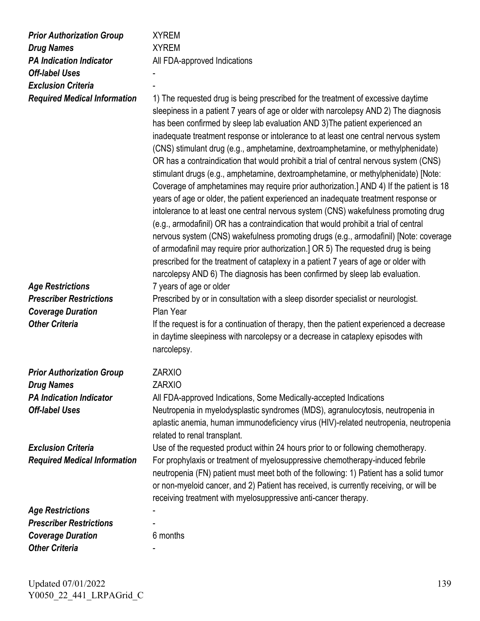| <b>Prior Authorization Group</b><br><b>Drug Names</b><br><b>PA Indication Indicator</b><br><b>Off-label Uses</b><br><b>Exclusion Criteria</b><br><b>Required Medical Information</b> | <b>XYREM</b><br><b>XYREM</b><br>All FDA-approved Indications<br>1) The requested drug is being prescribed for the treatment of excessive daytime<br>sleepiness in a patient 7 years of age or older with narcolepsy AND 2) The diagnosis<br>has been confirmed by sleep lab evaluation AND 3) The patient experienced an<br>inadequate treatment response or intolerance to at least one central nervous system<br>(CNS) stimulant drug (e.g., amphetamine, dextroamphetamine, or methylphenidate)<br>OR has a contraindication that would prohibit a trial of central nervous system (CNS)<br>stimulant drugs (e.g., amphetamine, dextroamphetamine, or methylphenidate) [Note:<br>Coverage of amphetamines may require prior authorization.] AND 4) If the patient is 18<br>years of age or older, the patient experienced an inadequate treatment response or<br>intolerance to at least one central nervous system (CNS) wakefulness promoting drug<br>(e.g., armodafinil) OR has a contraindication that would prohibit a trial of central<br>nervous system (CNS) wakefulness promoting drugs (e.g., armodafinil) [Note: coverage<br>of armodafinil may require prior authorization.] OR 5) The requested drug is being<br>prescribed for the treatment of cataplexy in a patient 7 years of age or older with<br>narcolepsy AND 6) The diagnosis has been confirmed by sleep lab evaluation. |
|--------------------------------------------------------------------------------------------------------------------------------------------------------------------------------------|-----------------------------------------------------------------------------------------------------------------------------------------------------------------------------------------------------------------------------------------------------------------------------------------------------------------------------------------------------------------------------------------------------------------------------------------------------------------------------------------------------------------------------------------------------------------------------------------------------------------------------------------------------------------------------------------------------------------------------------------------------------------------------------------------------------------------------------------------------------------------------------------------------------------------------------------------------------------------------------------------------------------------------------------------------------------------------------------------------------------------------------------------------------------------------------------------------------------------------------------------------------------------------------------------------------------------------------------------------------------------------------------------------|
| <b>Age Restrictions</b>                                                                                                                                                              | 7 years of age or older                                                                                                                                                                                                                                                                                                                                                                                                                                                                                                                                                                                                                                                                                                                                                                                                                                                                                                                                                                                                                                                                                                                                                                                                                                                                                                                                                                             |
| <b>Prescriber Restrictions</b><br><b>Coverage Duration</b>                                                                                                                           | Prescribed by or in consultation with a sleep disorder specialist or neurologist.<br>Plan Year                                                                                                                                                                                                                                                                                                                                                                                                                                                                                                                                                                                                                                                                                                                                                                                                                                                                                                                                                                                                                                                                                                                                                                                                                                                                                                      |
| <b>Other Criteria</b>                                                                                                                                                                | If the request is for a continuation of therapy, then the patient experienced a decrease<br>in daytime sleepiness with narcolepsy or a decrease in cataplexy episodes with<br>narcolepsy.                                                                                                                                                                                                                                                                                                                                                                                                                                                                                                                                                                                                                                                                                                                                                                                                                                                                                                                                                                                                                                                                                                                                                                                                           |
| <b>Prior Authorization Group</b>                                                                                                                                                     | ZARXIO                                                                                                                                                                                                                                                                                                                                                                                                                                                                                                                                                                                                                                                                                                                                                                                                                                                                                                                                                                                                                                                                                                                                                                                                                                                                                                                                                                                              |
| <b>Drug Names</b>                                                                                                                                                                    | <b>ZARXIO</b>                                                                                                                                                                                                                                                                                                                                                                                                                                                                                                                                                                                                                                                                                                                                                                                                                                                                                                                                                                                                                                                                                                                                                                                                                                                                                                                                                                                       |
| <b>PA Indication Indicator</b><br><b>Off-label Uses</b>                                                                                                                              | All FDA-approved Indications, Some Medically-accepted Indications<br>Neutropenia in myelodysplastic syndromes (MDS), agranulocytosis, neutropenia in<br>aplastic anemia, human immunodeficiency virus (HIV)-related neutropenia, neutropenia<br>related to renal transplant.                                                                                                                                                                                                                                                                                                                                                                                                                                                                                                                                                                                                                                                                                                                                                                                                                                                                                                                                                                                                                                                                                                                        |
| <b>Exclusion Criteria</b>                                                                                                                                                            | Use of the requested product within 24 hours prior to or following chemotherapy.                                                                                                                                                                                                                                                                                                                                                                                                                                                                                                                                                                                                                                                                                                                                                                                                                                                                                                                                                                                                                                                                                                                                                                                                                                                                                                                    |
| <b>Required Medical Information</b>                                                                                                                                                  | For prophylaxis or treatment of myelosuppressive chemotherapy-induced febrile<br>neutropenia (FN) patient must meet both of the following: 1) Patient has a solid tumor<br>or non-myeloid cancer, and 2) Patient has received, is currently receiving, or will be<br>receiving treatment with myelosuppressive anti-cancer therapy.                                                                                                                                                                                                                                                                                                                                                                                                                                                                                                                                                                                                                                                                                                                                                                                                                                                                                                                                                                                                                                                                 |
| <b>Age Restrictions</b>                                                                                                                                                              |                                                                                                                                                                                                                                                                                                                                                                                                                                                                                                                                                                                                                                                                                                                                                                                                                                                                                                                                                                                                                                                                                                                                                                                                                                                                                                                                                                                                     |
| <b>Prescriber Restrictions</b>                                                                                                                                                       |                                                                                                                                                                                                                                                                                                                                                                                                                                                                                                                                                                                                                                                                                                                                                                                                                                                                                                                                                                                                                                                                                                                                                                                                                                                                                                                                                                                                     |
| <b>Coverage Duration</b>                                                                                                                                                             | 6 months                                                                                                                                                                                                                                                                                                                                                                                                                                                                                                                                                                                                                                                                                                                                                                                                                                                                                                                                                                                                                                                                                                                                                                                                                                                                                                                                                                                            |
| <b>Other Criteria</b>                                                                                                                                                                |                                                                                                                                                                                                                                                                                                                                                                                                                                                                                                                                                                                                                                                                                                                                                                                                                                                                                                                                                                                                                                                                                                                                                                                                                                                                                                                                                                                                     |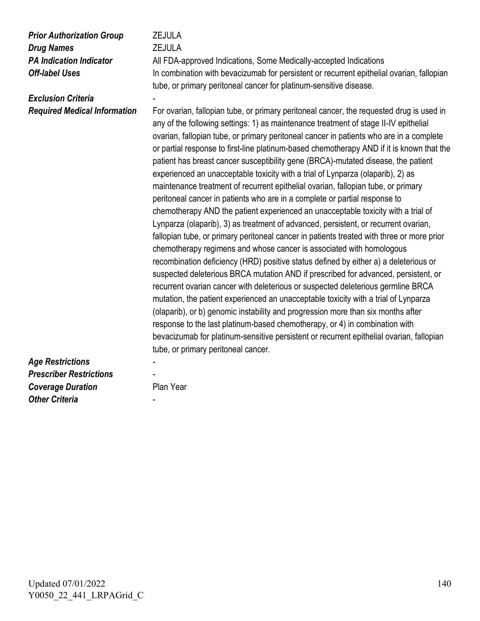*Prior Authorization Group* **ZEJULA** *Drug Names* **ZEJULA** 

*Exclusion Criteria* 

**PA Indication Indicator** All FDA-approved Indications, Some Medically-accepted Indications **Off-label Uses** In combination with bevacizumab for persistent or recurrent epithelial ovarian, fallopian tube, or primary peritoneal cancer for platinum-sensitive disease.

*Required Medical Information* For ovarian, fallopian tube, or primary peritoneal cancer, the requested drug is used in any of the following settings: 1) as maintenance treatment of stage II-IV epithelial ovarian, fallopian tube, or primary peritoneal cancer in patients who are in a complete or partial response to first-line platinum-based chemotherapy AND if it is known that the patient has breast cancer susceptibility gene (BRCA)-mutated disease, the patient experienced an unacceptable toxicity with a trial of Lynparza (olaparib), 2) as maintenance treatment of recurrent epithelial ovarian, fallopian tube, or primary peritoneal cancer in patients who are in a complete or partial response to chemotherapy AND the patient experienced an unacceptable toxicity with a trial of Lynparza (olaparib), 3) as treatment of advanced, persistent, or recurrent ovarian, fallopian tube, or primary peritoneal cancer in patients treated with three or more prior chemotherapy regimens and whose cancer is associated with homologous recombination deficiency (HRD) positive status defined by either a) a deleterious or suspected deleterious BRCA mutation AND if prescribed for advanced, persistent, or recurrent ovarian cancer with deleterious or suspected deleterious germline BRCA mutation, the patient experienced an unacceptable toxicity with a trial of Lynparza (olaparib), or b) genomic instability and progression more than six months after response to the last platinum-based chemotherapy, or 4) in combination with bevacizumab for platinum-sensitive persistent or recurrent epithelial ovarian, fallopian tube, or primary peritoneal cancer.

*Age Restrictions* - *Prescriber Restrictions* - **Coverage Duration** Plan Year **Other Criteria**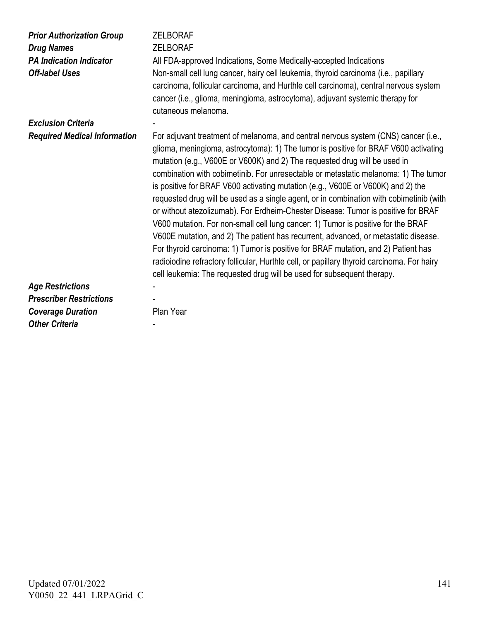| <b>Prior Authorization Group</b><br><b>Drug Names</b><br><b>PA Indication Indicator</b><br><b>Off-label Uses</b> | <b>ZELBORAF</b><br><b>ZELBORAF</b><br>All FDA-approved Indications, Some Medically-accepted Indications<br>Non-small cell lung cancer, hairy cell leukemia, thyroid carcinoma (i.e., papillary<br>carcinoma, follicular carcinoma, and Hurthle cell carcinoma), central nervous system<br>cancer (i.e., glioma, meningioma, astrocytoma), adjuvant systemic therapy for<br>cutaneous melanoma.                                                                                                                                                                                                                                                                                                                                                                                                                                                                                                                                                                                                                                                          |
|------------------------------------------------------------------------------------------------------------------|---------------------------------------------------------------------------------------------------------------------------------------------------------------------------------------------------------------------------------------------------------------------------------------------------------------------------------------------------------------------------------------------------------------------------------------------------------------------------------------------------------------------------------------------------------------------------------------------------------------------------------------------------------------------------------------------------------------------------------------------------------------------------------------------------------------------------------------------------------------------------------------------------------------------------------------------------------------------------------------------------------------------------------------------------------|
| <b>Exclusion Criteria</b>                                                                                        |                                                                                                                                                                                                                                                                                                                                                                                                                                                                                                                                                                                                                                                                                                                                                                                                                                                                                                                                                                                                                                                         |
| <b>Required Medical Information</b>                                                                              | For adjuvant treatment of melanoma, and central nervous system (CNS) cancer (i.e.,<br>glioma, meningioma, astrocytoma): 1) The tumor is positive for BRAF V600 activating<br>mutation (e.g., V600E or V600K) and 2) The requested drug will be used in<br>combination with cobimetinib. For unresectable or metastatic melanoma: 1) The tumor<br>is positive for BRAF V600 activating mutation (e.g., V600E or V600K) and 2) the<br>requested drug will be used as a single agent, or in combination with cobimetinib (with<br>or without atezolizumab). For Erdheim-Chester Disease: Tumor is positive for BRAF<br>V600 mutation. For non-small cell lung cancer: 1) Tumor is positive for the BRAF<br>V600E mutation, and 2) The patient has recurrent, advanced, or metastatic disease.<br>For thyroid carcinoma: 1) Tumor is positive for BRAF mutation, and 2) Patient has<br>radioiodine refractory follicular, Hurthle cell, or papillary thyroid carcinoma. For hairy<br>cell leukemia: The requested drug will be used for subsequent therapy. |
| <b>Age Restrictions</b>                                                                                          |                                                                                                                                                                                                                                                                                                                                                                                                                                                                                                                                                                                                                                                                                                                                                                                                                                                                                                                                                                                                                                                         |
| <b>Prescriber Restrictions</b>                                                                                   |                                                                                                                                                                                                                                                                                                                                                                                                                                                                                                                                                                                                                                                                                                                                                                                                                                                                                                                                                                                                                                                         |
| <b>Coverage Duration</b>                                                                                         | Plan Year                                                                                                                                                                                                                                                                                                                                                                                                                                                                                                                                                                                                                                                                                                                                                                                                                                                                                                                                                                                                                                               |
| <b>Other Criteria</b>                                                                                            |                                                                                                                                                                                                                                                                                                                                                                                                                                                                                                                                                                                                                                                                                                                                                                                                                                                                                                                                                                                                                                                         |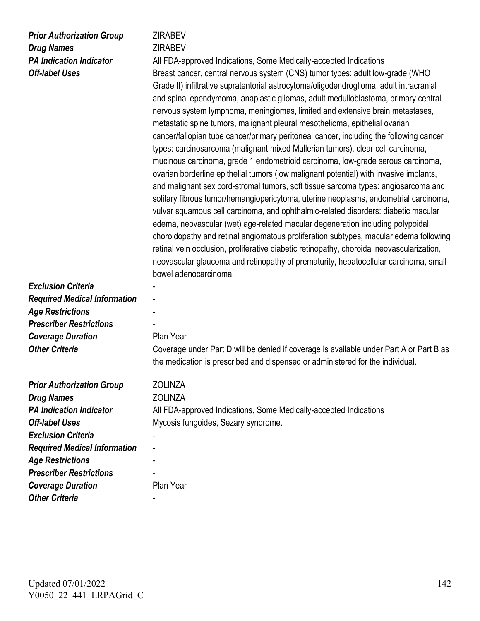## *Prior Authorization Group* **ZIRABEV Drug Names ZIRABEV**

**PA Indication Indicator** All FDA-approved Indications, Some Medically-accepted Indications **Off-label Uses** Breast cancer, central nervous system (CNS) tumor types: adult low-grade (WHO Grade II) infiltrative supratentorial astrocytoma/oligodendroglioma, adult intracranial and spinal ependymoma, anaplastic gliomas, adult medulloblastoma, primary central nervous system lymphoma, meningiomas, limited and extensive brain metastases, metastatic spine tumors, malignant pleural mesothelioma, epithelial ovarian cancer/fallopian tube cancer/primary peritoneal cancer, including the following cancer types: carcinosarcoma (malignant mixed Mullerian tumors), clear cell carcinoma, mucinous carcinoma, grade 1 endometrioid carcinoma, low-grade serous carcinoma, ovarian borderline epithelial tumors (low malignant potential) with invasive implants, and malignant sex cord-stromal tumors, soft tissue sarcoma types: angiosarcoma and solitary fibrous tumor/hemangiopericytoma, uterine neoplasms, endometrial carcinoma, vulvar squamous cell carcinoma, and ophthalmic-related disorders: diabetic macular edema, neovascular (wet) age-related macular degeneration including polypoidal choroidopathy and retinal angiomatous proliferation subtypes, macular edema following retinal vein occlusion, proliferative diabetic retinopathy, choroidal neovascularization, neovascular glaucoma and retinopathy of prematurity, hepatocellular carcinoma, small bowel adenocarcinoma.

**Exclusion Criteria** *Required Medical Information* - *Age Restrictions* - *Prescriber Restrictions* - **Coverage Duration** Plan Year

**Other Criteria** Coverage under Part D will be denied if coverage is available under Part A or Part B as the medication is prescribed and dispensed or administered for the individual.

| <b>Prior Authorization Group</b>    | <b>ZOLINZA</b>                                                    |
|-------------------------------------|-------------------------------------------------------------------|
| <b>Drug Names</b>                   | <b>ZOLINZA</b>                                                    |
| <b>PA Indication Indicator</b>      | All FDA-approved Indications, Some Medically-accepted Indications |
| <b>Off-label Uses</b>               | Mycosis fungoides, Sezary syndrome.                               |
| <b>Exclusion Criteria</b>           |                                                                   |
| <b>Required Medical Information</b> | -                                                                 |
| <b>Age Restrictions</b>             |                                                                   |
| <b>Prescriber Restrictions</b>      |                                                                   |
| <b>Coverage Duration</b>            | Plan Year                                                         |
| <b>Other Criteria</b>               |                                                                   |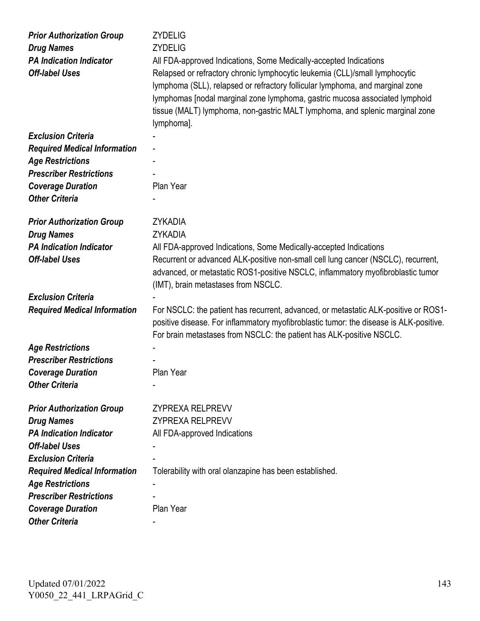| <b>Prior Authorization Group</b><br><b>Drug Names</b><br><b>PA Indication Indicator</b><br><b>Off-label Uses</b> | <b>ZYDELIG</b><br><b>ZYDELIG</b><br>All FDA-approved Indications, Some Medically-accepted Indications<br>Relapsed or refractory chronic lymphocytic leukemia (CLL)/small lymphocytic<br>lymphoma (SLL), relapsed or refractory follicular lymphoma, and marginal zone<br>lymphomas [nodal marginal zone lymphoma, gastric mucosa associated lymphoid<br>tissue (MALT) lymphoma, non-gastric MALT lymphoma, and splenic marginal zone<br>lymphoma]. |
|------------------------------------------------------------------------------------------------------------------|----------------------------------------------------------------------------------------------------------------------------------------------------------------------------------------------------------------------------------------------------------------------------------------------------------------------------------------------------------------------------------------------------------------------------------------------------|
| <b>Exclusion Criteria</b>                                                                                        |                                                                                                                                                                                                                                                                                                                                                                                                                                                    |
| <b>Required Medical Information</b>                                                                              |                                                                                                                                                                                                                                                                                                                                                                                                                                                    |
| <b>Age Restrictions</b>                                                                                          |                                                                                                                                                                                                                                                                                                                                                                                                                                                    |
| <b>Prescriber Restrictions</b>                                                                                   |                                                                                                                                                                                                                                                                                                                                                                                                                                                    |
| <b>Coverage Duration</b>                                                                                         | Plan Year                                                                                                                                                                                                                                                                                                                                                                                                                                          |
| <b>Other Criteria</b>                                                                                            |                                                                                                                                                                                                                                                                                                                                                                                                                                                    |
|                                                                                                                  |                                                                                                                                                                                                                                                                                                                                                                                                                                                    |
| <b>Prior Authorization Group</b>                                                                                 | <b>ZYKADIA</b>                                                                                                                                                                                                                                                                                                                                                                                                                                     |
| <b>Drug Names</b>                                                                                                | <b>ZYKADIA</b>                                                                                                                                                                                                                                                                                                                                                                                                                                     |
| <b>PA Indication Indicator</b>                                                                                   | All FDA-approved Indications, Some Medically-accepted Indications                                                                                                                                                                                                                                                                                                                                                                                  |
| <b>Off-label Uses</b>                                                                                            | Recurrent or advanced ALK-positive non-small cell lung cancer (NSCLC), recurrent,<br>advanced, or metastatic ROS1-positive NSCLC, inflammatory myofibroblastic tumor<br>(IMT), brain metastases from NSCLC.                                                                                                                                                                                                                                        |
| <b>Exclusion Criteria</b>                                                                                        |                                                                                                                                                                                                                                                                                                                                                                                                                                                    |
| <b>Required Medical Information</b>                                                                              | For NSCLC: the patient has recurrent, advanced, or metastatic ALK-positive or ROS1-<br>positive disease. For inflammatory myofibroblastic tumor: the disease is ALK-positive.<br>For brain metastases from NSCLC: the patient has ALK-positive NSCLC.                                                                                                                                                                                              |
| <b>Age Restrictions</b>                                                                                          |                                                                                                                                                                                                                                                                                                                                                                                                                                                    |
| <b>Prescriber Restrictions</b>                                                                                   |                                                                                                                                                                                                                                                                                                                                                                                                                                                    |
| <b>Coverage Duration</b>                                                                                         | Plan Year                                                                                                                                                                                                                                                                                                                                                                                                                                          |
| <b>Other Criteria</b>                                                                                            |                                                                                                                                                                                                                                                                                                                                                                                                                                                    |
|                                                                                                                  |                                                                                                                                                                                                                                                                                                                                                                                                                                                    |
| <b>Prior Authorization Group</b>                                                                                 | <b>ZYPREXA RELPREVV</b>                                                                                                                                                                                                                                                                                                                                                                                                                            |
| <b>Drug Names</b>                                                                                                | <b>ZYPREXA RELPREVV</b>                                                                                                                                                                                                                                                                                                                                                                                                                            |
| <b>PA Indication Indicator</b>                                                                                   | All FDA-approved Indications                                                                                                                                                                                                                                                                                                                                                                                                                       |
| <b>Off-label Uses</b>                                                                                            |                                                                                                                                                                                                                                                                                                                                                                                                                                                    |
| <b>Exclusion Criteria</b>                                                                                        |                                                                                                                                                                                                                                                                                                                                                                                                                                                    |
| <b>Required Medical Information</b>                                                                              | Tolerability with oral olanzapine has been established.                                                                                                                                                                                                                                                                                                                                                                                            |
| <b>Age Restrictions</b>                                                                                          |                                                                                                                                                                                                                                                                                                                                                                                                                                                    |
| <b>Prescriber Restrictions</b>                                                                                   |                                                                                                                                                                                                                                                                                                                                                                                                                                                    |
| <b>Coverage Duration</b>                                                                                         | Plan Year                                                                                                                                                                                                                                                                                                                                                                                                                                          |
| <b>Other Criteria</b>                                                                                            | $\overline{\phantom{0}}$                                                                                                                                                                                                                                                                                                                                                                                                                           |